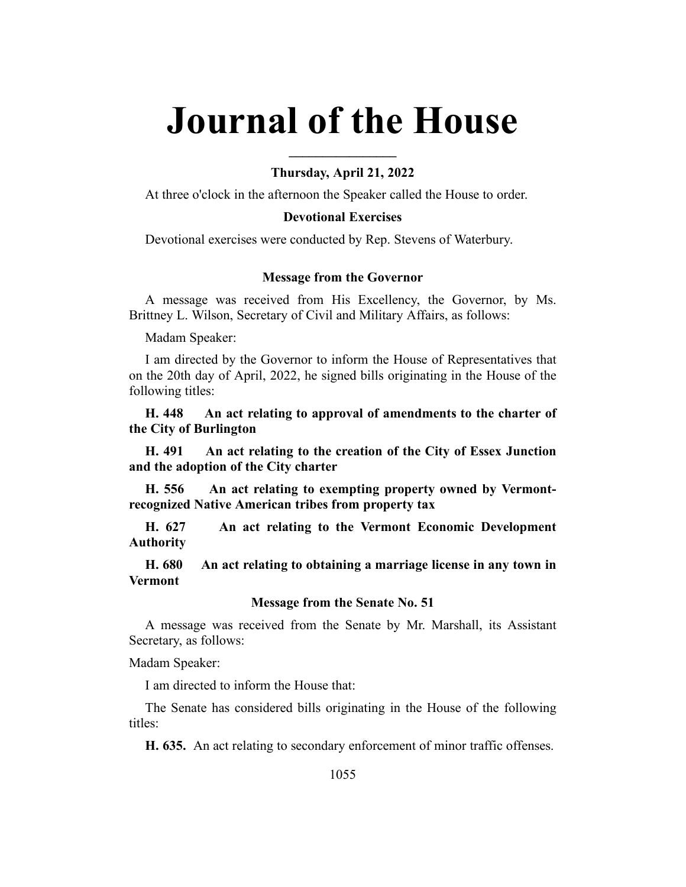# **Journal of the House**

### **Thursday, April 21, 2022**

**\_\_\_\_\_\_\_\_\_\_\_\_\_\_\_\_**

At three o'clock in the afternoon the Speaker called the House to order.

## **Devotional Exercises**

Devotional exercises were conducted by Rep. Stevens of Waterbury.

#### **Message from the Governor**

A message was received from His Excellency, the Governor, by Ms. Brittney L. Wilson, Secretary of Civil and Military Affairs, as follows:

Madam Speaker:

I am directed by the Governor to inform the House of Representatives that on the 20th day of April, 2022, he signed bills originating in the House of the following titles:

**H. 448 An act relating to approval of amendments to the charter of the City of Burlington**

**H. 491 An act relating to the creation of the City of Essex Junction and the adoption of the City charter**

**H. 556 An act relating to exempting property owned by Vermontrecognized Native American tribes from property tax**

**H. 627 An act relating to the Vermont Economic Development Authority**

**H. 680 An act relating to obtaining a marriage license in any town in Vermont**

#### **Message from the Senate No. 51**

A message was received from the Senate by Mr. Marshall, its Assistant Secretary, as follows:

Madam Speaker:

I am directed to inform the House that:

The Senate has considered bills originating in the House of the following titles:

**H. 635.** An act relating to secondary enforcement of minor traffic offenses.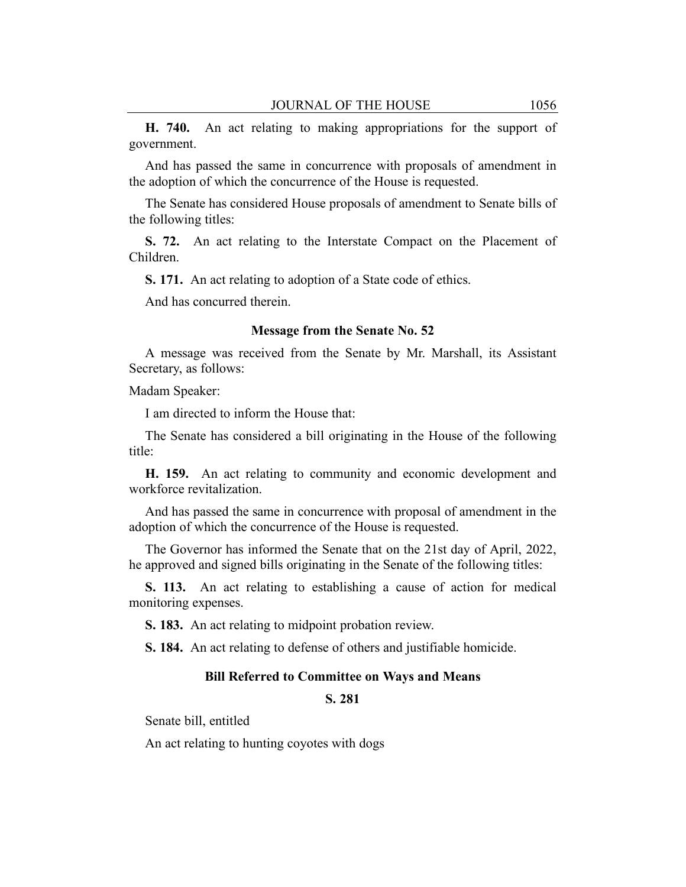**H. 740.** An act relating to making appropriations for the support of government.

And has passed the same in concurrence with proposals of amendment in the adoption of which the concurrence of the House is requested.

The Senate has considered House proposals of amendment to Senate bills of the following titles:

**S. 72.** An act relating to the Interstate Compact on the Placement of Children.

**S. 171.** An act relating to adoption of a State code of ethics.

And has concurred therein.

#### **Message from the Senate No. 52**

A message was received from the Senate by Mr. Marshall, its Assistant Secretary, as follows:

Madam Speaker:

I am directed to inform the House that:

The Senate has considered a bill originating in the House of the following title:

**H. 159.** An act relating to community and economic development and workforce revitalization.

And has passed the same in concurrence with proposal of amendment in the adoption of which the concurrence of the House is requested.

The Governor has informed the Senate that on the 21st day of April, 2022, he approved and signed bills originating in the Senate of the following titles:

**S. 113.** An act relating to establishing a cause of action for medical monitoring expenses.

**S. 183.** An act relating to midpoint probation review.

**S. 184.** An act relating to defense of others and justifiable homicide.

#### **Bill Referred to Committee on Ways and Means**

**S. 281**

Senate bill, entitled

An act relating to hunting coyotes with dogs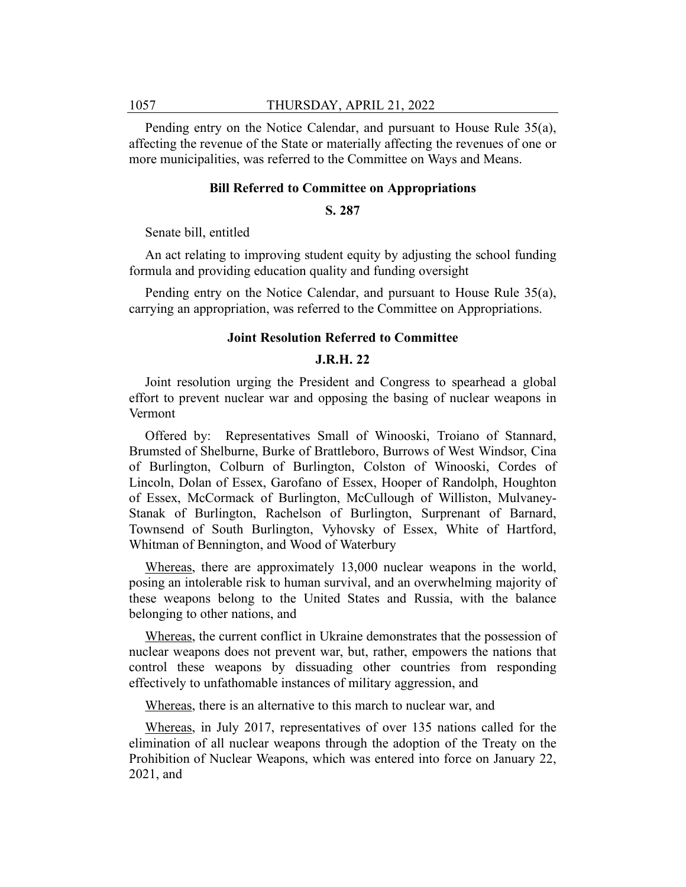Pending entry on the Notice Calendar, and pursuant to House Rule 35(a), affecting the revenue of the State or materially affecting the revenues of one or more municipalities, was referred to the Committee on Ways and Means.

#### **Bill Referred to Committee on Appropriations**

#### **S. 287**

Senate bill, entitled

An act relating to improving student equity by adjusting the school funding formula and providing education quality and funding oversight

Pending entry on the Notice Calendar, and pursuant to House Rule 35(a), carrying an appropriation, was referred to the Committee on Appropriations.

#### **Joint Resolution Referred to Committee**

### **J.R.H. 22**

Joint resolution urging the President and Congress to spearhead a global effort to prevent nuclear war and opposing the basing of nuclear weapons in Vermont

Offered by: Representatives Small of Winooski, Troiano of Stannard, Brumsted of Shelburne, Burke of Brattleboro, Burrows of West Windsor, Cina of Burlington, Colburn of Burlington, Colston of Winooski, Cordes of Lincoln, Dolan of Essex, Garofano of Essex, Hooper of Randolph, Houghton of Essex, McCormack of Burlington, McCullough of Williston, Mulvaney-Stanak of Burlington, Rachelson of Burlington, Surprenant of Barnard, Townsend of South Burlington, Vyhovsky of Essex, White of Hartford, Whitman of Bennington, and Wood of Waterbury

Whereas, there are approximately 13,000 nuclear weapons in the world, posing an intolerable risk to human survival, and an overwhelming majority of these weapons belong to the United States and Russia, with the balance belonging to other nations, and

Whereas, the current conflict in Ukraine demonstrates that the possession of nuclear weapons does not prevent war, but, rather, empowers the nations that control these weapons by dissuading other countries from responding effectively to unfathomable instances of military aggression, and

Whereas, there is an alternative to this march to nuclear war, and

Whereas, in July 2017, representatives of over 135 nations called for the elimination of all nuclear weapons through the adoption of the Treaty on the Prohibition of Nuclear Weapons, which was entered into force on January 22, 2021, and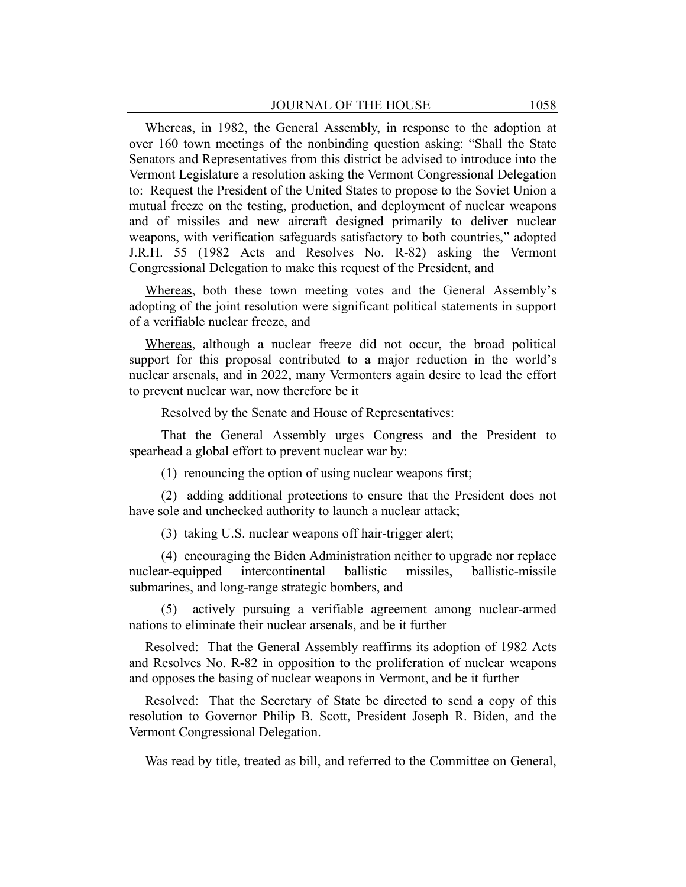Whereas, in 1982, the General Assembly, in response to the adoption at over 160 town meetings of the nonbinding question asking: "Shall the State Senators and Representatives from this district be advised to introduce into the Vermont Legislature a resolution asking the Vermont Congressional Delegation to: Request the President of the United States to propose to the Soviet Union a mutual freeze on the testing, production, and deployment of nuclear weapons and of missiles and new aircraft designed primarily to deliver nuclear weapons, with verification safeguards satisfactory to both countries," adopted J.R.H. 55 (1982 Acts and Resolves No. R-82) asking the Vermont Congressional Delegation to make this request of the President, and

Whereas, both these town meeting votes and the General Assembly's adopting of the joint resolution were significant political statements in support of a verifiable nuclear freeze, and

Whereas, although a nuclear freeze did not occur, the broad political support for this proposal contributed to a major reduction in the world's nuclear arsenals, and in 2022, many Vermonters again desire to lead the effort to prevent nuclear war, now therefore be it

#### Resolved by the Senate and House of Representatives:

That the General Assembly urges Congress and the President to spearhead a global effort to prevent nuclear war by:

(1) renouncing the option of using nuclear weapons first;

(2) adding additional protections to ensure that the President does not have sole and unchecked authority to launch a nuclear attack;

(3) taking U.S. nuclear weapons off hair-trigger alert;

(4) encouraging the Biden Administration neither to upgrade nor replace nuclear-equipped intercontinental ballistic missiles, ballistic-missile submarines, and long-range strategic bombers, and

(5) actively pursuing a verifiable agreement among nuclear-armed nations to eliminate their nuclear arsenals, and be it further

Resolved: That the General Assembly reaffirms its adoption of 1982 Acts and Resolves No. R-82 in opposition to the proliferation of nuclear weapons and opposes the basing of nuclear weapons in Vermont, and be it further

Resolved: That the Secretary of State be directed to send a copy of this resolution to Governor Philip B. Scott, President Joseph R. Biden, and the Vermont Congressional Delegation.

Was read by title, treated as bill, and referred to the Committee on General,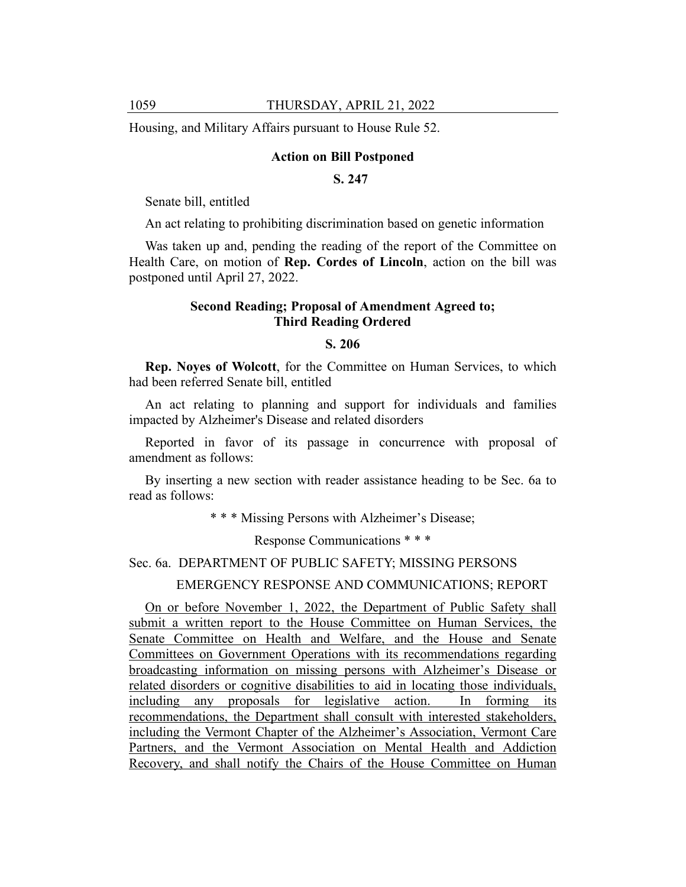Housing, and Military Affairs pursuant to House Rule 52.

#### **Action on Bill Postponed**

## **S. 247**

Senate bill, entitled

An act relating to prohibiting discrimination based on genetic information

Was taken up and, pending the reading of the report of the Committee on Health Care, on motion of **Rep. Cordes of Lincoln**, action on the bill was postponed until April 27, 2022.

#### **Second Reading; Proposal of Amendment Agreed to; Third Reading Ordered**

#### **S. 206**

**Rep. Noyes of Wolcott**, for the Committee on Human Services, to which had been referred Senate bill, entitled

An act relating to planning and support for individuals and families impacted by Alzheimer's Disease and related disorders

Reported in favor of its passage in concurrence with proposal of amendment as follows:

By inserting a new section with reader assistance heading to be Sec. 6a to read as follows:

\* \* \* Missing Persons with Alzheimer's Disease;

Response Communications \* \* \*

#### Sec. 6a. DEPARTMENT OF PUBLIC SAFETY; MISSING PERSONS

#### EMERGENCY RESPONSE AND COMMUNICATIONS; REPORT

On or before November 1, 2022, the Department of Public Safety shall submit a written report to the House Committee on Human Services, the Senate Committee on Health and Welfare, and the House and Senate Committees on Government Operations with its recommendations regarding broadcasting information on missing persons with Alzheimer's Disease or related disorders or cognitive disabilities to aid in locating those individuals, including any proposals for legislative action. In forming its recommendations, the Department shall consult with interested stakeholders, including the Vermont Chapter of the Alzheimer's Association, Vermont Care Partners, and the Vermont Association on Mental Health and Addiction Recovery, and shall notify the Chairs of the House Committee on Human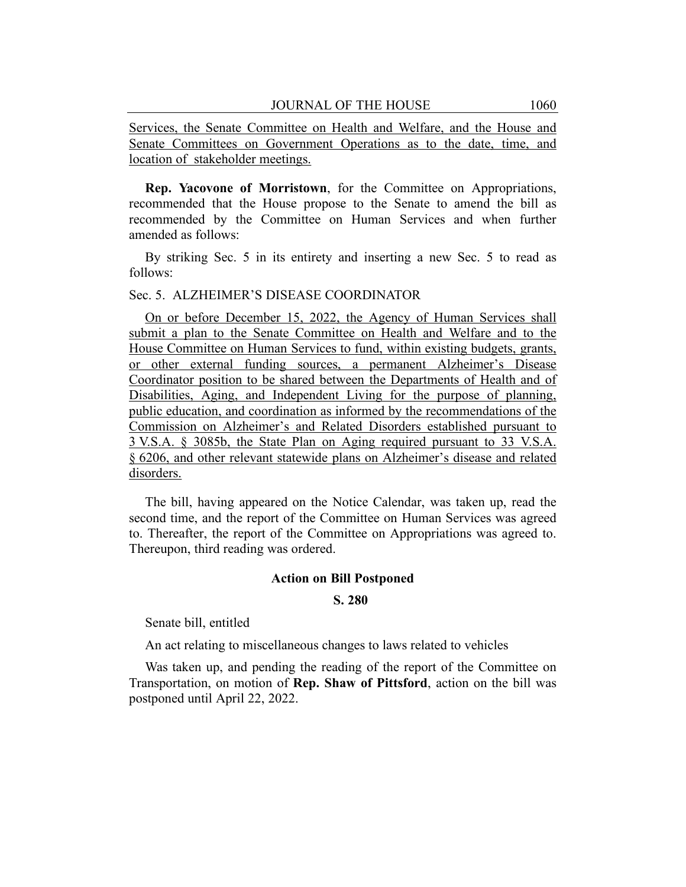Services, the Senate Committee on Health and Welfare, and the House and Senate Committees on Government Operations as to the date, time, and location of stakeholder meetings.

**Rep. Yacovone of Morristown**, for the Committee on Appropriations, recommended that the House propose to the Senate to amend the bill as recommended by the Committee on Human Services and when further amended as follows:

By striking Sec. 5 in its entirety and inserting a new Sec. 5 to read as follows:

#### Sec. 5. ALZHEIMER'S DISEASE COORDINATOR

On or before December 15, 2022, the Agency of Human Services shall submit a plan to the Senate Committee on Health and Welfare and to the House Committee on Human Services to fund, within existing budgets, grants, or other external funding sources, a permanent Alzheimer's Disease Coordinator position to be shared between the Departments of Health and of Disabilities, Aging, and Independent Living for the purpose of planning, public education, and coordination as informed by the recommendations of the Commission on Alzheimer's and Related Disorders established pursuant to 3 V.S.A. § 3085b, the State Plan on Aging required pursuant to 33 V.S.A. § 6206, and other relevant statewide plans on Alzheimer's disease and related disorders.

The bill, having appeared on the Notice Calendar, was taken up, read the second time, and the report of the Committee on Human Services was agreed to. Thereafter, the report of the Committee on Appropriations was agreed to. Thereupon, third reading was ordered.

#### **Action on Bill Postponed**

#### **S. 280**

Senate bill, entitled

An act relating to miscellaneous changes to laws related to vehicles

Was taken up, and pending the reading of the report of the Committee on Transportation, on motion of **Rep. Shaw of Pittsford**, action on the bill was postponed until April 22, 2022.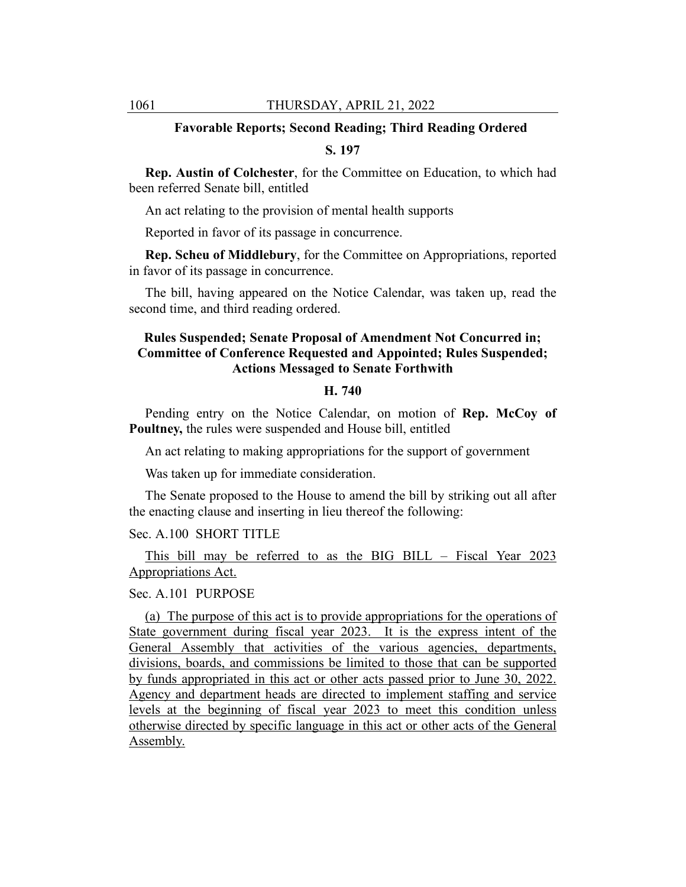## **Favorable Reports; Second Reading; Third Reading Ordered**

### **S. 197**

**Rep. Austin of Colchester**, for the Committee on Education, to which had been referred Senate bill, entitled

An act relating to the provision of mental health supports

Reported in favor of its passage in concurrence.

**Rep. Scheu of Middlebury**, for the Committee on Appropriations, reported in favor of its passage in concurrence.

The bill, having appeared on the Notice Calendar, was taken up, read the second time, and third reading ordered.

## **Rules Suspended; Senate Proposal of Amendment Not Concurred in; Committee of Conference Requested and Appointed; Rules Suspended; Actions Messaged to Senate Forthwith**

#### **H. 740**

Pending entry on the Notice Calendar, on motion of **Rep. McCoy of Poultney,** the rules were suspended and House bill, entitled

An act relating to making appropriations for the support of government

Was taken up for immediate consideration.

The Senate proposed to the House to amend the bill by striking out all after the enacting clause and inserting in lieu thereof the following:

### Sec. A.100 SHORT TITLE

This bill may be referred to as the BIG BILL – Fiscal Year 2023 Appropriations Act.

#### Sec. A.101 PURPOSE

(a) The purpose of this act is to provide appropriations for the operations of State government during fiscal year 2023. It is the express intent of the General Assembly that activities of the various agencies, departments, divisions, boards, and commissions be limited to those that can be supported by funds appropriated in this act or other acts passed prior to June 30, 2022. Agency and department heads are directed to implement staffing and service levels at the beginning of fiscal year 2023 to meet this condition unless otherwise directed by specific language in this act or other acts of the General Assembly.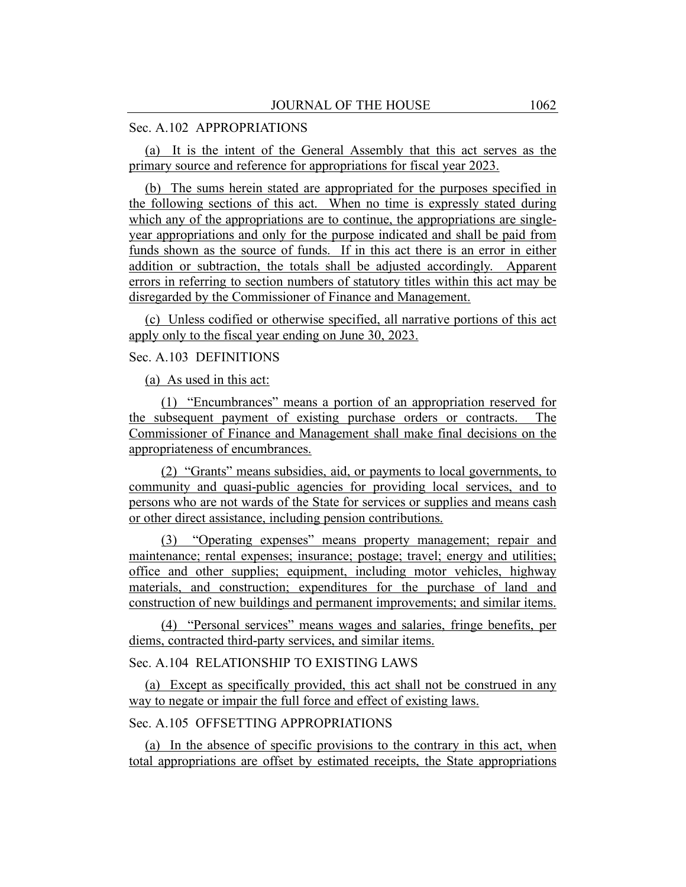#### Sec. A.102 APPROPRIATIONS

(a) It is the intent of the General Assembly that this act serves as the primary source and reference for appropriations for fiscal year 2023.

(b) The sums herein stated are appropriated for the purposes specified in the following sections of this act. When no time is expressly stated during which any of the appropriations are to continue, the appropriations are singleyear appropriations and only for the purpose indicated and shall be paid from funds shown as the source of funds. If in this act there is an error in either addition or subtraction, the totals shall be adjusted accordingly. Apparent errors in referring to section numbers of statutory titles within this act may be disregarded by the Commissioner of Finance and Management.

(c) Unless codified or otherwise specified, all narrative portions of this act apply only to the fiscal year ending on June 30, 2023.

## Sec. A.103 DEFINITIONS

(a) As used in this act:

(1) "Encumbrances" means a portion of an appropriation reserved for the subsequent payment of existing purchase orders or contracts. The Commissioner of Finance and Management shall make final decisions on the appropriateness of encumbrances.

(2) "Grants" means subsidies, aid, or payments to local governments, to community and quasi-public agencies for providing local services, and to persons who are not wards of the State for services or supplies and means cash or other direct assistance, including pension contributions.

(3) "Operating expenses" means property management; repair and maintenance; rental expenses; insurance; postage; travel; energy and utilities; office and other supplies; equipment, including motor vehicles, highway materials, and construction; expenditures for the purchase of land and construction of new buildings and permanent improvements; and similar items.

(4) "Personal services" means wages and salaries, fringe benefits, per diems, contracted third-party services, and similar items.

## Sec. A.104 RELATIONSHIP TO EXISTING LAWS

(a) Except as specifically provided, this act shall not be construed in any way to negate or impair the full force and effect of existing laws.

## Sec. A.105 OFFSETTING APPROPRIATIONS

(a) In the absence of specific provisions to the contrary in this act, when total appropriations are offset by estimated receipts, the State appropriations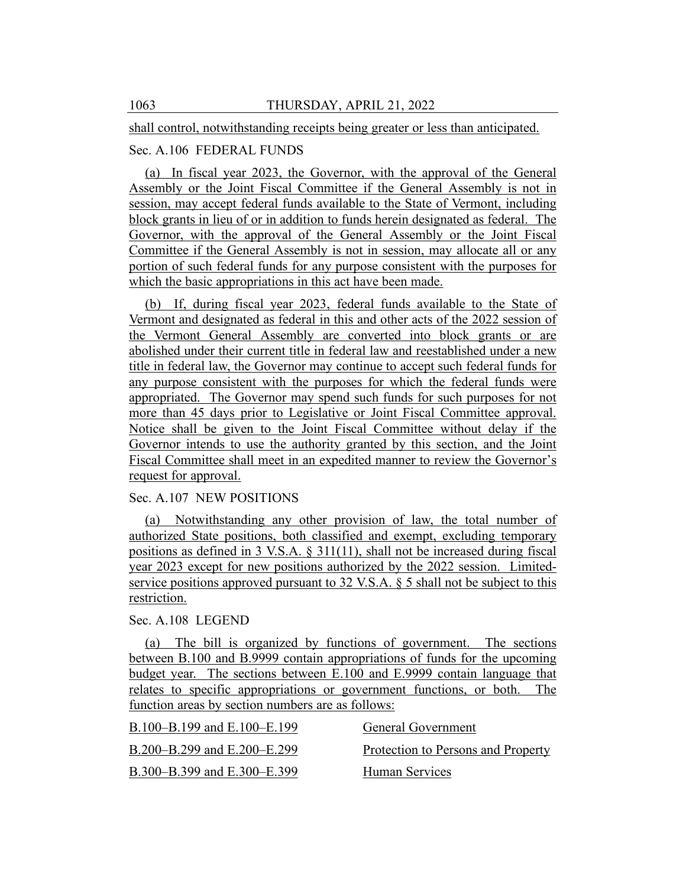shall control, notwithstanding receipts being greater or less than anticipated.

## Sec. A.106 FEDERAL FUNDS

(a) In fiscal year 2023, the Governor, with the approval of the General Assembly or the Joint Fiscal Committee if the General Assembly is not in session, may accept federal funds available to the State of Vermont, including block grants in lieu of or in addition to funds herein designated as federal. The Governor, with the approval of the General Assembly or the Joint Fiscal Committee if the General Assembly is not in session, may allocate all or any portion of such federal funds for any purpose consistent with the purposes for which the basic appropriations in this act have been made.

(b) If, during fiscal year 2023, federal funds available to the State of Vermont and designated as federal in this and other acts of the 2022 session of the Vermont General Assembly are converted into block grants or are abolished under their current title in federal law and reestablished under a new title in federal law, the Governor may continue to accept such federal funds for any purpose consistent with the purposes for which the federal funds were appropriated. The Governor may spend such funds for such purposes for not more than 45 days prior to Legislative or Joint Fiscal Committee approval. Notice shall be given to the Joint Fiscal Committee without delay if the Governor intends to use the authority granted by this section, and the Joint Fiscal Committee shall meet in an expedited manner to review the Governor's request for approval.

#### Sec. A.107 NEW POSITIONS

(a) Notwithstanding any other provision of law, the total number of authorized State positions, both classified and exempt, excluding temporary positions as defined in 3 V.S.A. § 311(11), shall not be increased during fiscal year 2023 except for new positions authorized by the 2022 session. Limitedservice positions approved pursuant to 32 V.S.A. § 5 shall not be subject to this restriction.

### Sec. A.108 LEGEND

(a) The bill is organized by functions of government. The sections between B.100 and B.9999 contain appropriations of funds for the upcoming budget year. The sections between E.100 and E.9999 contain language that relates to specific appropriations or government functions, or both. The function areas by section numbers are as follows:

| B.100–B.199 and E.100–E.199 | General Government                 |
|-----------------------------|------------------------------------|
| B.200–B.299 and E.200–E.299 | Protection to Persons and Property |
| B.300–B.399 and E.300–E.399 | Human Services                     |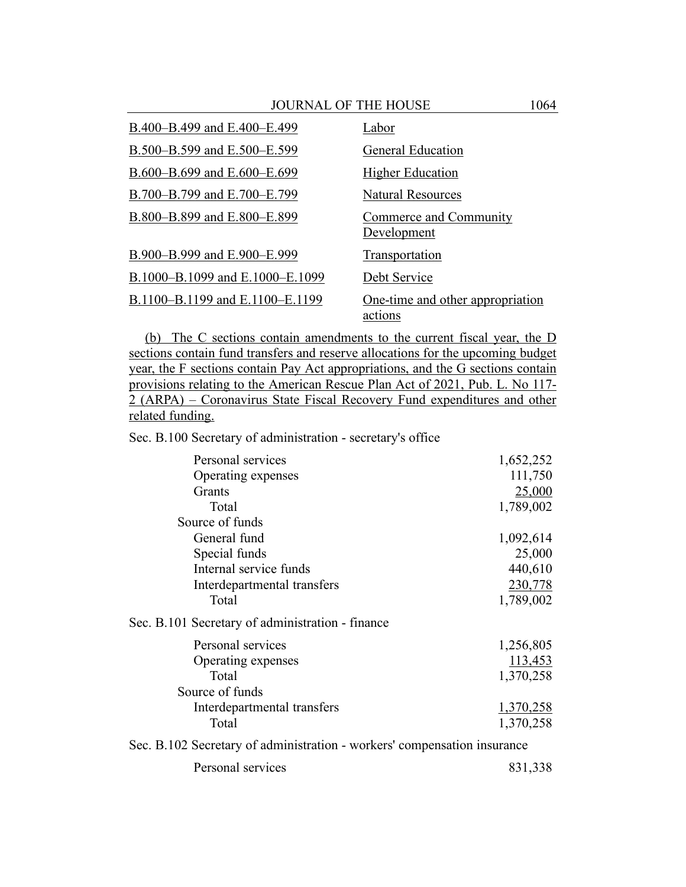| B.400-B.499 and E.400-E.499     | Labor                                       |
|---------------------------------|---------------------------------------------|
| B.500–B.599 and E.500–E.599     | <b>General Education</b>                    |
| B.600–B.699 and E.600–E.699     | <b>Higher Education</b>                     |
| B.700-B.799 and E.700-E.799     | Natural Resources                           |
| B.800-B.899 and E.800-E.899     | Commerce and Community<br>Development       |
| B.900-B.999 and E.900-E.999     | <b>Transportation</b>                       |
| B.1000-B.1099 and E.1000-E.1099 | Debt Service                                |
| B.1100-B.1199 and E.1100-E.1199 | One-time and other appropriation<br>actions |

(b) The C sections contain amendments to the current fiscal year, the D sections contain fund transfers and reserve allocations for the upcoming budget year, the F sections contain Pay Act appropriations, and the G sections contain provisions relating to the American Rescue Plan Act of 2021, Pub. L. No 117- 2 (ARPA) – Coronavirus State Fiscal Recovery Fund expenditures and other related funding.

Sec. B.100 Secretary of administration - secretary's office

| Personal services                                                        | 1,652,252 |
|--------------------------------------------------------------------------|-----------|
| Operating expenses                                                       | 111,750   |
| <b>Grants</b>                                                            | 25,000    |
| Total                                                                    | 1,789,002 |
| Source of funds                                                          |           |
| General fund                                                             | 1,092,614 |
| Special funds                                                            | 25,000    |
| Internal service funds                                                   | 440,610   |
| Interdepartmental transfers                                              | 230,778   |
| Total                                                                    | 1,789,002 |
| Sec. B.101 Secretary of administration - finance                         |           |
| Personal services                                                        | 1,256,805 |
| Operating expenses                                                       | 113,453   |
| Total                                                                    | 1,370,258 |
| Source of funds                                                          |           |
| Interdepartmental transfers                                              | 1,370,258 |
| Total                                                                    | 1,370,258 |
| Sec. B.102 Secretary of administration - workers' compensation insurance |           |
|                                                                          |           |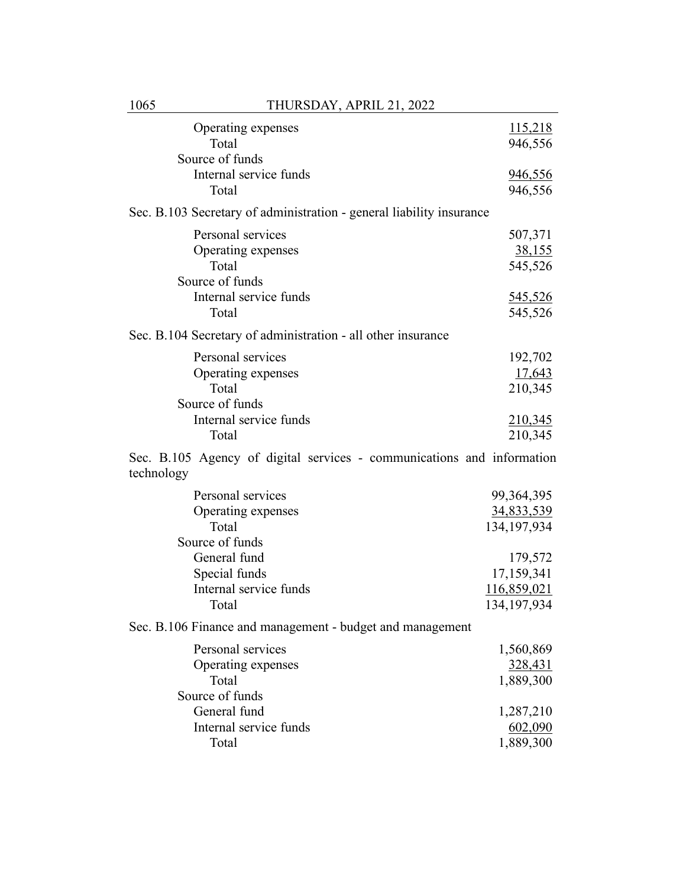| Operating expenses                                                                   | 115,218           |
|--------------------------------------------------------------------------------------|-------------------|
| Total                                                                                | 946,556           |
| Source of funds                                                                      |                   |
| Internal service funds                                                               | 946,556           |
| Total                                                                                | 946,556           |
| Sec. B.103 Secretary of administration - general liability insurance                 |                   |
| Personal services                                                                    | 507,371           |
| Operating expenses                                                                   | <u>38,155</u>     |
| Total                                                                                | 545,526           |
| Source of funds                                                                      |                   |
| Internal service funds                                                               | <u>545,526</u>    |
| Total                                                                                | 545,526           |
| Sec. B.104 Secretary of administration - all other insurance                         |                   |
| Personal services                                                                    | 192,702           |
| Operating expenses                                                                   | 17,643            |
| Total                                                                                | 210,345           |
| Source of funds                                                                      |                   |
| Internal service funds                                                               | 210,345           |
| Total                                                                                | 210,345           |
| Sec. B.105 Agency of digital services - communications and information<br>technology |                   |
| Personal services                                                                    | 99, 364, 395      |
| Operating expenses                                                                   | <u>34,833,539</u> |
| Total                                                                                | 134, 197, 934     |
| Source of funds                                                                      |                   |
| General fund                                                                         | 179,572           |
| Special funds                                                                        | 17,159,341        |
| Internal service funds                                                               | 116,859,021       |
| Total                                                                                | 134, 197, 934     |
| Sec. B.106 Finance and management - budget and management                            |                   |
| Personal services                                                                    | 1,560,869         |
| Operating expenses                                                                   | 328,431           |
| Total                                                                                | 1,889,300         |
| Source of funds                                                                      |                   |
| General fund                                                                         | 1,287,210         |
| Internal service funds                                                               | 602,090           |
| Total                                                                                | 1,889,300         |
|                                                                                      |                   |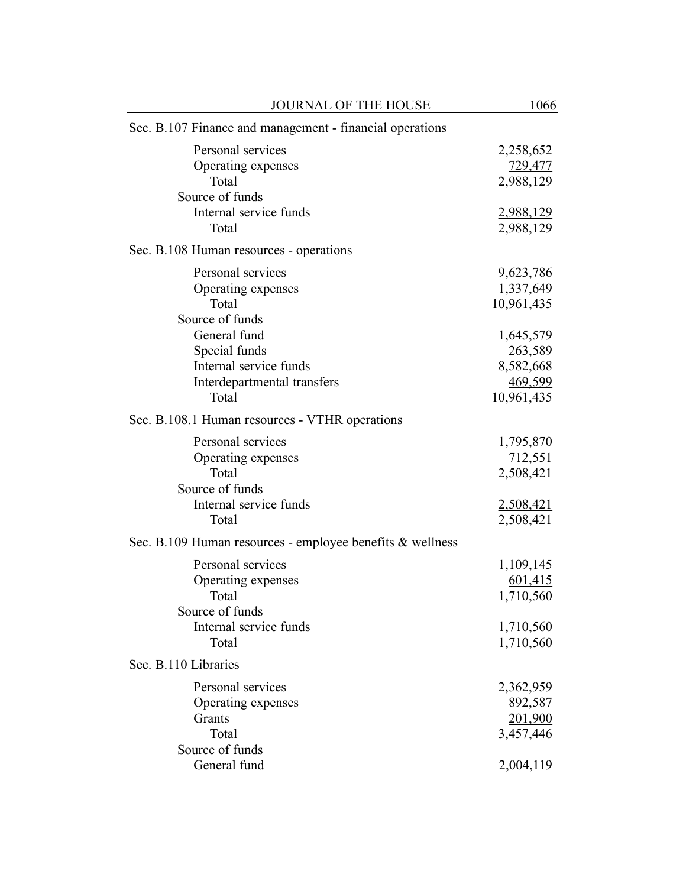| JOURNAL OF THE HOUSE                                      | 1066       |
|-----------------------------------------------------------|------------|
| Sec. B.107 Finance and management - financial operations  |            |
| Personal services                                         | 2,258,652  |
| Operating expenses                                        | 729,477    |
| Total                                                     | 2,988,129  |
| Source of funds                                           |            |
| Internal service funds                                    | 2,988,129  |
| Total                                                     | 2,988,129  |
| Sec. B.108 Human resources - operations                   |            |
| Personal services                                         | 9,623,786  |
| Operating expenses                                        | 1,337,649  |
| Total                                                     | 10,961,435 |
| Source of funds                                           |            |
| General fund                                              | 1,645,579  |
| Special funds                                             | 263,589    |
| Internal service funds                                    | 8,582,668  |
| Interdepartmental transfers                               | 469,599    |
| Total                                                     | 10,961,435 |
| Sec. B.108.1 Human resources - VTHR operations            |            |
| Personal services                                         | 1,795,870  |
| Operating expenses                                        | 712,551    |
| Total                                                     | 2,508,421  |
| Source of funds                                           |            |
| Internal service funds                                    | 2,508,421  |
| Total                                                     | 2,508,421  |
| Sec. B.109 Human resources - employee benefits & wellness |            |
| Personal services                                         | 1,109,145  |
| Operating expenses                                        | 601,415    |
| Total                                                     | 1,710,560  |
| Source of funds                                           |            |
| Internal service funds                                    | 1,710,560  |
| Total                                                     | 1,710,560  |
| Sec. B.110 Libraries                                      |            |
| Personal services                                         | 2,362,959  |
| Operating expenses                                        | 892,587    |
| Grants                                                    | 201,900    |
| Total                                                     | 3,457,446  |
| Source of funds                                           |            |
| General fund                                              | 2,004,119  |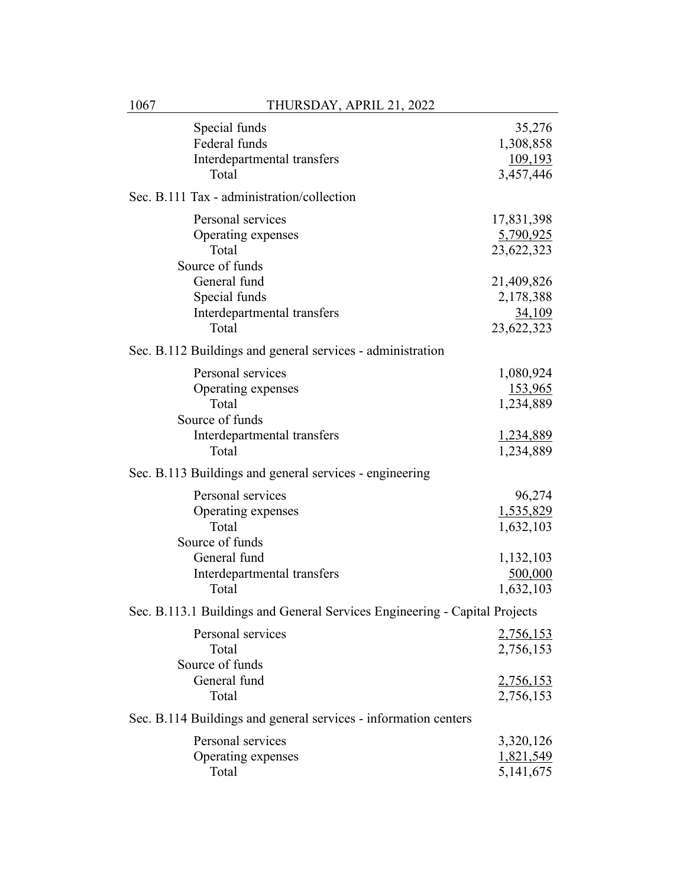| Special funds<br>Federal funds<br>Interdepartmental transfers<br>Total                                             | 35,276<br>1,308,858<br><u>109,193</u><br>3,457,446                 |
|--------------------------------------------------------------------------------------------------------------------|--------------------------------------------------------------------|
| Sec. B.111 Tax - administration/collection                                                                         |                                                                    |
| Personal services<br>Operating expenses<br>Total<br>Source of funds                                                | 17,831,398<br>5,790,925<br>23,622,323                              |
| General fund<br>Special funds<br>Interdepartmental transfers<br>Total                                              | 21,409,826<br>2,178,388<br>34,109<br>23,622,323                    |
| Sec. B.112 Buildings and general services - administration                                                         |                                                                    |
| Personal services<br>Operating expenses<br>Total<br>Source of funds<br>Interdepartmental transfers<br>Total        | 1,080,924<br><u>153,965</u><br>1,234,889<br>1,234,889<br>1,234,889 |
| Sec. B.113 Buildings and general services - engineering                                                            |                                                                    |
| Personal services<br>Operating expenses<br>Total<br>Source of funds<br>General fund<br>Interdepartmental transfers | 96,274<br>1,535,829<br>1,632,103<br>1,132,103<br>500,000           |
| Total                                                                                                              | 1,632,103                                                          |
| Sec. B.113.1 Buildings and General Services Engineering - Capital Projects                                         |                                                                    |
| Personal services<br>Total<br>Source of funds                                                                      | 2,756,153<br>2,756,153                                             |
| General fund<br>Total                                                                                              | 2,756,153<br>2,756,153                                             |
| Sec. B.114 Buildings and general services - information centers                                                    |                                                                    |
| Personal services<br>Operating expenses<br>Total                                                                   | 3,320,126<br>1,821,549<br>5, 141, 675                              |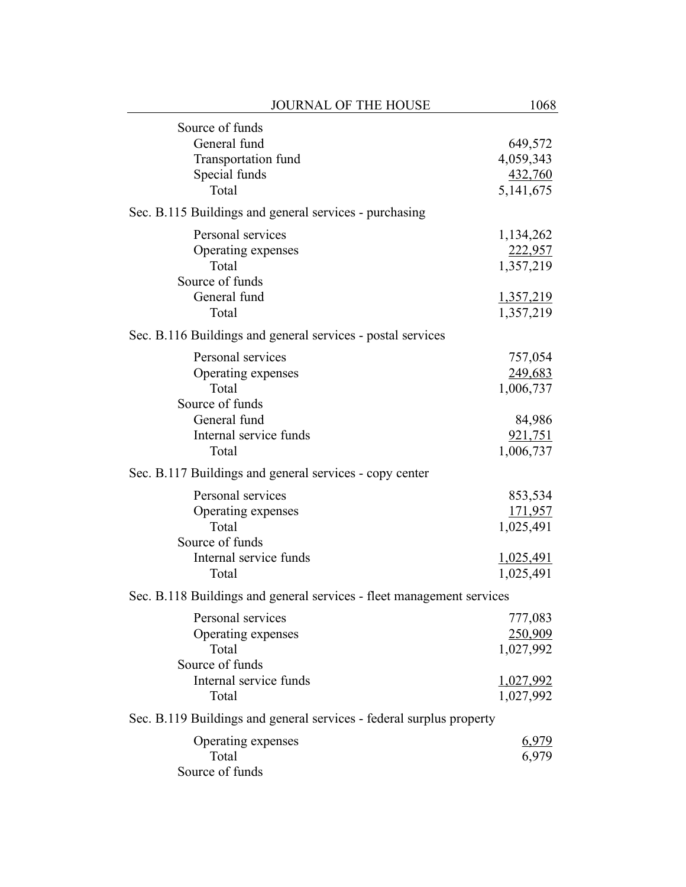| <b>JOURNAL OF THE HOUSE</b>                                           | 1068             |
|-----------------------------------------------------------------------|------------------|
| Source of funds                                                       |                  |
| General fund                                                          | 649,572          |
| Transportation fund                                                   | 4,059,343        |
| Special funds                                                         | 432,760          |
| Total                                                                 | 5, 141, 675      |
| Sec. B.115 Buildings and general services - purchasing                |                  |
| Personal services                                                     | 1,134,262        |
| Operating expenses                                                    | 222,957          |
| Total                                                                 | 1,357,219        |
| Source of funds                                                       |                  |
| General fund                                                          | <u>1,357,219</u> |
| Total                                                                 | 1,357,219        |
| Sec. B.116 Buildings and general services - postal services           |                  |
| Personal services                                                     | 757,054          |
| Operating expenses                                                    | 249,683          |
| Total                                                                 | 1,006,737        |
| Source of funds                                                       |                  |
| General fund                                                          | 84,986           |
| Internal service funds                                                | 921,751          |
| Total                                                                 | 1,006,737        |
| Sec. B.117 Buildings and general services - copy center               |                  |
| Personal services                                                     | 853,534          |
| Operating expenses                                                    | <u>171,957</u>   |
| Total                                                                 | 1,025,491        |
| Source of funds                                                       |                  |
| Internal service funds                                                | <u>1,025,491</u> |
| Total                                                                 | 1,025,491        |
| Sec. B.118 Buildings and general services - fleet management services |                  |
| Personal services                                                     | 777,083          |
| Operating expenses                                                    | 250,909          |
| Total                                                                 | 1,027,992        |
| Source of funds                                                       |                  |
| Internal service funds                                                | 1,027,992        |
| Total                                                                 | 1,027,992        |
| Sec. B.119 Buildings and general services - federal surplus property  |                  |
| Operating expenses                                                    | 6,979            |
| Total                                                                 | 6,979            |
| Source of funds                                                       |                  |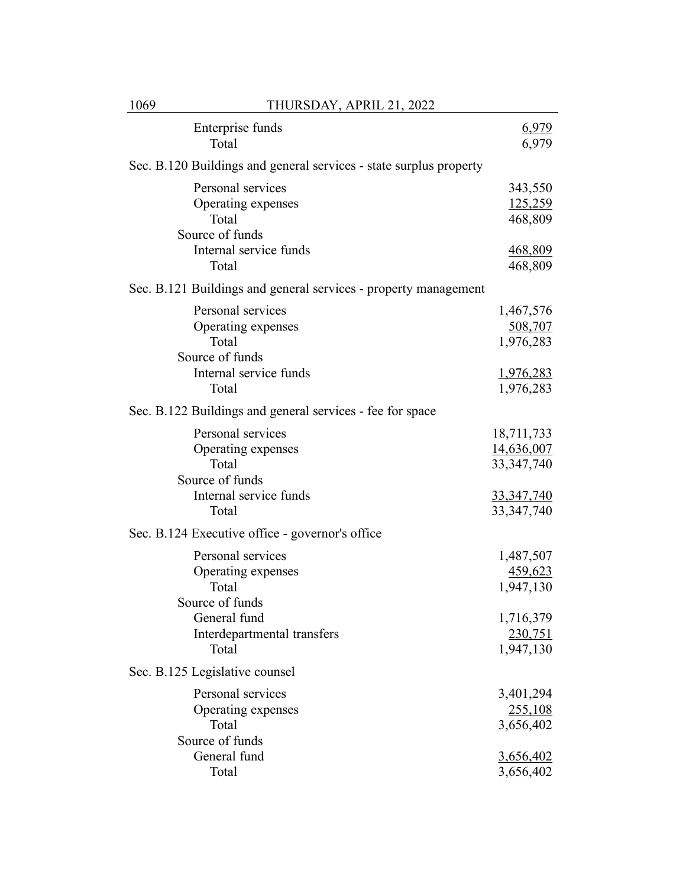| Enterprise funds<br>Total                                                                                                   | 6,979<br>6,979                                                                |
|-----------------------------------------------------------------------------------------------------------------------------|-------------------------------------------------------------------------------|
| Sec. B.120 Buildings and general services - state surplus property                                                          |                                                                               |
| Personal services<br>Operating expenses<br>Total<br>Source of funds                                                         | 343,550<br><u>125,259</u><br>468,809                                          |
| Internal service funds<br>Total                                                                                             | <u>468,809</u><br>468,809                                                     |
| Sec. B.121 Buildings and general services - property management                                                             |                                                                               |
| Personal services<br>Operating expenses<br>Total<br>Source of funds<br>Internal service funds<br>Total                      | 1,467,576<br>508,707<br>1,976,283<br>1,976,283<br>1,976,283                   |
| Sec. B.122 Buildings and general services - fee for space                                                                   |                                                                               |
| Personal services<br>Operating expenses<br>Total<br>Source of funds<br>Internal service funds<br>Total                      | 18,711,733<br>14,636,007<br>33, 347, 740<br><u>33,347,740</u><br>33, 347, 740 |
| Sec. B.124 Executive office - governor's office                                                                             |                                                                               |
| Personal services<br>Operating expenses<br>Total<br>Source of funds<br>General fund<br>Interdepartmental transfers<br>Total | 1,487,507<br>459,623<br>1,947,130<br>1,716,379<br>230,751<br>1,947,130        |
| Sec. B.125 Legislative counsel                                                                                              |                                                                               |
| Personal services<br>Operating expenses<br>Total<br>Source of funds<br>General fund                                         | 3,401,294<br>255,108<br>3,656,402<br><u>3,656,402</u>                         |
| Total                                                                                                                       | 3,656,402                                                                     |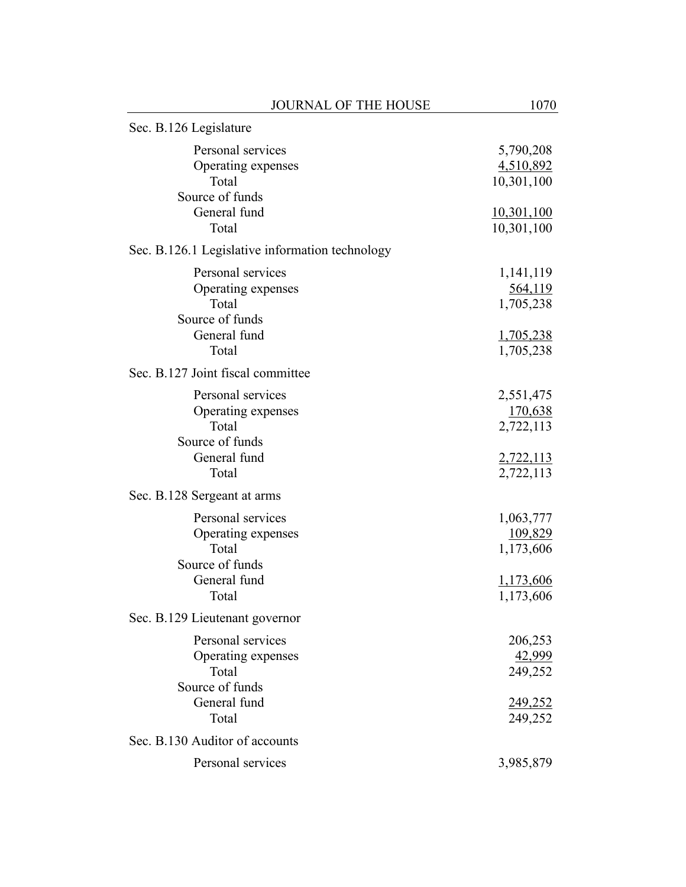| JOURNAL OF THE HOUSE                                                                         | 1070                                                               |
|----------------------------------------------------------------------------------------------|--------------------------------------------------------------------|
| Sec. B.126 Legislature                                                                       |                                                                    |
| Personal services<br>Operating expenses<br>Total<br>Source of funds                          | 5,790,208<br>4,510,892<br>10,301,100                               |
| General fund<br>Total                                                                        | 10,301,100<br>10,301,100                                           |
| Sec. B.126.1 Legislative information technology                                              |                                                                    |
| Personal services<br>Operating expenses<br>Total<br>Source of funds<br>General fund<br>Total | 1,141,119<br>564,119<br>1,705,238<br>1,705,238<br>1,705,238        |
| Sec. B.127 Joint fiscal committee                                                            |                                                                    |
| Personal services<br>Operating expenses<br>Total<br>Source of funds<br>General fund<br>Total | 2,551,475<br>170,638<br>2,722,113<br>2,722,113<br>2,722,113        |
| Sec. B.128 Sergeant at arms                                                                  |                                                                    |
| Personal services<br>Operating expenses<br>Total<br>Source of funds<br>General fund<br>Total | 1,063,777<br><u>109,829</u><br>1,173,606<br>1,173,606<br>1,173,606 |
| Sec. B.129 Lieutenant governor                                                               |                                                                    |
| Personal services<br>Operating expenses<br>Total<br>Source of funds<br>General fund<br>Total | 206,253<br>42,999<br>249,252<br>249,252<br>249,252                 |
| Sec. B.130 Auditor of accounts                                                               |                                                                    |
| Personal services                                                                            | 3,985,879                                                          |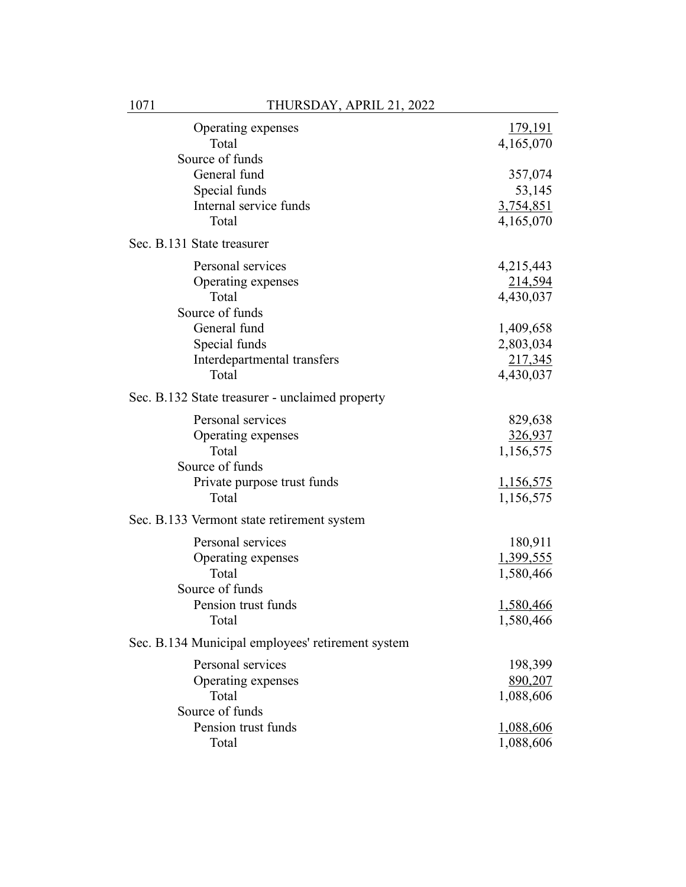| Operating expenses<br>Total                       | 179,191<br>4,165,070 |
|---------------------------------------------------|----------------------|
| Source of funds                                   |                      |
| General fund                                      | 357,074              |
| Special funds                                     | 53,145               |
| Internal service funds                            | 3,754,851            |
| Total                                             | 4,165,070            |
| Sec. B.131 State treasurer                        |                      |
| Personal services                                 | 4,215,443            |
| Operating expenses                                | 214,594              |
| Total                                             | 4,430,037            |
| Source of funds                                   |                      |
| General fund                                      | 1,409,658            |
| Special funds                                     | 2,803,034            |
| Interdepartmental transfers                       | 217,345              |
| Total                                             | 4,430,037            |
| Sec. B.132 State treasurer - unclaimed property   |                      |
| Personal services                                 | 829,638              |
| Operating expenses                                | 326,937              |
| Total                                             | 1,156,575            |
| Source of funds                                   |                      |
| Private purpose trust funds                       | <u>1,156,575</u>     |
| Total                                             | 1,156,575            |
| Sec. B.133 Vermont state retirement system        |                      |
| Personal services                                 | 180,911              |
| Operating expenses                                | 1,399,555            |
| Total                                             | 1,580,466            |
| Source of funds                                   |                      |
| Pension trust funds                               | 1,580,466            |
| Total                                             | 1,580,466            |
| Sec. B.134 Municipal employees' retirement system |                      |
| Personal services                                 | 198,399              |
| Operating expenses                                | 890,207              |
| Total                                             | 1,088,606            |
| Source of funds                                   |                      |
| Pension trust funds                               | 1,088,606            |
| Total                                             | 1,088,606            |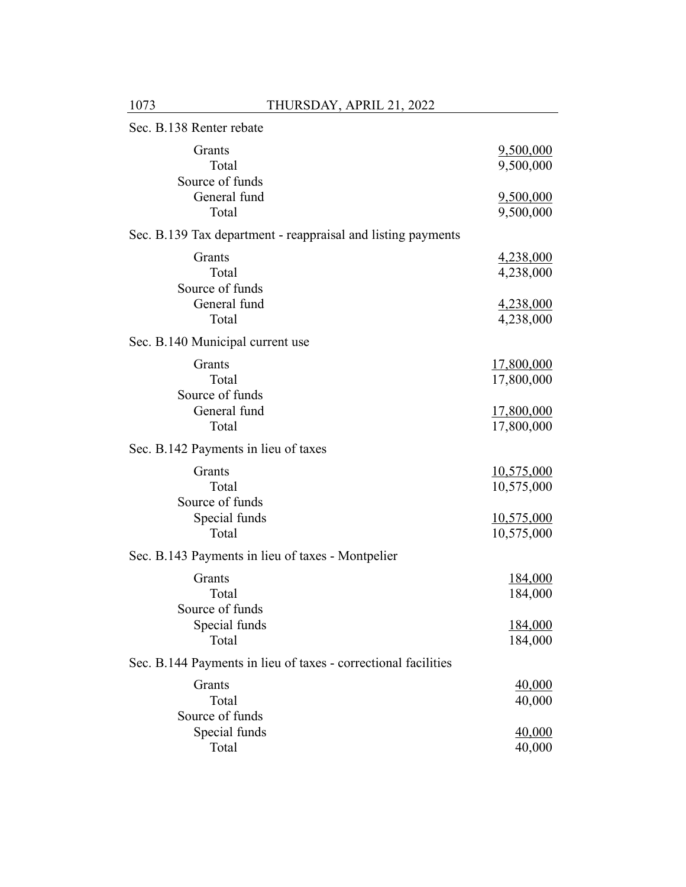| Sec. B.138 Renter rebate                                       |                                 |
|----------------------------------------------------------------|---------------------------------|
| Grants<br>Total<br>Source of funds                             | 9,500,000<br>9,500,000          |
| General fund<br>Total                                          | 9,500,000<br>9,500,000          |
| Sec. B.139 Tax department - reappraisal and listing payments   |                                 |
| Grants<br>Total<br>Source of funds                             | 4,238,000<br>4,238,000          |
| General fund                                                   | 4,238,000                       |
| Total                                                          | 4,238,000                       |
| Sec. B.140 Municipal current use                               |                                 |
| Grants                                                         | 17,800,000                      |
| Total                                                          | 17,800,000                      |
| Source of funds<br>General fund                                |                                 |
| Total                                                          | <u>17,800,000</u><br>17,800,000 |
| Sec. B.142 Payments in lieu of taxes                           |                                 |
| Grants                                                         | 10,575,000                      |
| Total                                                          | 10,575,000                      |
| Source of funds                                                |                                 |
| Special funds<br>Total                                         | <u>10,575,000</u><br>10,575,000 |
|                                                                |                                 |
| Sec. B.143 Payments in lieu of taxes - Montpelier              |                                 |
| Grants                                                         | <u>184,000</u>                  |
| Total<br>Source of funds                                       | 184,000                         |
| Special funds                                                  | 184,000                         |
| Total                                                          | 184,000                         |
| Sec. B.144 Payments in lieu of taxes - correctional facilities |                                 |
| Grants                                                         | 40,000                          |
| Total                                                          | 40,000                          |
| Source of funds                                                |                                 |
| Special funds                                                  | 40,000                          |
| Total                                                          | 40,000                          |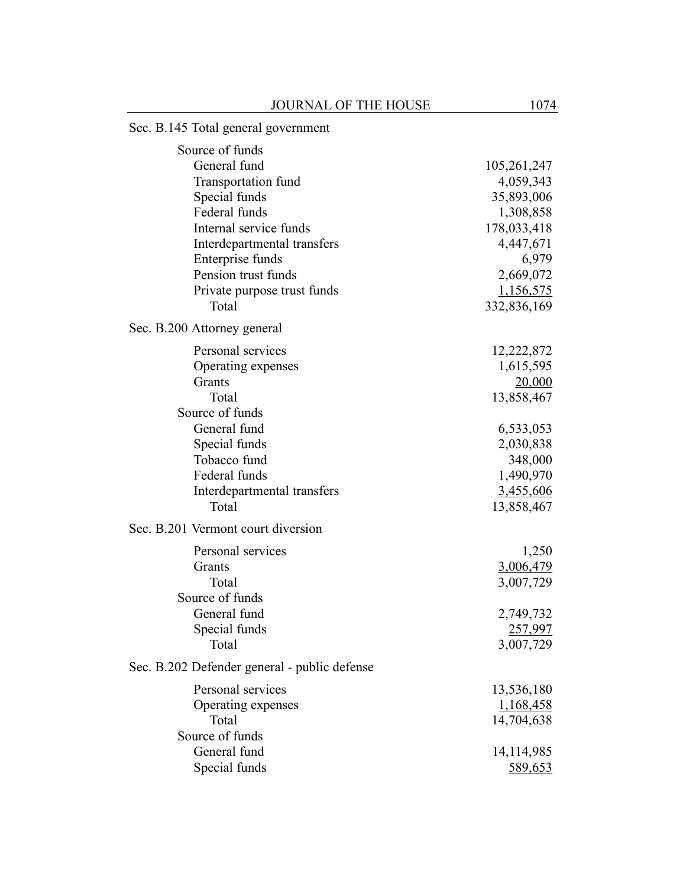## Sec. B.145 Total general government Source of funds General fund 105,261,247 Transportation fund 4,059,343 Special funds 35,893,006 Federal funds 1,308,858 Internal service funds 178,033,418 Interdepartmental transfers 4,447,671 Enterprise funds 6,979 Pension trust funds 2,669,072 Private purpose trust funds 1,156,575 Total 332,836,169 Sec. B.200 Attorney general Personal services 12,222,872 Operating expenses 1,615,595 Grants 20,000 Total 13,858,467 Source of funds General fund 6,533,053 Special funds 2,030,838 Tobacco fund 348,000 Federal funds 1,490,970 Interdepartmental transfers 3,455,606 Total 13,858,467 Sec. B.201 Vermont court diversion Personal services 1,250 Grants 3,006,479 Total 3,007,729 Source of funds General fund 2,749,732 Special funds 257,997 Total 3,007,729 Sec. B.202 Defender general - public defense Personal services 13,536,180 Operating expenses 1,168,458 Total 14,704,638 Source of funds General fund 14,114,985 Special funds 589,653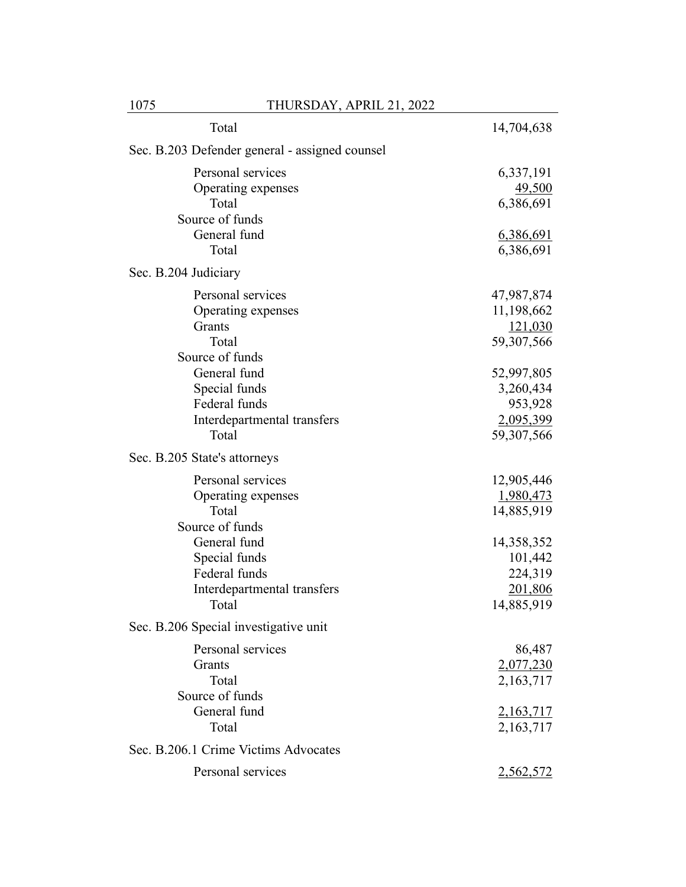| Total                                                                                  | 14,704,638                                                 |
|----------------------------------------------------------------------------------------|------------------------------------------------------------|
| Sec. B.203 Defender general - assigned counsel                                         |                                                            |
| Personal services<br>Operating expenses<br>Total                                       | 6,337,191<br>49,500<br>6,386,691                           |
| Source of funds                                                                        |                                                            |
| General fund<br>Total                                                                  | 6,386,691<br>6,386,691                                     |
| Sec. B.204 Judiciary                                                                   |                                                            |
| Personal services<br>Operating expenses<br>Grants<br>Total                             | 47,987,874<br>11,198,662<br>121,030<br>59,307,566          |
| Source of funds                                                                        |                                                            |
| General fund<br>Special funds<br>Federal funds<br>Interdepartmental transfers          | 52,997,805<br>3,260,434<br>953,928<br>2,095,399            |
| Total                                                                                  | 59,307,566                                                 |
| Sec. B.205 State's attorneys                                                           |                                                            |
| Personal services<br>Operating expenses<br>Total<br>Source of funds                    | 12,905,446<br>1,980,473<br>14,885,919                      |
| General fund<br>Special funds<br>Federal funds<br>Interdepartmental transfers<br>Total | 14,358,352<br>101,442<br>224,319<br>201,806<br>14,885,919  |
| Sec. B.206 Special investigative unit                                                  |                                                            |
| Personal services<br>Grants<br>Total<br>Source of funds<br>General fund<br>Total       | 86,487<br>2,077,230<br>2,163,717<br>2,163,717<br>2,163,717 |
| Sec. B.206.1 Crime Victims Advocates                                                   |                                                            |
| Personal services                                                                      | 2,562,572                                                  |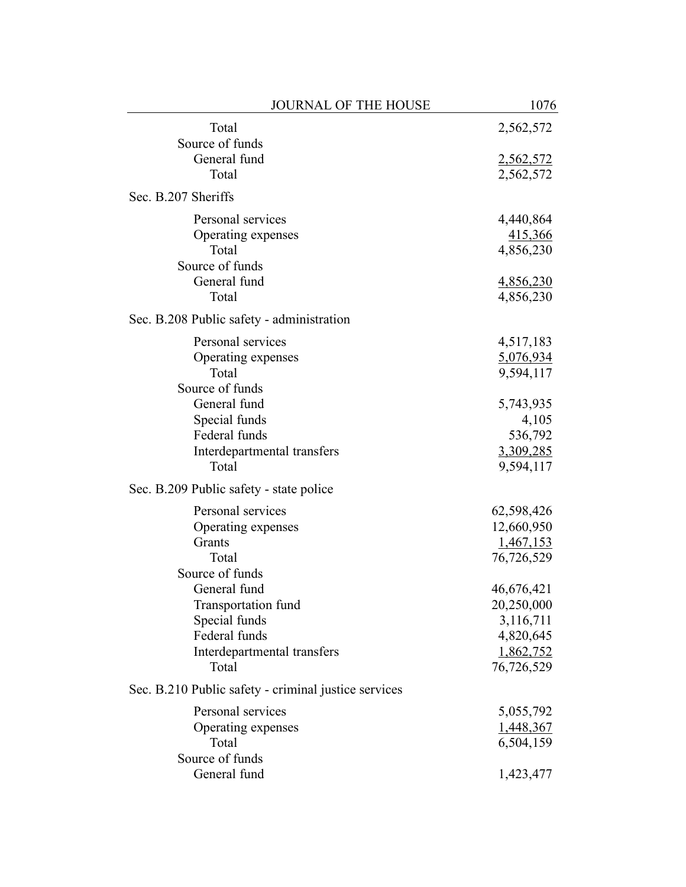| JOURNAL OF THE HOUSE                                 | 1076             |
|------------------------------------------------------|------------------|
| Total                                                | 2,562,572        |
| Source of funds                                      |                  |
| General fund                                         | 2,562,572        |
| Total                                                | 2,562,572        |
| Sec. B.207 Sheriffs                                  |                  |
| Personal services                                    | 4,440,864        |
| Operating expenses                                   | 415,366          |
| Total                                                | 4,856,230        |
| Source of funds                                      |                  |
| General fund                                         | <u>4,856,230</u> |
| Total                                                | 4,856,230        |
| Sec. B.208 Public safety - administration            |                  |
| Personal services                                    | 4,517,183        |
| Operating expenses                                   | 5,076,934        |
| Total                                                | 9,594,117        |
| Source of funds                                      |                  |
| General fund                                         | 5,743,935        |
| Special funds                                        | 4,105            |
| Federal funds                                        | 536,792          |
| Interdepartmental transfers                          | 3,309,285        |
| Total                                                | 9,594,117        |
| Sec. B.209 Public safety - state police              |                  |
| Personal services                                    | 62,598,426       |
| Operating expenses                                   | 12,660,950       |
| Grants                                               | 1,467,153        |
| Total                                                | 76,726,529       |
| Source of funds                                      |                  |
| General fund                                         | 46,676,421       |
| Transportation fund                                  | 20,250,000       |
| Special funds                                        | 3,116,711        |
| Federal funds                                        | 4,820,645        |
| Interdepartmental transfers                          | 1,862,752        |
| Total                                                | 76,726,529       |
| Sec. B.210 Public safety - criminal justice services |                  |
| Personal services                                    | 5,055,792        |
| Operating expenses                                   | 1,448,367        |
| Total                                                | 6,504,159        |
| Source of funds                                      |                  |
| General fund                                         | 1,423,477        |
|                                                      |                  |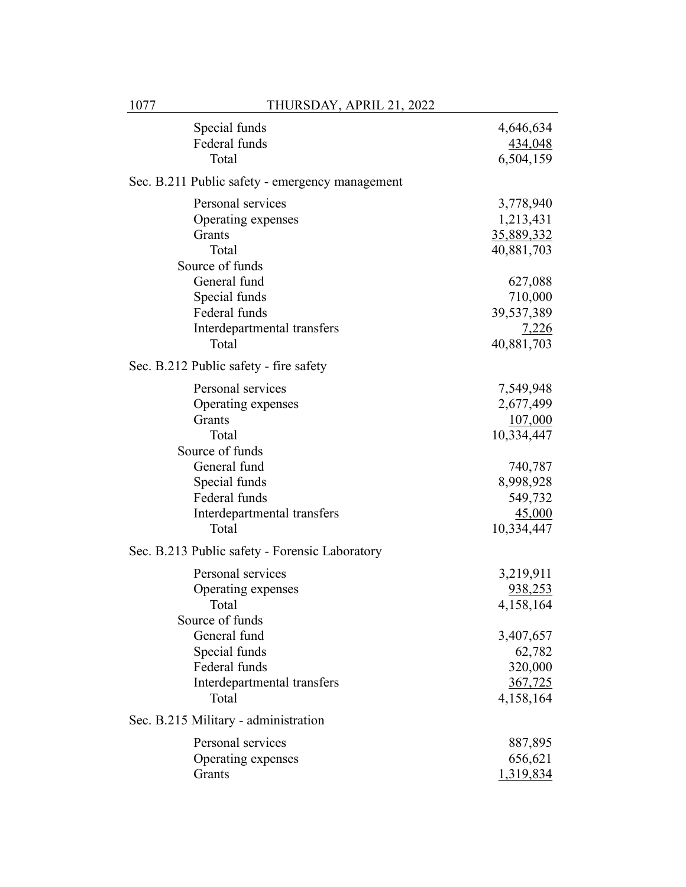| Special funds<br>Federal funds<br>Total                                                | 4,646,634<br>434,048<br>6,504,159                       |
|----------------------------------------------------------------------------------------|---------------------------------------------------------|
| Sec. B.211 Public safety - emergency management                                        |                                                         |
| Personal services<br>Operating expenses<br>Grants<br>Total<br>Source of funds          | 3,778,940<br>1,213,431<br>35,889,332<br>40,881,703      |
| General fund<br>Special funds<br>Federal funds<br>Interdepartmental transfers<br>Total | 627,088<br>710,000<br>39,537,389<br>7,226<br>40,881,703 |
| Sec. B.212 Public safety - fire safety                                                 |                                                         |
| Personal services<br>Operating expenses<br>Grants<br>Total<br>Source of funds          | 7,549,948<br>2,677,499<br>107,000<br>10,334,447         |
| General fund<br>Special funds<br>Federal funds<br>Interdepartmental transfers<br>Total | 740,787<br>8,998,928<br>549,732<br>45,000<br>10,334,447 |
| Sec. B.213 Public safety - Forensic Laboratory                                         |                                                         |
| Personal services<br>Operating expenses<br>Total<br>Source of funds                    | 3,219,911<br>938,253<br>4,158,164                       |
| General fund<br>Special funds<br>Federal funds<br>Interdepartmental transfers<br>Total | 3,407,657<br>62,782<br>320,000<br>367,725<br>4,158,164  |
| Sec. B.215 Military - administration                                                   |                                                         |
| Personal services<br>Operating expenses<br>Grants                                      | 887,895<br>656,621<br>1,319,834                         |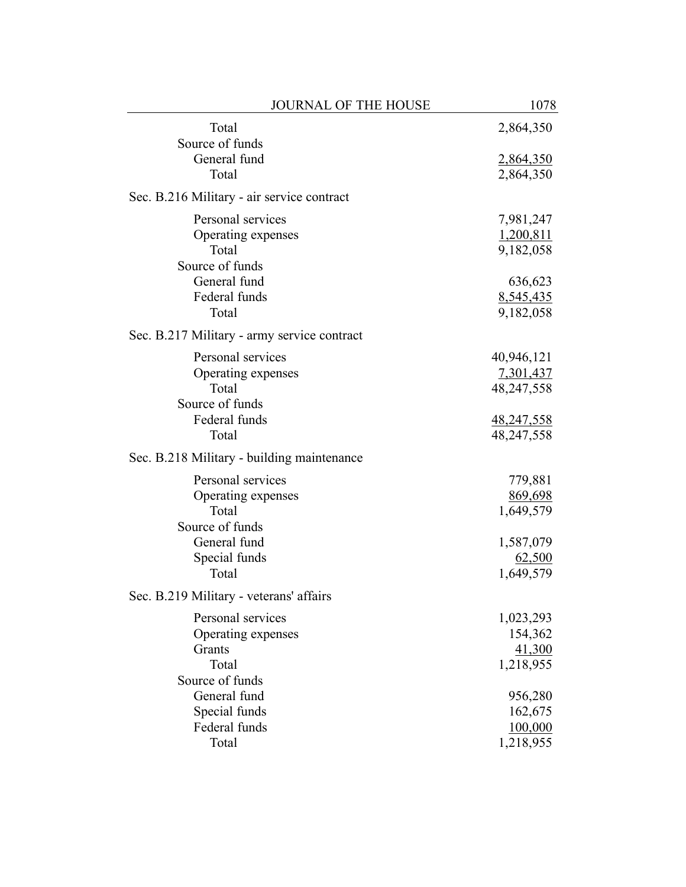| <b>JOURNAL OF THE HOUSE</b>                 | 1078         |
|---------------------------------------------|--------------|
| Total<br>Source of funds                    | 2,864,350    |
| General fund                                | 2,864,350    |
| Total                                       | 2,864,350    |
| Sec. B.216 Military - air service contract  |              |
| Personal services                           | 7,981,247    |
| Operating expenses                          | 1,200,811    |
| Total                                       | 9,182,058    |
| Source of funds                             |              |
| General fund                                | 636,623      |
| Federal funds<br>Total                      | 8,545,435    |
|                                             | 9,182,058    |
| Sec. B.217 Military - army service contract |              |
| Personal services                           | 40,946,121   |
| Operating expenses                          | 7,301,437    |
| Total                                       | 48, 247, 558 |
| Source of funds                             |              |
| Federal funds                               | 48,247,558   |
| Total                                       | 48,247,558   |
| Sec. B.218 Military - building maintenance  |              |
| Personal services                           | 779,881      |
| Operating expenses                          | 869,698      |
| Total                                       | 1,649,579    |
| Source of funds                             |              |
| General fund                                | 1,587,079    |
| Special funds                               | 62,500       |
| Total                                       | 1,649,579    |
| Sec. B.219 Military - veterans' affairs     |              |
| Personal services                           | 1,023,293    |
| Operating expenses                          | 154,362      |
| Grants                                      | 41,300       |
| Total                                       | 1,218,955    |
| Source of funds                             |              |
| General fund                                | 956,280      |
| Special funds                               | 162,675      |
| Federal funds                               | 100,000      |
| Total                                       | 1,218,955    |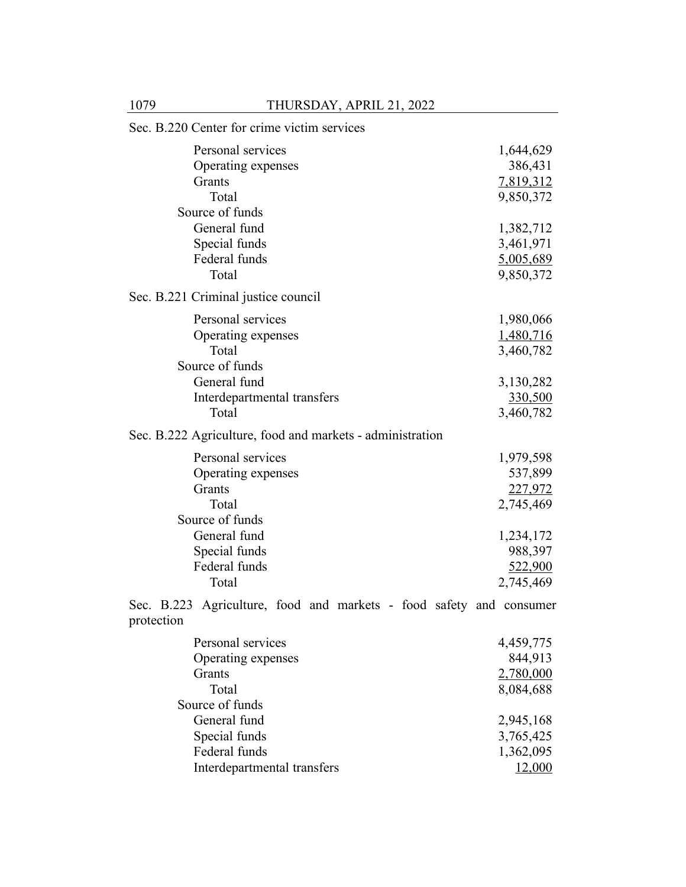| Sec. B.220 Center for crime victim services                                                                                     |                                                                                 |
|---------------------------------------------------------------------------------------------------------------------------------|---------------------------------------------------------------------------------|
| Personal services<br>Operating expenses<br>Grants<br>Total<br>Source of funds                                                   | 1,644,629<br>386,431<br>7,819,312<br>9,850,372                                  |
| General fund<br>Special funds<br>Federal funds<br>Total                                                                         | 1,382,712<br>3,461,971<br>5,005,689<br>9,850,372                                |
| Sec. B.221 Criminal justice council                                                                                             |                                                                                 |
| Personal services<br>Operating expenses<br>Total<br>Source of funds<br>General fund                                             | 1,980,066<br>1,480,716<br>3,460,782<br>3,130,282                                |
| Interdepartmental transfers<br>Total                                                                                            | 330,500<br>3,460,782                                                            |
| Sec. B.222 Agriculture, food and markets - administration                                                                       |                                                                                 |
| Personal services<br>Operating expenses<br>Grants<br>Total<br>Source of funds<br>General fund<br>Special funds<br>Federal funds | 1,979,598<br>537,899<br>227,972<br>2,745,469<br>1,234,172<br>988,397<br>522,900 |
| Total                                                                                                                           | 2,745,469                                                                       |
| Sec. B.223 Agriculture, food and markets - food safety and consumer<br>protection                                               |                                                                                 |
| Personal services<br>Operating expenses<br>Grants<br>Total<br>Source of funds                                                   | 4,459,775<br>844,913<br>2,780,000<br>8,084,688                                  |

General fund<br>
Special funds<br>
2,945,168<br>
3,765,425 Special funds<br>
Special funds<br>
3,765,425<br>
1,362,095 Federal funds<br>
Interdepartmental transfers
1,362,095<br>
12,000

Interdepartmental transfers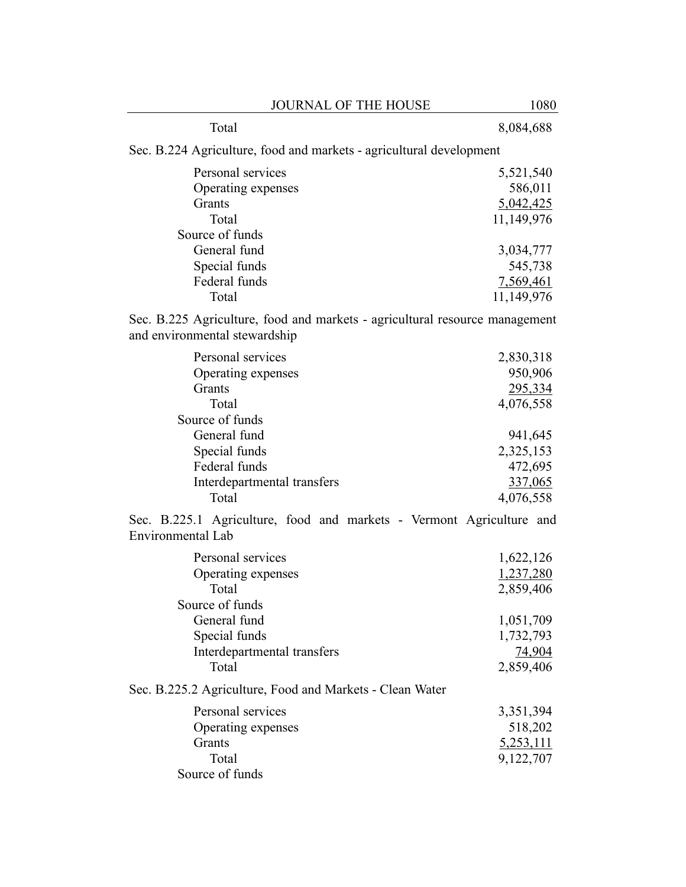| <b>JOURNAL OF THE HOUSE</b>                                                                                                                                             | 1080                                                                                                    |
|-------------------------------------------------------------------------------------------------------------------------------------------------------------------------|---------------------------------------------------------------------------------------------------------|
| Total                                                                                                                                                                   | 8,084,688                                                                                               |
| Sec. B.224 Agriculture, food and markets - agricultural development                                                                                                     |                                                                                                         |
| Personal services<br>Operating expenses<br>Grants<br>Total<br>Source of funds<br>General fund<br>Special funds<br>Federal funds<br>Total                                | 5,521,540<br>586,011<br>5,042,425<br>11,149,976<br>3,034,777<br>545,738<br>7,569,461<br>11,149,976      |
| Sec. B.225 Agriculture, food and markets - agricultural resource management<br>and environmental stewardship                                                            |                                                                                                         |
| Personal services<br>Operating expenses<br>Grants<br>Total<br>Source of funds<br>General fund<br>Special funds<br>Federal funds<br>Interdepartmental transfers<br>Total | 2,830,318<br>950,906<br>295,334<br>4,076,558<br>941,645<br>2,325,153<br>472,695<br>337,065<br>4,076,558 |
| Sec. B.225.1 Agriculture, food and markets - Vermont Agriculture and<br>Environmental Lab                                                                               |                                                                                                         |
| Personal services<br>Operating expenses<br>Total<br>Source of funds<br>General fund<br>Special funds<br>Interdepartmental transfers<br>Total                            | 1,622,126<br>1,237,280<br>2,859,406<br>1,051,709<br>1,732,793<br>74,904<br>2,859,406                    |
| Sec. B.225.2 Agriculture, Food and Markets - Clean Water<br>Personal services<br>Operating expenses<br>Grants<br>Total<br>Source of funds                               | 3,351,394<br>518,202<br>5,253,111<br>9,122,707                                                          |
|                                                                                                                                                                         |                                                                                                         |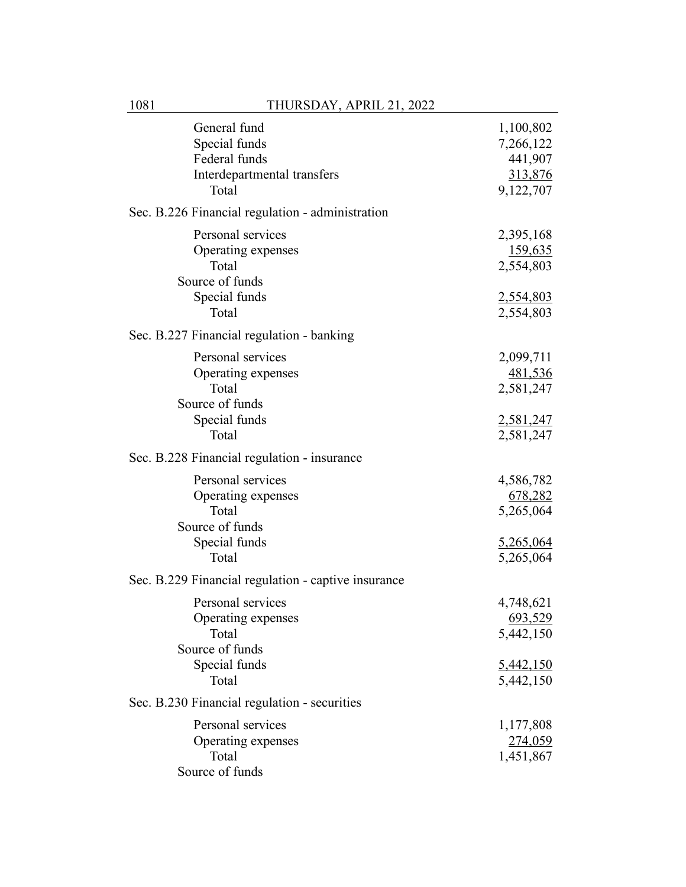| General fund<br>Special funds<br>Federal funds<br>Interdepartmental transfers<br>Total        | 1,100,802<br>7,266,122<br>441,907<br>313,876<br>9,122,707          |
|-----------------------------------------------------------------------------------------------|--------------------------------------------------------------------|
| Sec. B.226 Financial regulation - administration                                              |                                                                    |
| Personal services<br>Operating expenses<br>Total<br>Source of funds<br>Special funds<br>Total | 2,395,168<br>159,635<br>2,554,803<br>2,554,803<br>2,554,803        |
| Sec. B.227 Financial regulation - banking                                                     |                                                                    |
| Personal services<br>Operating expenses<br>Total<br>Source of funds<br>Special funds          | 2,099,711<br><u>481,536</u><br>2,581,247<br>2,581,247              |
| Total                                                                                         | 2,581,247                                                          |
| Sec. B.228 Financial regulation - insurance                                                   |                                                                    |
| Personal services<br>Operating expenses<br>Total<br>Source of funds<br>Special funds<br>Total | 4,586,782<br>678,282<br>5,265,064<br>5,265,064<br>5,265,064        |
| Sec. B.229 Financial regulation - captive insurance                                           |                                                                    |
| Personal services<br>Operating expenses<br>Total<br>Source of funds<br>Special funds<br>Total | 4,748,621<br>693,529<br>5,442,150<br><u>5,442,150</u><br>5,442,150 |
| Sec. B.230 Financial regulation - securities                                                  |                                                                    |
| Personal services<br>Operating expenses<br>Total<br>Source of funds                           | 1,177,808<br>274,059<br>1,451,867                                  |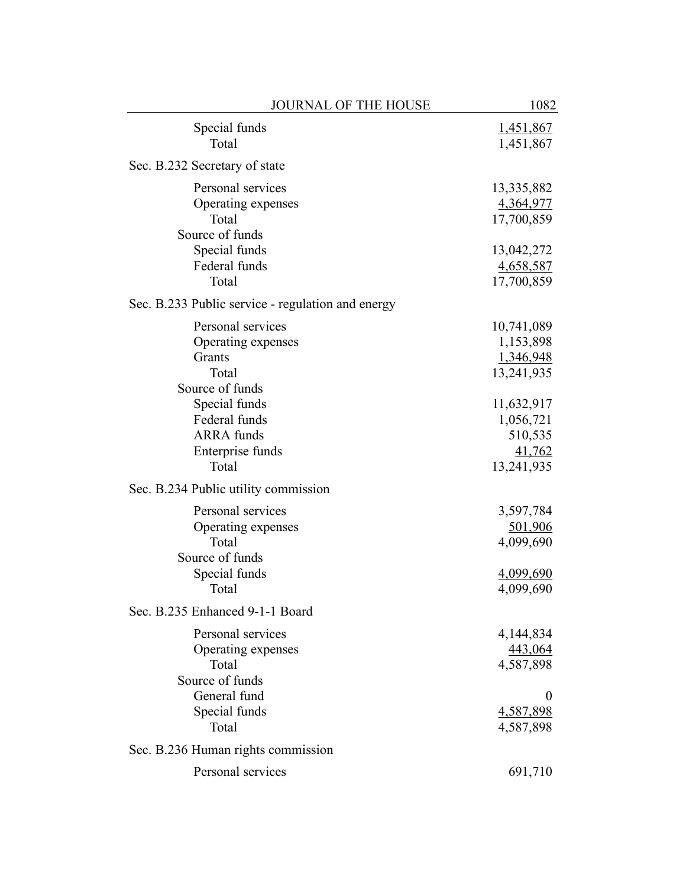| JOURNAL OF THE HOUSE                                                                                            | 1082                                                                           |
|-----------------------------------------------------------------------------------------------------------------|--------------------------------------------------------------------------------|
| Special funds<br>Total                                                                                          | 1,451,867<br>1,451,867                                                         |
| Sec. B.232 Secretary of state                                                                                   |                                                                                |
| Personal services<br>Operating expenses<br>Total<br>Source of funds<br>Special funds<br>Federal funds<br>Total  | 13,335,882<br>4,364,977<br>17,700,859<br>13,042,272<br>4,658,587<br>17,700,859 |
| Sec. B.233 Public service - regulation and energy                                                               |                                                                                |
| Personal services<br>Operating expenses<br>Grants<br>Total<br>Source of funds<br>Special funds<br>Federal funds | 10,741,089<br>1,153,898<br>1,346,948<br>13,241,935<br>11,632,917<br>1,056,721  |
| <b>ARRA</b> funds<br>Enterprise funds<br>Total                                                                  | 510,535<br>41,762<br>13,241,935                                                |
| Sec. B.234 Public utility commission                                                                            |                                                                                |
| Personal services<br>Operating expenses<br>Total<br>Source of funds<br>Special funds<br>Total                   | 3,597,784<br>501,906<br>4,099,690<br>4,099,690<br>4,099,690                    |
| Sec. B.235 Enhanced 9-1-1 Board                                                                                 |                                                                                |
| Personal services<br>Operating expenses<br>Total<br>Source of funds                                             | 4,144,834<br>443,064<br>4,587,898                                              |
| General fund<br>Special funds<br>Total                                                                          | $\theta$<br>4,587,898<br>4,587,898                                             |
| Sec. B.236 Human rights commission                                                                              |                                                                                |
| Personal services                                                                                               | 691,710                                                                        |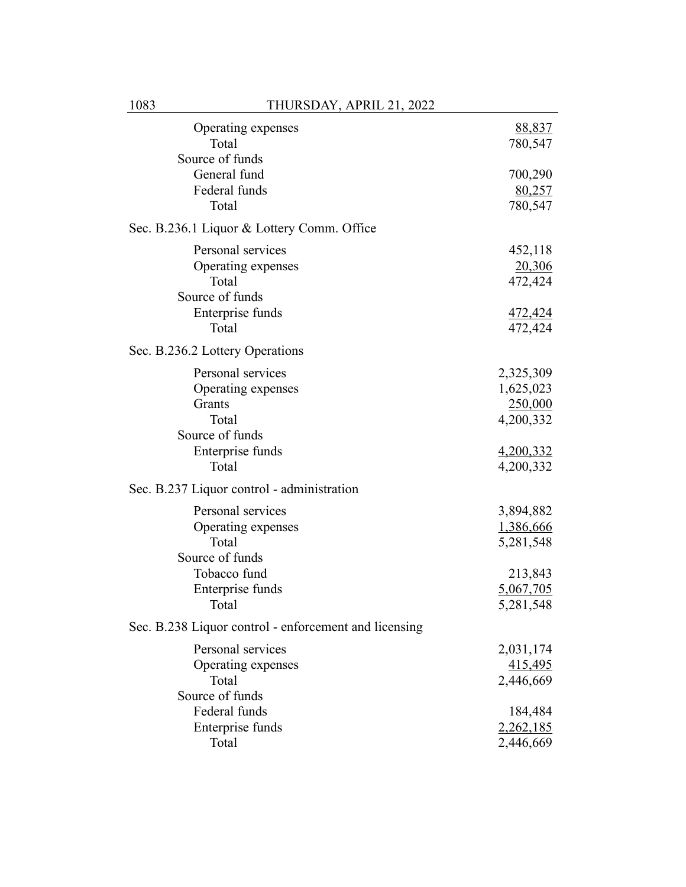| Operating expenses<br>Total<br>Source of funds        | 88,837<br>780,547 |
|-------------------------------------------------------|-------------------|
| General fund                                          | 700,290           |
| Federal funds                                         | 80,257            |
| Total                                                 | 780,547           |
| Sec. B.236.1 Liquor & Lottery Comm. Office            |                   |
| Personal services                                     | 452,118           |
| Operating expenses                                    | 20,306            |
| Total                                                 | 472,424           |
| Source of funds                                       |                   |
| Enterprise funds                                      | 472,424           |
| Total                                                 | 472,424           |
| Sec. B.236.2 Lottery Operations                       |                   |
| Personal services                                     | 2,325,309         |
| Operating expenses                                    | 1,625,023         |
| Grants                                                | 250,000           |
| Total                                                 | 4,200,332         |
| Source of funds                                       |                   |
| Enterprise funds                                      | 4,200,332         |
| Total                                                 | 4,200,332         |
| Sec. B.237 Liquor control - administration            |                   |
| Personal services                                     | 3,894,882         |
| Operating expenses                                    | 1,386,666         |
| Total                                                 | 5,281,548         |
| Source of funds                                       |                   |
| Tobacco fund                                          | 213,843           |
| Enterprise funds                                      | 5,067,705         |
| Total                                                 | 5,281,548         |
| Sec. B.238 Liquor control - enforcement and licensing |                   |
| Personal services                                     | 2,031,174         |
| Operating expenses                                    | 415,495           |
| Total                                                 | 2,446,669         |
| Source of funds                                       |                   |
| Federal funds                                         | 184,484           |
| Enterprise funds                                      | 2,262,185         |
| Total                                                 | 2,446,669         |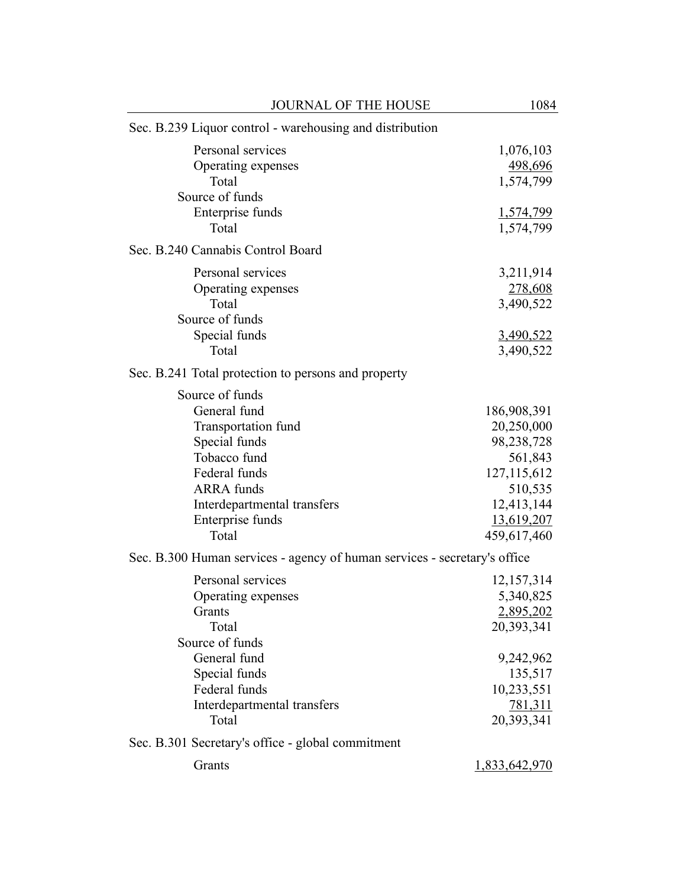| <b>JOURNAL OF THE HOUSE</b>                                               | 1084              |
|---------------------------------------------------------------------------|-------------------|
| Sec. B.239 Liquor control - warehousing and distribution                  |                   |
| Personal services                                                         | 1,076,103         |
| Operating expenses                                                        | 498,696           |
| Total                                                                     | 1,574,799         |
| Source of funds                                                           |                   |
| Enterprise funds                                                          | 1,574,799         |
| Total                                                                     | 1,574,799         |
| Sec. B.240 Cannabis Control Board                                         |                   |
| Personal services                                                         | 3,211,914         |
| Operating expenses                                                        | 278,608           |
| Total                                                                     | 3,490,522         |
| Source of funds                                                           |                   |
| Special funds                                                             | <u>3,490,522</u>  |
| Total                                                                     | 3,490,522         |
| Sec. B.241 Total protection to persons and property                       |                   |
| Source of funds                                                           |                   |
| General fund                                                              | 186,908,391       |
| Transportation fund                                                       | 20,250,000        |
| Special funds                                                             | 98,238,728        |
| Tobacco fund                                                              | 561,843           |
| Federal funds                                                             | 127, 115, 612     |
| <b>ARRA</b> funds                                                         | 510,535           |
| Interdepartmental transfers                                               | 12,413,144        |
| Enterprise funds                                                          | <u>13,619,207</u> |
| Total                                                                     | 459,617,460       |
| Sec. B.300 Human services - agency of human services - secretary's office |                   |
| Personal services                                                         | 12,157,314        |
| Operating expenses                                                        | 5,340,825         |
| Grants                                                                    | 2,895,202         |
| Total                                                                     | 20,393,341        |
| Source of funds                                                           |                   |
| General fund                                                              | 9,242,962         |
| Special funds                                                             | 135,517           |
| Federal funds                                                             | 10,233,551        |
| Interdepartmental transfers                                               | 781,311           |
| Total                                                                     | 20,393,341        |
| Sec. B.301 Secretary's office - global commitment                         |                   |
| Grants                                                                    | 1,833,642,970     |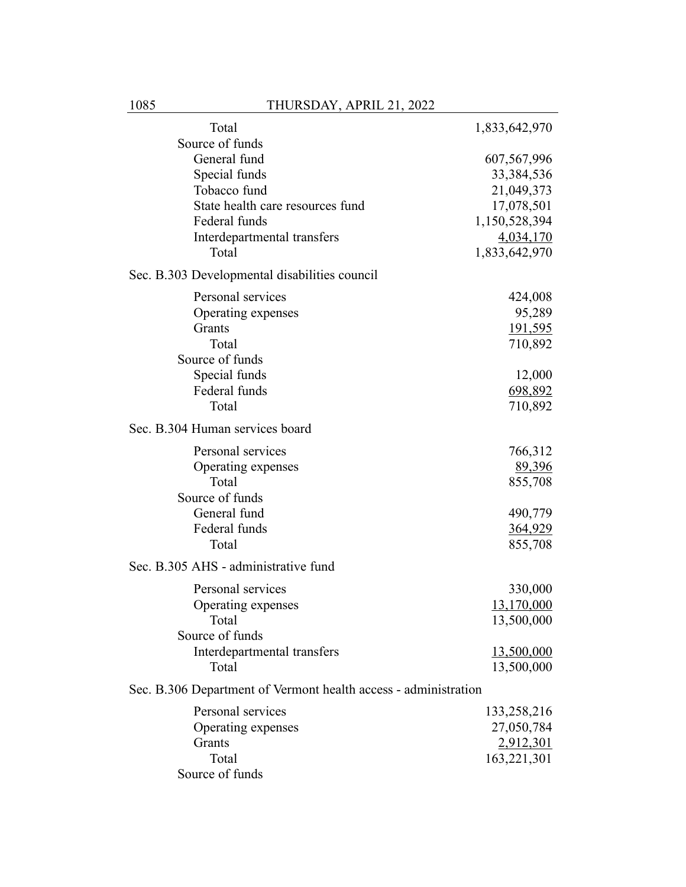| Total                                                           | 1,833,642,970                   |
|-----------------------------------------------------------------|---------------------------------|
| Source of funds                                                 |                                 |
| General fund                                                    | 607,567,996                     |
| Special funds                                                   | 33, 384, 536                    |
| Tobacco fund                                                    | 21,049,373                      |
| State health care resources fund                                | 17,078,501                      |
| Federal funds                                                   | 1,150,528,394                   |
| Interdepartmental transfers                                     | 4,034,170                       |
| Total                                                           | 1,833,642,970                   |
| Sec. B.303 Developmental disabilities council                   |                                 |
| Personal services                                               | 424,008                         |
| Operating expenses                                              | 95,289                          |
| Grants                                                          | <u>191,595</u>                  |
| Total                                                           | 710,892                         |
| Source of funds                                                 |                                 |
| Special funds                                                   | 12,000                          |
| Federal funds                                                   | 698,892                         |
| Total                                                           | 710,892                         |
| Sec. B.304 Human services board                                 |                                 |
| Personal services                                               | 766,312                         |
| Operating expenses                                              | 89,396                          |
| Total                                                           | 855,708                         |
| Source of funds                                                 |                                 |
| General fund                                                    | 490,779                         |
| Federal funds                                                   | 364,929                         |
| Total                                                           | 855,708                         |
| Sec. B.305 AHS - administrative fund                            |                                 |
|                                                                 |                                 |
| Personal services                                               | 330,000                         |
| Operating expenses                                              | 13,170,000                      |
| Total<br>Source of funds                                        | 13,500,000                      |
|                                                                 |                                 |
| Interdepartmental transfers<br>Total                            | <u>13,500,000</u><br>13,500,000 |
| Sec. B.306 Department of Vermont health access - administration |                                 |
|                                                                 |                                 |
| Personal services                                               | 133,258,216                     |
| Operating expenses                                              | 27,050,784                      |
| Grants                                                          | 2,912,301                       |
| Total                                                           | 163,221,301                     |
| Source of funds                                                 |                                 |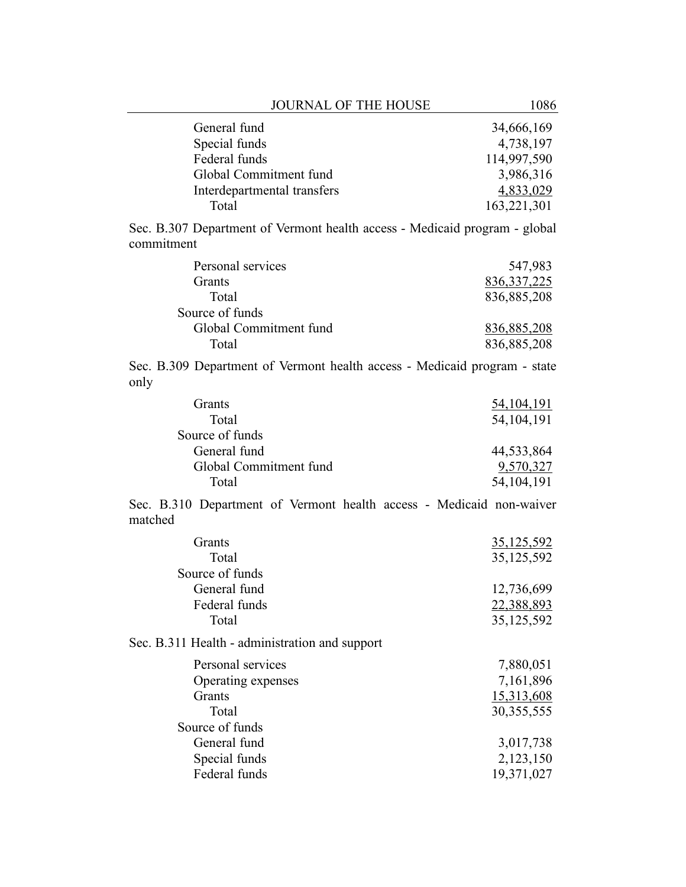| <b>JOURNAL OF THE HOUSE</b>                                                              | 1086              |
|------------------------------------------------------------------------------------------|-------------------|
| General fund                                                                             | 34,666,169        |
| Special funds                                                                            | 4,738,197         |
| Federal funds                                                                            | 114,997,590       |
| Global Commitment fund                                                                   | 3,986,316         |
| Interdepartmental transfers                                                              | 4,833,029         |
| Total                                                                                    | 163,221,301       |
| Sec. B.307 Department of Vermont health access - Medicaid program - global<br>commitment |                   |
| Personal services                                                                        | 547,983           |
| Grants                                                                                   | 836, 337, 225     |
| Total                                                                                    | 836,885,208       |
| Source of funds                                                                          |                   |
| Global Commitment fund                                                                   | 836,885,208       |
| Total                                                                                    | 836,885,208       |
| Sec. B.309 Department of Vermont health access - Medicaid program - state<br>only        |                   |
| Grants                                                                                   | <u>54,104,191</u> |
| Total                                                                                    | 54, 104, 191      |
| Source of funds                                                                          |                   |
| General fund                                                                             | 44,533,864        |
| Global Commitment fund                                                                   | 9,570,327         |
| Total                                                                                    | 54, 104, 191      |
| Sec. B.310 Department of Vermont health access - Medicaid non-waiver<br>matched          |                   |
| Grants                                                                                   | <u>35,125,592</u> |
| Total                                                                                    | 35,125,592        |
| Source of funds                                                                          |                   |
| General fund                                                                             | 12,736,699        |
| Federal funds                                                                            | 22,388,893        |
| Total                                                                                    | 35, 125, 592      |
| Sec. B.311 Health - administration and support                                           |                   |
| Personal services                                                                        | 7,880,051         |
| Operating expenses                                                                       | 7,161,896         |
| Grants                                                                                   | 15,313,608        |
| Total                                                                                    | 30,355,555        |
| Source of funds                                                                          |                   |
| General fund                                                                             | 3,017,738         |
| Special funds                                                                            | 2,123,150         |
| Federal funds                                                                            | 19,371,027        |
|                                                                                          |                   |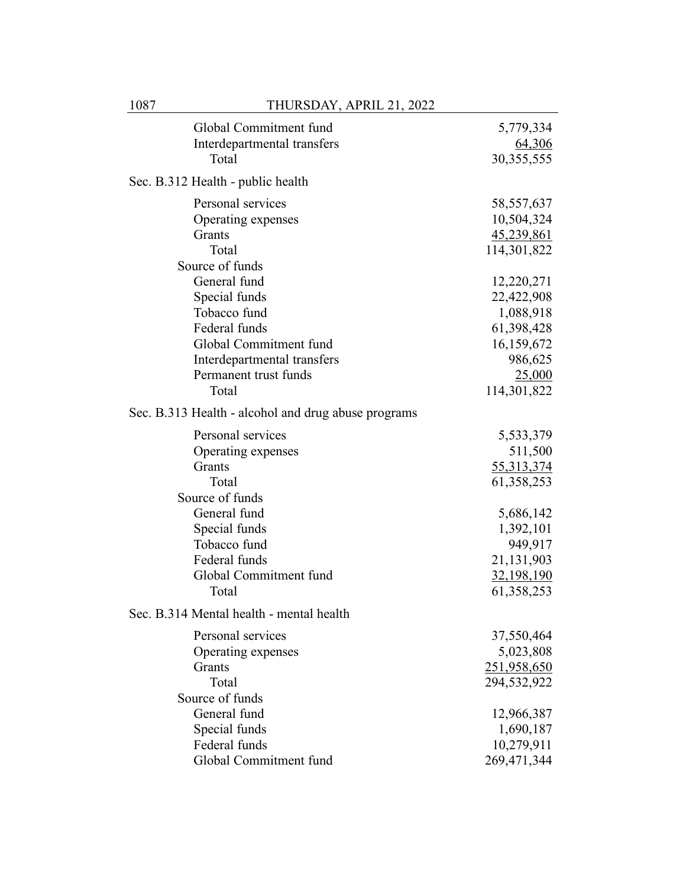| Global Commitment fund                              | 5,779,334    |
|-----------------------------------------------------|--------------|
| Interdepartmental transfers                         | 64,306       |
| Total                                               | 30, 355, 555 |
| Sec. B.312 Health - public health                   |              |
| Personal services                                   | 58, 557, 637 |
| Operating expenses                                  | 10,504,324   |
| Grants                                              | 45,239,861   |
| Total                                               | 114,301,822  |
| Source of funds                                     |              |
| General fund                                        | 12,220,271   |
| Special funds                                       | 22,422,908   |
| Tobacco fund                                        | 1,088,918    |
| Federal funds                                       | 61,398,428   |
| Global Commitment fund                              | 16,159,672   |
| Interdepartmental transfers                         | 986,625      |
| Permanent trust funds                               | 25,000       |
| Total                                               | 114,301,822  |
| Sec. B.313 Health - alcohol and drug abuse programs |              |
| Personal services                                   | 5,533,379    |
| Operating expenses                                  | 511,500      |
| Grants                                              | 55,313,374   |
| Total                                               | 61,358,253   |
| Source of funds                                     |              |
| General fund                                        | 5,686,142    |
| Special funds                                       | 1,392,101    |
| Tobacco fund                                        | 949,917      |
| Federal funds                                       | 21,131,903   |
| Global Commitment fund                              | 32,198,190   |
| Total                                               | 61,358,253   |
| Sec. B.314 Mental health - mental health            |              |
| Personal services                                   | 37,550,464   |
| Operating expenses                                  | 5,023,808    |
| Grants                                              | 251,958,650  |
| Total                                               | 294,532,922  |
| Source of funds                                     |              |
| General fund                                        | 12,966,387   |
| Special funds                                       | 1,690,187    |
| Federal funds                                       | 10,279,911   |
| Global Commitment fund                              | 269,471,344  |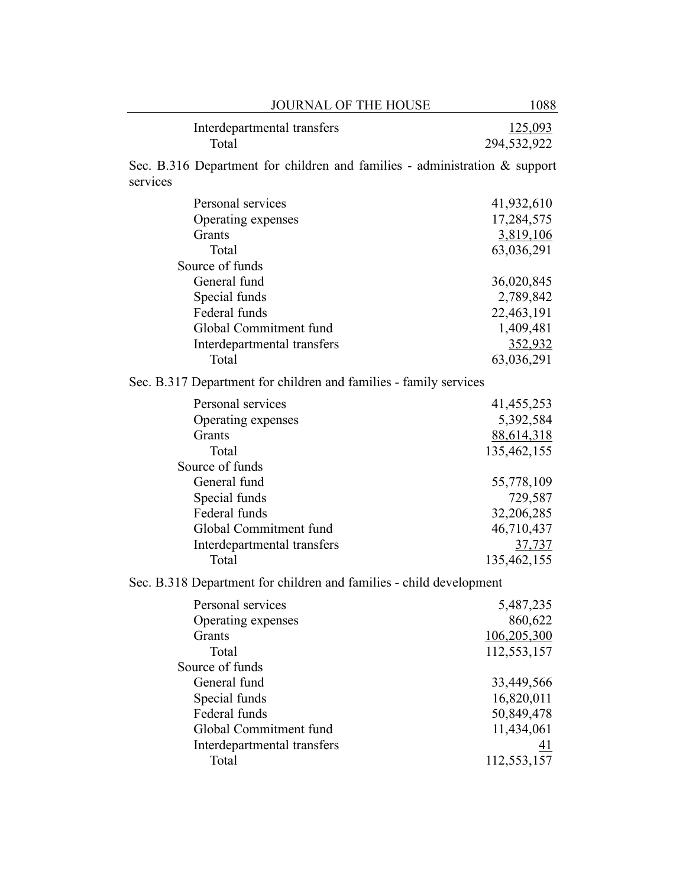| <b>JOURNAL OF THE HOUSE</b>                                                               | 1088                   |
|-------------------------------------------------------------------------------------------|------------------------|
| Interdepartmental transfers<br>Total                                                      | 125,093<br>294,532,922 |
| Sec. B.316 Department for children and families - administration $\&$ support<br>services |                        |
| Personal services                                                                         | 41,932,610             |
| Operating expenses                                                                        | 17,284,575             |
| Grants                                                                                    | 3,819,106              |
| Total                                                                                     | 63,036,291             |
| Source of funds                                                                           |                        |
| General fund                                                                              | 36,020,845             |
| Special funds                                                                             | 2,789,842              |
| Federal funds                                                                             | 22,463,191             |
| Global Commitment fund                                                                    | 1,409,481              |
| Interdepartmental transfers                                                               | 352,932                |
| Total                                                                                     | 63,036,291             |
| Sec. B.317 Department for children and families - family services                         |                        |
| Personal services                                                                         | 41, 455, 253           |
| Operating expenses                                                                        | 5,392,584              |
| Grants                                                                                    | 88,614,318             |
| Total                                                                                     | 135,462,155            |
| Source of funds                                                                           |                        |
| General fund                                                                              | 55,778,109             |
| Special funds                                                                             | 729,587                |
| Federal funds                                                                             | 32,206,285             |
| Global Commitment fund                                                                    | 46,710,437             |
| Interdepartmental transfers                                                               | 37,737                 |
| Total                                                                                     | 135,462,155            |
| Sec. B.318 Department for children and families - child development                       |                        |
| Personal services                                                                         | 5,487,235              |
| Operating expenses                                                                        | 860,622                |
| Grants                                                                                    | 106,205,300            |
| Total                                                                                     | 112,553,157            |
| Source of funds                                                                           |                        |
| General fund                                                                              | 33,449,566             |
| Special funds                                                                             | 16,820,011             |
| Federal funds                                                                             | 50,849,478             |
| Global Commitment fund                                                                    | 11,434,061             |
| Interdepartmental transfers                                                               | <u>41</u>              |
| Total                                                                                     | 112,553,157            |
|                                                                                           |                        |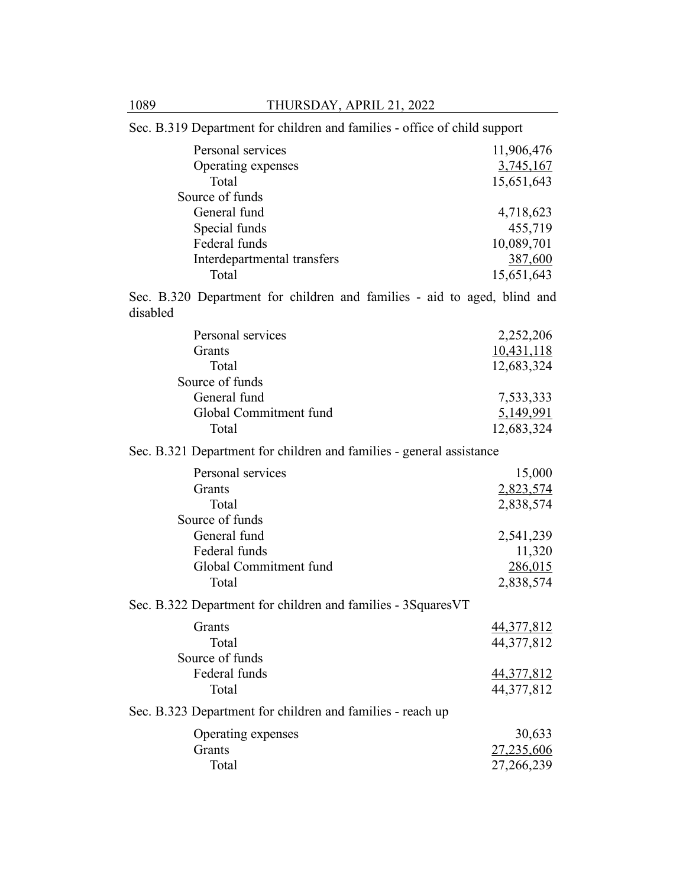| Sec. B.319 Department for children and families - office of child support            |                                       |
|--------------------------------------------------------------------------------------|---------------------------------------|
| Personal services<br>Operating expenses<br>Total                                     | 11,906,476<br>3,745,167<br>15,651,643 |
| Source of funds                                                                      |                                       |
| General fund                                                                         | 4,718,623                             |
| Special funds                                                                        | 455,719                               |
| Federal funds                                                                        | 10,089,701                            |
| Interdepartmental transfers                                                          | 387,600                               |
| Total                                                                                | 15,651,643                            |
| Sec. B.320 Department for children and families - aid to aged, blind and<br>disabled |                                       |
| Personal services                                                                    | 2,252,206                             |
| Grants                                                                               | 10,431,118                            |
| Total                                                                                | 12,683,324                            |
| Source of funds                                                                      |                                       |
| General fund                                                                         | 7,533,333                             |
| Global Commitment fund                                                               | 5,149,991                             |
| Total                                                                                | 12,683,324                            |
| Sec. B.321 Department for children and families - general assistance                 |                                       |
| Personal services                                                                    | 15,000                                |
| Grants                                                                               | 2,823,574                             |
| Total                                                                                | 2,838,574                             |
| Source of funds                                                                      |                                       |
| General fund                                                                         | 2,541,239                             |
| Federal funds<br>Global Commitment fund                                              | 11,320                                |
| Total                                                                                | 286,015<br>2,838,574                  |
|                                                                                      |                                       |
| Sec. B.322 Department for children and families - 3SquaresVT                         |                                       |
| Grants                                                                               | 44,377,812                            |
| Total                                                                                | 44,377,812                            |
| Source of funds                                                                      |                                       |
| Federal funds                                                                        | <u>44,377,812</u>                     |
| Total                                                                                | 44,377,812                            |
| Sec. B.323 Department for children and families - reach up                           |                                       |
| Operating expenses                                                                   | 30,633                                |
| Grants                                                                               | 27,235,606                            |
| Total                                                                                | 27,266,239                            |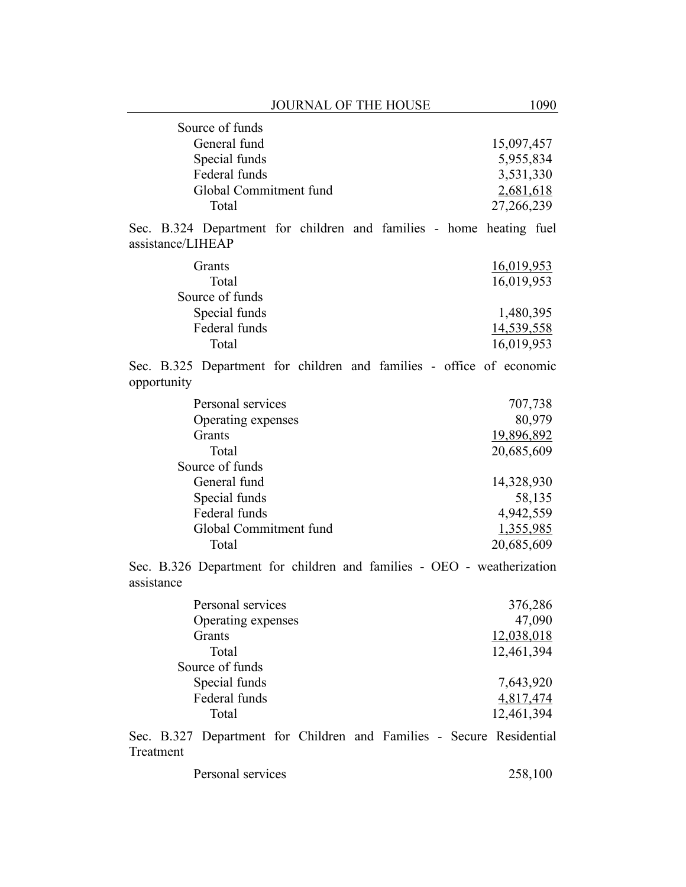| Source of funds        |            |
|------------------------|------------|
| General fund           | 15,097,457 |
| Special funds          | 5,955,834  |
| Federal funds          | 3,531,330  |
| Global Commitment fund | 2,681,618  |
| Total                  | 27,266,239 |

Sec. B.324 Department for children and families - home heating fuel assistance/LIHEAP

| 16,019,953 |
|------------|
| 16,019,953 |
|            |
| 1,480,395  |
| 14,539,558 |
| 16,019,953 |
|            |

Sec. B.325 Department for children and families - office of economic opportunity

| Personal services      | 707,738    |
|------------------------|------------|
| Operating expenses     | 80,979     |
| <b>Grants</b>          | 19,896,892 |
| Total                  | 20,685,609 |
| Source of funds        |            |
| General fund           | 14,328,930 |
| Special funds          | 58,135     |
| Federal funds          | 4,942,559  |
| Global Commitment fund | 1,355,985  |
| Total                  | 20,685,609 |

Sec. B.326 Department for children and families - OEO - weatherization assistance

| Personal services  | 376,286    |
|--------------------|------------|
| Operating expenses | 47,090     |
| <b>Grants</b>      | 12,038,018 |
| Total              | 12,461,394 |
| Source of funds    |            |
| Special funds      | 7,643,920  |
| Federal funds      | 4,817,474  |
| Total              | 12,461,394 |
|                    |            |

Sec. B.327 Department for Children and Families - Secure Residential Treatment

| Personal services | 258,100 |  |
|-------------------|---------|--|
|                   |         |  |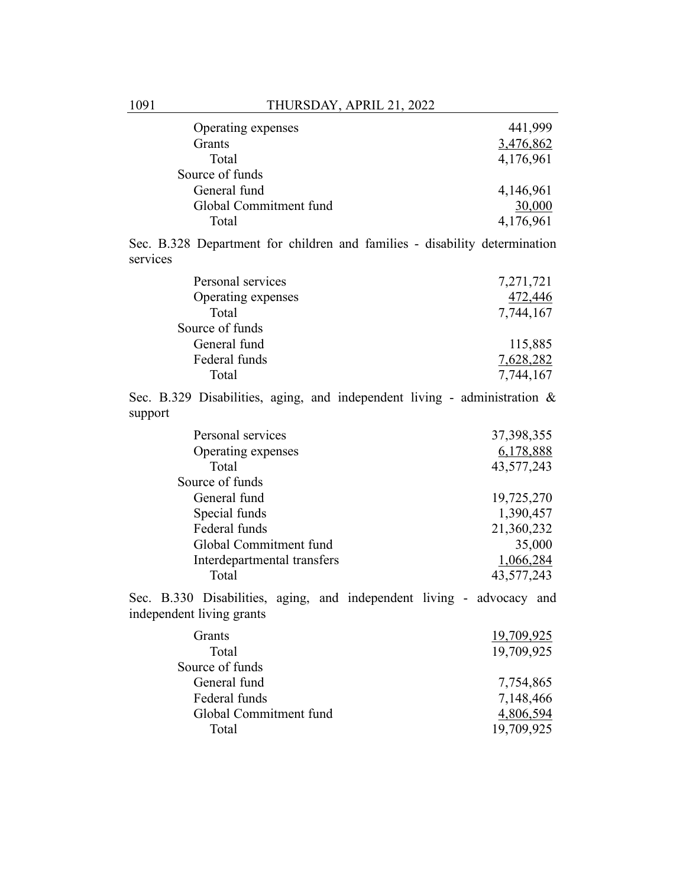| Operating expenses     | 441,999   |
|------------------------|-----------|
| <b>Grants</b>          | 3,476,862 |
| Total                  | 4,176,961 |
| Source of funds        |           |
| General fund           | 4,146,961 |
| Global Commitment fund | 30,000    |
| Total                  | 4,176,961 |

Sec. B.328 Department for children and families - disability determination services

| Personal services  | 7,271,721 |
|--------------------|-----------|
| Operating expenses | 472,446   |
| Total              | 7,744,167 |
| Source of funds    |           |
| General fund       | 115,885   |
| Federal funds      | 7,628,282 |
| Total              | 7,744,167 |

Sec. B.329 Disabilities, aging, and independent living - administration & support

| Personal services           | 37,398,355 |
|-----------------------------|------------|
| Operating expenses          | 6,178,888  |
| Total                       | 43,577,243 |
| Source of funds             |            |
| General fund                | 19,725,270 |
| Special funds               | 1,390,457  |
| Federal funds               | 21,360,232 |
| Global Commitment fund      | 35,000     |
| Interdepartmental transfers | 1,066,284  |
| Total                       | 43,577,243 |
|                             |            |

Sec. B.330 Disabilities, aging, and independent living - advocacy and independent living grants

| <b>Grants</b>          | 19,709,925 |
|------------------------|------------|
| Total                  | 19,709,925 |
| Source of funds        |            |
| General fund           | 7,754,865  |
| Federal funds          | 7,148,466  |
| Global Commitment fund | 4,806,594  |
| Total                  | 19,709,925 |
|                        |            |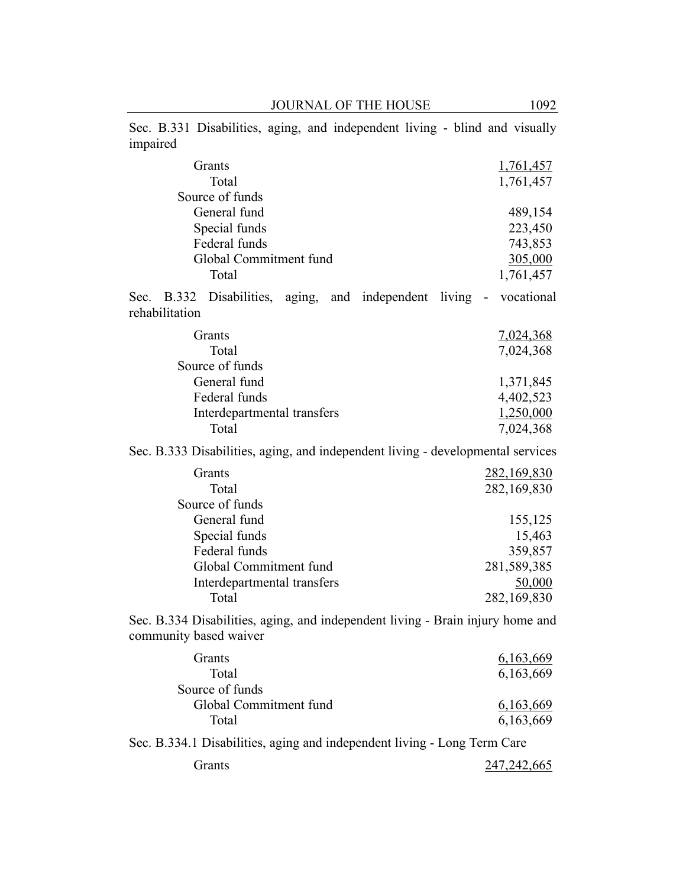Sec. B.331 Disabilities, aging, and independent living - blind and visually impaired

| Grants                                                                                                   | 1,761,457           |
|----------------------------------------------------------------------------------------------------------|---------------------|
| Total                                                                                                    | 1,761,457           |
| Source of funds                                                                                          |                     |
| General fund                                                                                             | 489,154             |
| Special funds                                                                                            | 223,450             |
| Federal funds                                                                                            | 743,853             |
| Global Commitment fund                                                                                   | 305,000             |
| Total                                                                                                    | 1,761,457           |
| Sec. B.332 Disabilities, aging, and independent<br>rehabilitation                                        | living - vocational |
| Grants                                                                                                   | 7,024,368           |
| Total                                                                                                    | 7,024,368           |
| Source of funds                                                                                          |                     |
| General fund                                                                                             | 1,371,845           |
| Federal funds                                                                                            | 4,402,523           |
| Interdepartmental transfers                                                                              | 1,250,000           |
| Total                                                                                                    | 7,024,368           |
| Sec. B.333 Disabilities, aging, and independent living - developmental services                          |                     |
| Grants                                                                                                   | <u>282,169,830</u>  |
| Total                                                                                                    | 282,169,830         |
| Source of funds                                                                                          |                     |
| General fund                                                                                             | 155,125             |
| Special funds                                                                                            | 15,463              |
| Federal funds                                                                                            | 359,857             |
| Global Commitment fund                                                                                   | 281,589,385         |
| Interdepartmental transfers                                                                              | 50,000              |
| Total                                                                                                    | 282,169,830         |
| Sec. B.334 Disabilities, aging, and independent living - Brain injury home and<br>community based waiver |                     |
| Grants                                                                                                   | 6,163,669           |
| Total                                                                                                    | 6,163,669           |
| Source of funds                                                                                          |                     |
| Global Commitment fund                                                                                   | 6,163,669           |
| Total                                                                                                    | 6,163,669           |
| Sec. B.334.1 Disabilities, aging and independent living - Long Term Care                                 |                     |
| Grants                                                                                                   | 247, 242, 665       |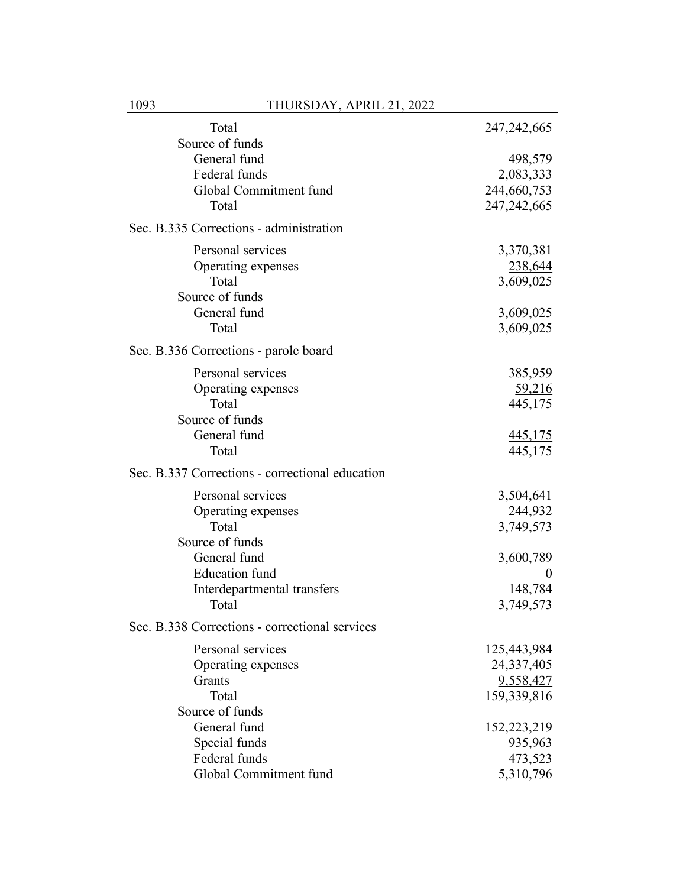| Total                                           | 247, 242, 665  |
|-------------------------------------------------|----------------|
| Source of funds                                 |                |
| General fund                                    | 498,579        |
| Federal funds                                   | 2,083,333      |
| Global Commitment fund                          | 244,660,753    |
| Total                                           | 247, 242, 665  |
| Sec. B.335 Corrections - administration         |                |
| Personal services                               | 3,370,381      |
| Operating expenses                              | 238,644        |
| Total                                           | 3,609,025      |
| Source of funds                                 |                |
| General fund                                    | 3,609,025      |
| Total                                           | 3,609,025      |
| Sec. B.336 Corrections - parole board           |                |
| Personal services                               | 385,959        |
| Operating expenses                              | 59,216         |
| Total                                           | 445,175        |
| Source of funds                                 |                |
| General fund                                    | <u>445,175</u> |
| Total                                           | 445,175        |
| Sec. B.337 Corrections - correctional education |                |
| Personal services                               | 3,504,641      |
| Operating expenses                              | 244,932        |
| Total                                           | 3,749,573      |
| Source of funds                                 |                |
| General fund                                    | 3,600,789      |
| <b>Education</b> fund                           | 0              |
| Interdepartmental transfers                     | 148,784        |
| Total                                           | 3,749,573      |
| Sec. B.338 Corrections - correctional services  |                |
| Personal services                               | 125,443,984    |
| Operating expenses                              | 24,337,405     |
| Grants                                          | 9,558,427      |
| Total                                           | 159,339,816    |
| Source of funds                                 |                |
| General fund                                    | 152,223,219    |
| Special funds                                   | 935,963        |
| Federal funds                                   | 473,523        |
| Global Commitment fund                          | 5,310,796      |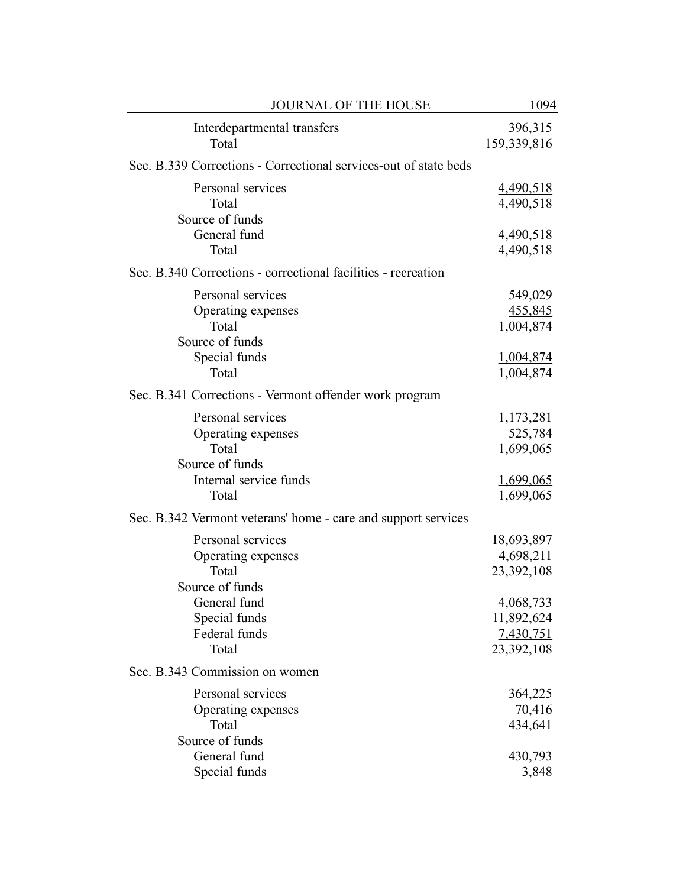| <b>JOURNAL OF THE HOUSE</b>                                                                                                          | 1094                                               |
|--------------------------------------------------------------------------------------------------------------------------------------|----------------------------------------------------|
| Interdepartmental transfers<br>Total                                                                                                 | 396,315<br>159,339,816                             |
| Sec. B.339 Corrections - Correctional services-out of state beds                                                                     |                                                    |
| Personal services<br>Total<br>Source of funds                                                                                        | 4,490,518<br>4,490,518                             |
| General fund<br>Total                                                                                                                | 4,490,518<br>4,490,518                             |
| Sec. B.340 Corrections - correctional facilities - recreation                                                                        |                                                    |
| Personal services<br>Operating expenses<br>Total<br>Source of funds<br>Special funds                                                 | 549,029<br>455,845<br>1,004,874<br>1,004,874       |
| Total                                                                                                                                | 1,004,874                                          |
| Sec. B.341 Corrections - Vermont offender work program                                                                               |                                                    |
| Personal services<br>Operating expenses<br>Total<br>Source of funds<br>Internal service funds<br>Total                               | 1,173,281<br>525,784<br>1,699,065<br>1,699,065     |
|                                                                                                                                      | 1,699,065                                          |
| Sec. B.342 Vermont veterans' home - care and support services<br>Personal services<br>Operating expenses<br>Total<br>Source of funds | 18,693,897<br>4,698,211<br>23,392,108              |
| General fund<br>Special funds<br>Federal funds<br>Total                                                                              | 4,068,733<br>11,892,624<br>7,430,751<br>23,392,108 |
| Sec. B.343 Commission on women                                                                                                       |                                                    |
| Personal services<br>Operating expenses<br>Total<br>Source of funds                                                                  | 364,225<br><u>70,416</u><br>434,641                |
| General fund<br>Special funds                                                                                                        | 430,793<br><u>3,848</u>                            |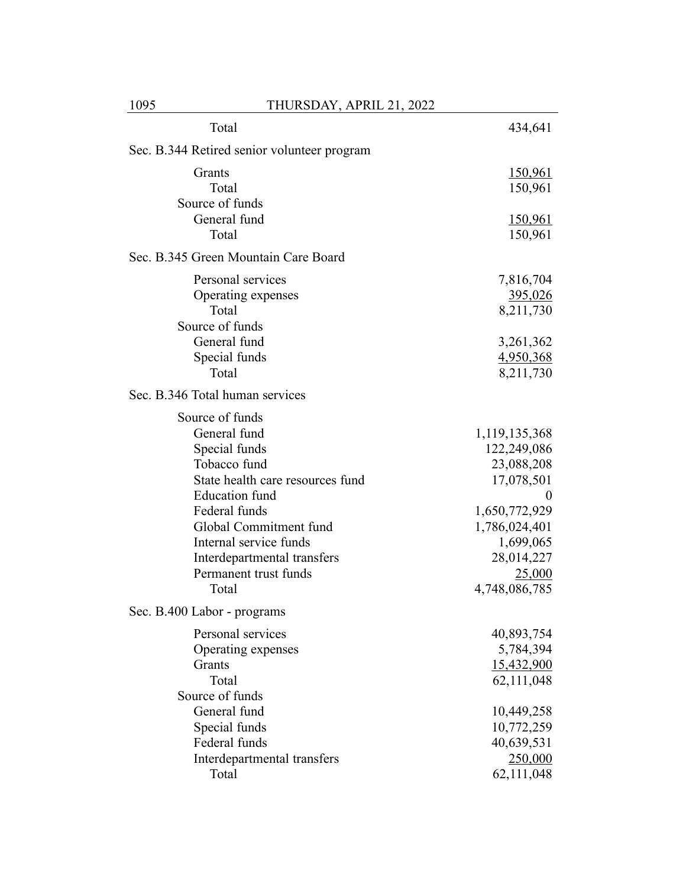| Total                                       | 434,641        |
|---------------------------------------------|----------------|
| Sec. B.344 Retired senior volunteer program |                |
| Grants                                      | <u>150,961</u> |
| Total                                       | 150,961        |
| Source of funds                             |                |
| General fund                                | <u>150,961</u> |
| Total                                       | 150,961        |
| Sec. B.345 Green Mountain Care Board        |                |
| Personal services                           | 7,816,704      |
| Operating expenses                          | 395,026        |
| Total                                       | 8,211,730      |
| Source of funds                             |                |
| General fund                                | 3,261,362      |
| Special funds                               | 4,950,368      |
| Total                                       | 8,211,730      |
| Sec. B.346 Total human services             |                |
| Source of funds                             |                |
| General fund                                | 1,119,135,368  |
| Special funds                               | 122,249,086    |
| Tobacco fund                                | 23,088,208     |
| State health care resources fund            | 17,078,501     |
| <b>Education</b> fund                       | 0              |
| Federal funds                               | 1,650,772,929  |
| Global Commitment fund                      | 1,786,024,401  |
| Internal service funds                      | 1,699,065      |
| Interdepartmental transfers                 | 28,014,227     |
| Permanent trust funds                       | 25,000         |
| Total                                       | 4,748,086,785  |
| Sec. B.400 Labor - programs                 |                |
| Personal services                           | 40,893,754     |
| Operating expenses                          | 5,784,394      |
| Grants                                      | 15,432,900     |
| Total                                       | 62,111,048     |
| Source of funds                             |                |
| General fund                                | 10,449,258     |
| Special funds                               | 10,772,259     |
| Federal funds                               | 40,639,531     |
| Interdepartmental transfers                 | 250,000        |
| Total                                       | 62,111,048     |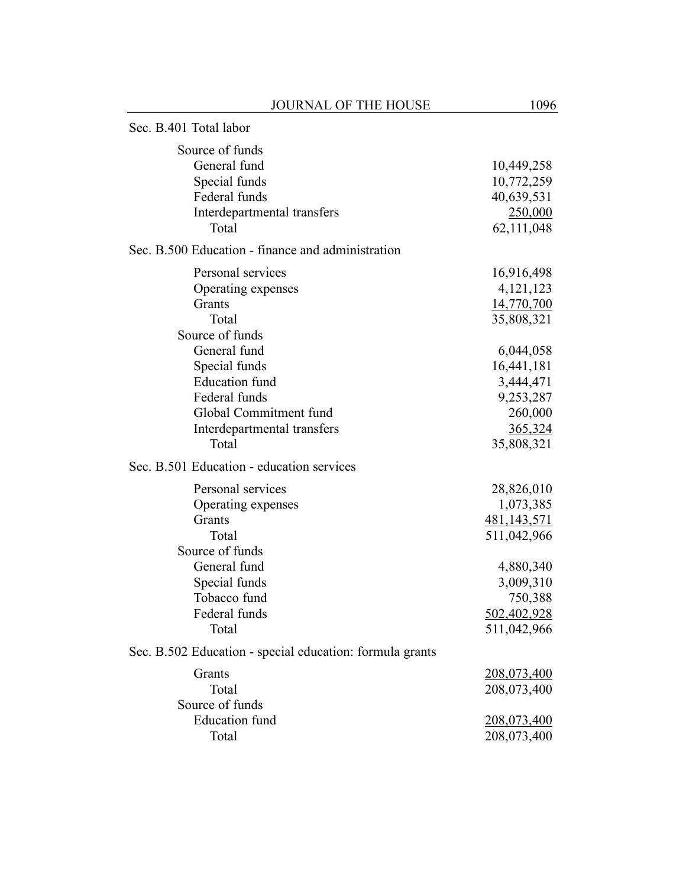|                                           | <b>JOURNAL OF THE HOUSE</b>                              | 1096          |
|-------------------------------------------|----------------------------------------------------------|---------------|
| Sec. B.401 Total labor                    |                                                          |               |
| Source of funds                           |                                                          |               |
| General fund                              |                                                          | 10,449,258    |
| Special funds                             |                                                          | 10,772,259    |
| Federal funds                             |                                                          | 40,639,531    |
|                                           | Interdepartmental transfers                              | 250,000       |
| Total                                     |                                                          | 62,111,048    |
|                                           | Sec. B.500 Education - finance and administration        |               |
| Personal services                         |                                                          | 16,916,498    |
| Operating expenses                        |                                                          | 4, 121, 123   |
| Grants                                    |                                                          | 14,770,700    |
| Total                                     |                                                          | 35,808,321    |
| Source of funds                           |                                                          |               |
| General fund                              |                                                          | 6,044,058     |
| Special funds                             |                                                          | 16,441,181    |
| <b>Education</b> fund                     |                                                          | 3,444,471     |
| Federal funds                             |                                                          | 9,253,287     |
| Global Commitment fund                    |                                                          | 260,000       |
|                                           | Interdepartmental transfers                              | 365,324       |
| Total                                     |                                                          | 35,808,321    |
| Sec. B.501 Education - education services |                                                          |               |
| Personal services                         |                                                          | 28,826,010    |
| Operating expenses                        |                                                          | 1,073,385     |
| Grants                                    |                                                          | 481, 143, 571 |
| Total                                     |                                                          | 511,042,966   |
| Source of funds                           |                                                          |               |
| General fund                              |                                                          | 4,880,340     |
| Special funds                             |                                                          | 3,009,310     |
| Tobacco fund                              |                                                          | 750,388       |
| Federal funds                             |                                                          | 502,402,928   |
| Total                                     |                                                          | 511,042,966   |
|                                           | Sec. B.502 Education - special education: formula grants |               |
| Grants                                    |                                                          | 208,073,400   |
| Total                                     |                                                          | 208,073,400   |
| Source of funds                           |                                                          |               |
| <b>Education</b> fund                     |                                                          | 208,073,400   |
| Total                                     |                                                          | 208,073,400   |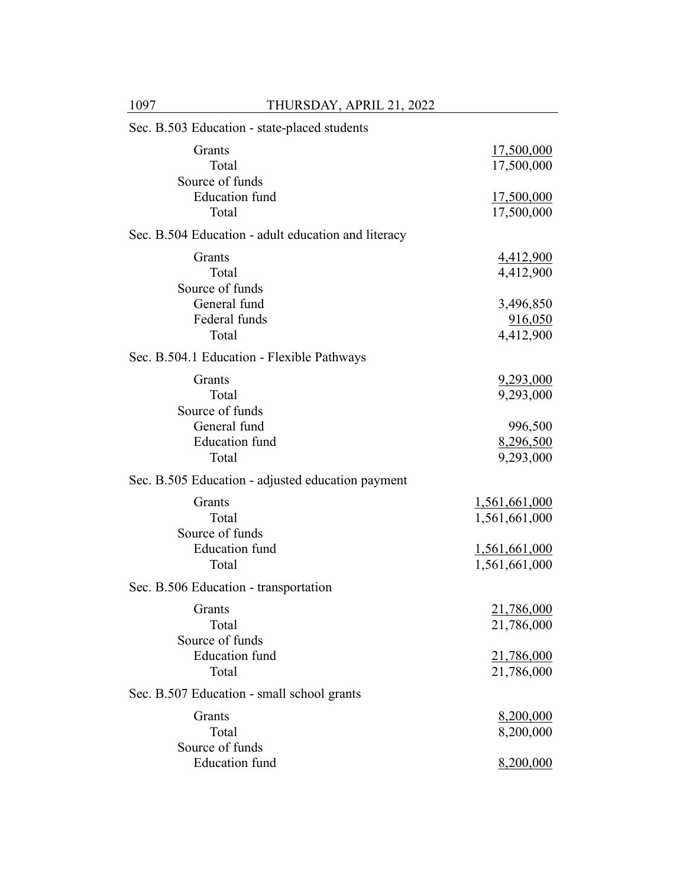| Sec. B.503 Education - state-placed students        |                                       |
|-----------------------------------------------------|---------------------------------------|
| Grants<br>Total<br>Source of funds                  | 17,500,000<br>17,500,000              |
| <b>Education</b> fund<br>Total                      | 17,500,000<br>17,500,000              |
| Sec. B.504 Education - adult education and literacy |                                       |
| Grants<br>Total<br>Source of funds                  | 4,412,900<br>4,412,900                |
| General fund<br>Federal funds<br>Total              | 3,496,850<br>916,050<br>4,412,900     |
| Sec. B.504.1 Education - Flexible Pathways          |                                       |
| Grants<br>Total<br>Source of funds                  | <u>9,293,000</u><br>9,293,000         |
| General fund<br><b>Education</b> fund<br>Total      | 996,500<br>8,296,500<br>9,293,000     |
| Sec. B.505 Education - adjusted education payment   |                                       |
| Grants<br>Total<br>Source of funds                  | 1,561,661,000<br>1,561,661,000        |
| <b>Education</b> fund<br>Total                      | <u>1,561,661,000</u><br>1,561,661,000 |
| Sec. B.506 Education - transportation               |                                       |
| Grants<br>Total<br>Source of funds                  | 21,786,000<br>21,786,000              |
| <b>Education</b> fund<br>Total                      | <u>21,786,000</u><br>21,786,000       |
| Sec. B.507 Education - small school grants          |                                       |
| Grants<br>Total<br>Source of funds                  | 8,200,000<br>8,200,000                |
| <b>Education</b> fund                               | 8,200,000                             |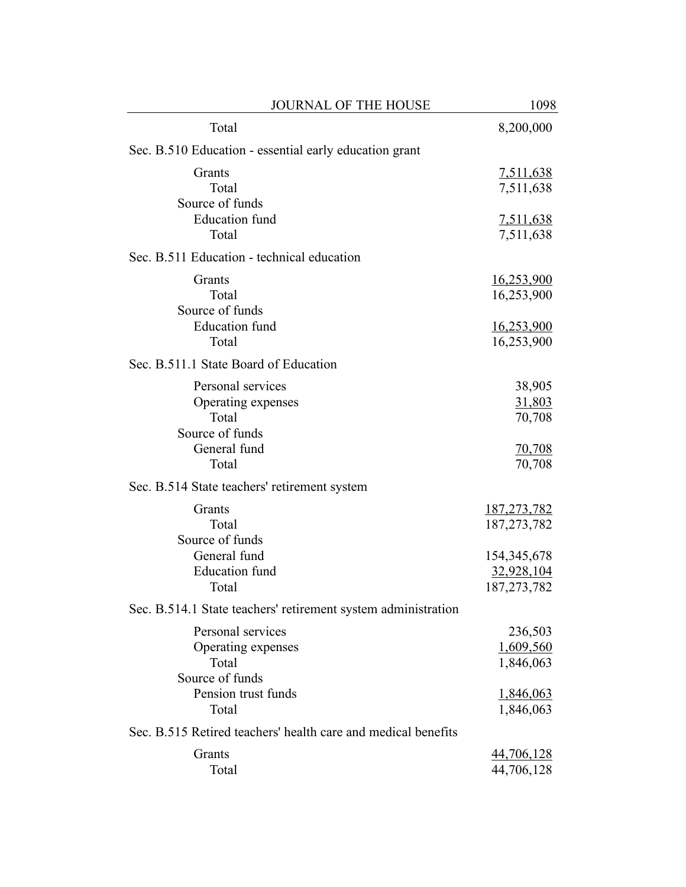| <b>JOURNAL OF THE HOUSE</b>                                          | 1098                                                               |
|----------------------------------------------------------------------|--------------------------------------------------------------------|
| Total                                                                | 8,200,000                                                          |
| Sec. B.510 Education - essential early education grant               |                                                                    |
| Grants<br>Total                                                      | <u>7,511,638</u><br>7,511,638                                      |
| Source of funds<br><b>Education</b> fund<br>Total                    | 7,511,638<br>7,511,638                                             |
| Sec. B.511 Education - technical education                           |                                                                    |
| Grants<br>Total<br>Source of funds<br><b>Education</b> fund<br>Total | <u>16,253,900</u><br>16,253,900<br><u>16,253,900</u><br>16,253,900 |
| Sec. B.511.1 State Board of Education                                |                                                                    |
| Personal services<br>Operating expenses<br>Total<br>Source of funds  | 38,905<br>31,803<br>70,708                                         |
| General fund<br>Total                                                | <u>70,708</u><br>70,708                                            |
| Sec. B.514 State teachers' retirement system                         |                                                                    |
| Grants<br>Total<br>Source of funds                                   | 187, 273, 782<br>187, 273, 782                                     |
| General fund<br><b>Education</b> fund<br>Total                       | 154, 345, 678<br>32,928,104<br>187, 273, 782                       |
| Sec. B.514.1 State teachers' retirement system administration        |                                                                    |
| Personal services<br>Operating expenses<br>Total<br>Source of funds  | 236,503<br>1,609,560<br>1,846,063                                  |
| Pension trust funds<br>Total                                         | 1,846,063<br>1,846,063                                             |
| Sec. B.515 Retired teachers' health care and medical benefits        |                                                                    |
| Grants<br>Total                                                      | 44,706,128<br>44,706,128                                           |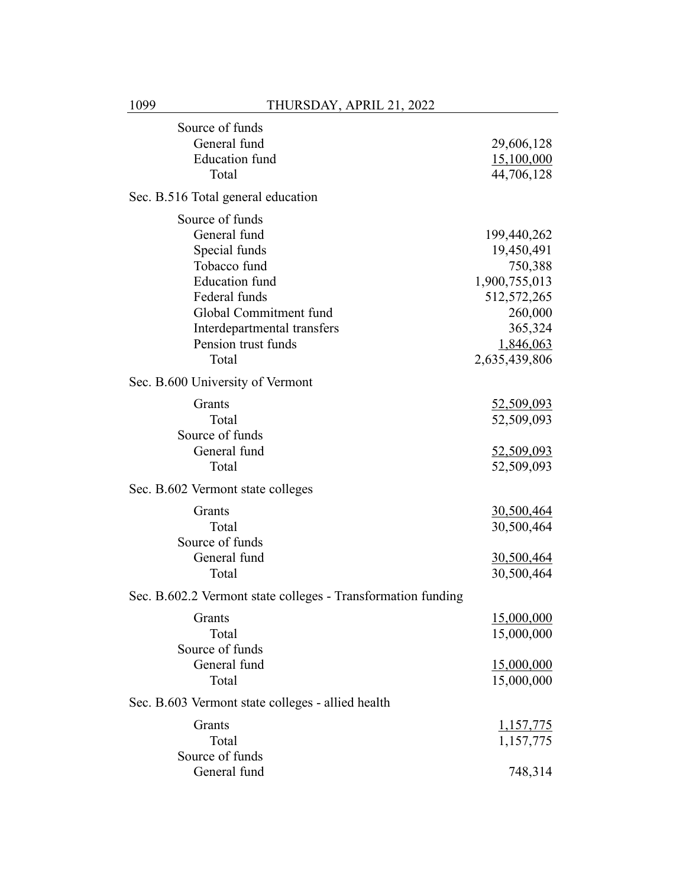| Source of funds                                              |                   |
|--------------------------------------------------------------|-------------------|
| General fund                                                 | 29,606,128        |
| <b>Education</b> fund                                        | 15,100,000        |
| Total                                                        | 44,706,128        |
| Sec. B.516 Total general education                           |                   |
| Source of funds                                              |                   |
| General fund                                                 | 199,440,262       |
| Special funds                                                | 19,450,491        |
| Tobacco fund                                                 | 750,388           |
| <b>Education</b> fund                                        | 1,900,755,013     |
| Federal funds                                                | 512, 572, 265     |
| Global Commitment fund                                       | 260,000           |
| Interdepartmental transfers                                  | 365,324           |
| Pension trust funds                                          | 1,846,063         |
| Total                                                        |                   |
|                                                              | 2,635,439,806     |
| Sec. B.600 University of Vermont                             |                   |
| Grants                                                       | 52,509,093        |
| Total                                                        | 52,509,093        |
| Source of funds                                              |                   |
| General fund                                                 | <u>52,509,093</u> |
| Total                                                        | 52,509,093        |
| Sec. B.602 Vermont state colleges                            |                   |
|                                                              |                   |
| Grants                                                       | <u>30,500,464</u> |
| Total                                                        | 30,500,464        |
| Source of funds                                              |                   |
| General fund                                                 | <u>30,500,464</u> |
| Total                                                        | 30,500,464        |
| Sec. B.602.2 Vermont state colleges - Transformation funding |                   |
| Grants                                                       | 15,000,000        |
| Total                                                        | 15,000,000        |
| Source of funds                                              |                   |
| General fund                                                 | 15,000,000        |
| Total                                                        | 15,000,000        |
| Sec. B.603 Vermont state colleges - allied health            |                   |
|                                                              |                   |
| Grants                                                       | <u>1,157,775</u>  |
| Total                                                        | 1,157,775         |
| Source of funds                                              |                   |
| General fund                                                 | 748,314           |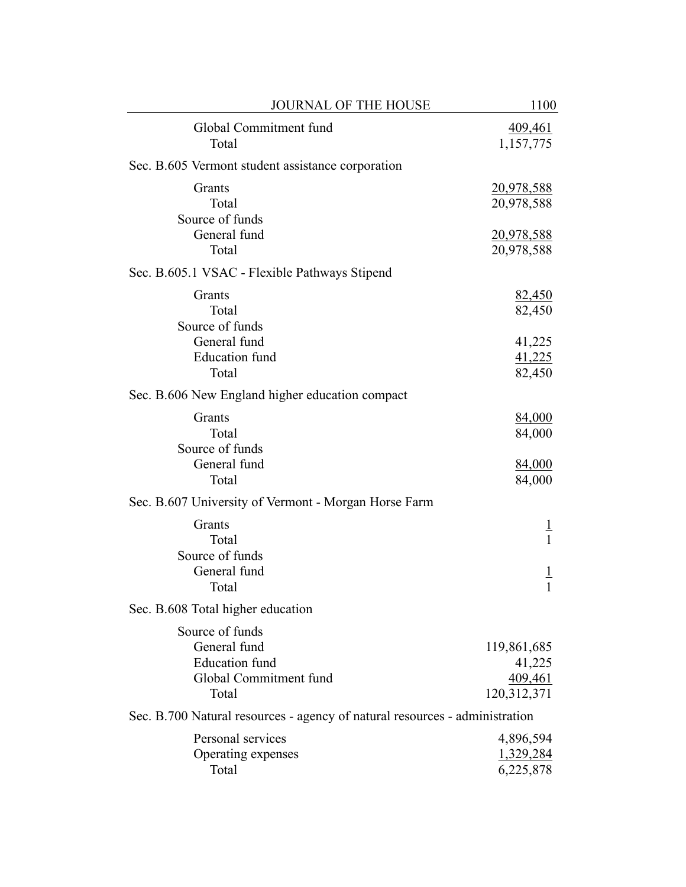| <b>JOURNAL OF THE HOUSE</b>                                                                 | 1100                                            |
|---------------------------------------------------------------------------------------------|-------------------------------------------------|
| Global Commitment fund<br>Total                                                             | 409,461<br>1,157,775                            |
| Sec. B.605 Vermont student assistance corporation                                           |                                                 |
| Grants<br>Total<br>Source of funds                                                          | <u>20,978,588</u><br>20,978,588                 |
| General fund<br>Total                                                                       | 20,978,588<br>20,978,588                        |
| Sec. B.605.1 VSAC - Flexible Pathways Stipend                                               |                                                 |
| Grants<br>Total<br>Source of funds                                                          | <u>82,450</u><br>82,450                         |
| General fund<br><b>Education</b> fund<br>Total                                              | 41,225<br>41,225<br>82,450                      |
| Sec. B.606 New England higher education compact                                             |                                                 |
| Grants<br>Total<br>Source of funds                                                          | 84,000<br>84,000                                |
| General fund<br>Total                                                                       | 84,000<br>84,000                                |
| Sec. B.607 University of Vermont - Morgan Horse Farm                                        |                                                 |
| Grants<br>Total<br>Source of funds<br>General fund                                          | T<br>$\mathbf{1}$<br>$\overline{1}$             |
| Total                                                                                       |                                                 |
| Sec. B.608 Total higher education                                                           |                                                 |
| Source of funds<br>General fund<br><b>Education</b> fund<br>Global Commitment fund<br>Total | 119,861,685<br>41,225<br>409,461<br>120,312,371 |
| Sec. B.700 Natural resources - agency of natural resources - administration                 |                                                 |
| Personal services<br>Operating expenses<br>Total                                            | 4,896,594<br>1,329,284<br>6,225,878             |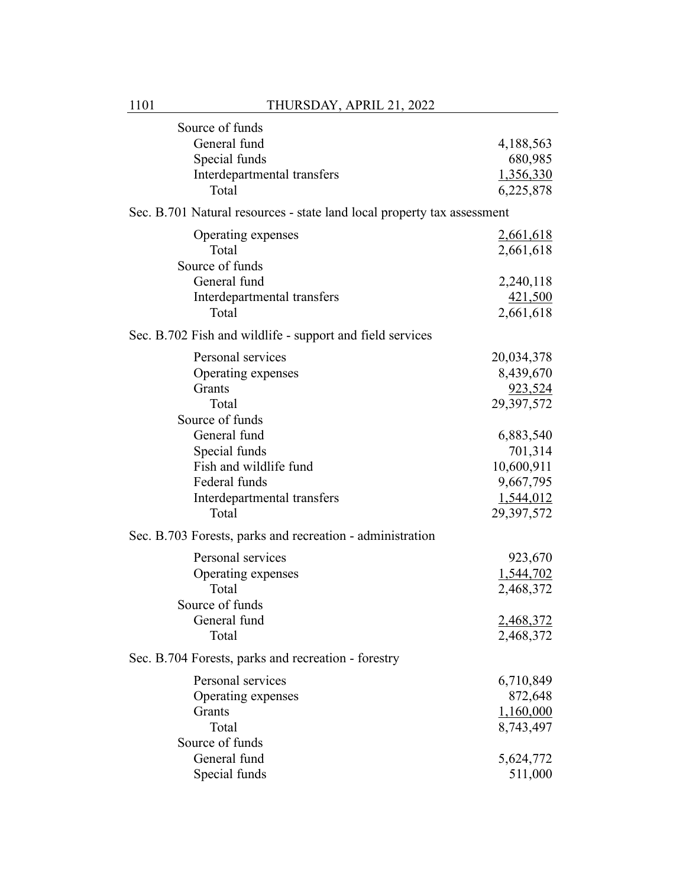| Source of funds                                                         |            |
|-------------------------------------------------------------------------|------------|
| General fund                                                            | 4,188,563  |
| Special funds                                                           | 680,985    |
| Interdepartmental transfers                                             | 1,356,330  |
| Total                                                                   | 6,225,878  |
| Sec. B.701 Natural resources - state land local property tax assessment |            |
| Operating expenses                                                      | 2,661,618  |
| Total                                                                   | 2,661,618  |
| Source of funds                                                         |            |
| General fund                                                            | 2,240,118  |
| Interdepartmental transfers                                             | 421,500    |
| Total                                                                   | 2,661,618  |
| Sec. B.702 Fish and wildlife - support and field services               |            |
| Personal services                                                       | 20,034,378 |
| Operating expenses                                                      | 8,439,670  |
| Grants                                                                  | 923,524    |
| Total                                                                   | 29,397,572 |
| Source of funds                                                         |            |
| General fund                                                            | 6,883,540  |
| Special funds                                                           | 701,314    |
| Fish and wildlife fund                                                  | 10,600,911 |
| Federal funds                                                           | 9,667,795  |
| Interdepartmental transfers                                             | 1,544,012  |
| Total                                                                   | 29,397,572 |
| Sec. B.703 Forests, parks and recreation - administration               |            |
| Personal services                                                       | 923,670    |
| Operating expenses                                                      | 1,544,702  |
| Total                                                                   | 2,468,372  |
| Source of funds                                                         |            |
| General fund                                                            | 2,468,372  |
| Total                                                                   | 2,468,372  |
| Sec. B.704 Forests, parks and recreation - forestry                     |            |
| Personal services                                                       | 6,710,849  |
| Operating expenses                                                      | 872,648    |
| Grants                                                                  | 1,160,000  |
| Total                                                                   | 8,743,497  |
| Source of funds                                                         |            |
| General fund                                                            | 5,624,772  |
| Special funds                                                           | 511,000    |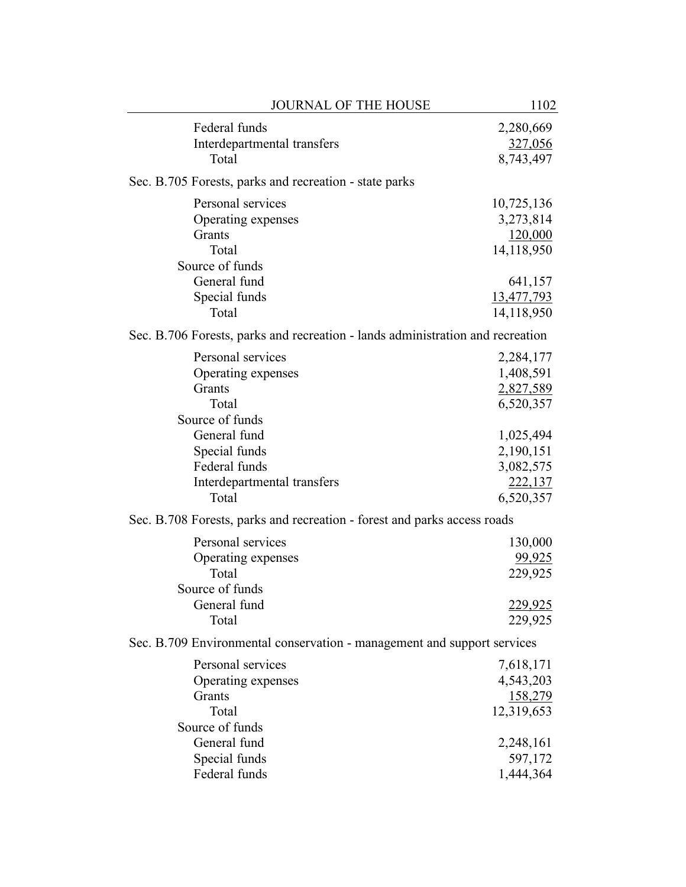| <b>JOURNAL OF THE HOUSE</b>                                                                                                                                                                                                                                                                                                | 1102                                                                                                                                            |
|----------------------------------------------------------------------------------------------------------------------------------------------------------------------------------------------------------------------------------------------------------------------------------------------------------------------------|-------------------------------------------------------------------------------------------------------------------------------------------------|
| Federal funds<br>Interdepartmental transfers<br>Total                                                                                                                                                                                                                                                                      | 2,280,669<br>327,056<br>8,743,497                                                                                                               |
| Sec. B.705 Forests, parks and recreation - state parks                                                                                                                                                                                                                                                                     |                                                                                                                                                 |
| Personal services<br>Operating expenses<br>Grants<br>Total<br>Source of funds<br>General fund<br>Special funds                                                                                                                                                                                                             | 10,725,136<br>3,273,814<br>120,000<br>14,118,950<br>641,157<br>13,477,793                                                                       |
| Total                                                                                                                                                                                                                                                                                                                      | 14,118,950                                                                                                                                      |
| Sec. B.706 Forests, parks and recreation - lands administration and recreation                                                                                                                                                                                                                                             |                                                                                                                                                 |
| Personal services<br>Operating expenses<br>Grants<br>Total<br>Source of funds<br>General fund<br>Special funds<br>Federal funds<br>Interdepartmental transfers<br>Total<br>Sec. B.708 Forests, parks and recreation - forest and parks access roads<br>Personal services<br>Operating expenses<br>Total<br>Source of funds | 2,284,177<br>1,408,591<br>2,827,589<br>6,520,357<br>1,025,494<br>2,190,151<br>3,082,575<br>222,137<br>6,520,357<br>130,000<br>99,925<br>229,925 |
| General fund<br>Total                                                                                                                                                                                                                                                                                                      | 229,925<br>229,925                                                                                                                              |
| Sec. B.709 Environmental conservation - management and support services                                                                                                                                                                                                                                                    |                                                                                                                                                 |
| Personal services<br>Operating expenses<br>Grants<br>Total<br>Source of funds<br>General fund<br>Special funds<br>Federal funds                                                                                                                                                                                            | 7,618,171<br>4,543,203<br>158,279<br>12,319,653<br>2,248,161<br>597,172<br>1,444,364                                                            |
|                                                                                                                                                                                                                                                                                                                            |                                                                                                                                                 |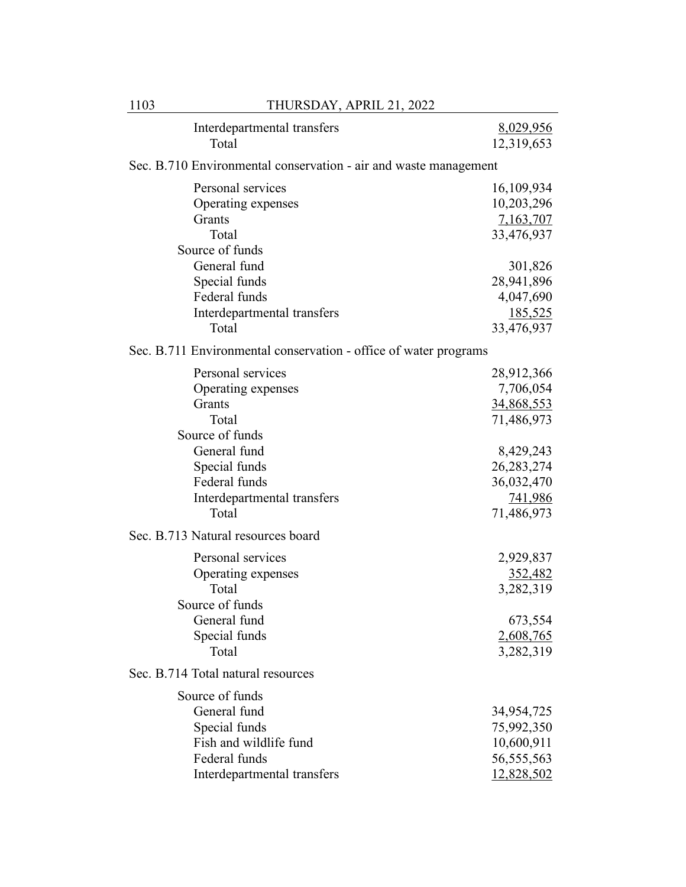| 1103 | THURSDAY, APRIL 21, 2022                                                                                                   |                                                                         |
|------|----------------------------------------------------------------------------------------------------------------------------|-------------------------------------------------------------------------|
|      | Interdepartmental transfers<br>Total                                                                                       | 8,029,956<br>12,319,653                                                 |
|      | Sec. B.710 Environmental conservation - air and waste management                                                           |                                                                         |
|      | Personal services<br>Operating expenses<br>Grants                                                                          | 16,109,934<br>10,203,296<br>7,163,707                                   |
|      | Total                                                                                                                      | 33,476,937                                                              |
|      | Source of funds<br>General fund<br>Special funds<br>Federal funds<br>Interdepartmental transfers<br>Total                  | 301,826<br>28,941,896<br>4,047,690<br><u>185,525</u><br>33,476,937      |
|      | Sec. B.711 Environmental conservation - office of water programs                                                           |                                                                         |
|      | Personal services<br>Operating expenses<br>Grants<br>Total                                                                 | 28,912,366<br>7,706,054<br>34,868,553<br>71,486,973                     |
|      | Source of funds<br>General fund<br>Special funds<br>Federal funds<br>Interdepartmental transfers<br>Total                  | 8,429,243<br>26, 283, 274<br>36,032,470<br><u>741,986</u><br>71,486,973 |
|      | Sec. B.713 Natural resources board                                                                                         |                                                                         |
|      | Personal services<br>Operating expenses<br>Total<br>Source of funds<br>General fund<br>Special funds<br>Total              | 2,929,837<br>352,482<br>3,282,319<br>673,554<br>2,608,765<br>3,282,319  |
|      | Sec. B.714 Total natural resources                                                                                         |                                                                         |
|      | Source of funds<br>General fund<br>Special funds<br>Fish and wildlife fund<br>Federal funds<br>Interdepartmental transfers | 34,954,725<br>75,992,350<br>10,600,911<br>56, 555, 563<br>12,828,502    |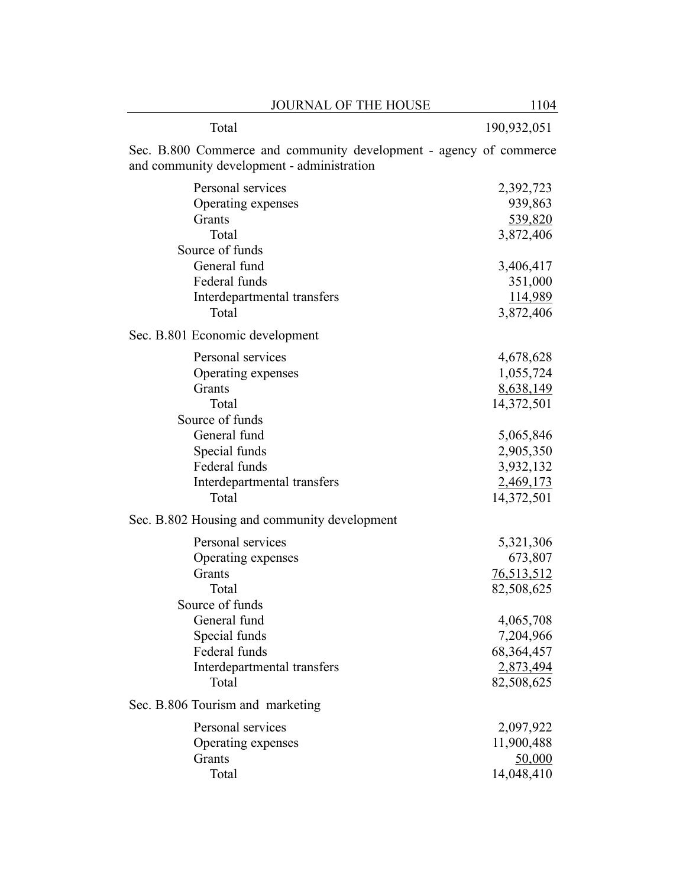| <b>JOURNAL OF THE HOUSE</b>                                                                                      | 1104              |
|------------------------------------------------------------------------------------------------------------------|-------------------|
| Total                                                                                                            | 190,932,051       |
| Sec. B.800 Commerce and community development - agency of commerce<br>and community development - administration |                   |
| Personal services                                                                                                | 2,392,723         |
| Operating expenses                                                                                               | 939,863           |
| Grants                                                                                                           | 539,820           |
| Total                                                                                                            | 3,872,406         |
| Source of funds                                                                                                  |                   |
| General fund                                                                                                     | 3,406,417         |
| Federal funds                                                                                                    | 351,000           |
| Interdepartmental transfers                                                                                      | 114,989           |
| Total                                                                                                            | 3,872,406         |
| Sec. B.801 Economic development                                                                                  |                   |
| Personal services                                                                                                | 4,678,628         |
| Operating expenses                                                                                               | 1,055,724         |
| Grants                                                                                                           | 8,638,149         |
| Total                                                                                                            | 14,372,501        |
| Source of funds                                                                                                  |                   |
| General fund                                                                                                     | 5,065,846         |
| Special funds                                                                                                    | 2,905,350         |
| Federal funds                                                                                                    | 3,932,132         |
| Interdepartmental transfers                                                                                      | 2,469,173         |
| Total                                                                                                            | 14,372,501        |
| Sec. B.802 Housing and community development                                                                     |                   |
| Personal services                                                                                                | 5,321,306         |
| Operating expenses                                                                                               | 673,807           |
| Grants                                                                                                           | <u>76,513,512</u> |
| Total                                                                                                            | 82,508,625        |
| Source of funds                                                                                                  |                   |
| General fund                                                                                                     | 4,065,708         |
| Special funds                                                                                                    | 7,204,966         |
| Federal funds                                                                                                    | 68, 364, 457      |
| Interdepartmental transfers                                                                                      | 2,873,494         |
| Total                                                                                                            | 82,508,625        |
| Sec. B.806 Tourism and marketing                                                                                 |                   |
| Personal services                                                                                                | 2,097,922         |
| Operating expenses                                                                                               | 11,900,488        |
| Grants                                                                                                           | 50,000            |
| Total                                                                                                            | 14,048,410        |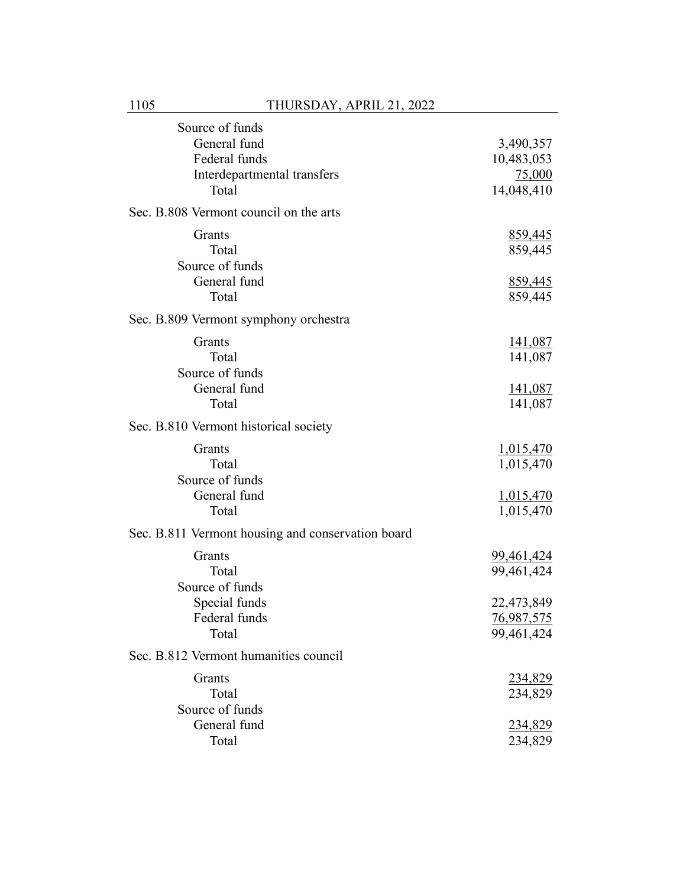| Source of funds                                   |                   |
|---------------------------------------------------|-------------------|
| General fund                                      | 3,490,357         |
| Federal funds                                     | 10,483,053        |
| Interdepartmental transfers                       | 75,000            |
| Total                                             | 14,048,410        |
| Sec. B.808 Vermont council on the arts            |                   |
| Grants                                            | 859,445           |
| Total                                             | 859,445           |
| Source of funds                                   |                   |
| General fund                                      | 859,445           |
| Total                                             | 859,445           |
| Sec. B.809 Vermont symphony orchestra             |                   |
| Grants                                            | <u>141,087</u>    |
| Total                                             | 141,087           |
| Source of funds                                   |                   |
| General fund                                      | <u>141,087</u>    |
| Total                                             | 141,087           |
| Sec. B.810 Vermont historical society             |                   |
| Grants                                            | 1,015,470         |
| Total                                             | 1,015,470         |
| Source of funds                                   |                   |
| General fund                                      | 1,015,470         |
| Total                                             | 1,015,470         |
| Sec. B.811 Vermont housing and conservation board |                   |
| Grants                                            | <u>99,461,424</u> |
| Total                                             | 99,461,424        |
| Source of funds                                   |                   |
| Special funds                                     | 22,473,849        |
| Federal funds                                     | 76,987,575        |
| Total                                             | 99,461,424        |
| Sec. B.812 Vermont humanities council             |                   |
| Grants                                            | 234,829           |
| Total                                             | 234,829           |
| Source of funds                                   |                   |
| General fund                                      | <u>234,829</u>    |
| Total                                             | 234,829           |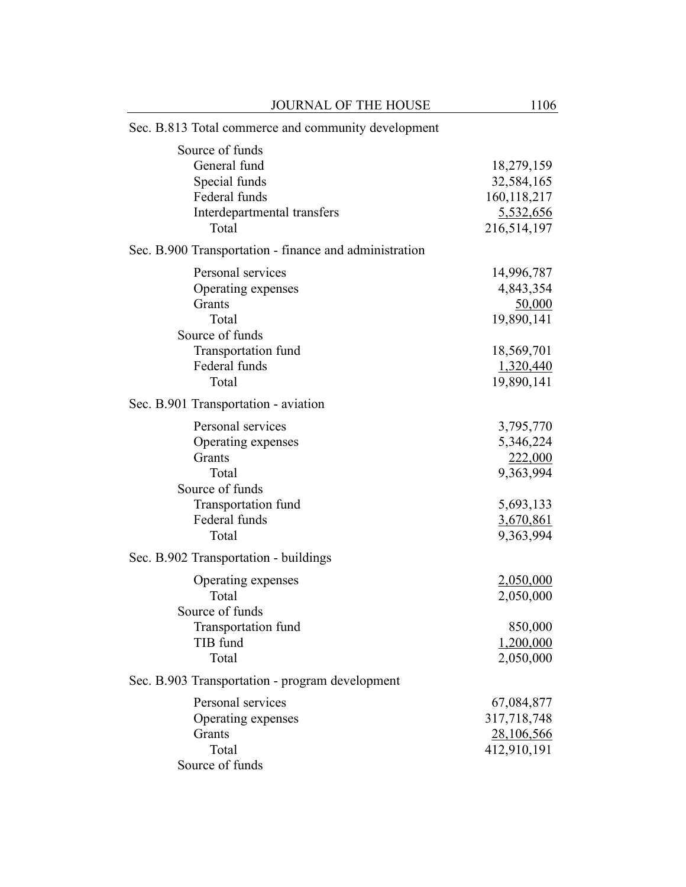| JOURNAL OF THE HOUSE                                                                                                           | 1106                                                                                     |  |  |
|--------------------------------------------------------------------------------------------------------------------------------|------------------------------------------------------------------------------------------|--|--|
| Sec. B.813 Total commerce and community development                                                                            |                                                                                          |  |  |
| Source of funds<br>General fund<br>Special funds<br>Federal funds<br>Interdepartmental transfers<br>Total                      | 18,279,159<br>32,584,165<br>160,118,217<br>5,532,656<br>216,514,197                      |  |  |
| Sec. B.900 Transportation - finance and administration                                                                         |                                                                                          |  |  |
| Personal services<br>Operating expenses<br>Grants<br>Total<br>Source of funds<br>Transportation fund<br>Federal funds<br>Total | 14,996,787<br>4,843,354<br>50,000<br>19,890,141<br>18,569,701<br>1,320,440<br>19,890,141 |  |  |
| Sec. B.901 Transportation - aviation                                                                                           |                                                                                          |  |  |
| Personal services<br>Operating expenses<br>Grants<br>Total<br>Source of funds<br>Transportation fund<br>Federal funds<br>Total | 3,795,770<br>5,346,224<br>222,000<br>9,363,994<br>5,693,133<br>3,670,861<br>9,363,994    |  |  |
| Sec. B.902 Transportation - buildings                                                                                          |                                                                                          |  |  |
| Operating expenses<br>Total<br>Source of funds                                                                                 | 2,050,000<br>2,050,000                                                                   |  |  |
| Transportation fund<br>TIB fund<br>Total                                                                                       | 850,000<br>1,200,000<br>2,050,000                                                        |  |  |
| Sec. B.903 Transportation - program development                                                                                |                                                                                          |  |  |
| Personal services<br>Operating expenses<br>Grants<br>Total<br>Source of funds                                                  | 67,084,877<br>317,718,748<br>28,106,566<br>412,910,191                                   |  |  |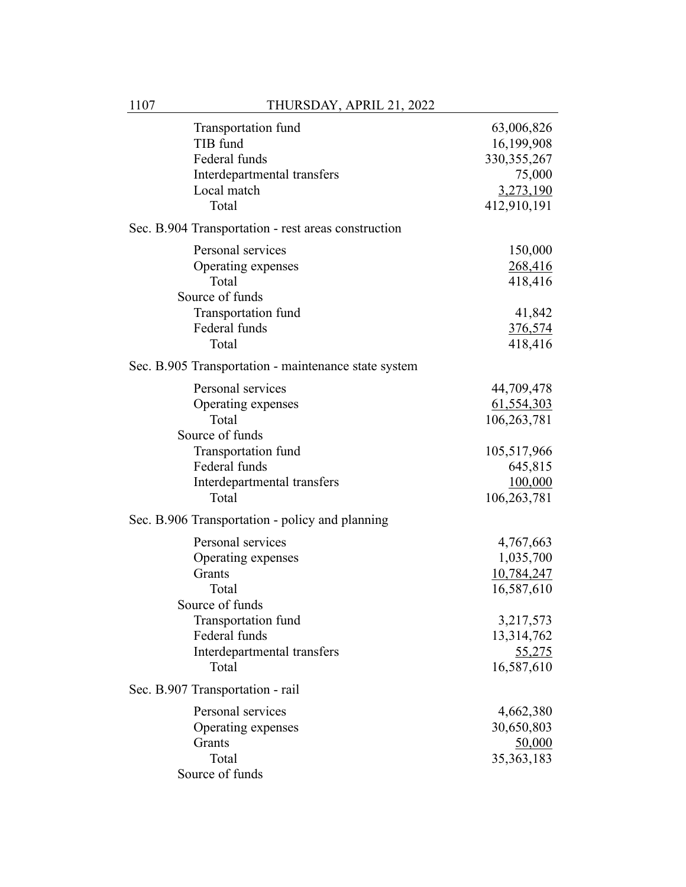| Transportation fund<br>TIB fund<br>Federal funds<br>Interdepartmental transfers<br>Local match<br>Total | 63,006,826<br>16,199,908<br>330, 355, 267<br>75,000<br>3,273,190<br>412,910,191 |
|---------------------------------------------------------------------------------------------------------|---------------------------------------------------------------------------------|
| Sec. B.904 Transportation - rest areas construction                                                     |                                                                                 |
| Personal services<br>Operating expenses<br>Total<br>Source of funds                                     | 150,000<br>268,416<br>418,416                                                   |
| Transportation fund<br>Federal funds<br>Total                                                           | 41,842<br><u>376,574</u><br>418,416                                             |
| Sec. B.905 Transportation - maintenance state system                                                    |                                                                                 |
| Personal services<br>Operating expenses<br>Total<br>Source of funds                                     | 44,709,478<br>61,554,303<br>106,263,781                                         |
| Transportation fund<br>Federal funds<br>Interdepartmental transfers<br>Total                            | 105,517,966<br>645,815<br>100,000<br>106,263,781                                |
| Sec. B.906 Transportation - policy and planning                                                         |                                                                                 |
| Personal services<br>Operating expenses<br>Grants<br>Total<br>Source of funds                           | 4,767,663<br>1,035,700<br>10,784,247<br>16,587,610                              |
| Transportation fund<br>Federal funds<br>Interdepartmental transfers<br>Total                            | 3,217,573<br>13,314,762<br>55,275<br>16,587,610                                 |
| Sec. B.907 Transportation - rail                                                                        |                                                                                 |
| Personal services<br>Operating expenses<br>Grants<br>Total<br>Source of funds                           | 4,662,380<br>30,650,803<br>50,000<br>35, 363, 183                               |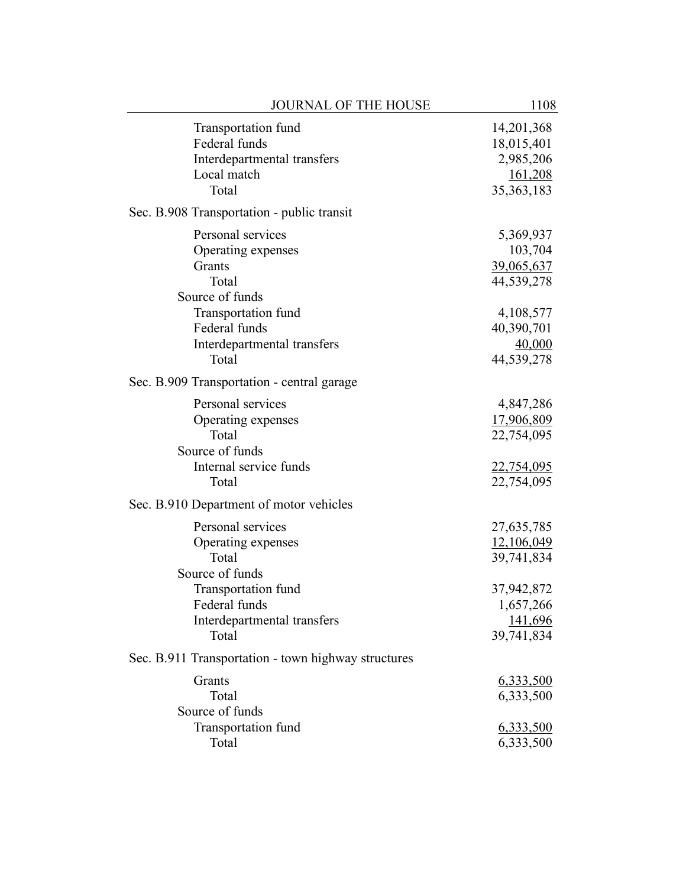| <b>JOURNAL OF THE HOUSE</b>                         | 1108              |
|-----------------------------------------------------|-------------------|
| Transportation fund                                 | 14,201,368        |
| Federal funds                                       | 18,015,401        |
| Interdepartmental transfers                         | 2,985,206         |
| Local match                                         | 161,208           |
| Total                                               | 35, 363, 183      |
| Sec. B.908 Transportation - public transit          |                   |
| Personal services                                   | 5,369,937         |
| Operating expenses                                  | 103,704           |
| Grants                                              | 39,065,637        |
| Total                                               | 44,539,278        |
| Source of funds                                     |                   |
| Transportation fund                                 | 4,108,577         |
| Federal funds                                       | 40,390,701        |
| Interdepartmental transfers                         | 40,000            |
| Total                                               | 44,539,278        |
| Sec. B.909 Transportation - central garage          |                   |
| Personal services                                   | 4,847,286         |
| Operating expenses                                  | 17,906,809        |
| Total                                               | 22,754,095        |
| Source of funds                                     |                   |
| Internal service funds                              | <u>22,754,095</u> |
| Total                                               | 22,754,095        |
| Sec. B.910 Department of motor vehicles             |                   |
| Personal services                                   | 27,635,785        |
| Operating expenses                                  | 12,106,049        |
| Total                                               | 39,741,834        |
| Source of funds                                     |                   |
| Transportation fund                                 | 37,942,872        |
| Federal funds                                       | 1,657,266         |
| Interdepartmental transfers                         | 141,696           |
| Total                                               | 39,741,834        |
| Sec. B.911 Transportation - town highway structures |                   |
| Grants                                              | <u>6,333,500</u>  |
| Total                                               | 6,333,500         |
| Source of funds                                     |                   |
| Transportation fund                                 | <u>6,333,500</u>  |
| Total                                               | 6,333,500         |
|                                                     |                   |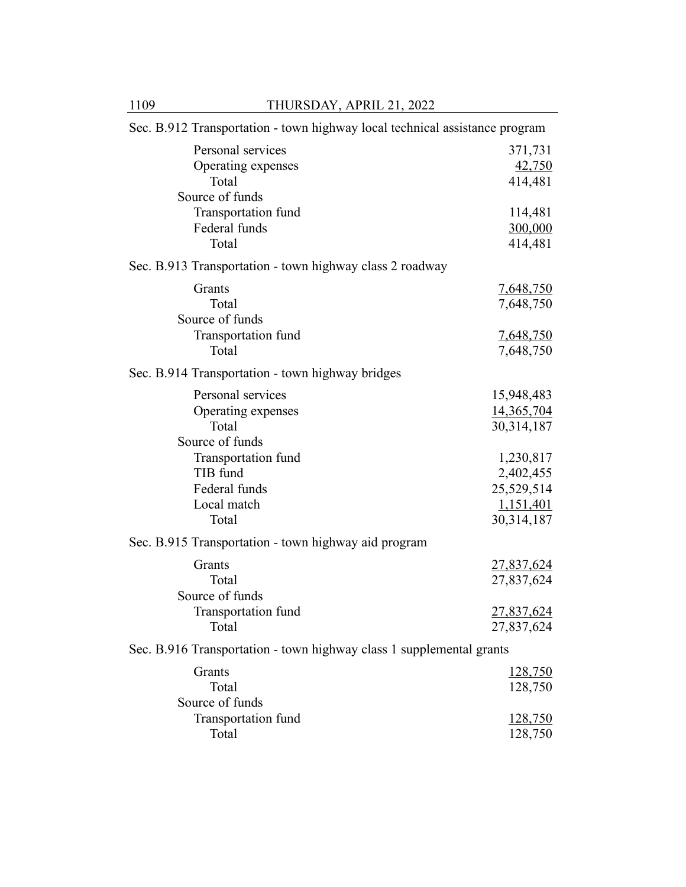| Sec. B.912 Transportation - town highway local technical assistance program |                               |  |
|-----------------------------------------------------------------------------|-------------------------------|--|
| Personal services<br>Operating expenses<br>Total                            | 371,731<br>42,750<br>414,481  |  |
| Source of funds<br>Transportation fund<br>Federal funds<br>Total            | 114,481<br>300,000<br>414,481 |  |
| Sec. B.913 Transportation - town highway class 2 roadway                    |                               |  |
| Grants<br>Total<br>Source of funds                                          | 7,648,750<br>7,648,750        |  |
| Transportation fund<br>Total                                                | <u>7,648,750</u>              |  |
|                                                                             | 7,648,750                     |  |
| Sec. B.914 Transportation - town highway bridges                            |                               |  |
| Personal services                                                           | 15,948,483                    |  |
| Operating expenses<br>Total                                                 | 14,365,704<br>30,314,187      |  |
| Source of funds                                                             |                               |  |
| Transportation fund                                                         | 1,230,817                     |  |
| TIB fund                                                                    | 2,402,455                     |  |
| Federal funds                                                               | 25,529,514                    |  |
| Local match                                                                 | 1,151,401                     |  |
| Total                                                                       | 30,314,187                    |  |
| Sec. B.915 Transportation - town highway aid program                        |                               |  |
| Grants                                                                      | <u>27,837,624</u>             |  |
| Total                                                                       | 27,837,624                    |  |
| Source of funds                                                             |                               |  |
| Transportation fund                                                         | <u>27,837,624</u>             |  |
| Total                                                                       | 27,837,624                    |  |
| Sec. B.916 Transportation - town highway class 1 supplemental grants        |                               |  |
| Grants<br>Total<br>Source of funds                                          | <u>128,750</u><br>128,750     |  |
| Transportation fund                                                         | <u>128,750</u>                |  |
| Total                                                                       | 128,750                       |  |
|                                                                             |                               |  |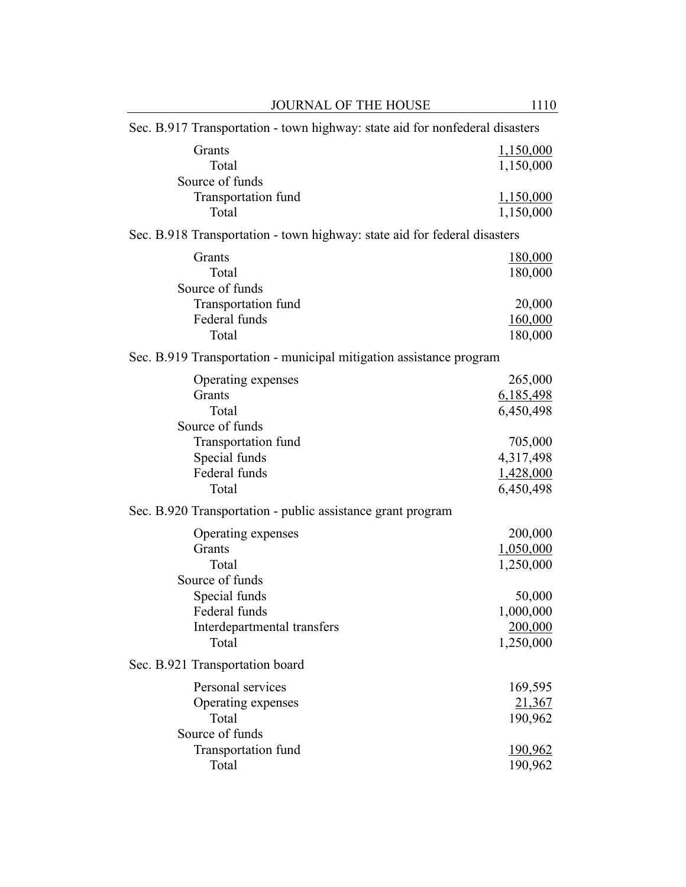| <b>JOURNAL OF THE HOUSE</b>                                                  | 1110           |
|------------------------------------------------------------------------------|----------------|
| Sec. B.917 Transportation - town highway: state aid for nonfederal disasters |                |
| Grants                                                                       | 1,150,000      |
| Total                                                                        | 1,150,000      |
| Source of funds                                                              |                |
| Transportation fund                                                          | 1,150,000      |
| Total                                                                        | 1,150,000      |
| Sec. B.918 Transportation - town highway: state aid for federal disasters    |                |
| Grants                                                                       | <u>180,000</u> |
| Total                                                                        | 180,000        |
| Source of funds                                                              |                |
| Transportation fund                                                          | 20,000         |
| Federal funds                                                                | 160,000        |
| Total                                                                        | 180,000        |
| Sec. B.919 Transportation - municipal mitigation assistance program          |                |
| Operating expenses                                                           | 265,000        |
| Grants                                                                       | 6,185,498      |
| Total                                                                        | 6,450,498      |
| Source of funds                                                              |                |
| Transportation fund                                                          | 705,000        |
| Special funds                                                                | 4,317,498      |
| Federal funds                                                                | 1,428,000      |
| Total                                                                        | 6,450,498      |
| Sec. B.920 Transportation - public assistance grant program                  |                |
| Operating expenses                                                           | 200,000        |
| Grants                                                                       | 1,050,000      |
| Total                                                                        | 1,250,000      |
| Source of funds                                                              |                |
| Special funds                                                                | 50,000         |
| Federal funds                                                                | 1,000,000      |
| Interdepartmental transfers                                                  | 200,000        |
| Total                                                                        | 1,250,000      |
| Sec. B.921 Transportation board                                              |                |
| Personal services                                                            | 169,595        |
| Operating expenses                                                           | 21,367         |
| Total                                                                        | 190,962        |
| Source of funds                                                              |                |
| Transportation fund                                                          | 190,962        |
| Total                                                                        | 190,962        |
|                                                                              |                |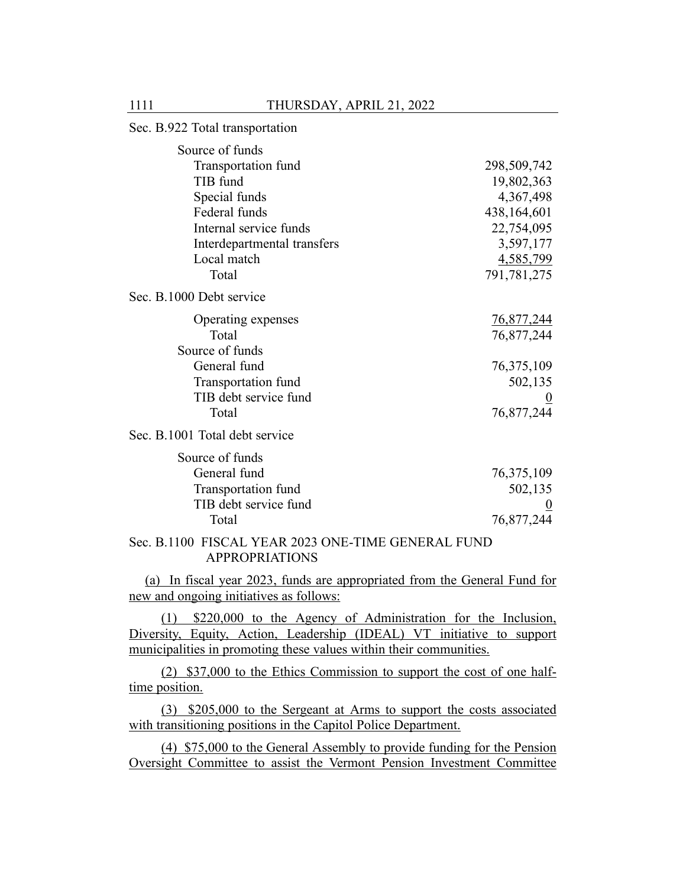# Sec. B.922 Total transportation Source of funds Transportation fund 298,509,742 TIB fund 19,802,363 Special funds 4,367,498 Federal funds 438,164,601 Internal service funds 22,754,095 Interdepartmental transfers 3,597,177 Local match 4,585,799 Total 791,781,275 Sec. B.1000 Debt service Operating expenses 76,877,244 Total 76,877,244 Source of funds General fund 76,375,109 Transportation fund 502,135 TIB debt service fund 0 Total 76,877,244 Sec. B.1001 Total debt service Source of funds General fund 76,375,109 Transportation fund 502,135 TIB debt service fund 0 Total 76,877,244

## Sec. B.1100 FISCAL YEAR 2023 ONE-TIME GENERAL FUND APPROPRIATIONS

(a) In fiscal year 2023, funds are appropriated from the General Fund for new and ongoing initiatives as follows:

(1) \$220,000 to the Agency of Administration for the Inclusion, Diversity, Equity, Action, Leadership (IDEAL) VT initiative to support municipalities in promoting these values within their communities.

(2) \$37,000 to the Ethics Commission to support the cost of one halftime position.

(3) \$205,000 to the Sergeant at Arms to support the costs associated with transitioning positions in the Capitol Police Department.

(4) \$75,000 to the General Assembly to provide funding for the Pension Oversight Committee to assist the Vermont Pension Investment Committee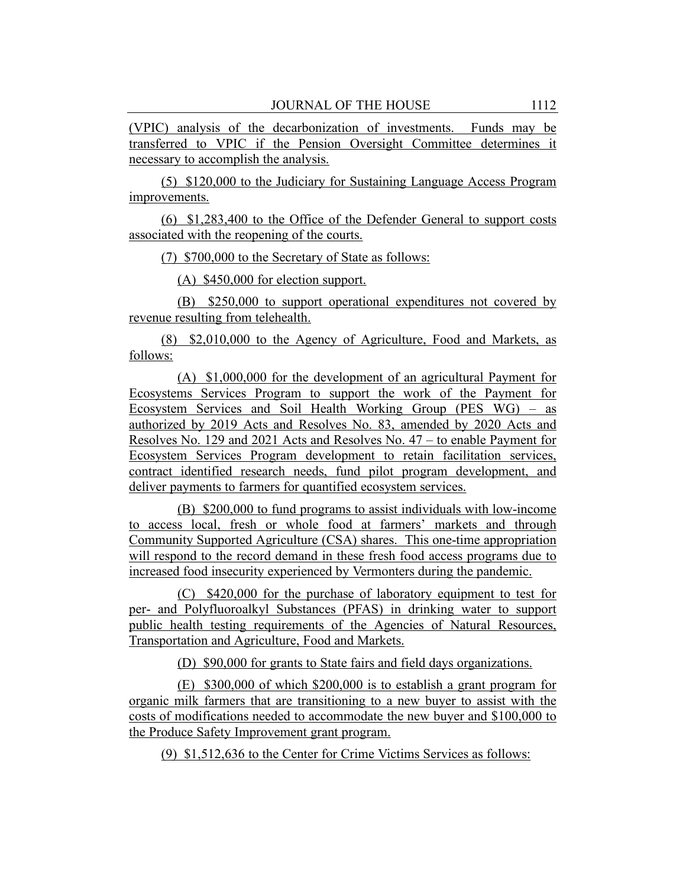(VPIC) analysis of the decarbonization of investments. Funds may be transferred to VPIC if the Pension Oversight Committee determines it necessary to accomplish the analysis.

(5) \$120,000 to the Judiciary for Sustaining Language Access Program improvements.

(6) \$1,283,400 to the Office of the Defender General to support costs associated with the reopening of the courts.

(7) \$700,000 to the Secretary of State as follows:

(A) \$450,000 for election support.

(B) \$250,000 to support operational expenditures not covered by revenue resulting from telehealth.

(8) \$2,010,000 to the Agency of Agriculture, Food and Markets, as follows:

(A) \$1,000,000 for the development of an agricultural Payment for Ecosystems Services Program to support the work of the Payment for Ecosystem Services and Soil Health Working Group (PES WG) – as authorized by 2019 Acts and Resolves No. 83, amended by 2020 Acts and Resolves No. 129 and 2021 Acts and Resolves No. 47 – to enable Payment for Ecosystem Services Program development to retain facilitation services, contract identified research needs, fund pilot program development, and deliver payments to farmers for quantified ecosystem services.

(B) \$200,000 to fund programs to assist individuals with low-income to access local, fresh or whole food at farmers' markets and through Community Supported Agriculture (CSA) shares. This one-time appropriation will respond to the record demand in these fresh food access programs due to increased food insecurity experienced by Vermonters during the pandemic.

(C) \$420,000 for the purchase of laboratory equipment to test for per- and Polyfluoroalkyl Substances (PFAS) in drinking water to support public health testing requirements of the Agencies of Natural Resources, Transportation and Agriculture, Food and Markets.

(D) \$90,000 for grants to State fairs and field days organizations.

(E) \$300,000 of which \$200,000 is to establish a grant program for organic milk farmers that are transitioning to a new buyer to assist with the costs of modifications needed to accommodate the new buyer and \$100,000 to the Produce Safety Improvement grant program.

(9) \$1,512,636 to the Center for Crime Victims Services as follows: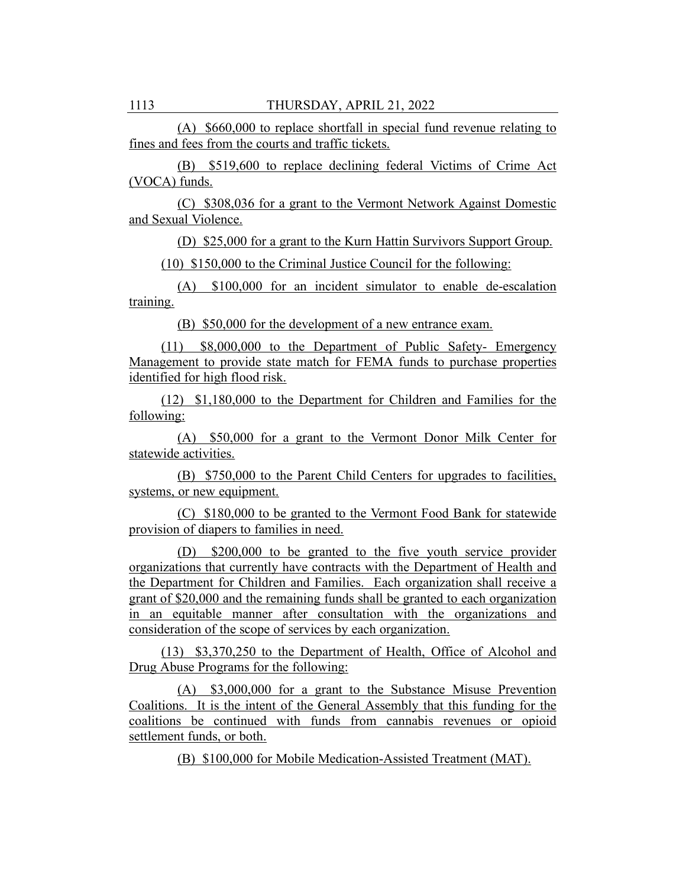(A) \$660,000 to replace shortfall in special fund revenue relating to fines and fees from the courts and traffic tickets.

(B) \$519,600 to replace declining federal Victims of Crime Act (VOCA) funds.

(C) \$308,036 for a grant to the Vermont Network Against Domestic and Sexual Violence.

(D) \$25,000 for a grant to the Kurn Hattin Survivors Support Group.

(10) \$150,000 to the Criminal Justice Council for the following:

(A) \$100,000 for an incident simulator to enable de-escalation training.

(B) \$50,000 for the development of a new entrance exam.

(11) \$8,000,000 to the Department of Public Safety- Emergency Management to provide state match for FEMA funds to purchase properties identified for high flood risk.

(12) \$1,180,000 to the Department for Children and Families for the following:

(A) \$50,000 for a grant to the Vermont Donor Milk Center for statewide activities.

(B) \$750,000 to the Parent Child Centers for upgrades to facilities, systems, or new equipment.

(C) \$180,000 to be granted to the Vermont Food Bank for statewide provision of diapers to families in need.

(D) \$200,000 to be granted to the five youth service provider organizations that currently have contracts with the Department of Health and the Department for Children and Families. Each organization shall receive a grant of \$20,000 and the remaining funds shall be granted to each organization in an equitable manner after consultation with the organizations and consideration of the scope of services by each organization.

(13) \$3,370,250 to the Department of Health, Office of Alcohol and Drug Abuse Programs for the following:

(A) \$3,000,000 for a grant to the Substance Misuse Prevention Coalitions. It is the intent of the General Assembly that this funding for the coalitions be continued with funds from cannabis revenues or opioid settlement funds, or both.

(B) \$100,000 for Mobile Medication-Assisted Treatment (MAT).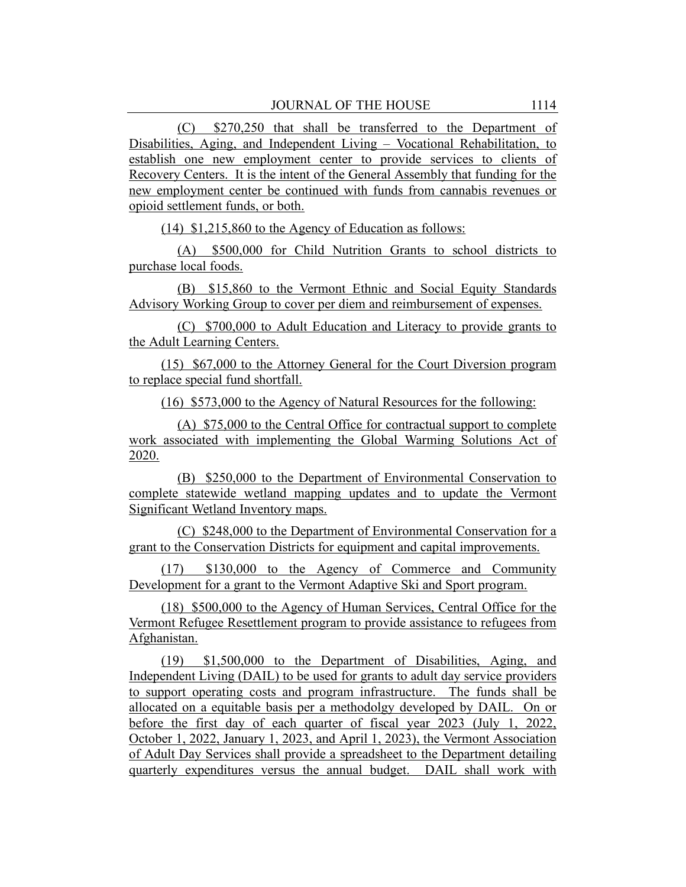(C) \$270,250 that shall be transferred to the Department of Disabilities, Aging, and Independent Living – Vocational Rehabilitation, to establish one new employment center to provide services to clients of Recovery Centers. It is the intent of the General Assembly that funding for the new employment center be continued with funds from cannabis revenues or opioid settlement funds, or both.

(14) \$1,215,860 to the Agency of Education as follows:

(A) \$500,000 for Child Nutrition Grants to school districts to purchase local foods.

(B) \$15,860 to the Vermont Ethnic and Social Equity Standards Advisory Working Group to cover per diem and reimbursement of expenses.

(C) \$700,000 to Adult Education and Literacy to provide grants to the Adult Learning Centers.

(15) \$67,000 to the Attorney General for the Court Diversion program to replace special fund shortfall.

(16) \$573,000 to the Agency of Natural Resources for the following:

(A) \$75,000 to the Central Office for contractual support to complete work associated with implementing the Global Warming Solutions Act of 2020.

(B) \$250,000 to the Department of Environmental Conservation to complete statewide wetland mapping updates and to update the Vermont Significant Wetland Inventory maps.

(C) \$248,000 to the Department of Environmental Conservation for a grant to the Conservation Districts for equipment and capital improvements.

(17) \$130,000 to the Agency of Commerce and Community Development for a grant to the Vermont Adaptive Ski and Sport program.

(18) \$500,000 to the Agency of Human Services, Central Office for the Vermont Refugee Resettlement program to provide assistance to refugees from Afghanistan.

(19) \$1,500,000 to the Department of Disabilities, Aging, and Independent Living (DAIL) to be used for grants to adult day service providers to support operating costs and program infrastructure. The funds shall be allocated on a equitable basis per a methodolgy developed by DAIL. On or before the first day of each quarter of fiscal year 2023 (July 1, 2022, October 1, 2022, January 1, 2023, and April 1, 2023), the Vermont Association of Adult Day Services shall provide a spreadsheet to the Department detailing quarterly expenditures versus the annual budget. DAIL shall work with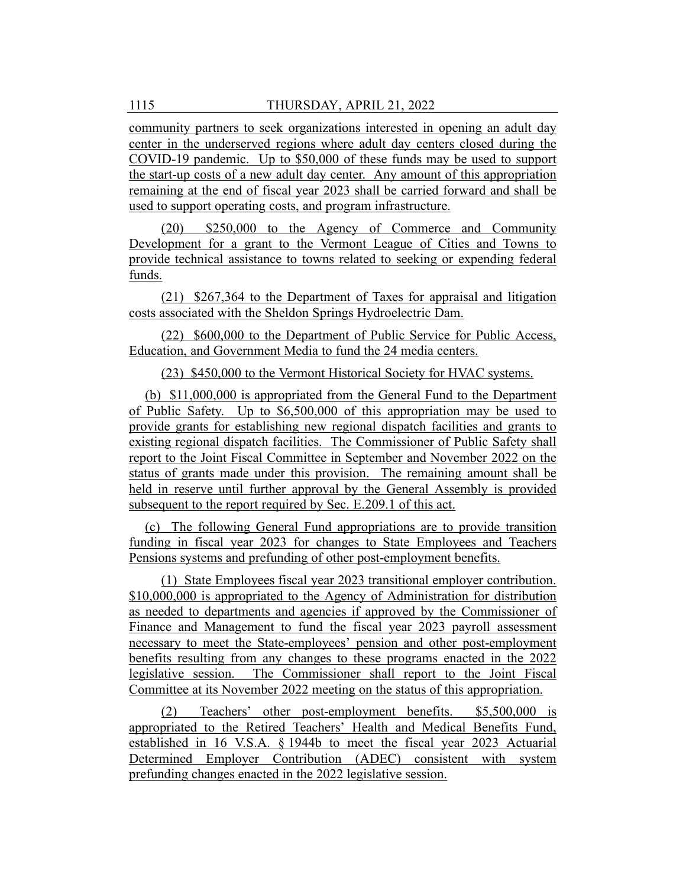community partners to seek organizations interested in opening an adult day center in the underserved regions where adult day centers closed during the COVID-19 pandemic. Up to \$50,000 of these funds may be used to support the start-up costs of a new adult day center. Any amount of this appropriation remaining at the end of fiscal year 2023 shall be carried forward and shall be used to support operating costs, and program infrastructure.

(20) \$250,000 to the Agency of Commerce and Community Development for a grant to the Vermont League of Cities and Towns to provide technical assistance to towns related to seeking or expending federal funds.

(21) \$267,364 to the Department of Taxes for appraisal and litigation costs associated with the Sheldon Springs Hydroelectric Dam.

(22) \$600,000 to the Department of Public Service for Public Access, Education, and Government Media to fund the 24 media centers.

(23) \$450,000 to the Vermont Historical Society for HVAC systems.

(b) \$11,000,000 is appropriated from the General Fund to the Department of Public Safety. Up to \$6,500,000 of this appropriation may be used to provide grants for establishing new regional dispatch facilities and grants to existing regional dispatch facilities. The Commissioner of Public Safety shall report to the Joint Fiscal Committee in September and November 2022 on the status of grants made under this provision. The remaining amount shall be held in reserve until further approval by the General Assembly is provided subsequent to the report required by Sec. E.209.1 of this act.

(c) The following General Fund appropriations are to provide transition funding in fiscal year 2023 for changes to State Employees and Teachers Pensions systems and prefunding of other post-employment benefits.

(1) State Employees fiscal year 2023 transitional employer contribution. \$10,000,000 is appropriated to the Agency of Administration for distribution as needed to departments and agencies if approved by the Commissioner of Finance and Management to fund the fiscal year 2023 payroll assessment necessary to meet the State-employees' pension and other post-employment benefits resulting from any changes to these programs enacted in the 2022 legislative session. The Commissioner shall report to the Joint Fiscal Committee at its November 2022 meeting on the status of this appropriation.

(2) Teachers' other post-employment benefits. \$5,500,000 is appropriated to the Retired Teachers' Health and Medical Benefits Fund, established in 16 V.S.A. § 1944b to meet the fiscal year 2023 Actuarial Determined Employer Contribution (ADEC) consistent with system prefunding changes enacted in the 2022 legislative session.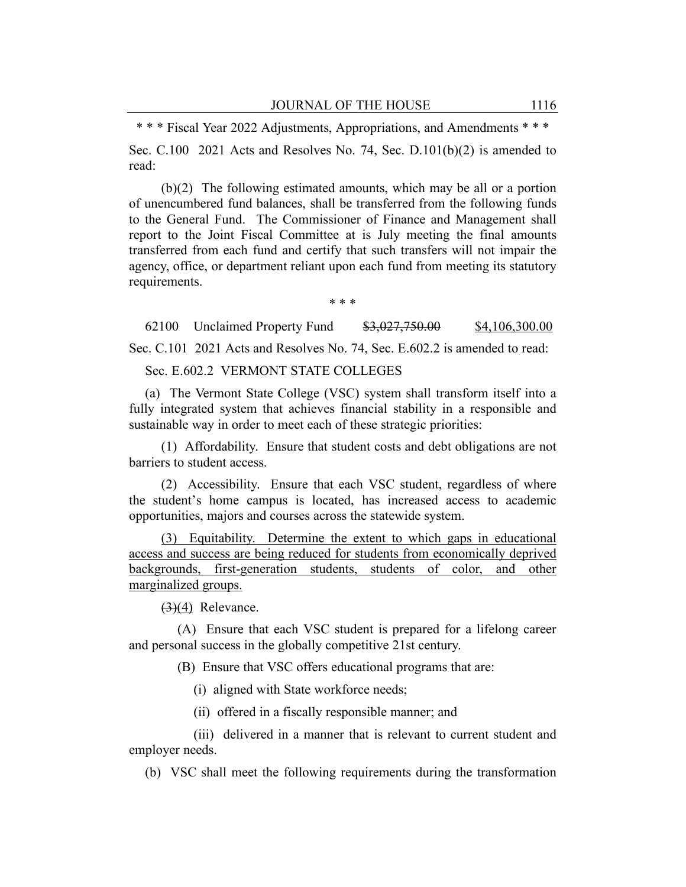\* \* \* Fiscal Year 2022 Adjustments, Appropriations, and Amendments \* \* \*

Sec. C.100 2021 Acts and Resolves No. 74, Sec. D.101(b)(2) is amended to read:

(b)(2) The following estimated amounts, which may be all or a portion of unencumbered fund balances, shall be transferred from the following funds to the General Fund. The Commissioner of Finance and Management shall report to the Joint Fiscal Committee at is July meeting the final amounts transferred from each fund and certify that such transfers will not impair the agency, office, or department reliant upon each fund from meeting its statutory requirements.

\* \* \*

62100 Unclaimed Property Fund \$3,027,750.00 \$4,106,300.00

Sec. C.101 2021 Acts and Resolves No. 74, Sec. E.602.2 is amended to read:

Sec. E.602.2 VERMONT STATE COLLEGES

(a) The Vermont State College (VSC) system shall transform itself into a fully integrated system that achieves financial stability in a responsible and sustainable way in order to meet each of these strategic priorities:

(1) Affordability. Ensure that student costs and debt obligations are not barriers to student access.

(2) Accessibility. Ensure that each VSC student, regardless of where the student's home campus is located, has increased access to academic opportunities, majors and courses across the statewide system.

(3) Equitability. Determine the extent to which gaps in educational access and success are being reduced for students from economically deprived backgrounds, first-generation students, students of color, and other marginalized groups.

 $(3)(4)$  Relevance.

(A) Ensure that each VSC student is prepared for a lifelong career and personal success in the globally competitive 21st century.

(B) Ensure that VSC offers educational programs that are:

(i) aligned with State workforce needs;

(ii) offered in a fiscally responsible manner; and

(iii) delivered in a manner that is relevant to current student and employer needs.

(b) VSC shall meet the following requirements during the transformation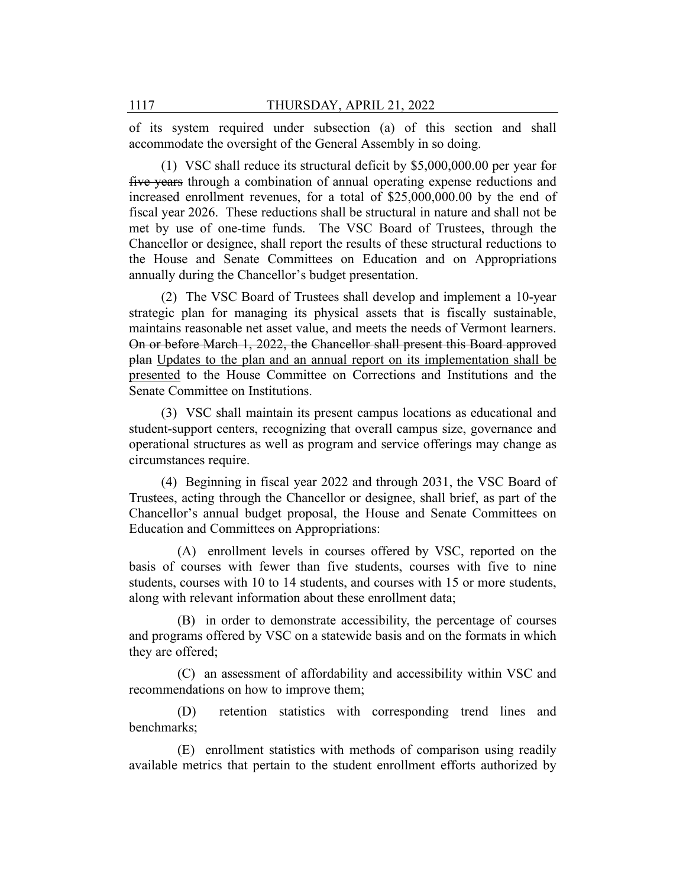of its system required under subsection (a) of this section and shall accommodate the oversight of the General Assembly in so doing.

(1) VSC shall reduce its structural deficit by \$5,000,000.00 per year for five years through a combination of annual operating expense reductions and increased enrollment revenues, for a total of \$25,000,000.00 by the end of fiscal year 2026. These reductions shall be structural in nature and shall not be met by use of one-time funds. The VSC Board of Trustees, through the Chancellor or designee, shall report the results of these structural reductions to the House and Senate Committees on Education and on Appropriations annually during the Chancellor's budget presentation.

(2) The VSC Board of Trustees shall develop and implement a 10-year strategic plan for managing its physical assets that is fiscally sustainable, maintains reasonable net asset value, and meets the needs of Vermont learners. On or before March 1, 2022, the Chancellor shall present this Board approved plan Updates to the plan and an annual report on its implementation shall be presented to the House Committee on Corrections and Institutions and the Senate Committee on Institutions.

(3) VSC shall maintain its present campus locations as educational and student-support centers, recognizing that overall campus size, governance and operational structures as well as program and service offerings may change as circumstances require.

(4) Beginning in fiscal year 2022 and through 2031, the VSC Board of Trustees, acting through the Chancellor or designee, shall brief, as part of the Chancellor's annual budget proposal, the House and Senate Committees on Education and Committees on Appropriations:

(A) enrollment levels in courses offered by VSC, reported on the basis of courses with fewer than five students, courses with five to nine students, courses with 10 to 14 students, and courses with 15 or more students, along with relevant information about these enrollment data;

(B) in order to demonstrate accessibility, the percentage of courses and programs offered by VSC on a statewide basis and on the formats in which they are offered;

(C) an assessment of affordability and accessibility within VSC and recommendations on how to improve them;

(D) retention statistics with corresponding trend lines and benchmarks;

(E) enrollment statistics with methods of comparison using readily available metrics that pertain to the student enrollment efforts authorized by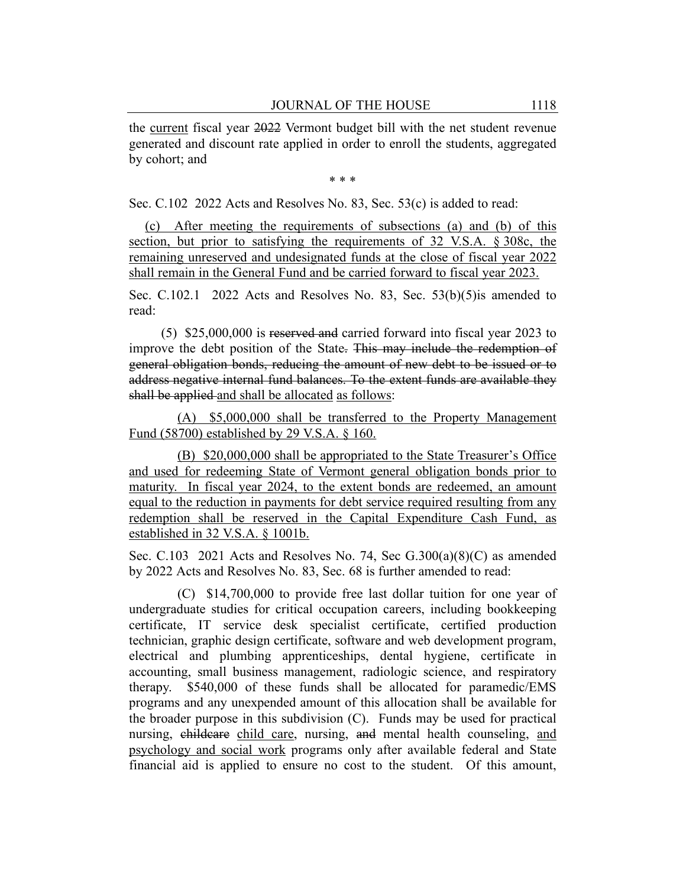the current fiscal year 2022 Vermont budget bill with the net student revenue generated and discount rate applied in order to enroll the students, aggregated by cohort; and

\* \* \*

Sec. C.102 2022 Acts and Resolves No. 83, Sec. 53(c) is added to read:

(c) After meeting the requirements of subsections (a) and (b) of this section, but prior to satisfying the requirements of 32 V.S.A. § 308c, the remaining unreserved and undesignated funds at the close of fiscal year 2022 shall remain in the General Fund and be carried forward to fiscal year 2023.

Sec. C.102.1 2022 Acts and Resolves No. 83, Sec. 53(b)(5) is amended to read:

(5) \$25,000,000 is reserved and carried forward into fiscal year 2023 to improve the debt position of the State. This may include the redemption of general obligation bonds, reducing the amount of new debt to be issued or to address negative internal fund balances. To the extent funds are available they shall be applied and shall be allocated as follows:

(A) \$5,000,000 shall be transferred to the Property Management Fund (58700) established by 29 V.S.A. § 160.

(B) \$20,000,000 shall be appropriated to the State Treasurer's Office and used for redeeming State of Vermont general obligation bonds prior to maturity. In fiscal year 2024, to the extent bonds are redeemed, an amount equal to the reduction in payments for debt service required resulting from any redemption shall be reserved in the Capital Expenditure Cash Fund, as established in 32 V.S.A. § 1001b.

Sec. C.103 2021 Acts and Resolves No. 74, Sec G.300(a)(8)(C) as amended by 2022 Acts and Resolves No. 83, Sec. 68 is further amended to read:

(C) \$14,700,000 to provide free last dollar tuition for one year of undergraduate studies for critical occupation careers, including bookkeeping certificate, IT service desk specialist certificate, certified production technician, graphic design certificate, software and web development program, electrical and plumbing apprenticeships, dental hygiene, certificate in accounting, small business management, radiologic science, and respiratory therapy. \$540,000 of these funds shall be allocated for paramedic/EMS programs and any unexpended amount of this allocation shall be available for the broader purpose in this subdivision (C). Funds may be used for practical nursing, childcare child care, nursing, and mental health counseling, and psychology and social work programs only after available federal and State financial aid is applied to ensure no cost to the student. Of this amount,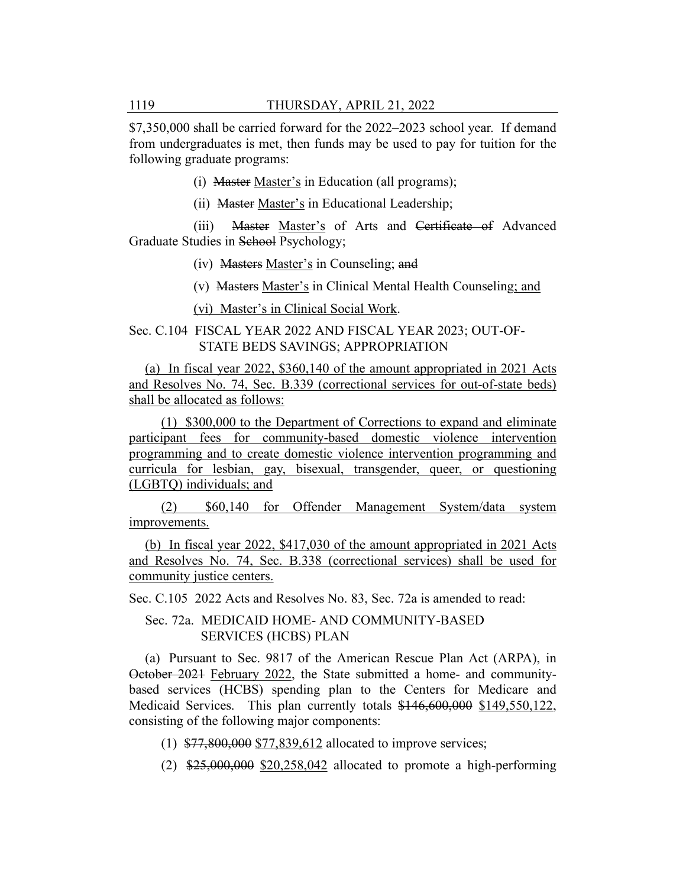\$7,350,000 shall be carried forward for the 2022–2023 school year. If demand from undergraduates is met, then funds may be used to pay for tuition for the following graduate programs:

(i) Master Master's in Education (all programs);

(ii) Master Master's in Educational Leadership;

(iii) Master Master's of Arts and Certificate of Advanced Graduate Studies in School Psychology;

(iv) Masters Master's in Counseling; and

(v) Masters Master's in Clinical Mental Health Counseling; and

(vi) Master's in Clinical Social Work.

#### Sec. C.104 FISCAL YEAR 2022 AND FISCAL YEAR 2023; OUT-OF-STATE BEDS SAVINGS; APPROPRIATION

(a) In fiscal year 2022, \$360,140 of the amount appropriated in 2021 Acts and Resolves No. 74, Sec. B.339 (correctional services for out-of-state beds) shall be allocated as follows:

(1) \$300,000 to the Department of Corrections to expand and eliminate participant fees for community-based domestic violence intervention programming and to create domestic violence intervention programming and curricula for lesbian, gay, bisexual, transgender, queer, or questioning (LGBTQ) individuals; and

(2) \$60,140 for Offender Management System/data system improvements.

(b) In fiscal year 2022, \$417,030 of the amount appropriated in 2021 Acts and Resolves No. 74, Sec. B.338 (correctional services) shall be used for community justice centers.

Sec. C.105 2022 Acts and Resolves No. 83, Sec. 72a is amended to read:

Sec. 72a. MEDICAID HOME- AND COMMUNITY-BASED SERVICES (HCBS) PLAN

(a) Pursuant to Sec. 9817 of the American Rescue Plan Act (ARPA), in October 2021 February 2022, the State submitted a home- and communitybased services (HCBS) spending plan to the Centers for Medicare and Medicaid Services. This plan currently totals \$146,600,000 \$149,550,122, consisting of the following major components:

- (1) \$77,800,000 \$77,839,612 allocated to improve services;
- $(2)$  \$25,000,000 \$20,258,042 allocated to promote a high-performing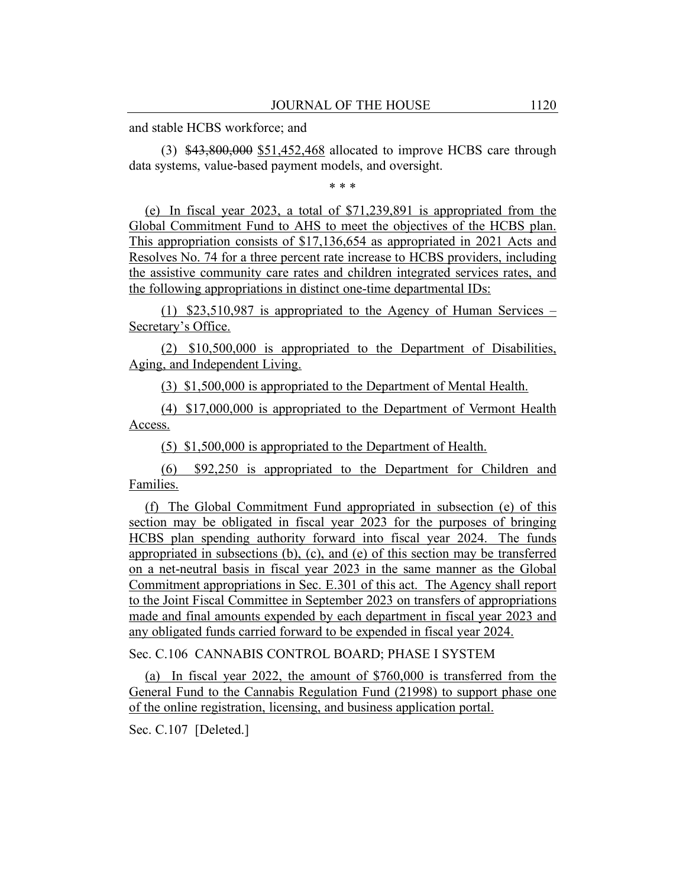and stable HCBS workforce; and

(3) \$43,800,000 \$51,452,468 allocated to improve HCBS care through data systems, value-based payment models, and oversight.

\* \* \*

(e) In fiscal year 2023, a total of \$71,239,891 is appropriated from the Global Commitment Fund to AHS to meet the objectives of the HCBS plan. This appropriation consists of \$17,136,654 as appropriated in 2021 Acts and Resolves No. 74 for a three percent rate increase to HCBS providers, including the assistive community care rates and children integrated services rates, and the following appropriations in distinct one-time departmental IDs:

(1) \$23,510,987 is appropriated to the Agency of Human Services – Secretary's Office.

(2) \$10,500,000 is appropriated to the Department of Disabilities, Aging, and Independent Living.

(3) \$1,500,000 is appropriated to the Department of Mental Health.

(4) \$17,000,000 is appropriated to the Department of Vermont Health Access.

(5) \$1,500,000 is appropriated to the Department of Health.

(6) \$92,250 is appropriated to the Department for Children and Families.

(f) The Global Commitment Fund appropriated in subsection (e) of this section may be obligated in fiscal year 2023 for the purposes of bringing HCBS plan spending authority forward into fiscal year 2024. The funds appropriated in subsections (b), (c), and (e) of this section may be transferred on a net-neutral basis in fiscal year 2023 in the same manner as the Global Commitment appropriations in Sec. E.301 of this act. The Agency shall report to the Joint Fiscal Committee in September 2023 on transfers of appropriations made and final amounts expended by each department in fiscal year 2023 and any obligated funds carried forward to be expended in fiscal year 2024.

Sec. C.106 CANNABIS CONTROL BOARD; PHASE I SYSTEM

(a) In fiscal year 2022, the amount of \$760,000 is transferred from the General Fund to the Cannabis Regulation Fund (21998) to support phase one of the online registration, licensing, and business application portal.

Sec. C.107 [Deleted.]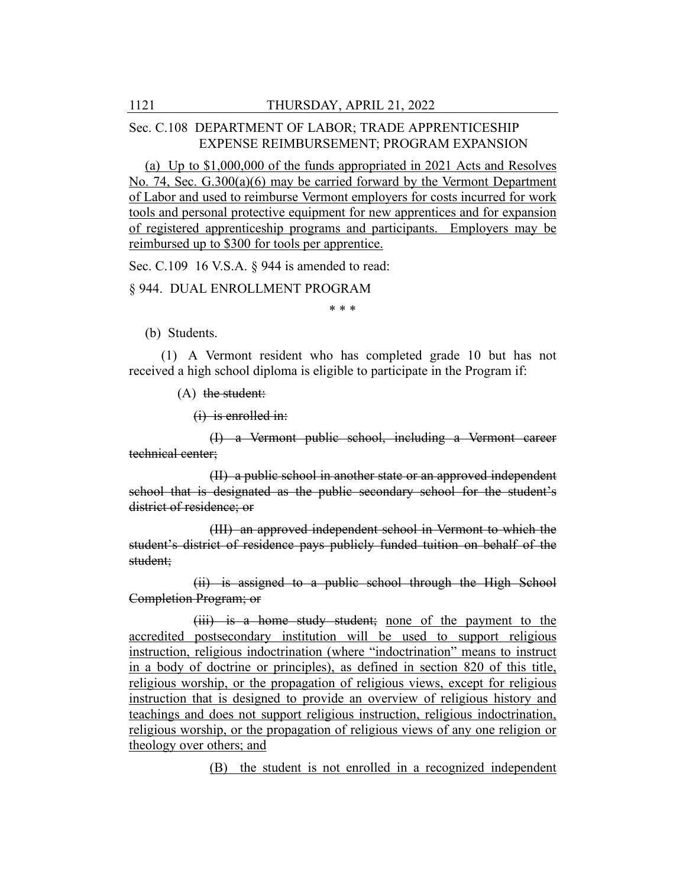### Sec. C.108 DEPARTMENT OF LABOR; TRADE APPRENTICESHIP EXPENSE REIMBURSEMENT; PROGRAM EXPANSION

(a) Up to \$1,000,000 of the funds appropriated in 2021 Acts and Resolves No. 74, Sec. G.300(a)(6) may be carried forward by the Vermont Department of Labor and used to reimburse Vermont employers for costs incurred for work tools and personal protective equipment for new apprentices and for expansion of registered apprenticeship programs and participants. Employers may be reimbursed up to \$300 for tools per apprentice.

Sec. C.109 16 V.S.A. § 944 is amended to read:

§ 944. DUAL ENROLLMENT PROGRAM

\* \* \*

(b) Students.

(1) A Vermont resident who has completed grade 10 but has not received a high school diploma is eligible to participate in the Program if:

 $(A)$  the student:

 $(i)$  is enrolled in:

(I) a Vermont public school, including a Vermont career technical center;

(II) a public school in another state or an approved independent school that is designated as the public secondary school for the student's district of residence; or

(III) an approved independent school in Vermont to which the student's district of residence pays publicly funded tuition on behalf of the student;

(ii) is assigned to a public school through the High School Completion Program; or

(iii) is a home study student; none of the payment to the accredited postsecondary institution will be used to support religious instruction, religious indoctrination (where "indoctrination" means to instruct in a body of doctrine or principles), as defined in section 820 of this title, religious worship, or the propagation of religious views, except for religious instruction that is designed to provide an overview of religious history and teachings and does not support religious instruction, religious indoctrination, religious worship, or the propagation of religious views of any one religion or theology over others; and

(B) the student is not enrolled in a recognized independent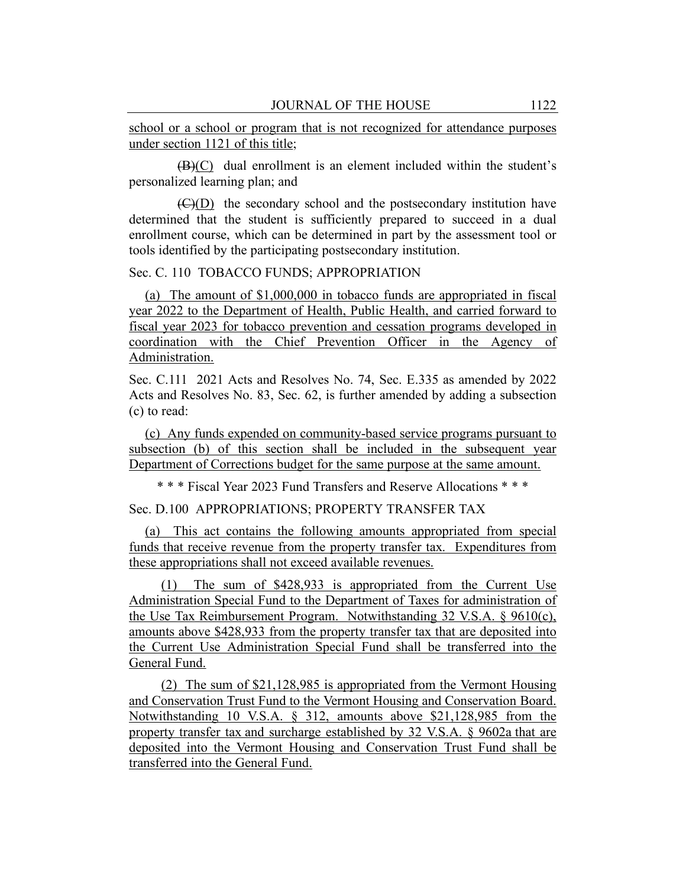school or a school or program that is not recognized for attendance purposes under section 1121 of this title;

 $(B)(C)$  dual enrollment is an element included within the student's personalized learning plan; and

(C)(D) the secondary school and the postsecondary institution have determined that the student is sufficiently prepared to succeed in a dual enrollment course, which can be determined in part by the assessment tool or tools identified by the participating postsecondary institution.

#### Sec. C. 110 TOBACCO FUNDS; APPROPRIATION

(a) The amount of \$1,000,000 in tobacco funds are appropriated in fiscal year 2022 to the Department of Health, Public Health, and carried forward to fiscal year 2023 for tobacco prevention and cessation programs developed in coordination with the Chief Prevention Officer in the Agency of Administration.

Sec. C.111 2021 Acts and Resolves No. 74, Sec. E.335 as amended by 2022 Acts and Resolves No. 83, Sec. 62, is further amended by adding a subsection (c) to read:

(c) Any funds expended on community-based service programs pursuant to subsection (b) of this section shall be included in the subsequent year Department of Corrections budget for the same purpose at the same amount.

\* \* \* Fiscal Year 2023 Fund Transfers and Reserve Allocations \* \* \*

Sec. D.100 APPROPRIATIONS; PROPERTY TRANSFER TAX

(a) This act contains the following amounts appropriated from special funds that receive revenue from the property transfer tax. Expenditures from these appropriations shall not exceed available revenues.

(1) The sum of \$428,933 is appropriated from the Current Use Administration Special Fund to the Department of Taxes for administration of the Use Tax Reimbursement Program. Notwithstanding 32 V.S.A. § 9610(c), amounts above \$428,933 from the property transfer tax that are deposited into the Current Use Administration Special Fund shall be transferred into the General Fund.

(2) The sum of \$21,128,985 is appropriated from the Vermont Housing and Conservation Trust Fund to the Vermont Housing and Conservation Board. Notwithstanding 10 V.S.A. § 312, amounts above \$21,128,985 from the property transfer tax and surcharge established by 32 V.S.A. § 9602a that are deposited into the Vermont Housing and Conservation Trust Fund shall be transferred into the General Fund.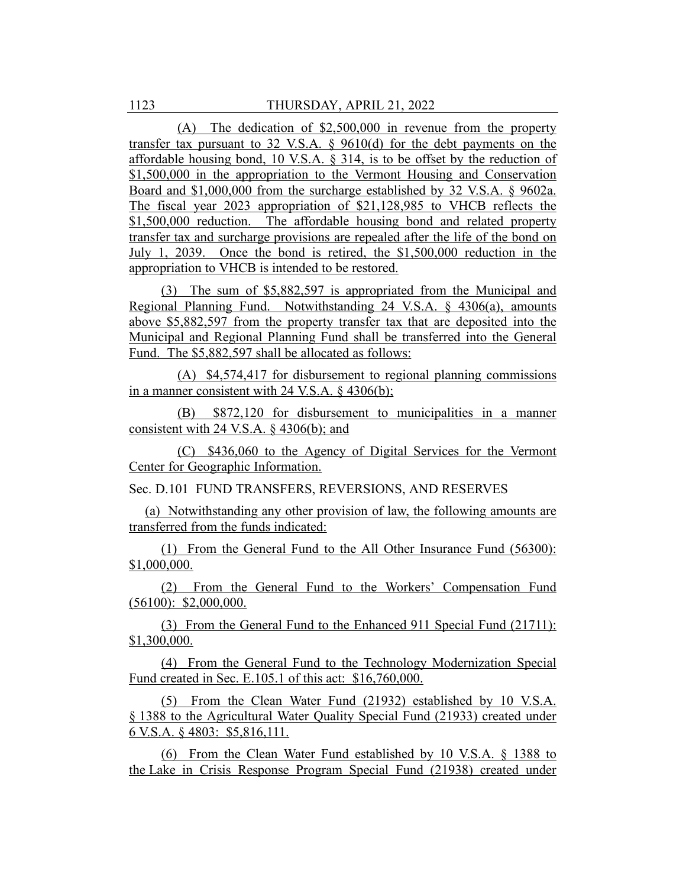(A) The dedication of \$2,500,000 in revenue from the property transfer tax pursuant to 32 V.S.A. § 9610(d) for the debt payments on the affordable housing bond, 10 V.S.A. § 314, is to be offset by the reduction of \$1,500,000 in the appropriation to the Vermont Housing and Conservation Board and \$1,000,000 from the surcharge established by 32 V.S.A. § 9602a. The fiscal year 2023 appropriation of \$21,128,985 to VHCB reflects the \$1,500,000 reduction. The affordable housing bond and related property transfer tax and surcharge provisions are repealed after the life of the bond on July 1, 2039. Once the bond is retired, the \$1,500,000 reduction in the appropriation to VHCB is intended to be restored.

(3) The sum of \$5,882,597 is appropriated from the Municipal and Regional Planning Fund. Notwithstanding 24 V.S.A. § 4306(a), amounts above \$5,882,597 from the property transfer tax that are deposited into the Municipal and Regional Planning Fund shall be transferred into the General Fund. The \$5,882,597 shall be allocated as follows:

(A) \$4,574,417 for disbursement to regional planning commissions in a manner consistent with 24 V.S.A. § 4306(b);

(B) \$872,120 for disbursement to municipalities in a manner consistent with 24 V.S.A. § 4306(b); and

(C) \$436,060 to the Agency of Digital Services for the Vermont Center for Geographic Information.

Sec. D.101 FUND TRANSFERS, REVERSIONS, AND RESERVES

(a) Notwithstanding any other provision of law, the following amounts are transferred from the funds indicated:

(1) From the General Fund to the All Other Insurance Fund (56300): \$1,000,000.

(2) From the General Fund to the Workers' Compensation Fund (56100): \$2,000,000.

(3) From the General Fund to the Enhanced 911 Special Fund (21711): \$1,300,000.

(4) From the General Fund to the Technology Modernization Special Fund created in Sec. E.105.1 of this act: \$16,760,000.

(5) From the Clean Water Fund (21932) established by 10 V.S.A. § 1388 to the Agricultural Water Quality Special Fund (21933) created under 6 V.S.A. § 4803: \$5,816,111.

(6) From the Clean Water Fund established by 10 V.S.A. § 1388 to the Lake in Crisis Response Program Special Fund (21938) created under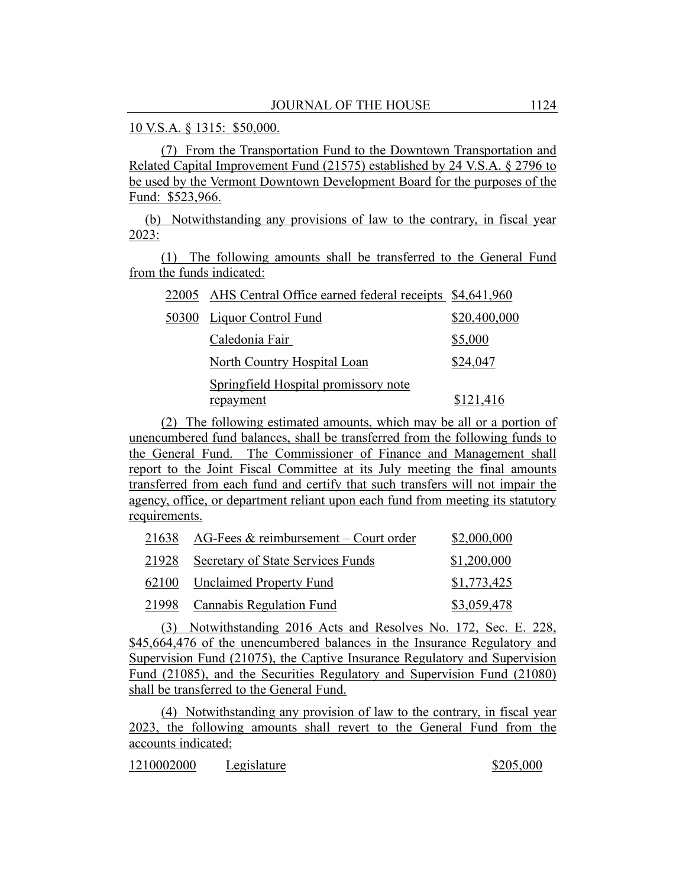10 V.S.A. § 1315: \$50,000.

(7) From the Transportation Fund to the Downtown Transportation and Related Capital Improvement Fund (21575) established by 24 V.S.A. § 2796 to be used by the Vermont Downtown Development Board for the purposes of the Fund: \$523,966.

(b) Notwithstanding any provisions of law to the contrary, in fiscal year 2023:

(1) The following amounts shall be transferred to the General Fund from the funds indicated:

| 22005 AHS Central Office earned federal receipts \$4,641,960 |              |
|--------------------------------------------------------------|--------------|
| 50300 Liquor Control Fund                                    | \$20,400,000 |
| Caledonia Fair                                               | \$5,000      |
| North Country Hospital Loan                                  | \$24,047     |
| Springfield Hospital promissory note                         |              |
| repayment                                                    | \$121,416    |

(2) The following estimated amounts, which may be all or a portion of unencumbered fund balances, shall be transferred from the following funds to the General Fund. The Commissioner of Finance and Management shall report to the Joint Fiscal Committee at its July meeting the final amounts transferred from each fund and certify that such transfers will not impair the agency, office, or department reliant upon each fund from meeting its statutory requirements.

| 21638 AG-Fees $&$ reimbursement – Court order | \$2,000,000 |
|-----------------------------------------------|-------------|
| 21928 Secretary of State Services Funds       | \$1,200,000 |
| 62100 Unclaimed Property Fund                 | \$1,773,425 |
| 21998 Cannabis Regulation Fund                | \$3,059,478 |

(3) Notwithstanding 2016 Acts and Resolves No. 172, Sec. E. 228, \$45,664,476 of the unencumbered balances in the Insurance Regulatory and Supervision Fund (21075), the Captive Insurance Regulatory and Supervision Fund (21085), and the Securities Regulatory and Supervision Fund (21080) shall be transferred to the General Fund.

(4) Notwithstanding any provision of law to the contrary, in fiscal year 2023, the following amounts shall revert to the General Fund from the accounts indicated:

1210002000 Legislature \$205,000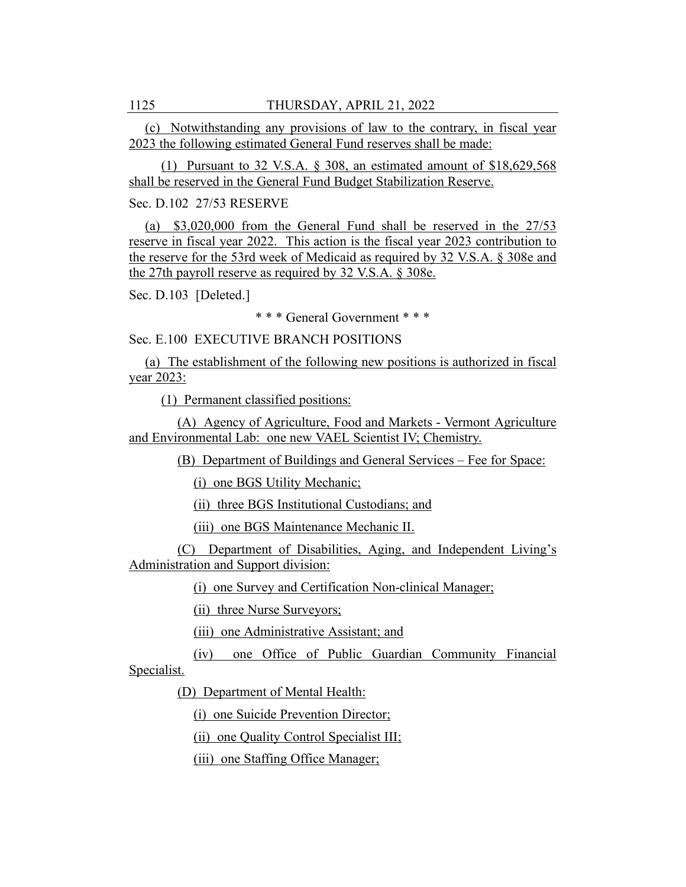(c) Notwithstanding any provisions of law to the contrary, in fiscal year 2023 the following estimated General Fund reserves shall be made:

(1) Pursuant to 32 V.S.A. § 308, an estimated amount of \$18,629,568 shall be reserved in the General Fund Budget Stabilization Reserve.

Sec. D.102 27/53 RESERVE

(a) \$3,020,000 from the General Fund shall be reserved in the 27/53 reserve in fiscal year 2022. This action is the fiscal year 2023 contribution to the reserve for the 53rd week of Medicaid as required by 32 V.S.A. § 308e and the 27th payroll reserve as required by 32 V.S.A. § 308e.

Sec. D.103 [Deleted.]

\* \* \* General Government \* \* \*

Sec. E.100 EXECUTIVE BRANCH POSITIONS

(a) The establishment of the following new positions is authorized in fiscal year 2023:

(1) Permanent classified positions:

(A) Agency of Agriculture, Food and Markets - Vermont Agriculture and Environmental Lab: one new VAEL Scientist IV; Chemistry.

(B) Department of Buildings and General Services – Fee for Space:

(i) one BGS Utility Mechanic;

(ii) three BGS Institutional Custodians; and

(iii) one BGS Maintenance Mechanic II.

(C) Department of Disabilities, Aging, and Independent Living's Administration and Support division:

(i) one Survey and Certification Non-clinical Manager;

(ii) three Nurse Surveyors;

(iii) one Administrative Assistant; and

(iv) one Office of Public Guardian Community Financial Specialist.

(D) Department of Mental Health:

(i) one Suicide Prevention Director;

(ii) one Quality Control Specialist III;

(iii) one Staffing Office Manager;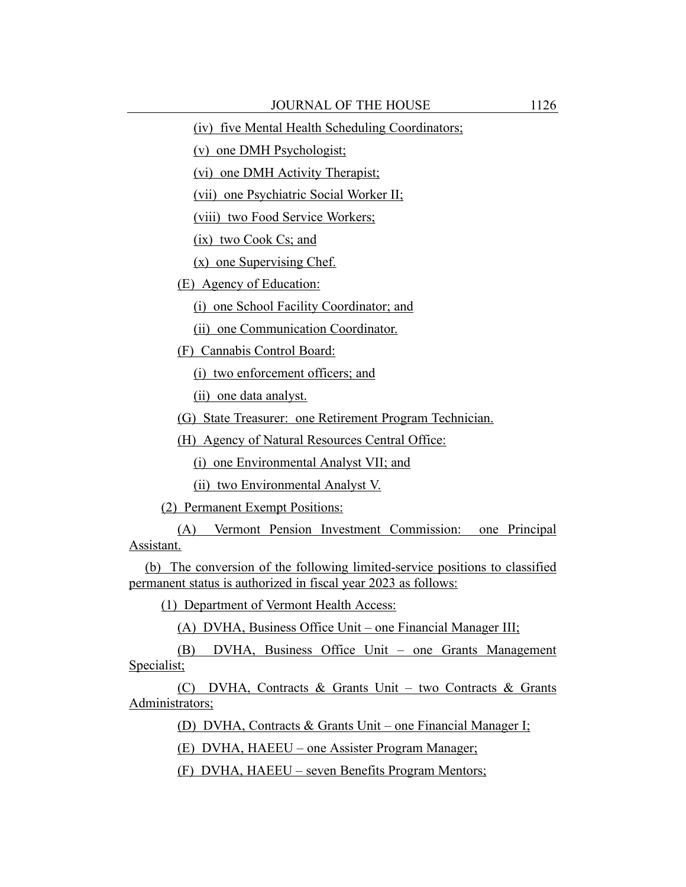(iv) five Mental Health Scheduling Coordinators;

(v) one DMH Psychologist;

(vi) one DMH Activity Therapist;

(vii) one Psychiatric Social Worker II;

(viii) two Food Service Workers;

(ix) two Cook Cs; and

(x) one Supervising Chef.

(E) Agency of Education:

(i) one School Facility Coordinator; and

(ii) one Communication Coordinator.

(F) Cannabis Control Board:

(i) two enforcement officers; and

(ii) one data analyst.

(G) State Treasurer: one Retirement Program Technician.

(H) Agency of Natural Resources Central Office:

(i) one Environmental Analyst VII; and

(ii) two Environmental Analyst V.

(2) Permanent Exempt Positions:

(A) Vermont Pension Investment Commission: one Principal Assistant.

(b) The conversion of the following limited-service positions to classified permanent status is authorized in fiscal year 2023 as follows:

(1) Department of Vermont Health Access:

(A) DVHA, Business Office Unit – one Financial Manager III;

(B) DVHA, Business Office Unit – one Grants Management Specialist;

(C) DVHA, Contracts & Grants Unit – two Contracts & Grants Administrators;

(D) DVHA, Contracts & Grants Unit – one Financial Manager I;

(E) DVHA, HAEEU – one Assister Program Manager;

(F) DVHA, HAEEU – seven Benefits Program Mentors;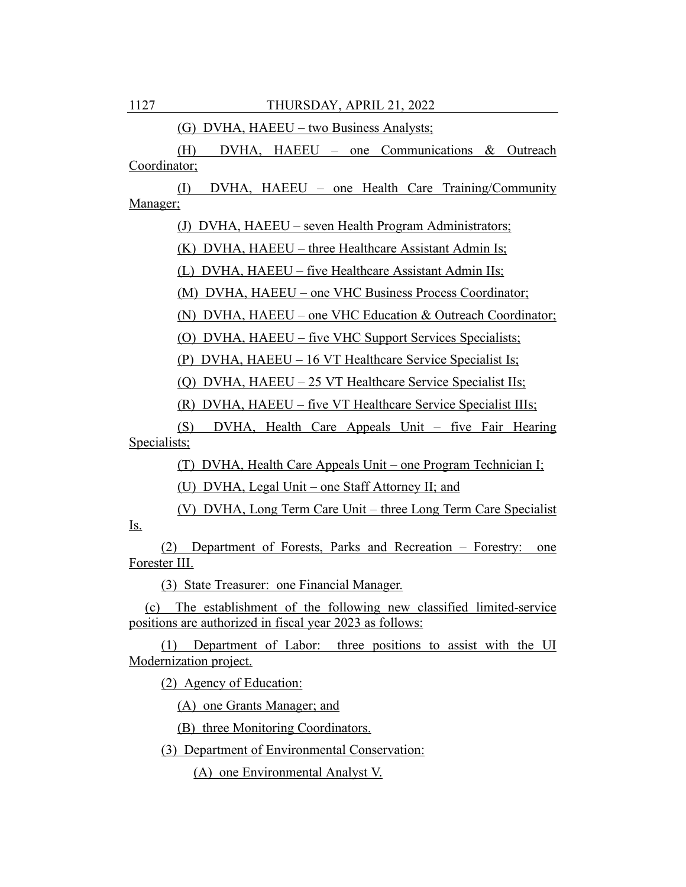(G) DVHA, HAEEU – two Business Analysts;

(H) DVHA, HAEEU – one Communications & Outreach Coordinator;

(I) DVHA, HAEEU – one Health Care Training/Community Manager;

(J) DVHA, HAEEU – seven Health Program Administrators;

(K) DVHA, HAEEU – three Healthcare Assistant Admin Is;

(L) DVHA, HAEEU – five Healthcare Assistant Admin IIs;

(M) DVHA, HAEEU – one VHC Business Process Coordinator;

(N) DVHA, HAEEU – one VHC Education & Outreach Coordinator;

(O) DVHA, HAEEU – five VHC Support Services Specialists;

(P) DVHA, HAEEU – 16 VT Healthcare Service Specialist Is;

(Q) DVHA, HAEEU – 25 VT Healthcare Service Specialist IIs;

(R) DVHA, HAEEU – five VT Healthcare Service Specialist IIIs;

(S) DVHA, Health Care Appeals Unit – five Fair Hearing Specialists;

(T) DVHA, Health Care Appeals Unit – one Program Technician I;

(U) DVHA, Legal Unit – one Staff Attorney II; and

(V) DVHA, Long Term Care Unit – three Long Term Care Specialist

(2) Department of Forests, Parks and Recreation – Forestry: one Forester III.

(3) State Treasurer: one Financial Manager.

(c) The establishment of the following new classified limited-service positions are authorized in fiscal year 2023 as follows:

(1) Department of Labor: three positions to assist with the UI Modernization project.

(2) Agency of Education:

(A) one Grants Manager; and

(B) three Monitoring Coordinators.

(3) Department of Environmental Conservation:

(A) one Environmental Analyst V.

Is.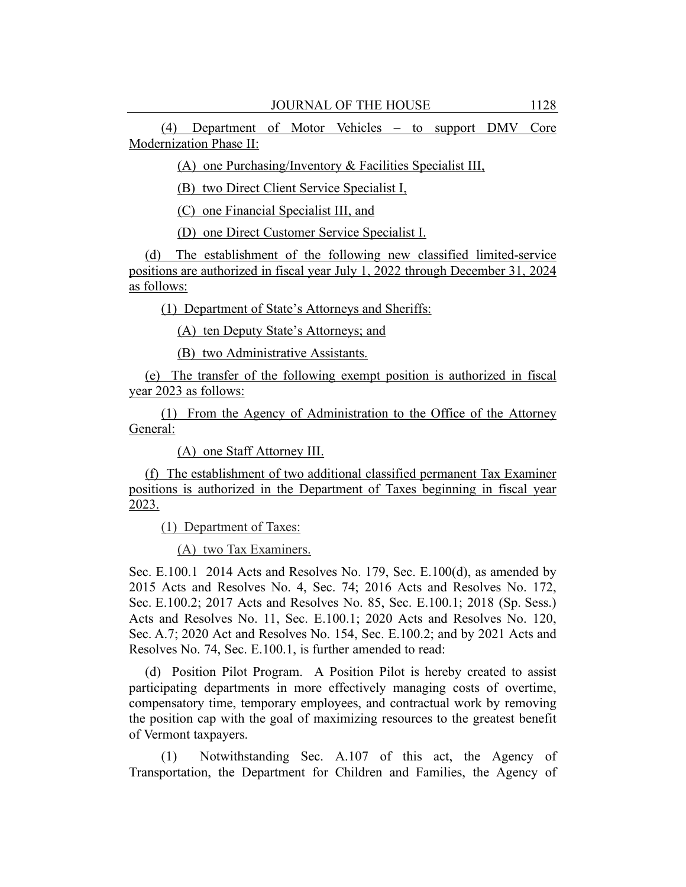(4) Department of Motor Vehicles – to support DMV Core Modernization Phase II:

(A) one Purchasing/Inventory & Facilities Specialist III,

(B) two Direct Client Service Specialist I,

(C) one Financial Specialist III, and

(D) one Direct Customer Service Specialist I.

(d) The establishment of the following new classified limited-service positions are authorized in fiscal year July 1, 2022 through December 31, 2024 as follows:

(1) Department of State's Attorneys and Sheriffs:

(A) ten Deputy State's Attorneys; and

(B) two Administrative Assistants.

(e) The transfer of the following exempt position is authorized in fiscal year 2023 as follows:

(1) From the Agency of Administration to the Office of the Attorney General:

(A) one Staff Attorney III.

(f) The establishment of two additional classified permanent Tax Examiner positions is authorized in the Department of Taxes beginning in fiscal year 2023.

(1) Department of Taxes:

(A) two Tax Examiners.

Sec. E.100.1 2014 Acts and Resolves No. 179, Sec. E.100(d), as amended by 2015 Acts and Resolves No. 4, Sec. 74; 2016 Acts and Resolves No. 172, Sec. E.100.2; 2017 Acts and Resolves No. 85, Sec. E.100.1; 2018 (Sp. Sess.) Acts and Resolves No. 11, Sec. E.100.1; 2020 Acts and Resolves No. 120, Sec. A.7; 2020 Act and Resolves No. 154, Sec. E.100.2; and by 2021 Acts and Resolves No. 74, Sec. E.100.1, is further amended to read:

(d) Position Pilot Program. A Position Pilot is hereby created to assist participating departments in more effectively managing costs of overtime, compensatory time, temporary employees, and contractual work by removing the position cap with the goal of maximizing resources to the greatest benefit of Vermont taxpayers.

(1) Notwithstanding Sec. A.107 of this act, the Agency of Transportation, the Department for Children and Families, the Agency of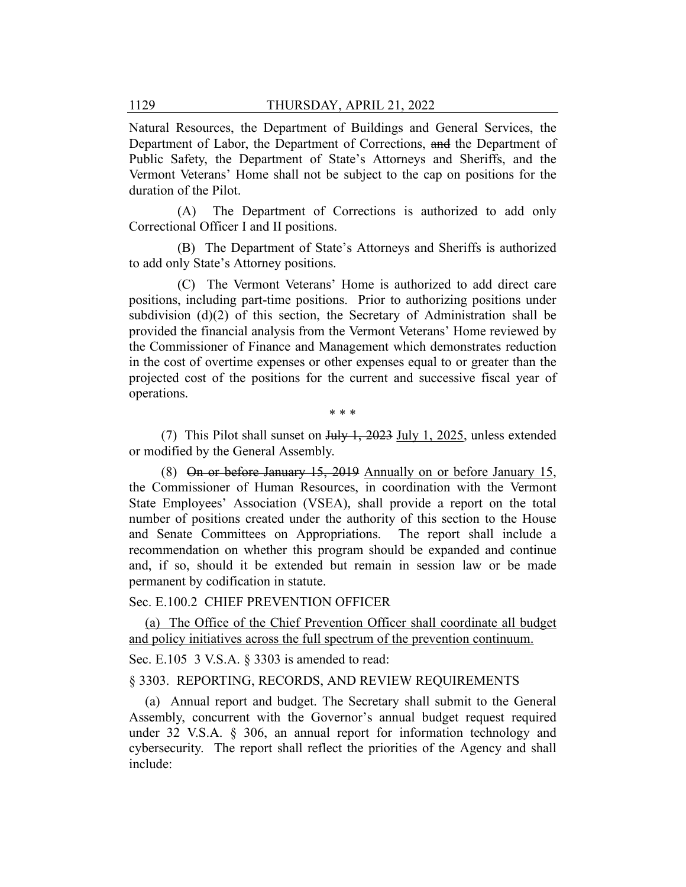Natural Resources, the Department of Buildings and General Services, the Department of Labor, the Department of Corrections, and the Department of Public Safety, the Department of State's Attorneys and Sheriffs, and the Vermont Veterans' Home shall not be subject to the cap on positions for the duration of the Pilot.

(A) The Department of Corrections is authorized to add only Correctional Officer I and II positions.

(B) The Department of State's Attorneys and Sheriffs is authorized to add only State's Attorney positions.

(C) The Vermont Veterans' Home is authorized to add direct care positions, including part-time positions. Prior to authorizing positions under subdivision (d)(2) of this section, the Secretary of Administration shall be provided the financial analysis from the Vermont Veterans' Home reviewed by the Commissioner of Finance and Management which demonstrates reduction in the cost of overtime expenses or other expenses equal to or greater than the projected cost of the positions for the current and successive fiscal year of operations.

\* \* \*

(7) This Pilot shall sunset on  $July \frac{1}{2023}$  July 1, 2025, unless extended or modified by the General Assembly.

(8) On or before January 15, 2019 Annually on or before January 15, the Commissioner of Human Resources, in coordination with the Vermont State Employees' Association (VSEA), shall provide a report on the total number of positions created under the authority of this section to the House and Senate Committees on Appropriations. The report shall include a recommendation on whether this program should be expanded and continue and, if so, should it be extended but remain in session law or be made permanent by codification in statute.

#### Sec. E.100.2 CHIEF PREVENTION OFFICER

(a) The Office of the Chief Prevention Officer shall coordinate all budget and policy initiatives across the full spectrum of the prevention continuum.

Sec. E.105 3 V.S.A. § 3303 is amended to read:

#### § 3303. REPORTING, RECORDS, AND REVIEW REQUIREMENTS

(a) Annual report and budget. The Secretary shall submit to the General Assembly, concurrent with the Governor's annual budget request required under 32 V.S.A. § 306, an annual report for information technology and cybersecurity. The report shall reflect the priorities of the Agency and shall include: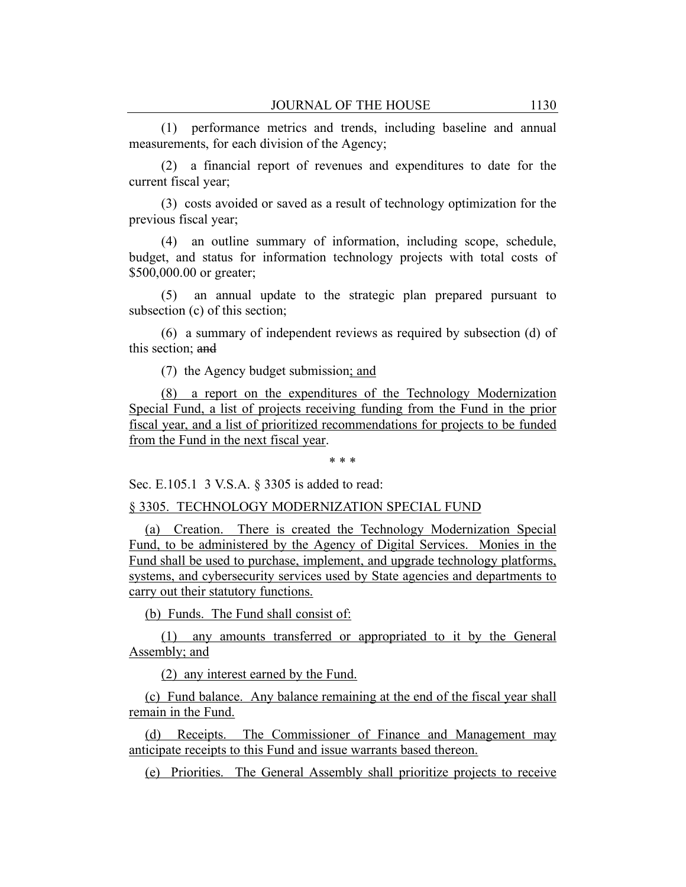(1) performance metrics and trends, including baseline and annual measurements, for each division of the Agency;

(2) a financial report of revenues and expenditures to date for the current fiscal year;

(3) costs avoided or saved as a result of technology optimization for the previous fiscal year;

(4) an outline summary of information, including scope, schedule, budget, and status for information technology projects with total costs of \$500,000.00 or greater;

(5) an annual update to the strategic plan prepared pursuant to subsection (c) of this section;

(6) a summary of independent reviews as required by subsection (d) of this section; and

(7) the Agency budget submission; and

(8) a report on the expenditures of the Technology Modernization Special Fund, a list of projects receiving funding from the Fund in the prior fiscal year, and a list of prioritized recommendations for projects to be funded from the Fund in the next fiscal year.

\* \* \*

Sec. E.105.1 3 V.S.A. § 3305 is added to read:

§ 3305. TECHNOLOGY MODERNIZATION SPECIAL FUND

(a) Creation. There is created the Technology Modernization Special Fund, to be administered by the Agency of Digital Services. Monies in the Fund shall be used to purchase, implement, and upgrade technology platforms, systems, and cybersecurity services used by State agencies and departments to carry out their statutory functions.

(b) Funds. The Fund shall consist of:

(1) any amounts transferred or appropriated to it by the General Assembly; and

(2) any interest earned by the Fund.

(c) Fund balance. Any balance remaining at the end of the fiscal year shall remain in the Fund.

(d) Receipts. The Commissioner of Finance and Management may anticipate receipts to this Fund and issue warrants based thereon.

(e) Priorities. The General Assembly shall prioritize projects to receive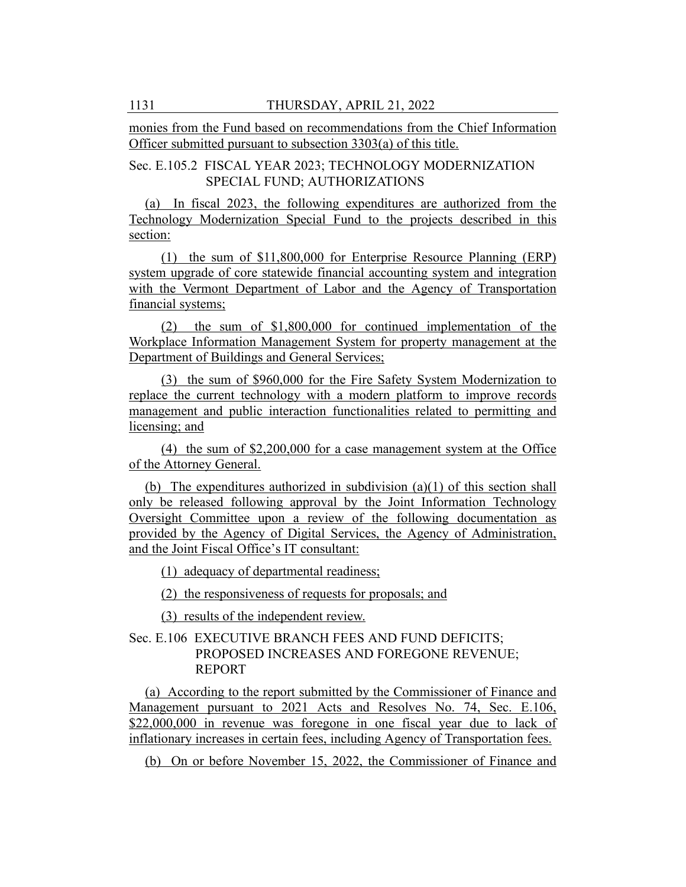monies from the Fund based on recommendations from the Chief Information Officer submitted pursuant to subsection 3303(a) of this title.

Sec. E.105.2 FISCAL YEAR 2023; TECHNOLOGY MODERNIZATION SPECIAL FUND; AUTHORIZATIONS

(a) In fiscal 2023, the following expenditures are authorized from the Technology Modernization Special Fund to the projects described in this section:

(1) the sum of \$11,800,000 for Enterprise Resource Planning (ERP) system upgrade of core statewide financial accounting system and integration with the Vermont Department of Labor and the Agency of Transportation financial systems;

(2) the sum of \$1,800,000 for continued implementation of the Workplace Information Management System for property management at the Department of Buildings and General Services;

(3) the sum of \$960,000 for the Fire Safety System Modernization to replace the current technology with a modern platform to improve records management and public interaction functionalities related to permitting and licensing; and

(4) the sum of \$2,200,000 for a case management system at the Office of the Attorney General.

(b) The expenditures authorized in subdivision (a)(1) of this section shall only be released following approval by the Joint Information Technology Oversight Committee upon a review of the following documentation as provided by the Agency of Digital Services, the Agency of Administration, and the Joint Fiscal Office's IT consultant:

(1) adequacy of departmental readiness;

(2) the responsiveness of requests for proposals; and

(3) results of the independent review.

Sec. E.106 EXECUTIVE BRANCH FEES AND FUND DEFICITS; PROPOSED INCREASES AND FOREGONE REVENUE; REPORT

(a) According to the report submitted by the Commissioner of Finance and Management pursuant to 2021 Acts and Resolves No. 74, Sec. E.106, \$22,000,000 in revenue was foregone in one fiscal year due to lack of inflationary increases in certain fees, including Agency of Transportation fees.

(b) On or before November 15, 2022, the Commissioner of Finance and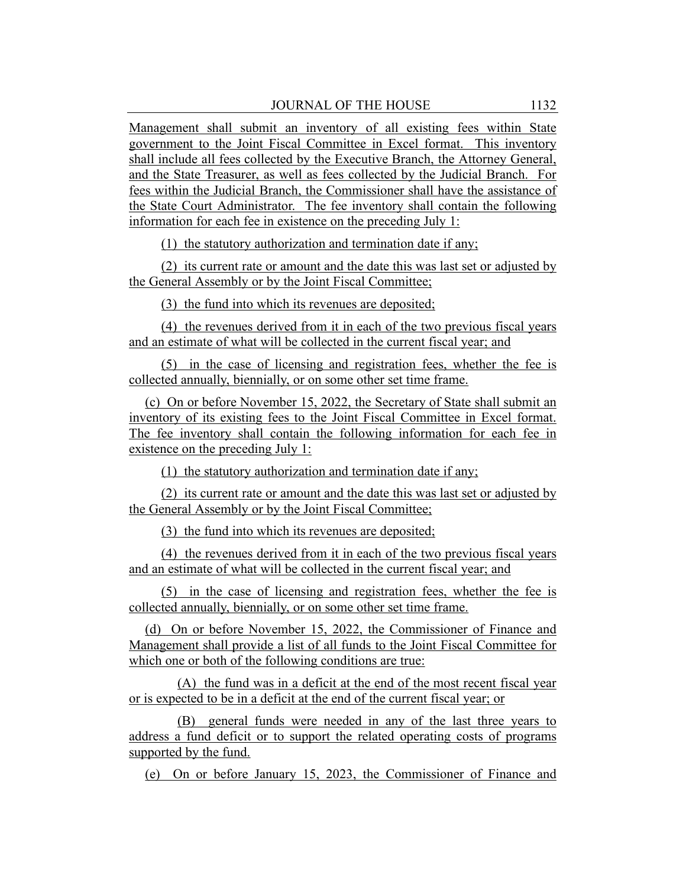Management shall submit an inventory of all existing fees within State government to the Joint Fiscal Committee in Excel format. This inventory shall include all fees collected by the Executive Branch, the Attorney General, and the State Treasurer, as well as fees collected by the Judicial Branch. For fees within the Judicial Branch, the Commissioner shall have the assistance of the State Court Administrator. The fee inventory shall contain the following information for each fee in existence on the preceding July 1:

(1) the statutory authorization and termination date if any;

(2) its current rate or amount and the date this was last set or adjusted by the General Assembly or by the Joint Fiscal Committee;

(3) the fund into which its revenues are deposited;

(4) the revenues derived from it in each of the two previous fiscal years and an estimate of what will be collected in the current fiscal year; and

(5) in the case of licensing and registration fees, whether the fee is collected annually, biennially, or on some other set time frame.

(c) On or before November 15, 2022, the Secretary of State shall submit an inventory of its existing fees to the Joint Fiscal Committee in Excel format. The fee inventory shall contain the following information for each fee in existence on the preceding July 1:

(1) the statutory authorization and termination date if any;

(2) its current rate or amount and the date this was last set or adjusted by the General Assembly or by the Joint Fiscal Committee;

(3) the fund into which its revenues are deposited;

(4) the revenues derived from it in each of the two previous fiscal years and an estimate of what will be collected in the current fiscal year; and

(5) in the case of licensing and registration fees, whether the fee is collected annually, biennially, or on some other set time frame.

(d) On or before November 15, 2022, the Commissioner of Finance and Management shall provide a list of all funds to the Joint Fiscal Committee for which one or both of the following conditions are true:

(A) the fund was in a deficit at the end of the most recent fiscal year or is expected to be in a deficit at the end of the current fiscal year; or

(B) general funds were needed in any of the last three years to address a fund deficit or to support the related operating costs of programs supported by the fund.

(e) On or before January 15, 2023, the Commissioner of Finance and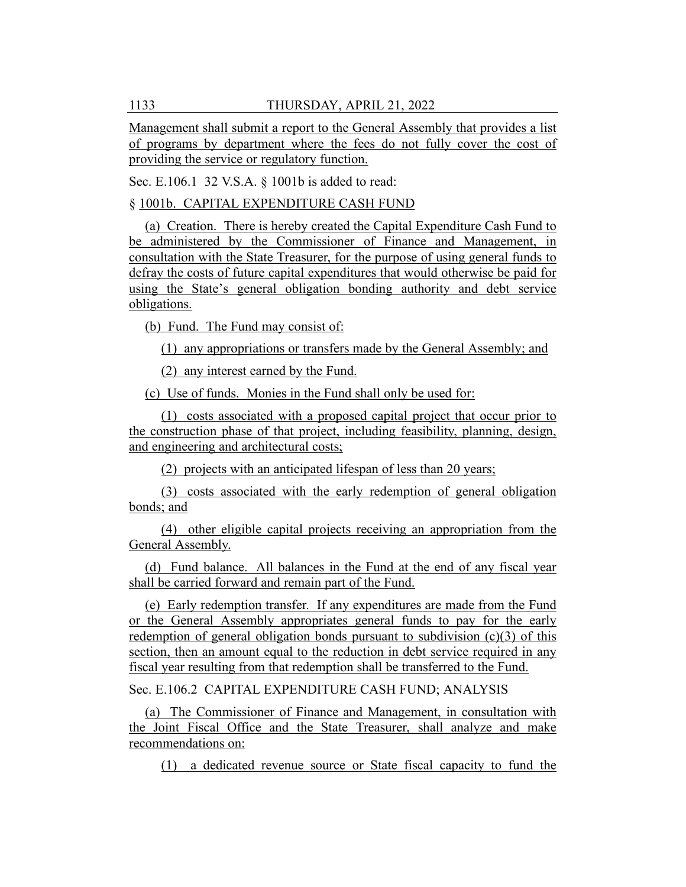Management shall submit a report to the General Assembly that provides a list of programs by department where the fees do not fully cover the cost of providing the service or regulatory function.

Sec. E.106.1 32 V.S.A. § 1001b is added to read:

#### § 1001b. CAPITAL EXPENDITURE CASH FUND

(a) Creation. There is hereby created the Capital Expenditure Cash Fund to be administered by the Commissioner of Finance and Management, in consultation with the State Treasurer, for the purpose of using general funds to defray the costs of future capital expenditures that would otherwise be paid for using the State's general obligation bonding authority and debt service obligations.

(b) Fund. The Fund may consist of:

(1) any appropriations or transfers made by the General Assembly; and

(2) any interest earned by the Fund.

(c) Use of funds. Monies in the Fund shall only be used for:

(1) costs associated with a proposed capital project that occur prior to the construction phase of that project, including feasibility, planning, design, and engineering and architectural costs;

(2) projects with an anticipated lifespan of less than 20 years;

(3) costs associated with the early redemption of general obligation bonds; and

(4) other eligible capital projects receiving an appropriation from the General Assembly.

(d) Fund balance. All balances in the Fund at the end of any fiscal year shall be carried forward and remain part of the Fund.

(e) Early redemption transfer. If any expenditures are made from the Fund or the General Assembly appropriates general funds to pay for the early redemption of general obligation bonds pursuant to subdivision  $(c)(3)$  of this section, then an amount equal to the reduction in debt service required in any fiscal year resulting from that redemption shall be transferred to the Fund.

Sec. E.106.2 CAPITAL EXPENDITURE CASH FUND; ANALYSIS

(a) The Commissioner of Finance and Management, in consultation with the Joint Fiscal Office and the State Treasurer, shall analyze and make recommendations on:

(1) a dedicated revenue source or State fiscal capacity to fund the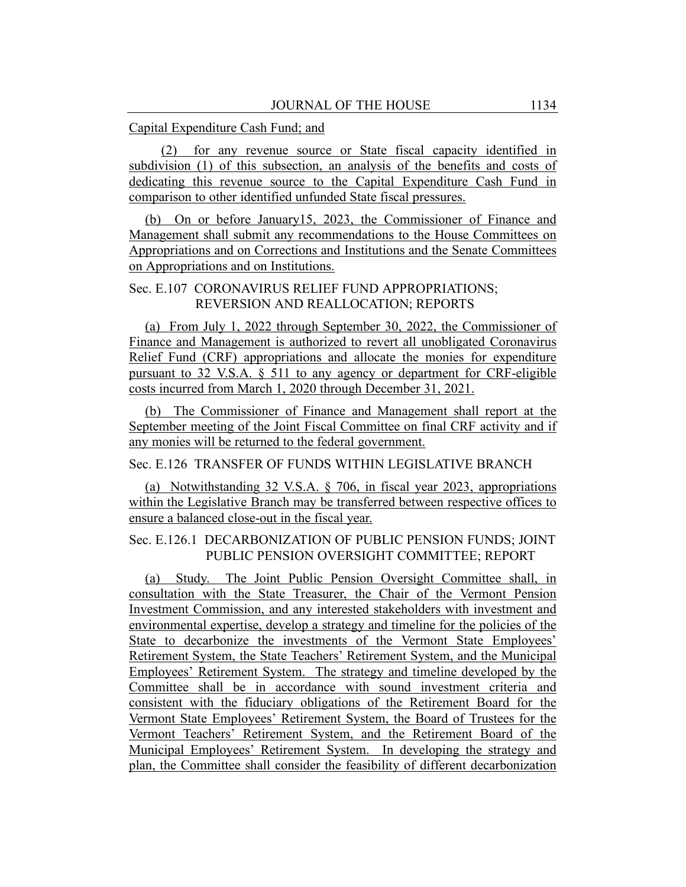#### Capital Expenditure Cash Fund; and

(2) for any revenue source or State fiscal capacity identified in subdivision (1) of this subsection, an analysis of the benefits and costs of dedicating this revenue source to the Capital Expenditure Cash Fund in comparison to other identified unfunded State fiscal pressures.

(b) On or before January15, 2023, the Commissioner of Finance and Management shall submit any recommendations to the House Committees on Appropriations and on Corrections and Institutions and the Senate Committees on Appropriations and on Institutions.

### Sec. E.107 CORONAVIRUS RELIEF FUND APPROPRIATIONS; REVERSION AND REALLOCATION; REPORTS

(a) From July 1, 2022 through September 30, 2022, the Commissioner of Finance and Management is authorized to revert all unobligated Coronavirus Relief Fund (CRF) appropriations and allocate the monies for expenditure pursuant to 32 V.S.A. § 511 to any agency or department for CRF-eligible costs incurred from March 1, 2020 through December 31, 2021.

(b) The Commissioner of Finance and Management shall report at the September meeting of the Joint Fiscal Committee on final CRF activity and if any monies will be returned to the federal government.

### Sec. E.126 TRANSFER OF FUNDS WITHIN LEGISLATIVE BRANCH

(a) Notwithstanding 32 V.S.A. § 706, in fiscal year 2023, appropriations within the Legislative Branch may be transferred between respective offices to ensure a balanced close-out in the fiscal year.

### Sec. E.126.1 DECARBONIZATION OF PUBLIC PENSION FUNDS; JOINT PUBLIC PENSION OVERSIGHT COMMITTEE; REPORT

(a) Study. The Joint Public Pension Oversight Committee shall, in consultation with the State Treasurer, the Chair of the Vermont Pension Investment Commission, and any interested stakeholders with investment and environmental expertise, develop a strategy and timeline for the policies of the State to decarbonize the investments of the Vermont State Employees' Retirement System, the State Teachers' Retirement System, and the Municipal Employees' Retirement System. The strategy and timeline developed by the Committee shall be in accordance with sound investment criteria and consistent with the fiduciary obligations of the Retirement Board for the Vermont State Employees' Retirement System, the Board of Trustees for the Vermont Teachers' Retirement System, and the Retirement Board of the Municipal Employees' Retirement System. In developing the strategy and plan, the Committee shall consider the feasibility of different decarbonization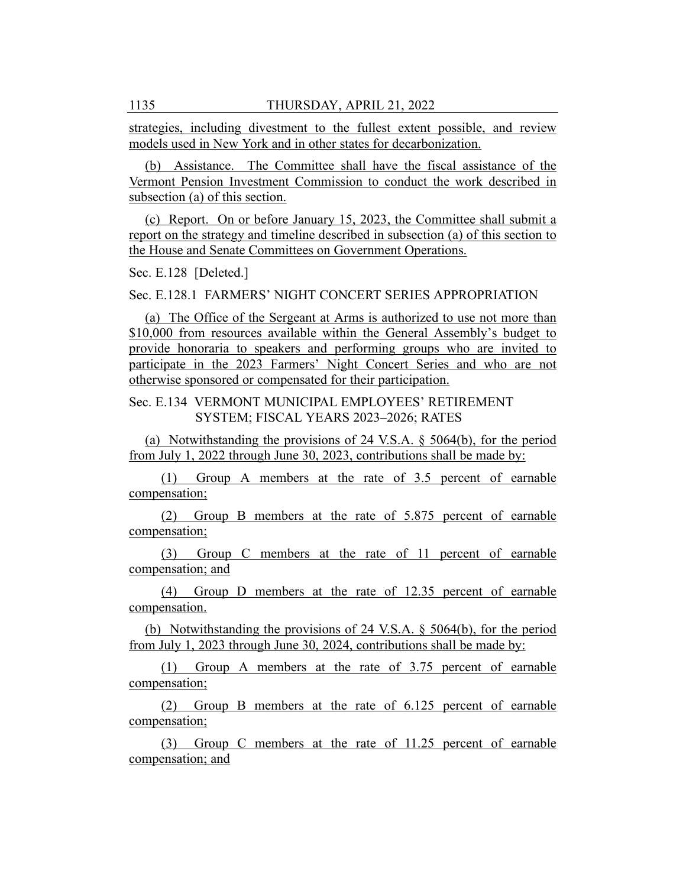strategies, including divestment to the fullest extent possible, and review models used in New York and in other states for decarbonization.

(b) Assistance. The Committee shall have the fiscal assistance of the Vermont Pension Investment Commission to conduct the work described in subsection (a) of this section.

(c) Report. On or before January 15, 2023, the Committee shall submit a report on the strategy and timeline described in subsection (a) of this section to the House and Senate Committees on Government Operations.

Sec. E.128 [Deleted.]

Sec. E.128.1 FARMERS' NIGHT CONCERT SERIES APPROPRIATION

(a) The Office of the Sergeant at Arms is authorized to use not more than \$10,000 from resources available within the General Assembly's budget to provide honoraria to speakers and performing groups who are invited to participate in the 2023 Farmers' Night Concert Series and who are not otherwise sponsored or compensated for their participation.

### Sec. E.134 VERMONT MUNICIPAL EMPLOYEES' RETIREMENT SYSTEM; FISCAL YEARS 2023–2026; RATES

(a) Notwithstanding the provisions of 24 V.S.A. § 5064(b), for the period from July 1, 2022 through June 30, 2023, contributions shall be made by:

(1) Group A members at the rate of 3.5 percent of earnable compensation;

(2) Group B members at the rate of 5.875 percent of earnable compensation;

(3) Group C members at the rate of 11 percent of earnable compensation; and

(4) Group D members at the rate of 12.35 percent of earnable compensation.

(b) Notwithstanding the provisions of 24 V.S.A. § 5064(b), for the period from July 1, 2023 through June 30, 2024, contributions shall be made by:

(1) Group A members at the rate of 3.75 percent of earnable compensation;

(2) Group B members at the rate of 6.125 percent of earnable compensation;

(3) Group C members at the rate of 11.25 percent of earnable compensation; and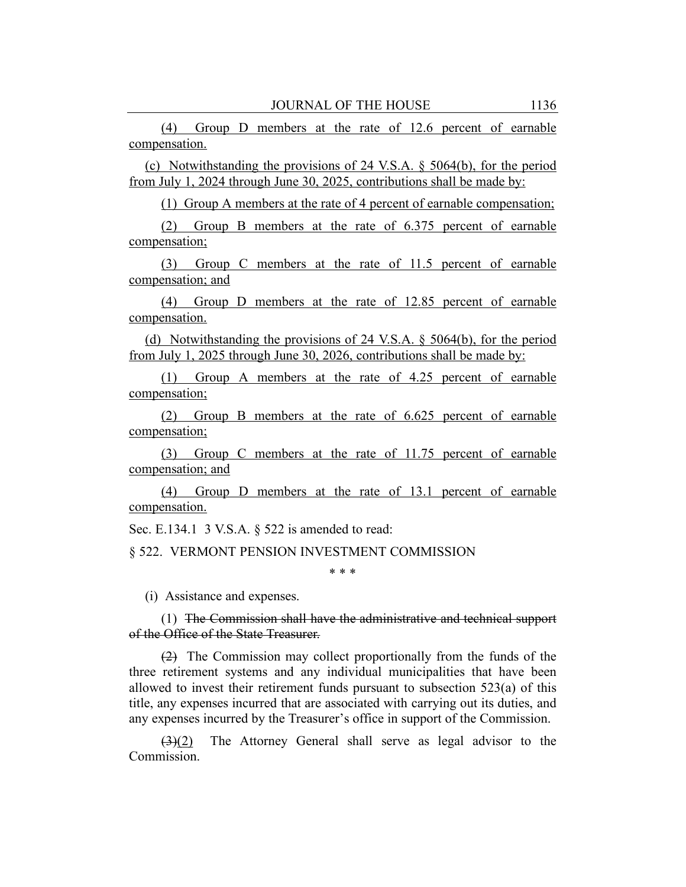(4) Group D members at the rate of 12.6 percent of earnable compensation.

(c) Notwithstanding the provisions of 24 V.S.A. § 5064(b), for the period from July 1, 2024 through June 30, 2025, contributions shall be made by:

(1) Group A members at the rate of 4 percent of earnable compensation;

(2) Group B members at the rate of 6.375 percent of earnable compensation;

(3) Group C members at the rate of 11.5 percent of earnable compensation; and

(4) Group D members at the rate of 12.85 percent of earnable compensation.

(d) Notwithstanding the provisions of 24 V.S.A. § 5064(b), for the period from July 1, 2025 through June 30, 2026, contributions shall be made by:

(1) Group A members at the rate of 4.25 percent of earnable compensation;

(2) Group B members at the rate of 6.625 percent of earnable compensation;

(3) Group C members at the rate of 11.75 percent of earnable compensation; and

(4) Group D members at the rate of 13.1 percent of earnable compensation.

Sec. E.134.1 3 V.S.A. § 522 is amended to read:

§ 522. VERMONT PENSION INVESTMENT COMMISSION

\* \* \*

(i) Assistance and expenses.

(1) The Commission shall have the administrative and technical support of the Office of the State Treasurer.

(2) The Commission may collect proportionally from the funds of the three retirement systems and any individual municipalities that have been allowed to invest their retirement funds pursuant to subsection 523(a) of this title, any expenses incurred that are associated with carrying out its duties, and any expenses incurred by the Treasurer's office in support of the Commission.

(3)(2) The Attorney General shall serve as legal advisor to the Commission.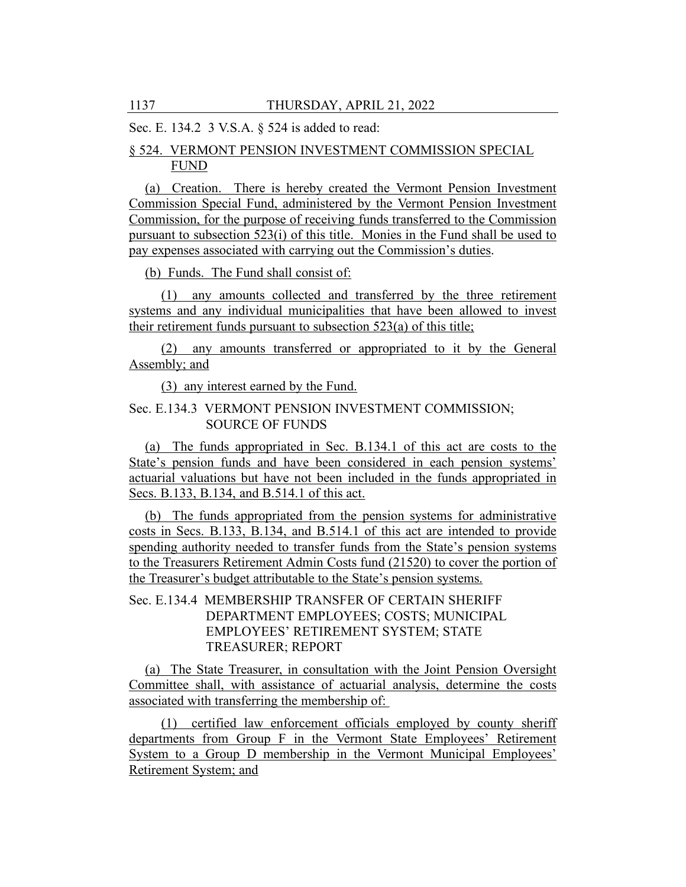Sec. E. 134.2 3 V.S.A. § 524 is added to read:

## § 524. VERMONT PENSION INVESTMENT COMMISSION SPECIAL FUND

(a) Creation. There is hereby created the Vermont Pension Investment Commission Special Fund, administered by the Vermont Pension Investment Commission, for the purpose of receiving funds transferred to the Commission pursuant to subsection 523(i) of this title. Monies in the Fund shall be used to pay expenses associated with carrying out the Commission's duties.

(b) Funds. The Fund shall consist of:

(1) any amounts collected and transferred by the three retirement systems and any individual municipalities that have been allowed to invest their retirement funds pursuant to subsection 523(a) of this title;

(2) any amounts transferred or appropriated to it by the General Assembly; and

(3) any interest earned by the Fund.

### Sec. E.134.3 VERMONT PENSION INVESTMENT COMMISSION; SOURCE OF FUNDS

(a) The funds appropriated in Sec. B.134.1 of this act are costs to the State's pension funds and have been considered in each pension systems' actuarial valuations but have not been included in the funds appropriated in Secs. B.133, B.134, and B.514.1 of this act.

(b) The funds appropriated from the pension systems for administrative costs in Secs. B.133, B.134, and B.514.1 of this act are intended to provide spending authority needed to transfer funds from the State's pension systems to the Treasurers Retirement Admin Costs fund (21520) to cover the portion of the Treasurer's budget attributable to the State's pension systems.

# Sec. E.134.4 MEMBERSHIP TRANSFER OF CERTAIN SHERIFF DEPARTMENT EMPLOYEES; COSTS; MUNICIPAL EMPLOYEES' RETIREMENT SYSTEM; STATE TREASURER; REPORT

(a) The State Treasurer, in consultation with the Joint Pension Oversight Committee shall, with assistance of actuarial analysis, determine the costs associated with transferring the membership of:

(1) certified law enforcement officials employed by county sheriff departments from Group F in the Vermont State Employees' Retirement System to a Group D membership in the Vermont Municipal Employees' Retirement System; and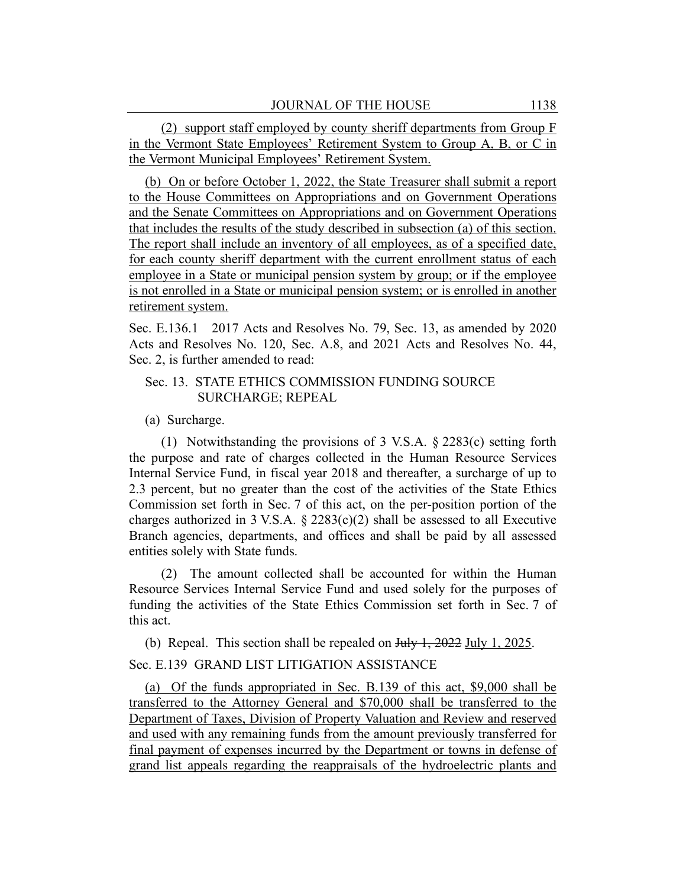(2) support staff employed by county sheriff departments from Group F in the Vermont State Employees' Retirement System to Group A, B, or C in the Vermont Municipal Employees' Retirement System.

(b) On or before October 1, 2022, the State Treasurer shall submit a report to the House Committees on Appropriations and on Government Operations and the Senate Committees on Appropriations and on Government Operations that includes the results of the study described in subsection (a) of this section. The report shall include an inventory of all employees, as of a specified date, for each county sheriff department with the current enrollment status of each employee in a State or municipal pension system by group; or if the employee is not enrolled in a State or municipal pension system; or is enrolled in another retirement system.

Sec. E.136.1 2017 Acts and Resolves No. 79, Sec. 13, as amended by 2020 Acts and Resolves No. 120, Sec. A.8, and 2021 Acts and Resolves No. 44, Sec. 2, is further amended to read:

## Sec. 13. STATE ETHICS COMMISSION FUNDING SOURCE SURCHARGE; REPEAL

(a) Surcharge.

(1) Notwithstanding the provisions of 3 V.S.A. § 2283(c) setting forth the purpose and rate of charges collected in the Human Resource Services Internal Service Fund, in fiscal year 2018 and thereafter, a surcharge of up to 2.3 percent, but no greater than the cost of the activities of the State Ethics Commission set forth in Sec. 7 of this act, on the per-position portion of the charges authorized in 3 V.S.A.  $\S$  2283(c)(2) shall be assessed to all Executive Branch agencies, departments, and offices and shall be paid by all assessed entities solely with State funds.

(2) The amount collected shall be accounted for within the Human Resource Services Internal Service Fund and used solely for the purposes of funding the activities of the State Ethics Commission set forth in Sec. 7 of this act.

(b) Repeal. This section shall be repealed on July 1, 2022 July 1, 2025.

# Sec. E.139 GRAND LIST LITIGATION ASSISTANCE

(a) Of the funds appropriated in Sec. B.139 of this act, \$9,000 shall be transferred to the Attorney General and \$70,000 shall be transferred to the Department of Taxes, Division of Property Valuation and Review and reserved and used with any remaining funds from the amount previously transferred for final payment of expenses incurred by the Department or towns in defense of grand list appeals regarding the reappraisals of the hydroelectric plants and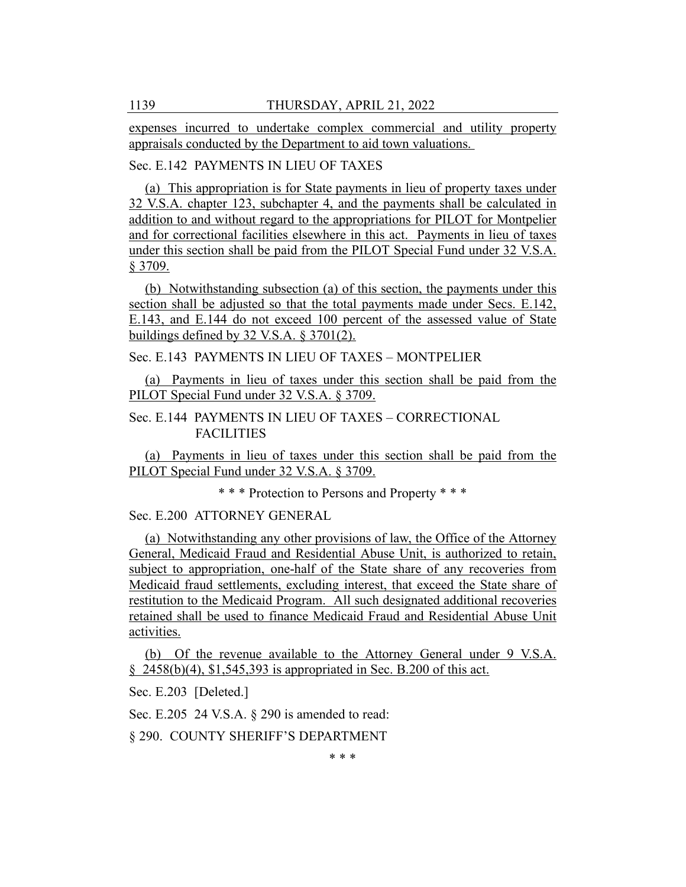expenses incurred to undertake complex commercial and utility property appraisals conducted by the Department to aid town valuations.

# Sec. E.142 PAYMENTS IN LIEU OF TAXES

(a) This appropriation is for State payments in lieu of property taxes under 32 V.S.A. chapter 123, subchapter 4, and the payments shall be calculated in addition to and without regard to the appropriations for PILOT for Montpelier and for correctional facilities elsewhere in this act. Payments in lieu of taxes under this section shall be paid from the PILOT Special Fund under 32 V.S.A. § 3709.

(b) Notwithstanding subsection (a) of this section, the payments under this section shall be adjusted so that the total payments made under Secs. E.142, E.143, and E.144 do not exceed 100 percent of the assessed value of State buildings defined by 32 V.S.A. § 3701(2).

Sec. E.143 PAYMENTS IN LIEU OF TAXES – MONTPELIER

(a) Payments in lieu of taxes under this section shall be paid from the PILOT Special Fund under 32 V.S.A. § 3709.

# Sec. E.144 PAYMENTS IN LIEU OF TAXES – CORRECTIONAL FACILITIES

(a) Payments in lieu of taxes under this section shall be paid from the PILOT Special Fund under 32 V.S.A. § 3709.

\* \* \* Protection to Persons and Property \* \* \*

Sec. E.200 ATTORNEY GENERAL

(a) Notwithstanding any other provisions of law, the Office of the Attorney General, Medicaid Fraud and Residential Abuse Unit, is authorized to retain, subject to appropriation, one-half of the State share of any recoveries from Medicaid fraud settlements, excluding interest, that exceed the State share of restitution to the Medicaid Program. All such designated additional recoveries retained shall be used to finance Medicaid Fraud and Residential Abuse Unit activities.

(b) Of the revenue available to the Attorney General under 9 V.S.A. § 2458(b)(4), \$1,545,393 is appropriated in Sec. B.200 of this act.

Sec. E.203 [Deleted.]

Sec. E.205 24 V.S.A. § 290 is amended to read:

§ 290. COUNTY SHERIFF'S DEPARTMENT

\* \* \*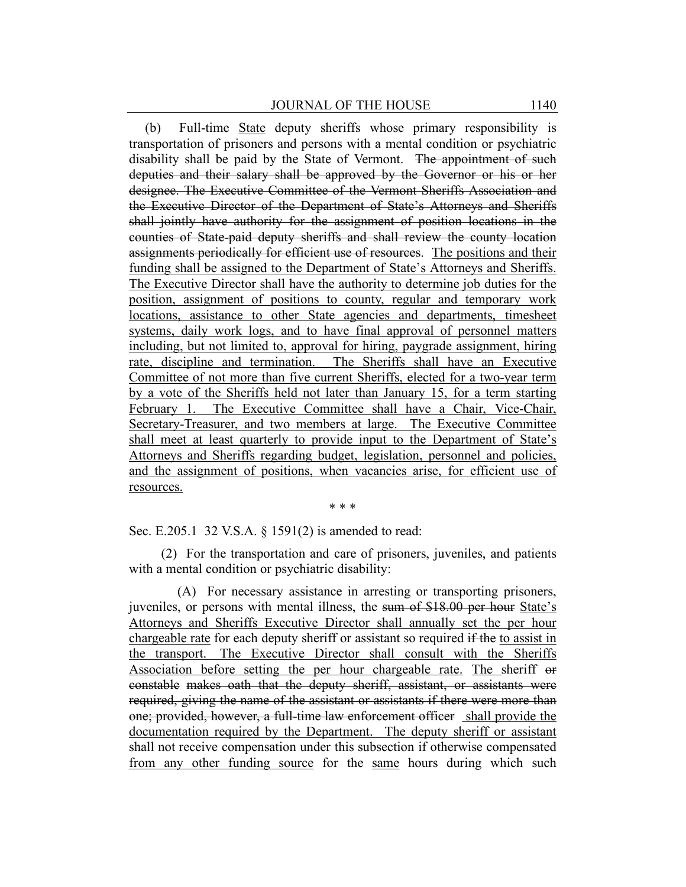(b) Full-time State deputy sheriffs whose primary responsibility is transportation of prisoners and persons with a mental condition or psychiatric disability shall be paid by the State of Vermont. The appointment of such deputies and their salary shall be approved by the Governor or his or her designee. The Executive Committee of the Vermont Sheriffs Association and the Executive Director of the Department of State's Attorneys and Sheriffs shall jointly have authority for the assignment of position locations in the counties of State-paid deputy sheriffs and shall review the county location assignments periodically for efficient use of resources. The positions and their funding shall be assigned to the Department of State's Attorneys and Sheriffs. The Executive Director shall have the authority to determine job duties for the position, assignment of positions to county, regular and temporary work locations, assistance to other State agencies and departments, timesheet systems, daily work logs, and to have final approval of personnel matters including, but not limited to, approval for hiring, paygrade assignment, hiring rate, discipline and termination. The Sheriffs shall have an Executive Committee of not more than five current Sheriffs, elected for a two-year term by a vote of the Sheriffs held not later than January 15, for a term starting February 1. The Executive Committee shall have a Chair, Vice-Chair, Secretary-Treasurer, and two members at large. The Executive Committee shall meet at least quarterly to provide input to the Department of State's Attorneys and Sheriffs regarding budget, legislation, personnel and policies, and the assignment of positions, when vacancies arise, for efficient use of resources.

\* \* \*

Sec. E.205.1 32 V.S.A. § 1591(2) is amended to read:

(2) For the transportation and care of prisoners, juveniles, and patients with a mental condition or psychiatric disability:

(A) For necessary assistance in arresting or transporting prisoners, juveniles, or persons with mental illness, the sum of \$18.00 per hour State's Attorneys and Sheriffs Executive Director shall annually set the per hour chargeable rate for each deputy sheriff or assistant so required if the to assist in the transport. The Executive Director shall consult with the Sheriffs Association before setting the per hour chargeable rate. The sheriff or constable makes oath that the deputy sheriff, assistant, or assistants were required, giving the name of the assistant or assistants if there were more than one; provided, however, a full-time law enforcement officer shall provide the documentation required by the Department. The deputy sheriff or assistant shall not receive compensation under this subsection if otherwise compensated from any other funding source for the same hours during which such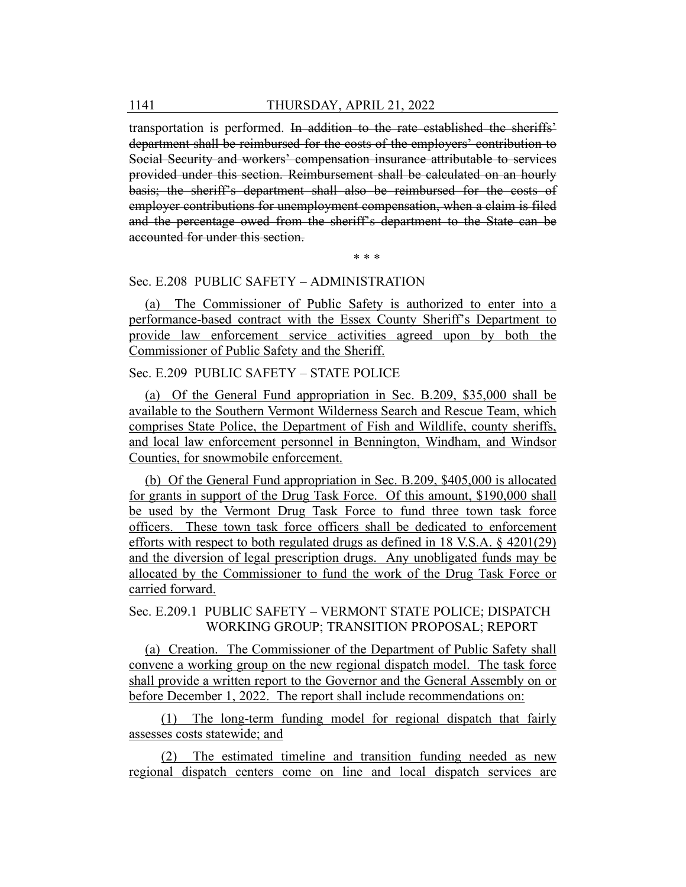transportation is performed. In addition to the rate established the sheriffs' department shall be reimbursed for the costs of the employers' contribution to Social Security and workers' compensation insurance attributable to services provided under this section. Reimbursement shall be calculated on an hourly basis; the sheriff's department shall also be reimbursed for the costs of employer contributions for unemployment compensation, when a claim is filed and the percentage owed from the sheriff's department to the State can be accounted for under this section.

\* \* \*

#### Sec. E.208 PUBLIC SAFETY – ADMINISTRATION

(a) The Commissioner of Public Safety is authorized to enter into a performance-based contract with the Essex County Sheriff's Department to provide law enforcement service activities agreed upon by both the Commissioner of Public Safety and the Sheriff.

# Sec. E.209 PUBLIC SAFETY – STATE POLICE

(a) Of the General Fund appropriation in Sec. B.209, \$35,000 shall be available to the Southern Vermont Wilderness Search and Rescue Team, which comprises State Police, the Department of Fish and Wildlife, county sheriffs, and local law enforcement personnel in Bennington, Windham, and Windsor Counties, for snowmobile enforcement.

(b) Of the General Fund appropriation in Sec. B.209, \$405,000 is allocated for grants in support of the Drug Task Force. Of this amount, \$190,000 shall be used by the Vermont Drug Task Force to fund three town task force officers. These town task force officers shall be dedicated to enforcement efforts with respect to both regulated drugs as defined in 18 V.S.A. § 4201(29) and the diversion of legal prescription drugs. Any unobligated funds may be allocated by the Commissioner to fund the work of the Drug Task Force or carried forward.

Sec. E.209.1 PUBLIC SAFETY – VERMONT STATE POLICE; DISPATCH WORKING GROUP; TRANSITION PROPOSAL; REPORT

(a) Creation. The Commissioner of the Department of Public Safety shall convene a working group on the new regional dispatch model. The task force shall provide a written report to the Governor and the General Assembly on or before December 1, 2022. The report shall include recommendations on:

(1) The long-term funding model for regional dispatch that fairly assesses costs statewide; and

(2) The estimated timeline and transition funding needed as new regional dispatch centers come on line and local dispatch services are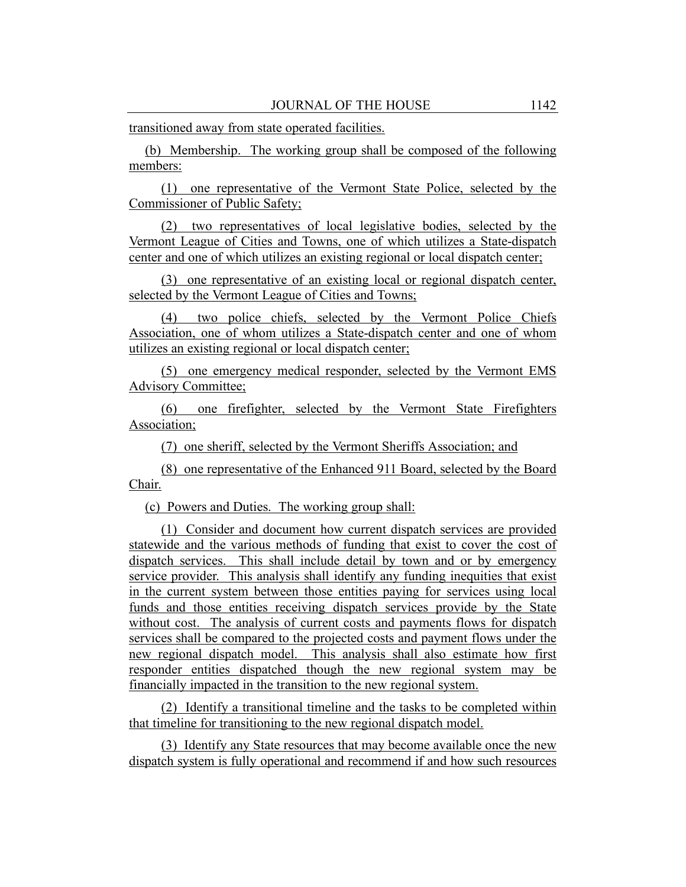transitioned away from state operated facilities.

(b) Membership. The working group shall be composed of the following members:

(1) one representative of the Vermont State Police, selected by the Commissioner of Public Safety;

(2) two representatives of local legislative bodies, selected by the Vermont League of Cities and Towns, one of which utilizes a State-dispatch center and one of which utilizes an existing regional or local dispatch center;

(3) one representative of an existing local or regional dispatch center, selected by the Vermont League of Cities and Towns;

(4) two police chiefs, selected by the Vermont Police Chiefs Association, one of whom utilizes a State-dispatch center and one of whom utilizes an existing regional or local dispatch center;

(5) one emergency medical responder, selected by the Vermont EMS Advisory Committee;

(6) one firefighter, selected by the Vermont State Firefighters Association;

(7) one sheriff, selected by the Vermont Sheriffs Association; and

(8) one representative of the Enhanced 911 Board, selected by the Board Chair.

(c) Powers and Duties. The working group shall:

(1) Consider and document how current dispatch services are provided statewide and the various methods of funding that exist to cover the cost of dispatch services. This shall include detail by town and or by emergency service provider. This analysis shall identify any funding inequities that exist in the current system between those entities paying for services using local funds and those entities receiving dispatch services provide by the State without cost. The analysis of current costs and payments flows for dispatch services shall be compared to the projected costs and payment flows under the new regional dispatch model. This analysis shall also estimate how first responder entities dispatched though the new regional system may be financially impacted in the transition to the new regional system.

(2) Identify a transitional timeline and the tasks to be completed within that timeline for transitioning to the new regional dispatch model.

(3) Identify any State resources that may become available once the new dispatch system is fully operational and recommend if and how such resources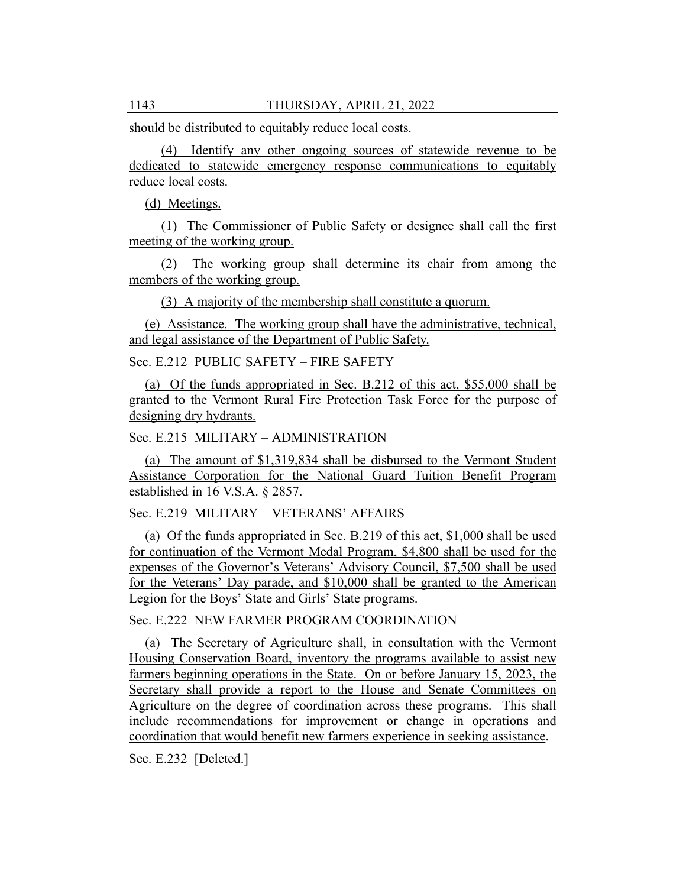should be distributed to equitably reduce local costs.

(4) Identify any other ongoing sources of statewide revenue to be dedicated to statewide emergency response communications to equitably reduce local costs.

(d) Meetings.

(1) The Commissioner of Public Safety or designee shall call the first meeting of the working group.

(2) The working group shall determine its chair from among the members of the working group.

(3) A majority of the membership shall constitute a quorum.

(e) Assistance. The working group shall have the administrative, technical, and legal assistance of the Department of Public Safety.

Sec. E.212 PUBLIC SAFETY – FIRE SAFETY

(a) Of the funds appropriated in Sec. B.212 of this act, \$55,000 shall be granted to the Vermont Rural Fire Protection Task Force for the purpose of designing dry hydrants.

Sec. E.215 MILITARY – ADMINISTRATION

(a) The amount of \$1,319,834 shall be disbursed to the Vermont Student Assistance Corporation for the National Guard Tuition Benefit Program established in 16 V.S.A. § 2857.

Sec. E.219 MILITARY – VETERANS' AFFAIRS

(a) Of the funds appropriated in Sec. B.219 of this act, \$1,000 shall be used for continuation of the Vermont Medal Program, \$4,800 shall be used for the expenses of the Governor's Veterans' Advisory Council, \$7,500 shall be used for the Veterans' Day parade, and \$10,000 shall be granted to the American Legion for the Boys' State and Girls' State programs.

Sec. E.222 NEW FARMER PROGRAM COORDINATION

(a) The Secretary of Agriculture shall, in consultation with the Vermont Housing Conservation Board, inventory the programs available to assist new farmers beginning operations in the State. On or before January 15, 2023, the Secretary shall provide a report to the House and Senate Committees on Agriculture on the degree of coordination across these programs. This shall include recommendations for improvement or change in operations and coordination that would benefit new farmers experience in seeking assistance.

Sec. E.232 [Deleted.]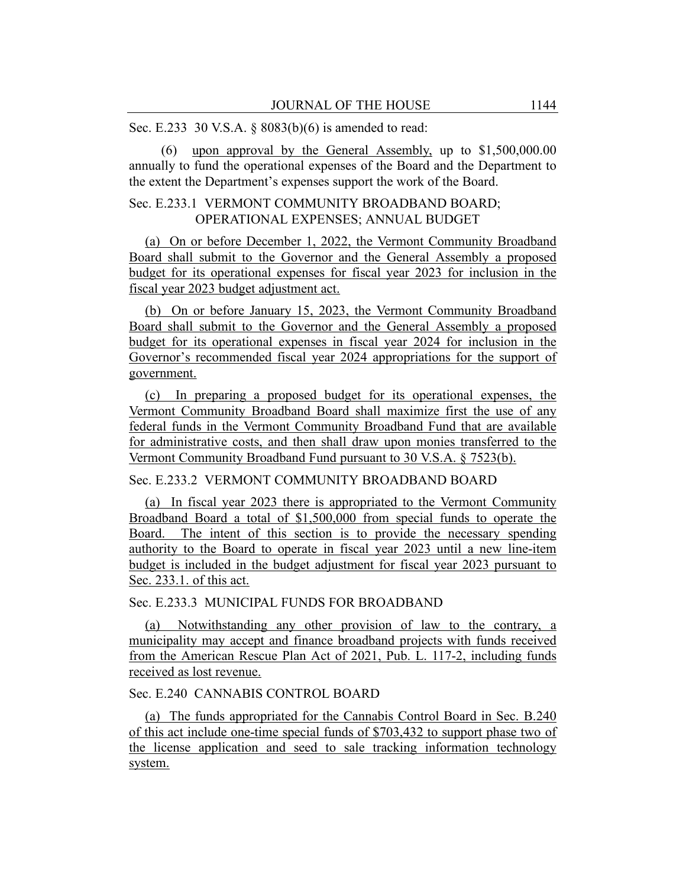Sec. E.233 30 V.S.A. § 8083(b)(6) is amended to read:

(6) upon approval by the General Assembly, up to \$1,500,000.00 annually to fund the operational expenses of the Board and the Department to the extent the Department's expenses support the work of the Board.

## Sec. E.233.1 VERMONT COMMUNITY BROADBAND BOARD; OPERATIONAL EXPENSES; ANNUAL BUDGET

(a) On or before December 1, 2022, the Vermont Community Broadband Board shall submit to the Governor and the General Assembly a proposed budget for its operational expenses for fiscal year 2023 for inclusion in the fiscal year 2023 budget adjustment act.

(b) On or before January 15, 2023, the Vermont Community Broadband Board shall submit to the Governor and the General Assembly a proposed budget for its operational expenses in fiscal year 2024 for inclusion in the Governor's recommended fiscal year 2024 appropriations for the support of government.

(c) In preparing a proposed budget for its operational expenses, the Vermont Community Broadband Board shall maximize first the use of any federal funds in the Vermont Community Broadband Fund that are available for administrative costs, and then shall draw upon monies transferred to the Vermont Community Broadband Fund pursuant to 30 V.S.A. § 7523(b).

Sec. E.233.2 VERMONT COMMUNITY BROADBAND BOARD

(a) In fiscal year 2023 there is appropriated to the Vermont Community Broadband Board a total of \$1,500,000 from special funds to operate the Board. The intent of this section is to provide the necessary spending authority to the Board to operate in fiscal year 2023 until a new line-item budget is included in the budget adjustment for fiscal year 2023 pursuant to Sec. 233.1. of this act.

### Sec. E.233.3 MUNICIPAL FUNDS FOR BROADBAND

(a) Notwithstanding any other provision of law to the contrary, a municipality may accept and finance broadband projects with funds received from the American Rescue Plan Act of 2021, Pub. L. 117-2, including funds received as lost revenue.

## Sec. E.240 CANNABIS CONTROL BOARD

(a) The funds appropriated for the Cannabis Control Board in Sec. B.240 of this act include one-time special funds of \$703,432 to support phase two of the license application and seed to sale tracking information technology system.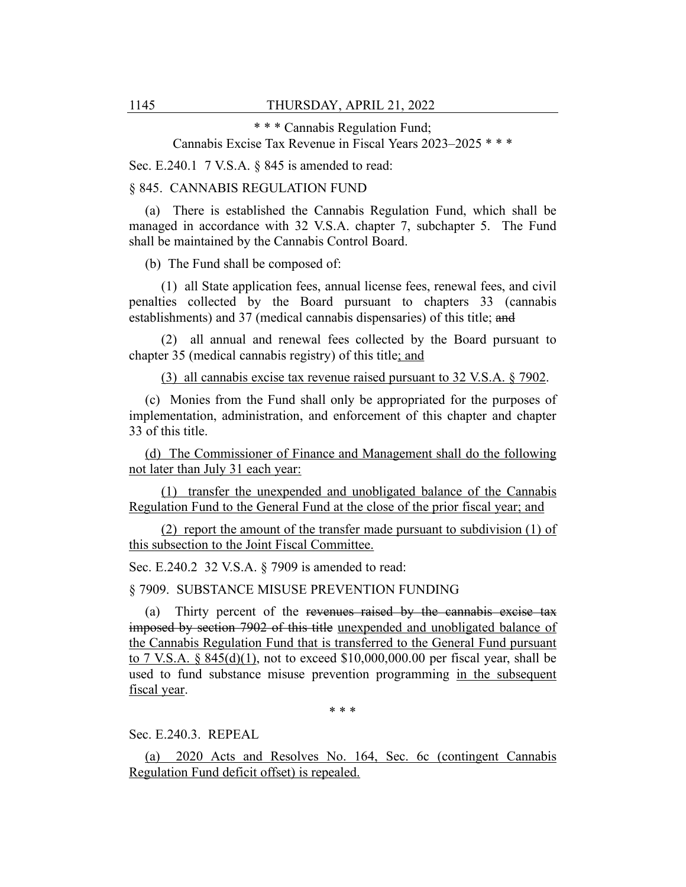\* \* \* Cannabis Regulation Fund;

Cannabis Excise Tax Revenue in Fiscal Years 2023–2025 \* \* \*

Sec. E.240.1 7 V.S.A. § 845 is amended to read:

§ 845. CANNABIS REGULATION FUND

(a) There is established the Cannabis Regulation Fund, which shall be managed in accordance with 32 V.S.A. chapter 7, subchapter 5. The Fund shall be maintained by the Cannabis Control Board.

(b) The Fund shall be composed of:

(1) all State application fees, annual license fees, renewal fees, and civil penalties collected by the Board pursuant to chapters 33 (cannabis establishments) and 37 (medical cannabis dispensaries) of this title; and

(2) all annual and renewal fees collected by the Board pursuant to chapter 35 (medical cannabis registry) of this title; and

(3) all cannabis excise tax revenue raised pursuant to 32 V.S.A. § 7902.

(c) Monies from the Fund shall only be appropriated for the purposes of implementation, administration, and enforcement of this chapter and chapter 33 of this title.

(d) The Commissioner of Finance and Management shall do the following not later than July 31 each year:

(1) transfer the unexpended and unobligated balance of the Cannabis Regulation Fund to the General Fund at the close of the prior fiscal year; and

(2) report the amount of the transfer made pursuant to subdivision (1) of this subsection to the Joint Fiscal Committee.

Sec. E.240.2 32 V.S.A. § 7909 is amended to read:

§ 7909. SUBSTANCE MISUSE PREVENTION FUNDING

(a) Thirty percent of the revenues raised by the cannabis excise tax imposed by section 7902 of this title unexpended and unobligated balance of the Cannabis Regulation Fund that is transferred to the General Fund pursuant to 7 V.S.A. §  $845(d)(1)$ , not to exceed \$10,000,000.00 per fiscal year, shall be used to fund substance misuse prevention programming in the subsequent fiscal year.

\* \* \*

Sec. E.240.3. REPEAL

(a) 2020 Acts and Resolves No. 164, Sec. 6c (contingent Cannabis Regulation Fund deficit offset) is repealed.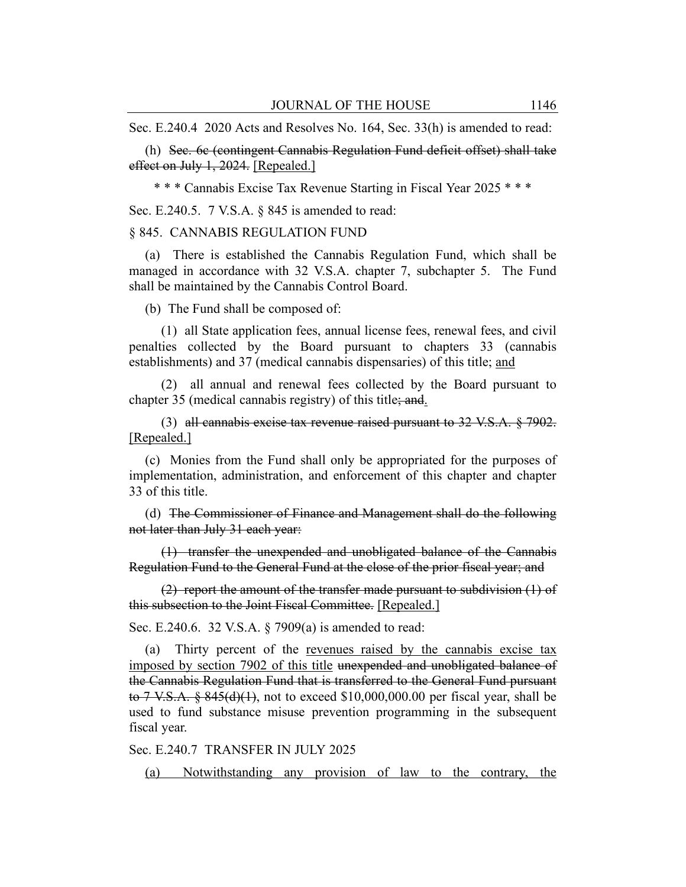Sec. E.240.4 2020 Acts and Resolves No. 164, Sec. 33(h) is amended to read:

(h) Sec. 6c (contingent Cannabis Regulation Fund deficit offset) shall take effect on July 1, 2024. [Repealed.]

\* \* \* Cannabis Excise Tax Revenue Starting in Fiscal Year 2025 \* \* \*

Sec. E.240.5. 7 V.S.A. § 845 is amended to read:

#### § 845. CANNABIS REGULATION FUND

(a) There is established the Cannabis Regulation Fund, which shall be managed in accordance with 32 V.S.A. chapter 7, subchapter 5. The Fund shall be maintained by the Cannabis Control Board.

(b) The Fund shall be composed of:

(1) all State application fees, annual license fees, renewal fees, and civil penalties collected by the Board pursuant to chapters 33 (cannabis establishments) and 37 (medical cannabis dispensaries) of this title; and

(2) all annual and renewal fees collected by the Board pursuant to chapter 35 (medical cannabis registry) of this title; and.

(3) all cannabis excise tax revenue raised pursuant to  $32$  V.S.A.  $\S$  7902. [Repealed.]

(c) Monies from the Fund shall only be appropriated for the purposes of implementation, administration, and enforcement of this chapter and chapter 33 of this title.

(d) The Commissioner of Finance and Management shall do the following not later than July 31 each year:

(1) transfer the unexpended and unobligated balance of the Cannabis Regulation Fund to the General Fund at the close of the prior fiscal year; and

(2) report the amount of the transfer made pursuant to subdivision (1) of this subsection to the Joint Fiscal Committee. [Repealed.]

Sec. E.240.6. 32 V.S.A. § 7909(a) is amended to read:

(a) Thirty percent of the revenues raised by the cannabis excise tax imposed by section 7902 of this title unexpended and unobligated balance of the Cannabis Regulation Fund that is transferred to the General Fund pursuant to 7 V.S.A.  $\S$  845(d)(1), not to exceed \$10,000,000.00 per fiscal year, shall be used to fund substance misuse prevention programming in the subsequent fiscal year.

Sec. E.240.7 TRANSFER IN JULY 2025

(a) Notwithstanding any provision of law to the contrary, the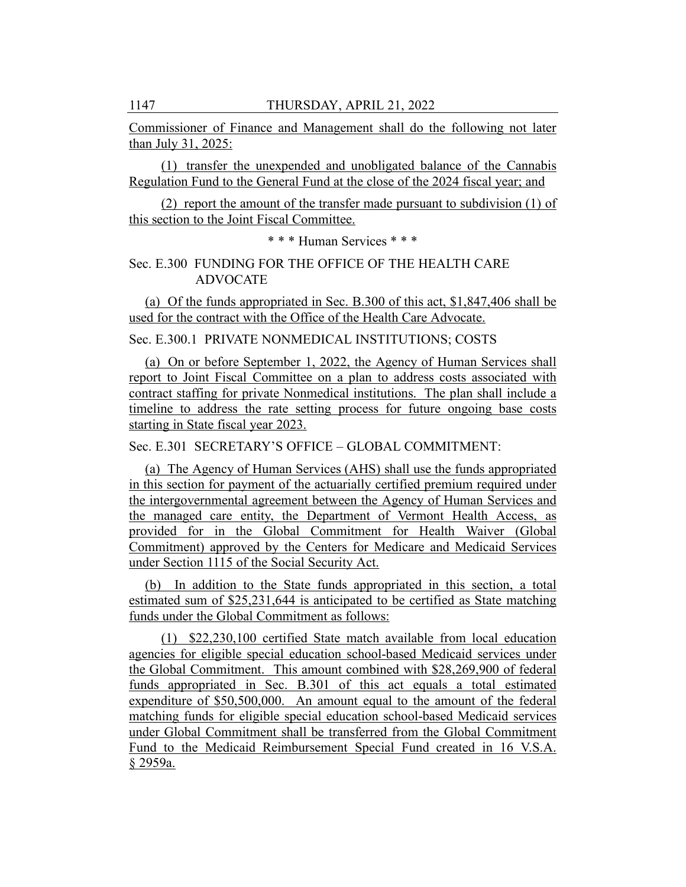Commissioner of Finance and Management shall do the following not later than July 31, 2025:

(1) transfer the unexpended and unobligated balance of the Cannabis Regulation Fund to the General Fund at the close of the 2024 fiscal year; and

(2) report the amount of the transfer made pursuant to subdivision (1) of this section to the Joint Fiscal Committee.

\* \* \* Human Services \* \* \*

## Sec. E.300 FUNDING FOR THE OFFICE OF THE HEALTH CARE ADVOCATE

(a) Of the funds appropriated in Sec. B.300 of this act, \$1,847,406 shall be used for the contract with the Office of the Health Care Advocate.

Sec. E.300.1 PRIVATE NONMEDICAL INSTITUTIONS; COSTS

(a) On or before September 1, 2022, the Agency of Human Services shall report to Joint Fiscal Committee on a plan to address costs associated with contract staffing for private Nonmedical institutions. The plan shall include a timeline to address the rate setting process for future ongoing base costs starting in State fiscal year 2023.

Sec. E.301 SECRETARY'S OFFICE – GLOBAL COMMITMENT:

(a) The Agency of Human Services (AHS) shall use the funds appropriated in this section for payment of the actuarially certified premium required under the intergovernmental agreement between the Agency of Human Services and the managed care entity, the Department of Vermont Health Access, as provided for in the Global Commitment for Health Waiver (Global Commitment) approved by the Centers for Medicare and Medicaid Services under Section 1115 of the Social Security Act.

(b) In addition to the State funds appropriated in this section, a total estimated sum of \$25,231,644 is anticipated to be certified as State matching funds under the Global Commitment as follows:

(1) \$22,230,100 certified State match available from local education agencies for eligible special education school-based Medicaid services under the Global Commitment. This amount combined with \$28,269,900 of federal funds appropriated in Sec. B.301 of this act equals a total estimated expenditure of \$50,500,000. An amount equal to the amount of the federal matching funds for eligible special education school-based Medicaid services under Global Commitment shall be transferred from the Global Commitment Fund to the Medicaid Reimbursement Special Fund created in 16 V.S.A. § 2959a.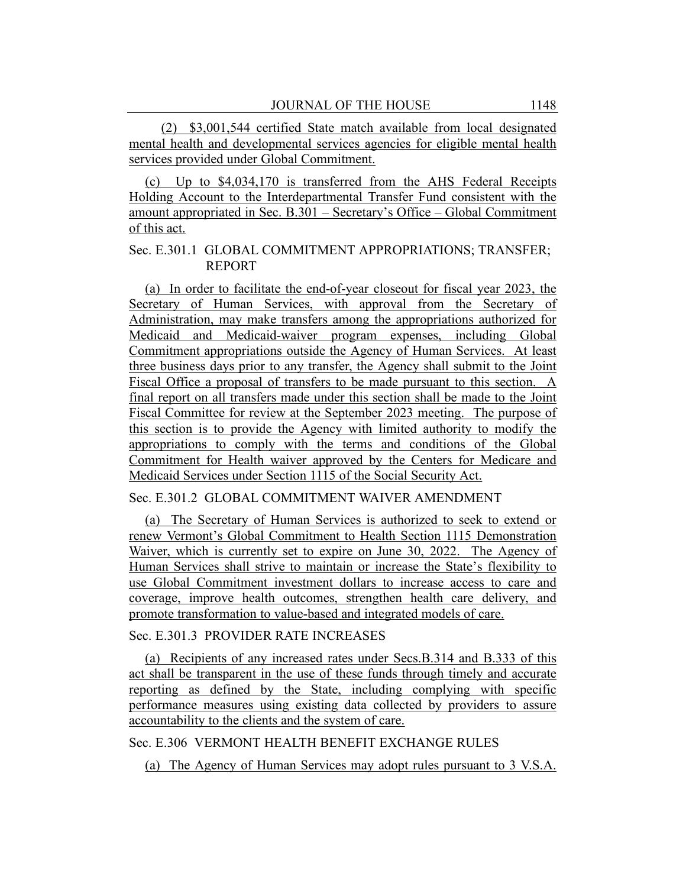(2) \$3,001,544 certified State match available from local designated mental health and developmental services agencies for eligible mental health services provided under Global Commitment.

(c) Up to \$4,034,170 is transferred from the AHS Federal Receipts Holding Account to the Interdepartmental Transfer Fund consistent with the amount appropriated in Sec. B.301 – Secretary's Office – Global Commitment of this act.

### Sec. E.301.1 GLOBAL COMMITMENT APPROPRIATIONS; TRANSFER; REPORT

(a) In order to facilitate the end-of-year closeout for fiscal year 2023, the Secretary of Human Services, with approval from the Secretary of Administration, may make transfers among the appropriations authorized for Medicaid and Medicaid-waiver program expenses, including Global Commitment appropriations outside the Agency of Human Services. At least three business days prior to any transfer, the Agency shall submit to the Joint Fiscal Office a proposal of transfers to be made pursuant to this section. A final report on all transfers made under this section shall be made to the Joint Fiscal Committee for review at the September 2023 meeting. The purpose of this section is to provide the Agency with limited authority to modify the appropriations to comply with the terms and conditions of the Global Commitment for Health waiver approved by the Centers for Medicare and Medicaid Services under Section 1115 of the Social Security Act.

### Sec. E.301.2 GLOBAL COMMITMENT WAIVER AMENDMENT

(a) The Secretary of Human Services is authorized to seek to extend or renew Vermont's Global Commitment to Health Section 1115 Demonstration Waiver, which is currently set to expire on June 30, 2022. The Agency of Human Services shall strive to maintain or increase the State's flexibility to use Global Commitment investment dollars to increase access to care and coverage, improve health outcomes, strengthen health care delivery, and promote transformation to value-based and integrated models of care.

#### Sec. E.301.3 PROVIDER RATE INCREASES

(a) Recipients of any increased rates under Secs.B.314 and B.333 of this act shall be transparent in the use of these funds through timely and accurate reporting as defined by the State, including complying with specific performance measures using existing data collected by providers to assure accountability to the clients and the system of care.

#### Sec. E.306 VERMONT HEALTH BENEFIT EXCHANGE RULES

(a) The Agency of Human Services may adopt rules pursuant to 3 V.S.A.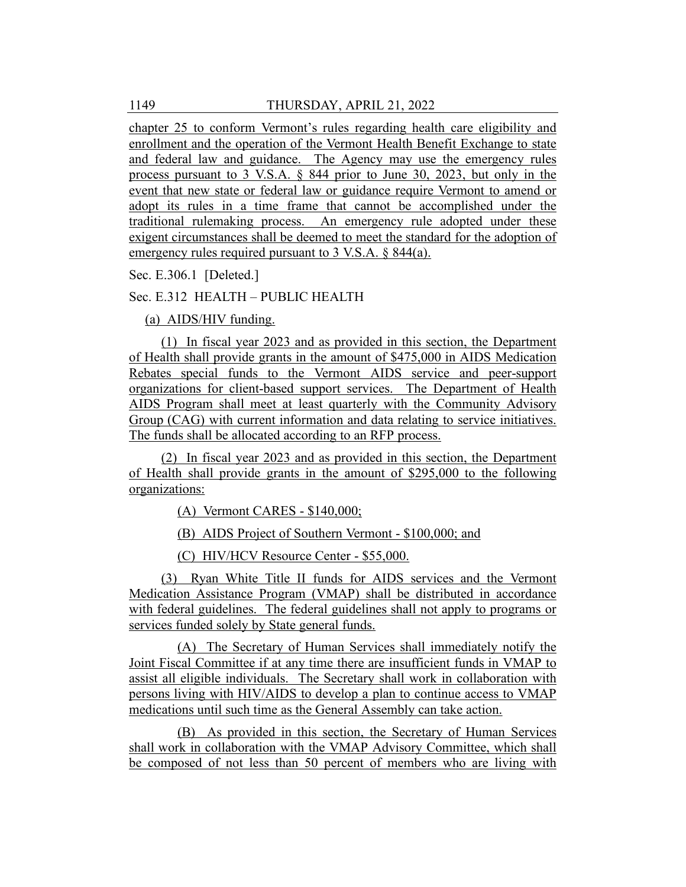chapter 25 to conform Vermont's rules regarding health care eligibility and enrollment and the operation of the Vermont Health Benefit Exchange to state and federal law and guidance. The Agency may use the emergency rules process pursuant to 3 V.S.A. § 844 prior to June 30, 2023, but only in the event that new state or federal law or guidance require Vermont to amend or adopt its rules in a time frame that cannot be accomplished under the traditional rulemaking process. An emergency rule adopted under these exigent circumstances shall be deemed to meet the standard for the adoption of emergency rules required pursuant to 3 V.S.A. § 844(a).

Sec. E.306.1 [Deleted.]

## Sec. E.312 HEALTH – PUBLIC HEALTH

(a) AIDS/HIV funding.

(1) In fiscal year 2023 and as provided in this section, the Department of Health shall provide grants in the amount of \$475,000 in AIDS Medication Rebates special funds to the Vermont AIDS service and peer-support organizations for client-based support services. The Department of Health AIDS Program shall meet at least quarterly with the Community Advisory Group (CAG) with current information and data relating to service initiatives. The funds shall be allocated according to an RFP process.

(2) In fiscal year 2023 and as provided in this section, the Department of Health shall provide grants in the amount of \$295,000 to the following organizations:

(A) Vermont CARES - \$140,000;

(B) AIDS Project of Southern Vermont - \$100,000; and

(C) HIV/HCV Resource Center - \$55,000.

(3) Ryan White Title II funds for AIDS services and the Vermont Medication Assistance Program (VMAP) shall be distributed in accordance with federal guidelines. The federal guidelines shall not apply to programs or services funded solely by State general funds.

(A) The Secretary of Human Services shall immediately notify the Joint Fiscal Committee if at any time there are insufficient funds in VMAP to assist all eligible individuals. The Secretary shall work in collaboration with persons living with HIV/AIDS to develop a plan to continue access to VMAP medications until such time as the General Assembly can take action.

(B) As provided in this section, the Secretary of Human Services shall work in collaboration with the VMAP Advisory Committee, which shall be composed of not less than 50 percent of members who are living with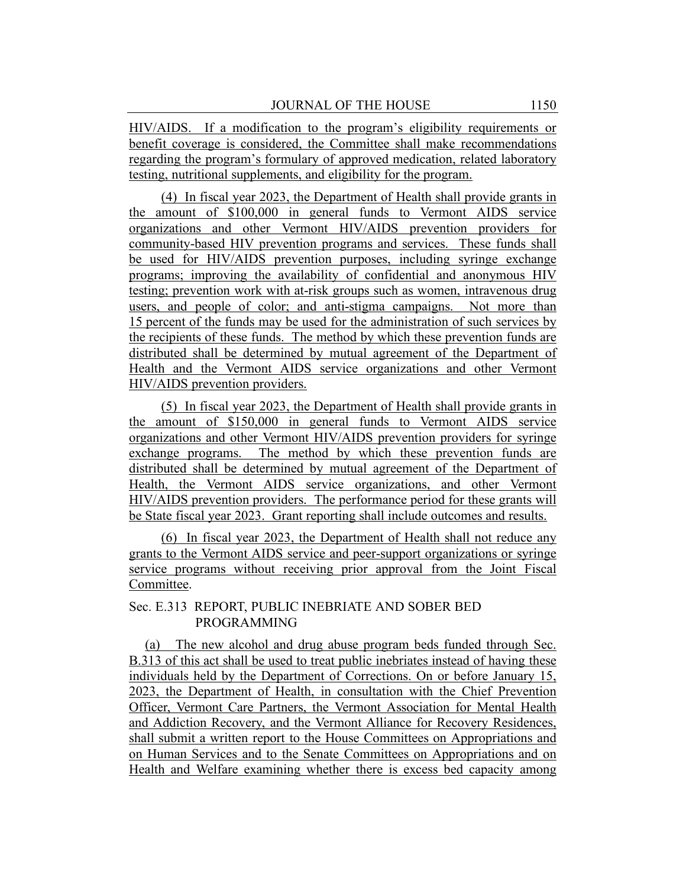HIV/AIDS. If a modification to the program's eligibility requirements or benefit coverage is considered, the Committee shall make recommendations regarding the program's formulary of approved medication, related laboratory testing, nutritional supplements, and eligibility for the program.

(4) In fiscal year 2023, the Department of Health shall provide grants in the amount of \$100,000 in general funds to Vermont AIDS service organizations and other Vermont HIV/AIDS prevention providers for community-based HIV prevention programs and services. These funds shall be used for HIV/AIDS prevention purposes, including syringe exchange programs; improving the availability of confidential and anonymous HIV testing; prevention work with at-risk groups such as women, intravenous drug users, and people of color; and anti-stigma campaigns. Not more than 15 percent of the funds may be used for the administration of such services by the recipients of these funds. The method by which these prevention funds are distributed shall be determined by mutual agreement of the Department of Health and the Vermont AIDS service organizations and other Vermont HIV/AIDS prevention providers.

(5) In fiscal year 2023, the Department of Health shall provide grants in the amount of \$150,000 in general funds to Vermont AIDS service organizations and other Vermont HIV/AIDS prevention providers for syringe exchange programs. The method by which these prevention funds are distributed shall be determined by mutual agreement of the Department of Health, the Vermont AIDS service organizations, and other Vermont HIV/AIDS prevention providers. The performance period for these grants will be State fiscal year 2023. Grant reporting shall include outcomes and results.

(6) In fiscal year 2023, the Department of Health shall not reduce any grants to the Vermont AIDS service and peer-support organizations or syringe service programs without receiving prior approval from the Joint Fiscal Committee.

### Sec. E.313 REPORT, PUBLIC INEBRIATE AND SOBER BED PROGRAMMING

(a) The new alcohol and drug abuse program beds funded through Sec. B.313 of this act shall be used to treat public inebriates instead of having these individuals held by the Department of Corrections. On or before January 15, 2023, the Department of Health, in consultation with the Chief Prevention Officer, Vermont Care Partners, the Vermont Association for Mental Health and Addiction Recovery, and the Vermont Alliance for Recovery Residences, shall submit a written report to the House Committees on Appropriations and on Human Services and to the Senate Committees on Appropriations and on Health and Welfare examining whether there is excess bed capacity among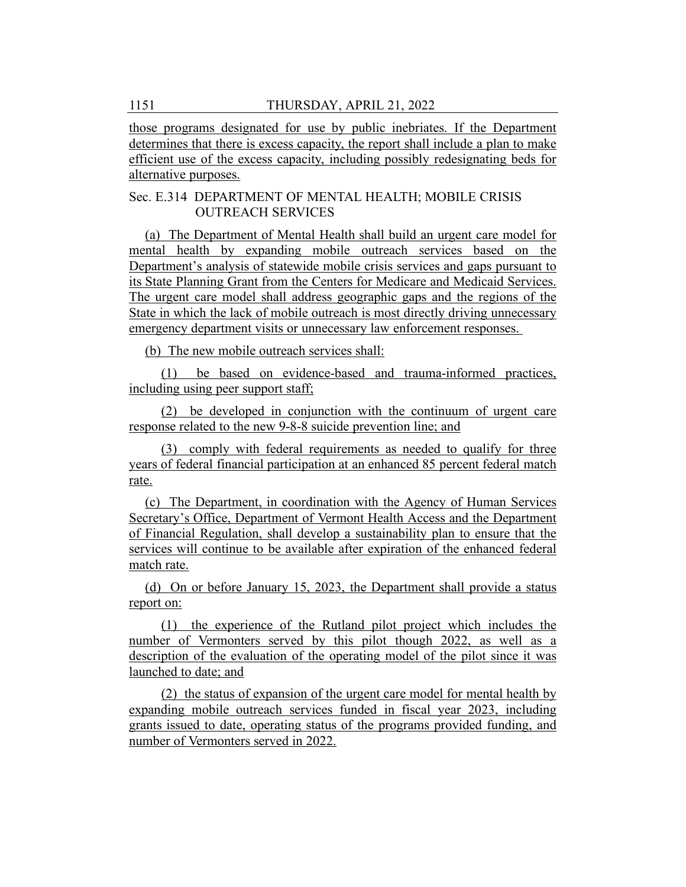those programs designated for use by public inebriates. If the Department determines that there is excess capacity, the report shall include a plan to make efficient use of the excess capacity, including possibly redesignating beds for alternative purposes.

## Sec. E.314 DEPARTMENT OF MENTAL HEALTH; MOBILE CRISIS OUTREACH SERVICES

(a) The Department of Mental Health shall build an urgent care model for mental health by expanding mobile outreach services based on the Department's analysis of statewide mobile crisis services and gaps pursuant to its State Planning Grant from the Centers for Medicare and Medicaid Services. The urgent care model shall address geographic gaps and the regions of the State in which the lack of mobile outreach is most directly driving unnecessary emergency department visits or unnecessary law enforcement responses.

(b) The new mobile outreach services shall:

(1) be based on evidence-based and trauma-informed practices, including using peer support staff;

(2) be developed in conjunction with the continuum of urgent care response related to the new 9-8-8 suicide prevention line; and

(3) comply with federal requirements as needed to qualify for three years of federal financial participation at an enhanced 85 percent federal match rate.

(c) The Department, in coordination with the Agency of Human Services Secretary's Office, Department of Vermont Health Access and the Department of Financial Regulation, shall develop a sustainability plan to ensure that the services will continue to be available after expiration of the enhanced federal match rate.

(d) On or before January 15, 2023, the Department shall provide a status report on:

(1) the experience of the Rutland pilot project which includes the number of Vermonters served by this pilot though 2022, as well as a description of the evaluation of the operating model of the pilot since it was launched to date; and

(2) the status of expansion of the urgent care model for mental health by expanding mobile outreach services funded in fiscal year 2023, including grants issued to date, operating status of the programs provided funding, and number of Vermonters served in 2022.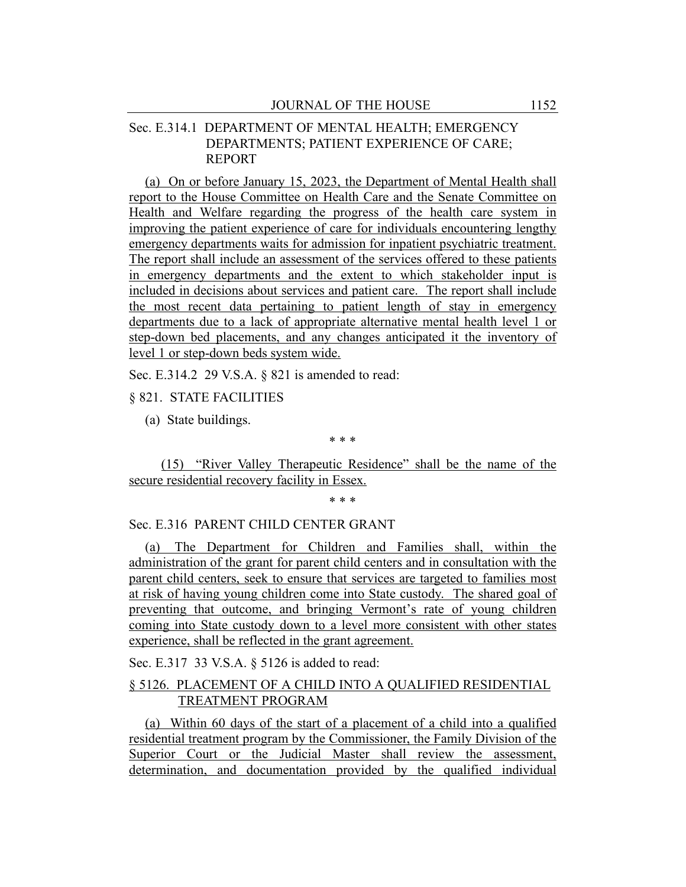## Sec. E.314.1 DEPARTMENT OF MENTAL HEALTH; EMERGENCY DEPARTMENTS; PATIENT EXPERIENCE OF CARE; REPORT

(a) On or before January 15, 2023, the Department of Mental Health shall report to the House Committee on Health Care and the Senate Committee on Health and Welfare regarding the progress of the health care system in improving the patient experience of care for individuals encountering lengthy emergency departments waits for admission for inpatient psychiatric treatment. The report shall include an assessment of the services offered to these patients in emergency departments and the extent to which stakeholder input is included in decisions about services and patient care. The report shall include the most recent data pertaining to patient length of stay in emergency departments due to a lack of appropriate alternative mental health level 1 or step-down bed placements, and any changes anticipated it the inventory of level 1 or step-down beds system wide.

Sec. E.314.2 29 V.S.A. § 821 is amended to read:

### § 821. STATE FACILITIES

(a) State buildings.

\* \* \*

(15) "River Valley Therapeutic Residence" shall be the name of the secure residential recovery facility in Essex.

\* \* \*

### Sec. E.316 PARENT CHILD CENTER GRANT

(a) The Department for Children and Families shall, within the administration of the grant for parent child centers and in consultation with the parent child centers, seek to ensure that services are targeted to families most at risk of having young children come into State custody. The shared goal of preventing that outcome, and bringing Vermont's rate of young children coming into State custody down to a level more consistent with other states experience, shall be reflected in the grant agreement.

Sec. E.317 33 V.S.A. § 5126 is added to read:

# § 5126. PLACEMENT OF A CHILD INTO A QUALIFIED RESIDENTIAL TREATMENT PROGRAM

(a) Within 60 days of the start of a placement of a child into a qualified residential treatment program by the Commissioner, the Family Division of the Superior Court or the Judicial Master shall review the assessment, determination, and documentation provided by the qualified individual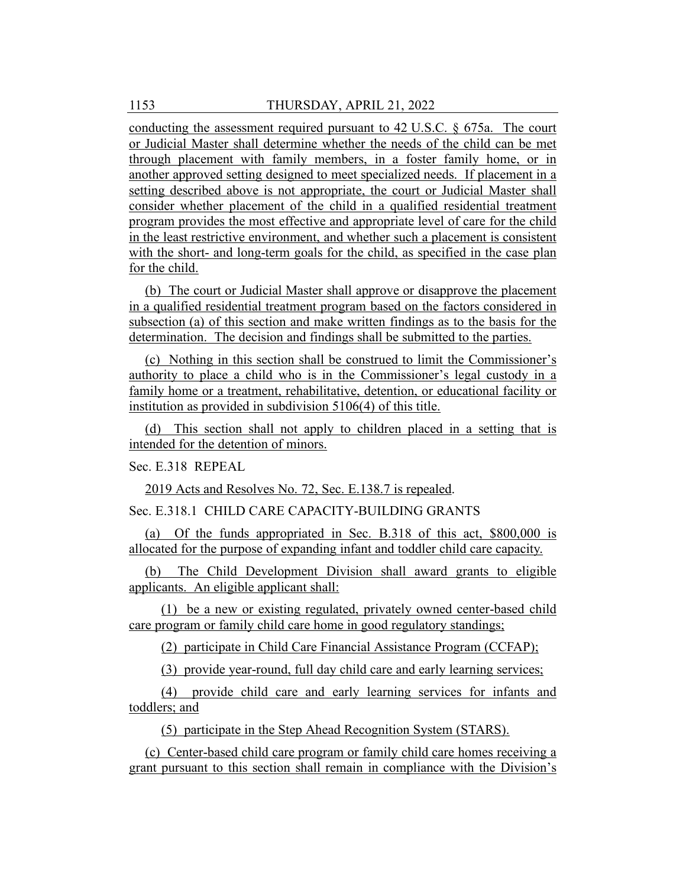conducting the assessment required pursuant to 42 U.S.C. § 675a. The court or Judicial Master shall determine whether the needs of the child can be met through placement with family members, in a foster family home, or in another approved setting designed to meet specialized needs. If placement in a setting described above is not appropriate, the court or Judicial Master shall consider whether placement of the child in a qualified residential treatment program provides the most effective and appropriate level of care for the child in the least restrictive environment, and whether such a placement is consistent with the short- and long-term goals for the child, as specified in the case plan for the child.

(b) The court or Judicial Master shall approve or disapprove the placement in a qualified residential treatment program based on the factors considered in subsection (a) of this section and make written findings as to the basis for the determination. The decision and findings shall be submitted to the parties.

(c) Nothing in this section shall be construed to limit the Commissioner's authority to place a child who is in the Commissioner's legal custody in a family home or a treatment, rehabilitative, detention, or educational facility or institution as provided in subdivision 5106(4) of this title.

(d) This section shall not apply to children placed in a setting that is intended for the detention of minors.

Sec. E.318 REPEAL

2019 Acts and Resolves No. 72, Sec. E.138.7 is repealed.

Sec. E.318.1 CHILD CARE CAPACITY-BUILDING GRANTS

(a) Of the funds appropriated in Sec. B.318 of this act, \$800,000 is allocated for the purpose of expanding infant and toddler child care capacity.

(b) The Child Development Division shall award grants to eligible applicants. An eligible applicant shall:

(1) be a new or existing regulated, privately owned center-based child care program or family child care home in good regulatory standings;

(2) participate in Child Care Financial Assistance Program (CCFAP);

(3) provide year-round, full day child care and early learning services;

(4) provide child care and early learning services for infants and toddlers; and

(5) participate in the Step Ahead Recognition System (STARS).

(c) Center-based child care program or family child care homes receiving a grant pursuant to this section shall remain in compliance with the Division's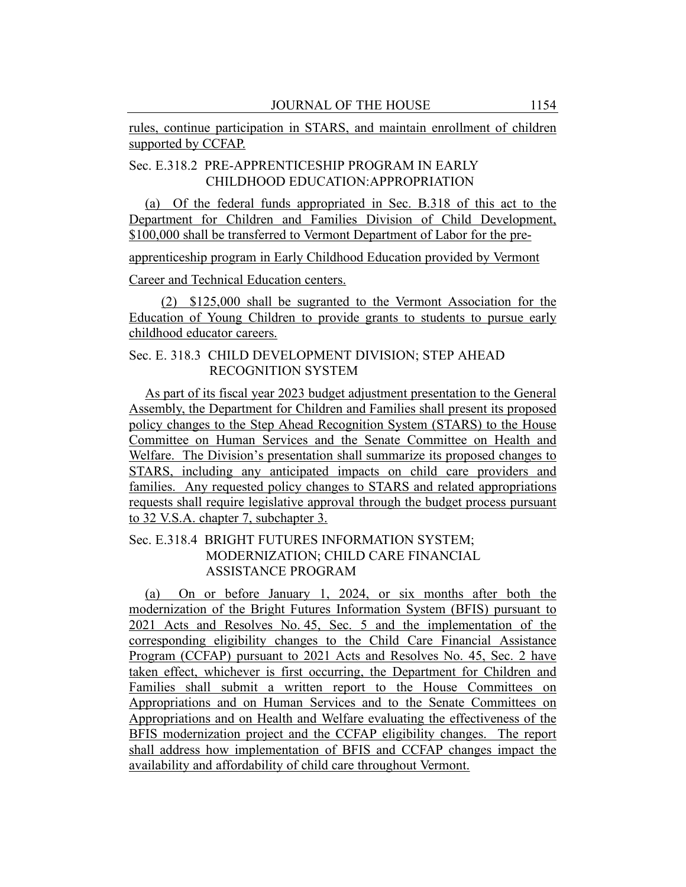rules, continue participation in STARS, and maintain enrollment of children supported by CCFAP.

# Sec. E.318.2 PRE-APPRENTICESHIP PROGRAM IN EARLY CHILDHOOD EDUCATION:APPROPRIATION

(a) Of the federal funds appropriated in Sec. B.318 of this act to the Department for Children and Families Division of Child Development, \$100,000 shall be transferred to Vermont Department of Labor for the pre-

apprenticeship program in Early Childhood Education provided by Vermont

Career and Technical Education centers.

(2) \$125,000 shall be sugranted to the Vermont Association for the Education of Young Children to provide grants to students to pursue early childhood educator careers.

## Sec. E. 318.3 CHILD DEVELOPMENT DIVISION; STEP AHEAD RECOGNITION SYSTEM

As part of its fiscal year 2023 budget adjustment presentation to the General Assembly, the Department for Children and Families shall present its proposed policy changes to the Step Ahead Recognition System (STARS) to the House Committee on Human Services and the Senate Committee on Health and Welfare. The Division's presentation shall summarize its proposed changes to STARS, including any anticipated impacts on child care providers and families. Any requested policy changes to STARS and related appropriations requests shall require legislative approval through the budget process pursuant to 32 V.S.A. chapter 7, subchapter 3.

## Sec. E.318.4 BRIGHT FUTURES INFORMATION SYSTEM; MODERNIZATION; CHILD CARE FINANCIAL ASSISTANCE PROGRAM

(a) On or before January 1, 2024, or six months after both the modernization of the Bright Futures Information System (BFIS) pursuant to 2021 Acts and Resolves No. 45, Sec. 5 and the implementation of the corresponding eligibility changes to the Child Care Financial Assistance Program (CCFAP) pursuant to 2021 Acts and Resolves No. 45, Sec. 2 have taken effect, whichever is first occurring, the Department for Children and Families shall submit a written report to the House Committees on Appropriations and on Human Services and to the Senate Committees on Appropriations and on Health and Welfare evaluating the effectiveness of the BFIS modernization project and the CCFAP eligibility changes. The report shall address how implementation of BFIS and CCFAP changes impact the availability and affordability of child care throughout Vermont.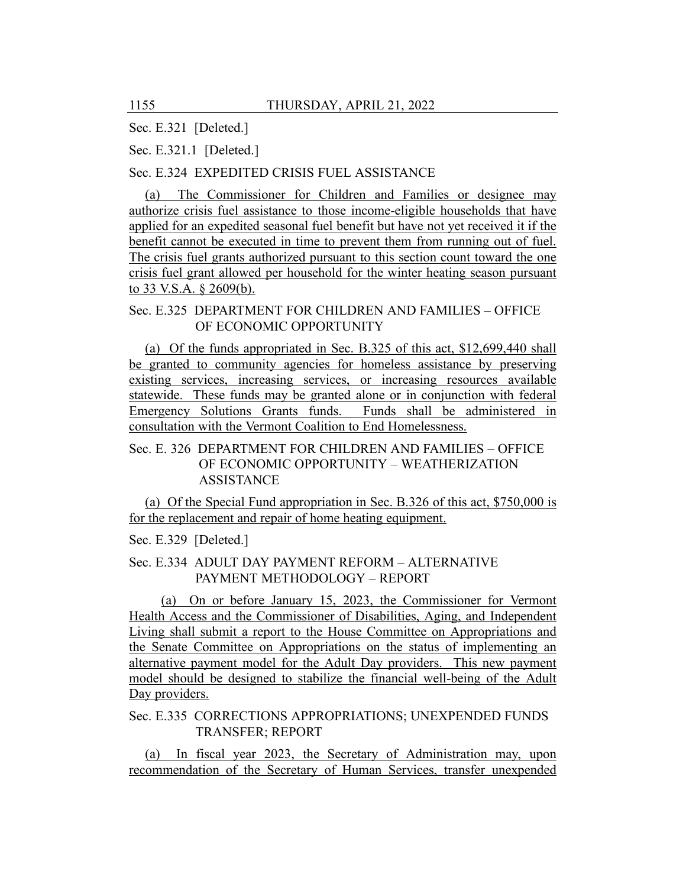Sec. E.321 [Deleted.]

Sec. E.321.1 [Deleted.]

Sec. E.324 EXPEDITED CRISIS FUEL ASSISTANCE

(a) The Commissioner for Children and Families or designee may authorize crisis fuel assistance to those income-eligible households that have applied for an expedited seasonal fuel benefit but have not yet received it if the benefit cannot be executed in time to prevent them from running out of fuel. The crisis fuel grants authorized pursuant to this section count toward the one crisis fuel grant allowed per household for the winter heating season pursuant to 33 V.S.A. § 2609(b).

# Sec. E.325 DEPARTMENT FOR CHILDREN AND FAMILIES – OFFICE OF ECONOMIC OPPORTUNITY

(a) Of the funds appropriated in Sec. B.325 of this act, \$12,699,440 shall be granted to community agencies for homeless assistance by preserving existing services, increasing services, or increasing resources available statewide. These funds may be granted alone or in conjunction with federal Emergency Solutions Grants funds. Funds shall be administered in consultation with the Vermont Coalition to End Homelessness.

# Sec. E. 326 DEPARTMENT FOR CHILDREN AND FAMILIES – OFFICE OF ECONOMIC OPPORTUNITY – WEATHERIZATION ASSISTANCE

(a) Of the Special Fund appropriation in Sec. B.326 of this act, \$750,000 is for the replacement and repair of home heating equipment.

Sec. E.329 [Deleted.]

## Sec. E.334 ADULT DAY PAYMENT REFORM – ALTERNATIVE PAYMENT METHODOLOGY – REPORT

(a) On or before January 15, 2023, the Commissioner for Vermont Health Access and the Commissioner of Disabilities, Aging, and Independent Living shall submit a report to the House Committee on Appropriations and the Senate Committee on Appropriations on the status of implementing an alternative payment model for the Adult Day providers. This new payment model should be designed to stabilize the financial well-being of the Adult Day providers.

## Sec. E.335 CORRECTIONS APPROPRIATIONS; UNEXPENDED FUNDS TRANSFER; REPORT

(a) In fiscal year 2023, the Secretary of Administration may, upon recommendation of the Secretary of Human Services, transfer unexpended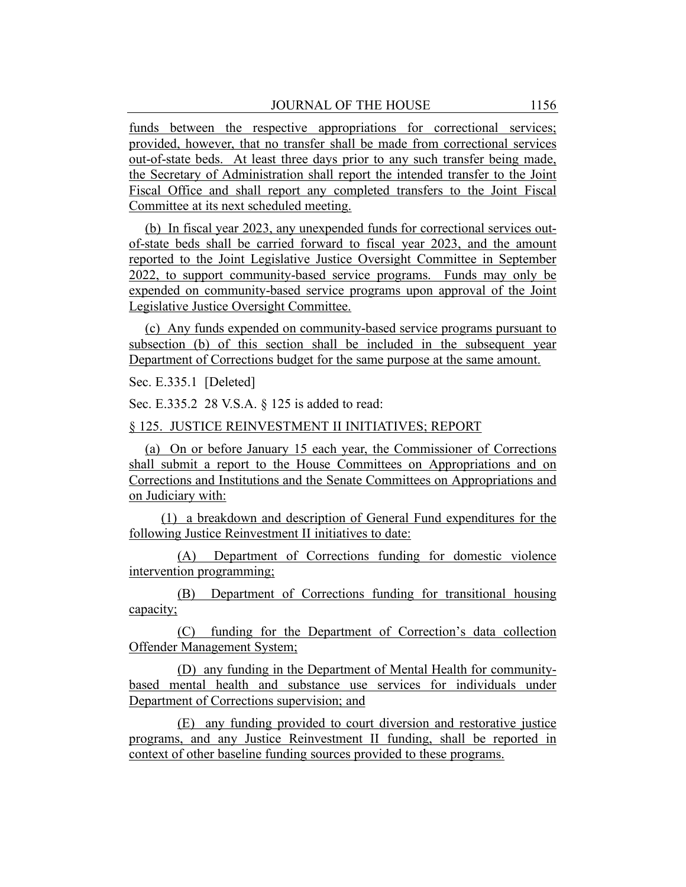funds between the respective appropriations for correctional services; provided, however, that no transfer shall be made from correctional services out-of-state beds. At least three days prior to any such transfer being made, the Secretary of Administration shall report the intended transfer to the Joint Fiscal Office and shall report any completed transfers to the Joint Fiscal Committee at its next scheduled meeting.

(b) In fiscal year 2023, any unexpended funds for correctional services outof-state beds shall be carried forward to fiscal year 2023, and the amount reported to the Joint Legislative Justice Oversight Committee in September 2022, to support community-based service programs. Funds may only be expended on community-based service programs upon approval of the Joint Legislative Justice Oversight Committee.

(c) Any funds expended on community-based service programs pursuant to subsection (b) of this section shall be included in the subsequent year Department of Corrections budget for the same purpose at the same amount.

Sec. E.335.1 [Deleted]

Sec. E.335.2 28 V.S.A. § 125 is added to read:

### § 125. JUSTICE REINVESTMENT II INITIATIVES; REPORT

(a) On or before January 15 each year, the Commissioner of Corrections shall submit a report to the House Committees on Appropriations and on Corrections and Institutions and the Senate Committees on Appropriations and on Judiciary with:

(1) a breakdown and description of General Fund expenditures for the following Justice Reinvestment II initiatives to date:

(A) Department of Corrections funding for domestic violence intervention programming;

(B) Department of Corrections funding for transitional housing capacity;

(C) funding for the Department of Correction's data collection Offender Management System;

(D) any funding in the Department of Mental Health for communitybased mental health and substance use services for individuals under Department of Corrections supervision; and

(E) any funding provided to court diversion and restorative justice programs, and any Justice Reinvestment II funding, shall be reported in context of other baseline funding sources provided to these programs.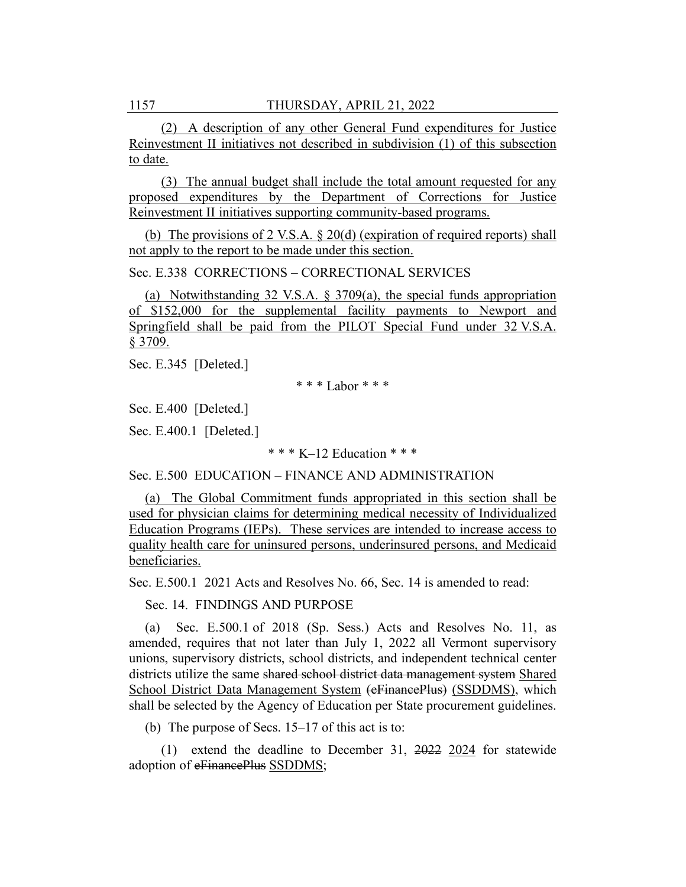(2) A description of any other General Fund expenditures for Justice Reinvestment II initiatives not described in subdivision (1) of this subsection to date.

(3) The annual budget shall include the total amount requested for any proposed expenditures by the Department of Corrections for Justice Reinvestment II initiatives supporting community-based programs.

(b) The provisions of 2 V.S.A. § 20(d) (expiration of required reports) shall not apply to the report to be made under this section.

Sec. E.338 CORRECTIONS – CORRECTIONAL SERVICES

(a) Notwithstanding 32 V.S.A. § 3709(a), the special funds appropriation of \$152,000 for the supplemental facility payments to Newport and Springfield shall be paid from the PILOT Special Fund under 32 V.S.A. § 3709.

Sec. E.345 [Deleted.]

\* \* \* Labor \* \* \*

Sec. E.400 [Deleted.]

Sec. E.400.1 [Deleted.]

\* \* \* K–12 Education \* \* \*

Sec. E.500 EDUCATION – FINANCE AND ADMINISTRATION

(a) The Global Commitment funds appropriated in this section shall be used for physician claims for determining medical necessity of Individualized Education Programs (IEPs). These services are intended to increase access to quality health care for uninsured persons, underinsured persons, and Medicaid beneficiaries.

Sec. E.500.1 2021 Acts and Resolves No. 66, Sec. 14 is amended to read:

Sec. 14. FINDINGS AND PURPOSE

(a) Sec. E.500.1 of 2018 (Sp. Sess.) Acts and Resolves No. 11, as amended, requires that not later than July 1, 2022 all Vermont supervisory unions, supervisory districts, school districts, and independent technical center districts utilize the same shared school district data management system Shared School District Data Management System (eFinancePlus) (SSDDMS), which shall be selected by the Agency of Education per State procurement guidelines.

(b) The purpose of Secs.  $15-17$  of this act is to:

(1) extend the deadline to December 31, 2022 2024 for statewide adoption of eFinancePlus SSDDMS;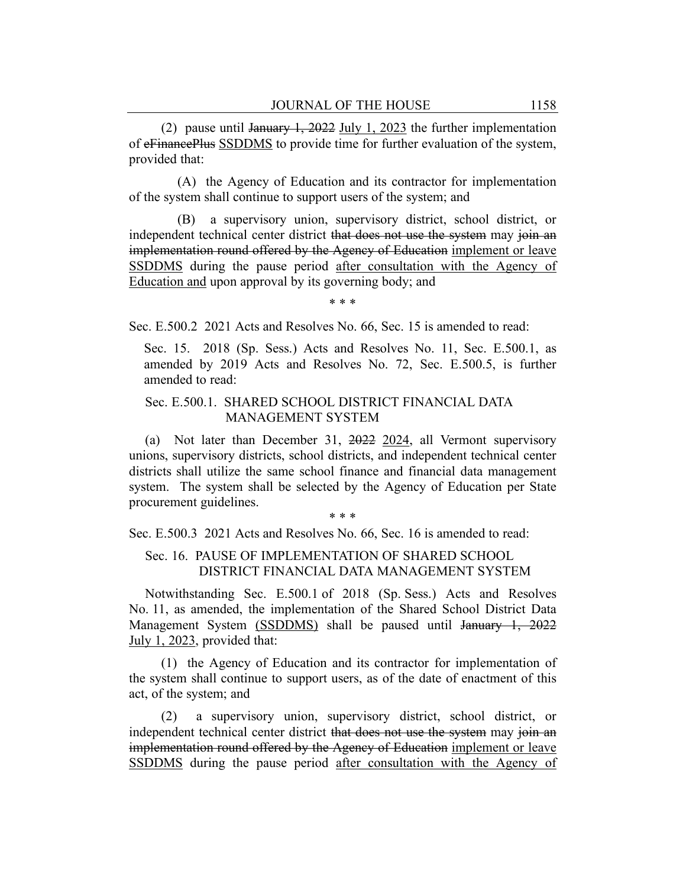(2) pause until January 1, 2022 July 1, 2023 the further implementation of eFinancePlus SSDDMS to provide time for further evaluation of the system, provided that:

(A) the Agency of Education and its contractor for implementation of the system shall continue to support users of the system; and

(B) a supervisory union, supervisory district, school district, or independent technical center district that does not use the system may join an implementation round offered by the Agency of Education implement or leave SSDDMS during the pause period after consultation with the Agency of Education and upon approval by its governing body; and

\* \* \*

Sec. E.500.2 2021 Acts and Resolves No. 66, Sec. 15 is amended to read:

Sec. 15. 2018 (Sp. Sess.) Acts and Resolves No. 11, Sec. E.500.1, as amended by 2019 Acts and Resolves No. 72, Sec. E.500.5, is further amended to read:

### Sec. E.500.1. SHARED SCHOOL DISTRICT FINANCIAL DATA MANAGEMENT SYSTEM

(a) Not later than December 31, 2022 2024, all Vermont supervisory unions, supervisory districts, school districts, and independent technical center districts shall utilize the same school finance and financial data management system. The system shall be selected by the Agency of Education per State procurement guidelines.

\* \* \*

Sec. E.500.3 2021 Acts and Resolves No. 66, Sec. 16 is amended to read:

## Sec. 16. PAUSE OF IMPLEMENTATION OF SHARED SCHOOL DISTRICT FINANCIAL DATA MANAGEMENT SYSTEM

Notwithstanding Sec. E.500.1 of 2018 (Sp. Sess.) Acts and Resolves No. 11, as amended, the implementation of the Shared School District Data Management System (SSDDMS) shall be paused until January 1, 2022 July 1, 2023, provided that:

(1) the Agency of Education and its contractor for implementation of the system shall continue to support users, as of the date of enactment of this act, of the system; and

(2) a supervisory union, supervisory district, school district, or independent technical center district that does not use the system may join an implementation round offered by the Agency of Education implement or leave SSDDMS during the pause period after consultation with the Agency of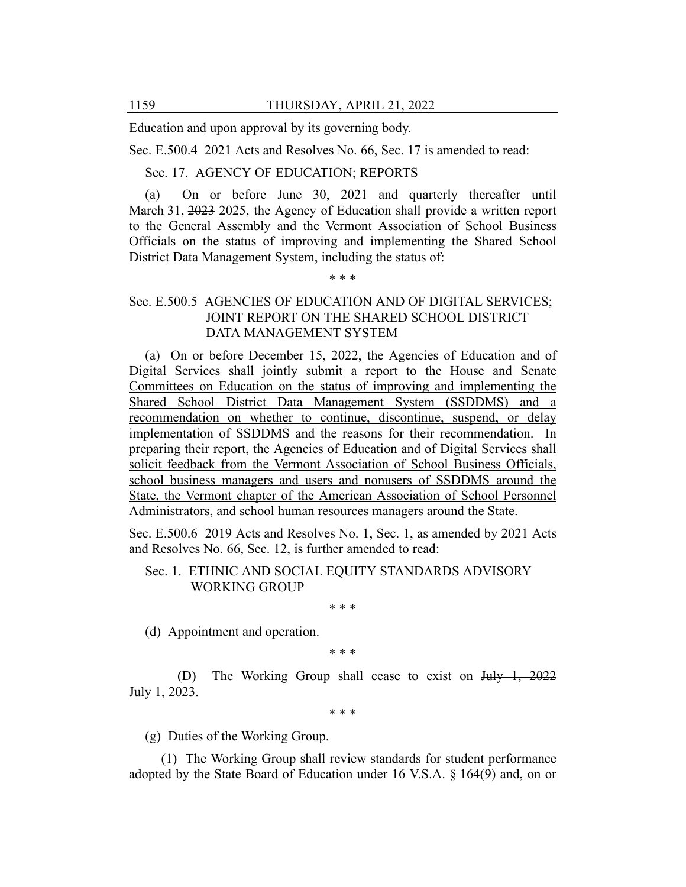Education and upon approval by its governing body.

Sec. E.500.4 2021 Acts and Resolves No. 66, Sec. 17 is amended to read:

Sec. 17. AGENCY OF EDUCATION; REPORTS

(a) On or before June 30, 2021 and quarterly thereafter until March 31, 2023 2025, the Agency of Education shall provide a written report to the General Assembly and the Vermont Association of School Business Officials on the status of improving and implementing the Shared School District Data Management System, including the status of:

# Sec. E.500.5 AGENCIES OF EDUCATION AND OF DIGITAL SERVICES; JOINT REPORT ON THE SHARED SCHOOL DISTRICT DATA MANAGEMENT SYSTEM

\* \* \*

(a) On or before December 15, 2022, the Agencies of Education and of Digital Services shall jointly submit a report to the House and Senate Committees on Education on the status of improving and implementing the Shared School District Data Management System (SSDDMS) and a recommendation on whether to continue, discontinue, suspend, or delay implementation of SSDDMS and the reasons for their recommendation. In preparing their report, the Agencies of Education and of Digital Services shall solicit feedback from the Vermont Association of School Business Officials, school business managers and users and nonusers of SSDDMS around the State, the Vermont chapter of the American Association of School Personnel Administrators, and school human resources managers around the State.

Sec. E.500.6 2019 Acts and Resolves No. 1, Sec. 1, as amended by 2021 Acts and Resolves No. 66, Sec. 12, is further amended to read:

## Sec. 1. ETHNIC AND SOCIAL EQUITY STANDARDS ADVISORY WORKING GROUP

\* \* \*

(d) Appointment and operation.

\* \* \*

(D) The Working Group shall cease to exist on July 1, 2022 July 1, 2023.

\* \* \*

(g) Duties of the Working Group.

(1) The Working Group shall review standards for student performance adopted by the State Board of Education under 16 V.S.A. § 164(9) and, on or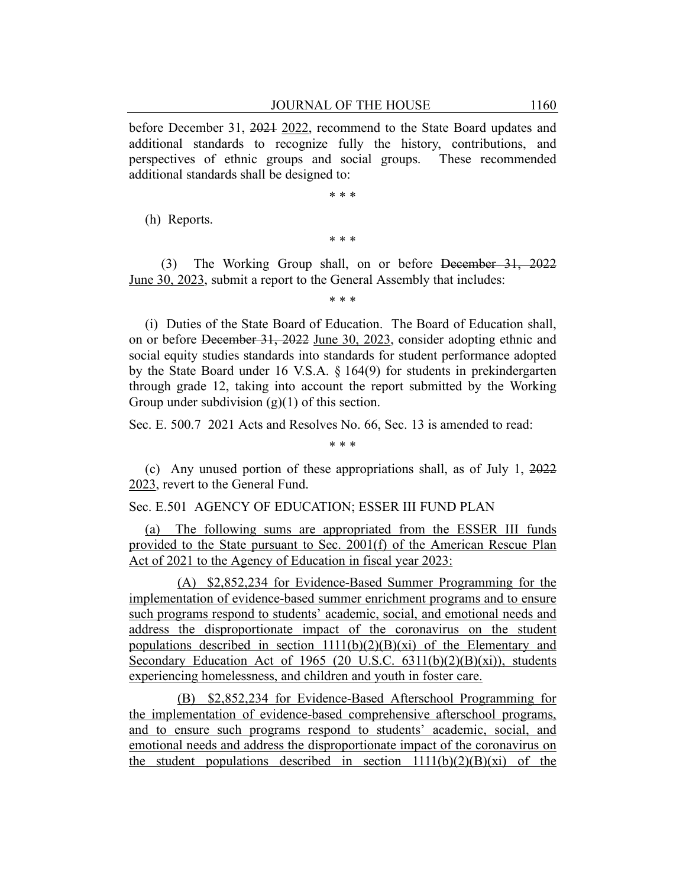before December 31, 2021 2022, recommend to the State Board updates and additional standards to recognize fully the history, contributions, and perspectives of ethnic groups and social groups. These recommended additional standards shall be designed to:

\* \* \*

(h) Reports.

\* \* \*

(3) The Working Group shall, on or before December 31, 2022 June 30, 2023, submit a report to the General Assembly that includes:

\* \* \*

(i) Duties of the State Board of Education. The Board of Education shall, on or before December 31, 2022 June 30, 2023, consider adopting ethnic and social equity studies standards into standards for student performance adopted by the State Board under 16 V.S.A. § 164(9) for students in prekindergarten through grade 12, taking into account the report submitted by the Working Group under subdivision  $(g)(1)$  of this section.

Sec. E. 500.7 2021 Acts and Resolves No. 66, Sec. 13 is amended to read:

(c) Any unused portion of these appropriations shall, as of July 1, 2022 2023, revert to the General Fund.

\* \* \*

Sec. E.501 AGENCY OF EDUCATION; ESSER III FUND PLAN

(a) The following sums are appropriated from the ESSER III funds provided to the State pursuant to Sec. 2001(f) of the American Rescue Plan Act of 2021 to the Agency of Education in fiscal year 2023:

(A) \$2,852,234 for Evidence-Based Summer Programming for the implementation of evidence-based summer enrichment programs and to ensure such programs respond to students' academic, social, and emotional needs and address the disproportionate impact of the coronavirus on the student populations described in section  $1111(b)(2)(B)(xi)$  of the Elementary and Secondary Education Act of 1965 (20 U.S.C. 6311(b)(2)(B)(xi)), students experiencing homelessness, and children and youth in foster care.

(B) \$2,852,234 for Evidence-Based Afterschool Programming for the implementation of evidence-based comprehensive afterschool programs, and to ensure such programs respond to students' academic, social, and emotional needs and address the disproportionate impact of the coronavirus on the student populations described in section  $1111(b)(2)(B)(xi)$  of the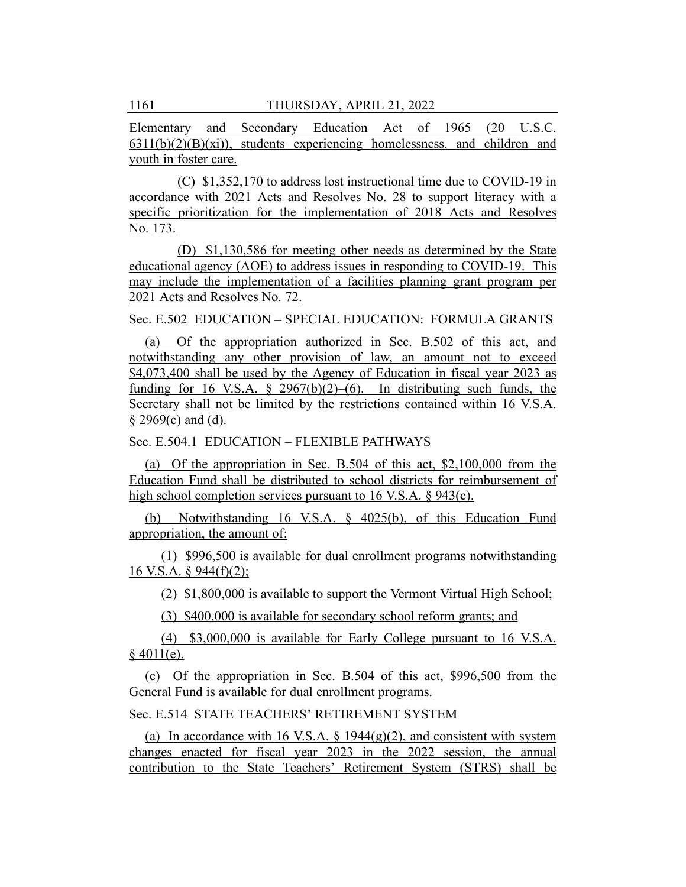Elementary and Secondary Education Act of 1965 (20 U.S.C.  $6311(b)(2)(B)(xi))$ , students experiencing homelessness, and children and youth in foster care.

(C) \$1,352,170 to address lost instructional time due to COVID-19 in accordance with 2021 Acts and Resolves No. 28 to support literacy with a specific prioritization for the implementation of 2018 Acts and Resolves No. 173.

(D) \$1,130,586 for meeting other needs as determined by the State educational agency (AOE) to address issues in responding to COVID-19. This may include the implementation of a facilities planning grant program per 2021 Acts and Resolves No. 72.

Sec. E.502 EDUCATION – SPECIAL EDUCATION: FORMULA GRANTS

(a) Of the appropriation authorized in Sec. B.502 of this act, and notwithstanding any other provision of law, an amount not to exceed \$4,073,400 shall be used by the Agency of Education in fiscal year 2023 as funding for 16 V.S.A.  $\frac{2967(b)(2)-(6)}{b}$ . In distributing such funds, the Secretary shall not be limited by the restrictions contained within 16 V.S.A.  $§$  2969(c) and (d).

Sec. E.504.1 EDUCATION – FLEXIBLE PATHWAYS

(a) Of the appropriation in Sec. B.504 of this act, \$2,100,000 from the Education Fund shall be distributed to school districts for reimbursement of high school completion services pursuant to 16 V.S.A. § 943(c).

(b) Notwithstanding 16 V.S.A. § 4025(b), of this Education Fund appropriation, the amount of:

(1) \$996,500 is available for dual enrollment programs notwithstanding 16 V.S.A. § 944(f)(2);

(2) \$1,800,000 is available to support the Vermont Virtual High School;

(3) \$400,000 is available for secondary school reform grants; and

(4) \$3,000,000 is available for Early College pursuant to 16 V.S.A.  $§$  4011(e).

(c) Of the appropriation in Sec. B.504 of this act, \$996,500 from the General Fund is available for dual enrollment programs.

Sec. E.514 STATE TEACHERS' RETIREMENT SYSTEM

(a) In accordance with 16 V.S.A.  $\S$  1944(g)(2), and consistent with system changes enacted for fiscal year 2023 in the 2022 session, the annual contribution to the State Teachers' Retirement System (STRS) shall be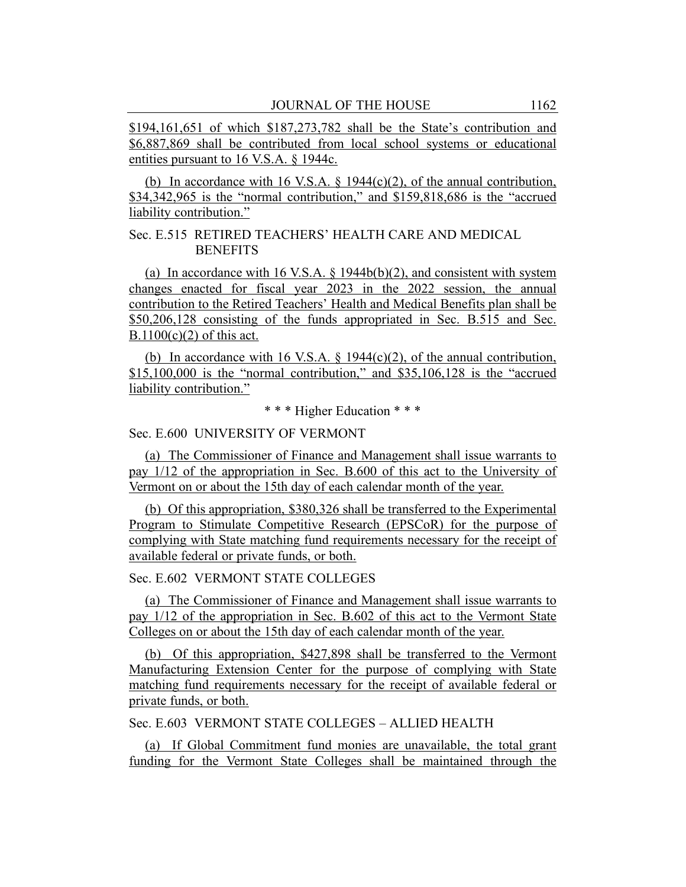\$194,161,651 of which \$187,273,782 shall be the State's contribution and \$6,887,869 shall be contributed from local school systems or educational entities pursuant to 16 V.S.A. § 1944c.

(b) In accordance with 16 V.S.A.  $\S$  1944(c)(2), of the annual contribution, \$34,342,965 is the "normal contribution," and \$159,818,686 is the "accrued liability contribution."

## Sec. E.515 RETIRED TEACHERS' HEALTH CARE AND MEDICAL **BENEFITS**

(a) In accordance with 16 V.S.A.  $\S$  1944b(b)(2), and consistent with system changes enacted for fiscal year 2023 in the 2022 session, the annual contribution to the Retired Teachers' Health and Medical Benefits plan shall be \$50,206,128 consisting of the funds appropriated in Sec. B.515 and Sec.  $B.1100(c)(2)$  of this act.

(b) In accordance with 16 V.S.A.  $\S$  1944(c)(2), of the annual contribution, \$15,100,000 is the "normal contribution," and \$35,106,128 is the "accrued liability contribution."

\* \* \* Higher Education \* \* \*

Sec. E.600 UNIVERSITY OF VERMONT

(a) The Commissioner of Finance and Management shall issue warrants to pay 1/12 of the appropriation in Sec. B.600 of this act to the University of Vermont on or about the 15th day of each calendar month of the year.

(b) Of this appropriation, \$380,326 shall be transferred to the Experimental Program to Stimulate Competitive Research (EPSCoR) for the purpose of complying with State matching fund requirements necessary for the receipt of available federal or private funds, or both.

Sec. E.602 VERMONT STATE COLLEGES

(a) The Commissioner of Finance and Management shall issue warrants to pay 1/12 of the appropriation in Sec. B.602 of this act to the Vermont State Colleges on or about the 15th day of each calendar month of the year.

(b) Of this appropriation, \$427,898 shall be transferred to the Vermont Manufacturing Extension Center for the purpose of complying with State matching fund requirements necessary for the receipt of available federal or private funds, or both.

Sec. E.603 VERMONT STATE COLLEGES – ALLIED HEALTH

(a) If Global Commitment fund monies are unavailable, the total grant funding for the Vermont State Colleges shall be maintained through the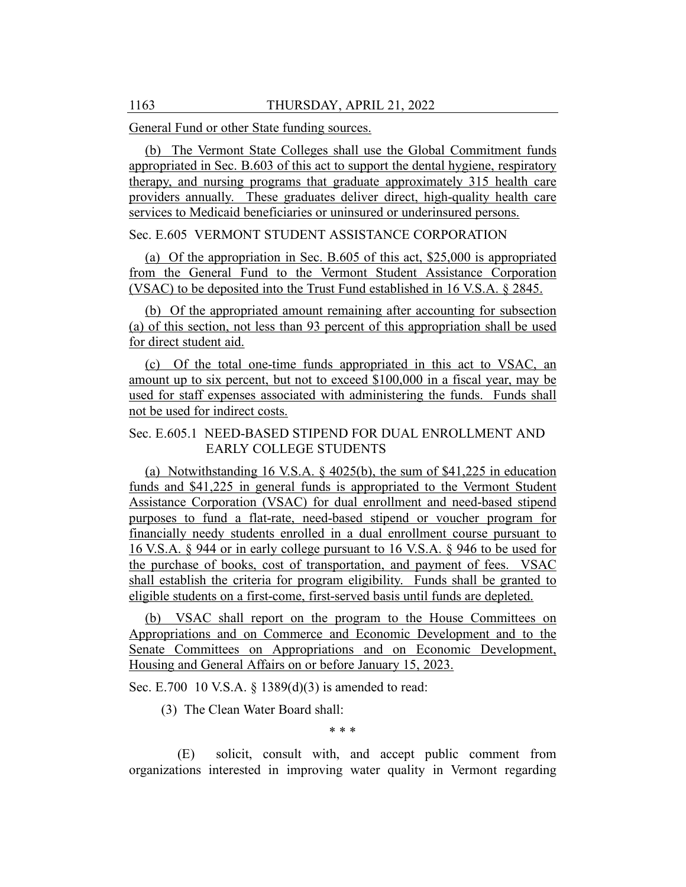General Fund or other State funding sources.

(b) The Vermont State Colleges shall use the Global Commitment funds appropriated in Sec. B.603 of this act to support the dental hygiene, respiratory therapy, and nursing programs that graduate approximately 315 health care providers annually. These graduates deliver direct, high-quality health care services to Medicaid beneficiaries or uninsured or underinsured persons.

#### Sec. E.605 VERMONT STUDENT ASSISTANCE CORPORATION

(a) Of the appropriation in Sec. B.605 of this act, \$25,000 is appropriated from the General Fund to the Vermont Student Assistance Corporation (VSAC) to be deposited into the Trust Fund established in 16 V.S.A. § 2845.

(b) Of the appropriated amount remaining after accounting for subsection (a) of this section, not less than 93 percent of this appropriation shall be used for direct student aid.

(c) Of the total one-time funds appropriated in this act to VSAC, an amount up to six percent, but not to exceed \$100,000 in a fiscal year, may be used for staff expenses associated with administering the funds. Funds shall not be used for indirect costs.

## Sec. E.605.1 NEED-BASED STIPEND FOR DUAL ENROLLMENT AND EARLY COLLEGE STUDENTS

(a) Notwithstanding 16 V.S.A. § 4025(b), the sum of \$41,225 in education funds and \$41,225 in general funds is appropriated to the Vermont Student Assistance Corporation (VSAC) for dual enrollment and need-based stipend purposes to fund a flat-rate, need-based stipend or voucher program for financially needy students enrolled in a dual enrollment course pursuant to 16 V.S.A. § 944 or in early college pursuant to 16 V.S.A. § 946 to be used for the purchase of books, cost of transportation, and payment of fees. VSAC shall establish the criteria for program eligibility. Funds shall be granted to eligible students on a first-come, first-served basis until funds are depleted.

(b) VSAC shall report on the program to the House Committees on Appropriations and on Commerce and Economic Development and to the Senate Committees on Appropriations and on Economic Development, Housing and General Affairs on or before January 15, 2023.

Sec. E.700 10 V.S.A. § 1389(d)(3) is amended to read:

(3) The Clean Water Board shall:

\* \* \*

(E) solicit, consult with, and accept public comment from organizations interested in improving water quality in Vermont regarding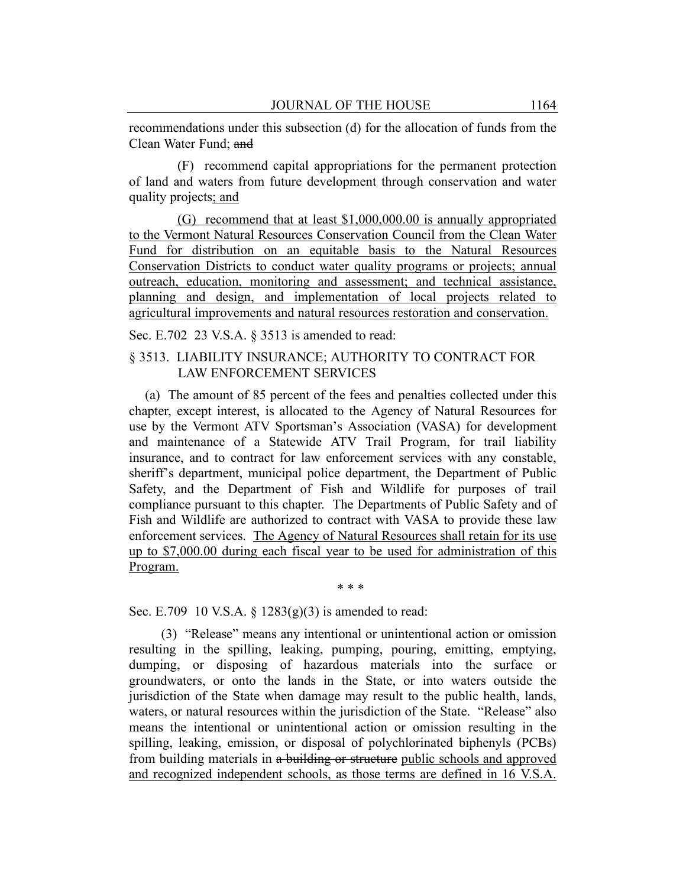recommendations under this subsection (d) for the allocation of funds from the Clean Water Fund; and

(F) recommend capital appropriations for the permanent protection of land and waters from future development through conservation and water quality projects; and

(G) recommend that at least \$1,000,000.00 is annually appropriated to the Vermont Natural Resources Conservation Council from the Clean Water Fund for distribution on an equitable basis to the Natural Resources Conservation Districts to conduct water quality programs or projects; annual outreach, education, monitoring and assessment; and technical assistance, planning and design, and implementation of local projects related to agricultural improvements and natural resources restoration and conservation.

Sec. E.702 23 V.S.A. § 3513 is amended to read:

## § 3513. LIABILITY INSURANCE; AUTHORITY TO CONTRACT FOR LAW ENFORCEMENT SERVICES

(a) The amount of 85 percent of the fees and penalties collected under this chapter, except interest, is allocated to the Agency of Natural Resources for use by the Vermont ATV Sportsman's Association (VASA) for development and maintenance of a Statewide ATV Trail Program, for trail liability insurance, and to contract for law enforcement services with any constable, sheriff's department, municipal police department, the Department of Public Safety, and the Department of Fish and Wildlife for purposes of trail compliance pursuant to this chapter. The Departments of Public Safety and of Fish and Wildlife are authorized to contract with VASA to provide these law enforcement services. The Agency of Natural Resources shall retain for its use up to \$7,000.00 during each fiscal year to be used for administration of this Program.

\* \* \*

Sec. E.709 10 V.S.A.  $\S$  1283(g)(3) is amended to read:

(3) "Release" means any intentional or unintentional action or omission resulting in the spilling, leaking, pumping, pouring, emitting, emptying, dumping, or disposing of hazardous materials into the surface or groundwaters, or onto the lands in the State, or into waters outside the jurisdiction of the State when damage may result to the public health, lands, waters, or natural resources within the jurisdiction of the State. "Release" also means the intentional or unintentional action or omission resulting in the spilling, leaking, emission, or disposal of polychlorinated biphenyls (PCBs) from building materials in a building or structure public schools and approved and recognized independent schools, as those terms are defined in 16 V.S.A.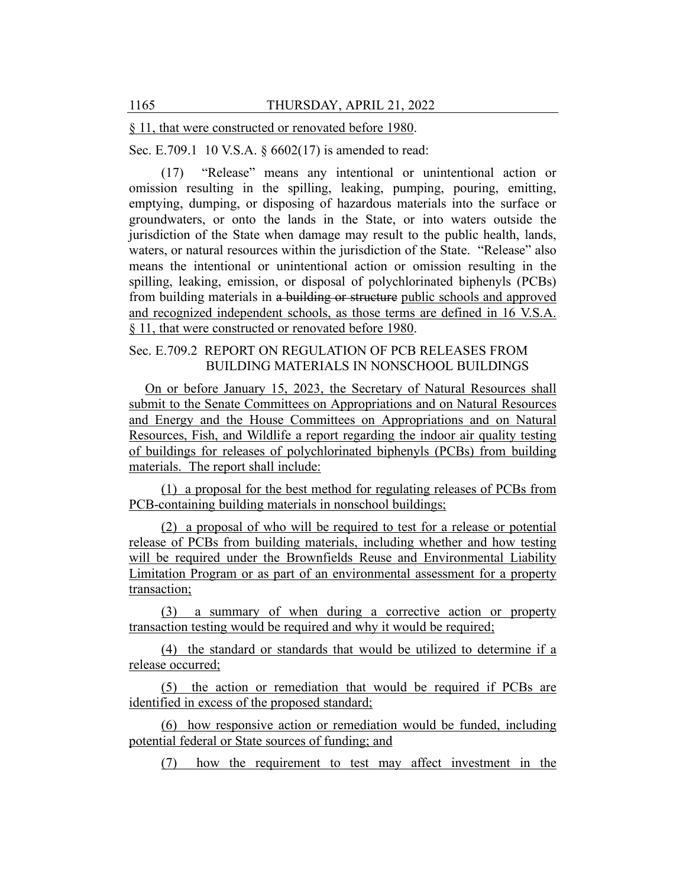§ 11, that were constructed or renovated before 1980.

Sec. E.709.1 10 V.S.A. § 6602(17) is amended to read:

(17) "Release" means any intentional or unintentional action or omission resulting in the spilling, leaking, pumping, pouring, emitting, emptying, dumping, or disposing of hazardous materials into the surface or groundwaters, or onto the lands in the State, or into waters outside the jurisdiction of the State when damage may result to the public health, lands, waters, or natural resources within the jurisdiction of the State. "Release" also means the intentional or unintentional action or omission resulting in the spilling, leaking, emission, or disposal of polychlorinated biphenyls (PCBs) from building materials in a building or structure public schools and approved and recognized independent schools, as those terms are defined in 16 V.S.A. § 11, that were constructed or renovated before 1980.

# Sec. E.709.2 REPORT ON REGULATION OF PCB RELEASES FROM BUILDING MATERIALS IN NONSCHOOL BUILDINGS

On or before January 15, 2023, the Secretary of Natural Resources shall submit to the Senate Committees on Appropriations and on Natural Resources and Energy and the House Committees on Appropriations and on Natural Resources, Fish, and Wildlife a report regarding the indoor air quality testing of buildings for releases of polychlorinated biphenyls (PCBs) from building materials. The report shall include:

(1) a proposal for the best method for regulating releases of PCBs from PCB-containing building materials in nonschool buildings;

(2) a proposal of who will be required to test for a release or potential release of PCBs from building materials, including whether and how testing will be required under the Brownfields Reuse and Environmental Liability Limitation Program or as part of an environmental assessment for a property transaction;

(3) a summary of when during a corrective action or property transaction testing would be required and why it would be required;

(4) the standard or standards that would be utilized to determine if a release occurred;

(5) the action or remediation that would be required if PCBs are identified in excess of the proposed standard;

(6) how responsive action or remediation would be funded, including potential federal or State sources of funding; and

(7) how the requirement to test may affect investment in the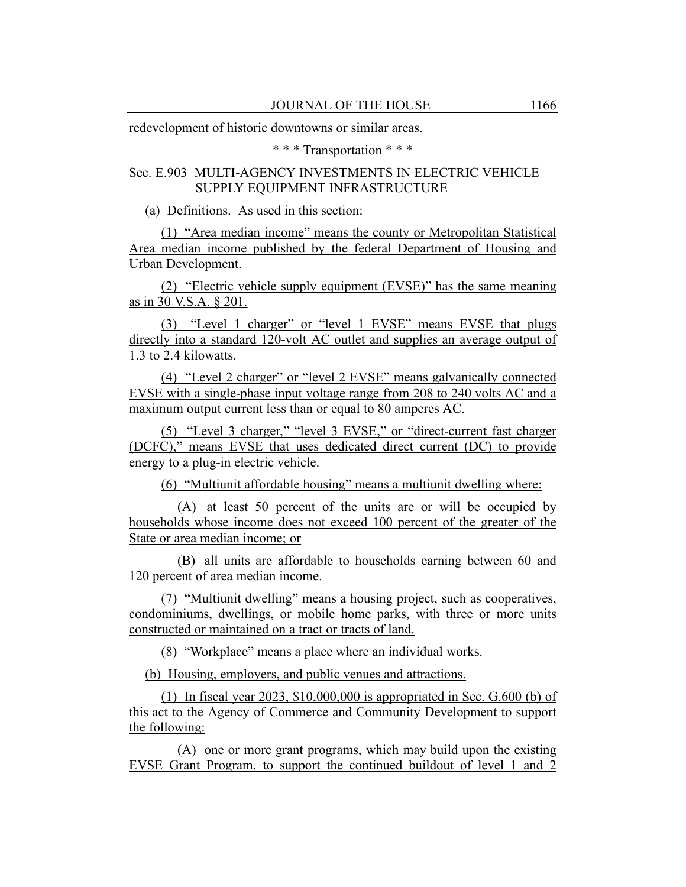redevelopment of historic downtowns or similar areas.

\* \* \* Transportation \* \* \*

# Sec. E.903 MULTI-AGENCY INVESTMENTS IN ELECTRIC VEHICLE SUPPLY EQUIPMENT INFRASTRUCTURE

(a) Definitions. As used in this section:

(1) "Area median income" means the county or Metropolitan Statistical Area median income published by the federal Department of Housing and Urban Development.

(2) "Electric vehicle supply equipment (EVSE)" has the same meaning as in 30 V.S.A. § 201.

(3) "Level 1 charger" or "level 1 EVSE" means EVSE that plugs directly into a standard 120-volt AC outlet and supplies an average output of 1.3 to 2.4 kilowatts.

(4) "Level 2 charger" or "level 2 EVSE" means galvanically connected EVSE with a single-phase input voltage range from 208 to 240 volts AC and a maximum output current less than or equal to 80 amperes AC.

(5) "Level 3 charger," "level 3 EVSE," or "direct-current fast charger (DCFC)," means EVSE that uses dedicated direct current (DC) to provide energy to a plug-in electric vehicle.

(6) "Multiunit affordable housing" means a multiunit dwelling where:

(A) at least 50 percent of the units are or will be occupied by households whose income does not exceed 100 percent of the greater of the State or area median income; or

(B) all units are affordable to households earning between 60 and 120 percent of area median income.

(7) "Multiunit dwelling" means a housing project, such as cooperatives, condominiums, dwellings, or mobile home parks, with three or more units constructed or maintained on a tract or tracts of land.

(8) "Workplace" means a place where an individual works.

(b) Housing, employers, and public venues and attractions.

(1) In fiscal year 2023, \$10,000,000 is appropriated in Sec. G.600 (b) of this act to the Agency of Commerce and Community Development to support the following:

(A) one or more grant programs, which may build upon the existing EVSE Grant Program, to support the continued buildout of level 1 and 2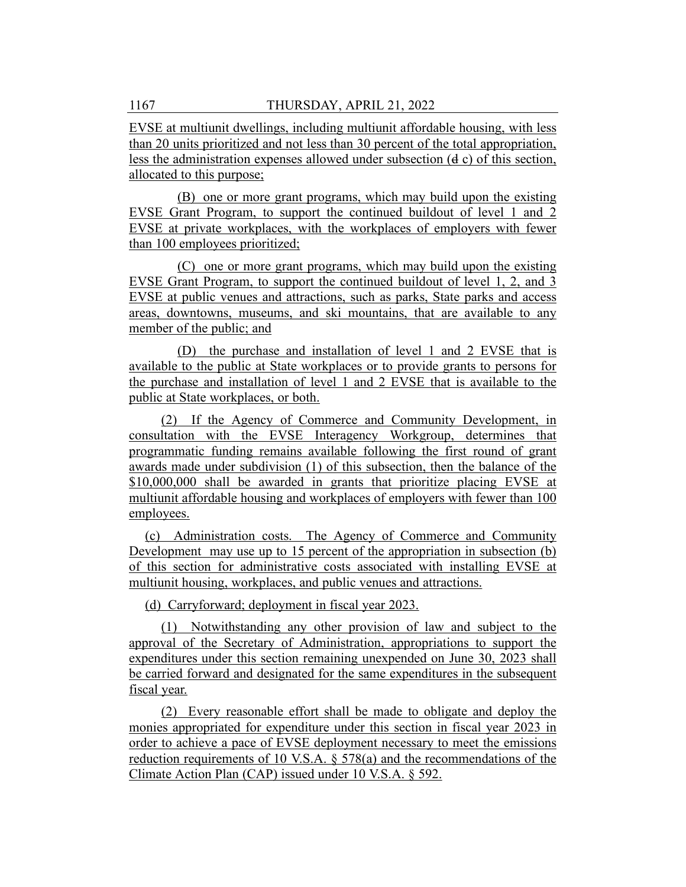EVSE at multiunit dwellings, including multiunit affordable housing, with less than 20 units prioritized and not less than 30 percent of the total appropriation, less the administration expenses allowed under subsection (d c) of this section, allocated to this purpose;

(B) one or more grant programs, which may build upon the existing EVSE Grant Program, to support the continued buildout of level 1 and 2 EVSE at private workplaces, with the workplaces of employers with fewer than 100 employees prioritized;

(C) one or more grant programs, which may build upon the existing EVSE Grant Program, to support the continued buildout of level 1, 2, and 3 EVSE at public venues and attractions, such as parks, State parks and access areas, downtowns, museums, and ski mountains, that are available to any member of the public; and

(D) the purchase and installation of level 1 and 2 EVSE that is available to the public at State workplaces or to provide grants to persons for the purchase and installation of level 1 and 2 EVSE that is available to the public at State workplaces, or both.

(2) If the Agency of Commerce and Community Development, in consultation with the EVSE Interagency Workgroup, determines that programmatic funding remains available following the first round of grant awards made under subdivision (1) of this subsection, then the balance of the \$10,000,000 shall be awarded in grants that prioritize placing EVSE at multiunit affordable housing and workplaces of employers with fewer than 100 employees.

(c) Administration costs. The Agency of Commerce and Community Development may use up to 15 percent of the appropriation in subsection (b) of this section for administrative costs associated with installing EVSE at multiunit housing, workplaces, and public venues and attractions.

(d) Carryforward; deployment in fiscal year 2023.

(1) Notwithstanding any other provision of law and subject to the approval of the Secretary of Administration, appropriations to support the expenditures under this section remaining unexpended on June 30, 2023 shall be carried forward and designated for the same expenditures in the subsequent fiscal year.

(2) Every reasonable effort shall be made to obligate and deploy the monies appropriated for expenditure under this section in fiscal year 2023 in order to achieve a pace of EVSE deployment necessary to meet the emissions reduction requirements of 10 V.S.A. § 578(a) and the recommendations of the Climate Action Plan (CAP) issued under 10 V.S.A. § 592.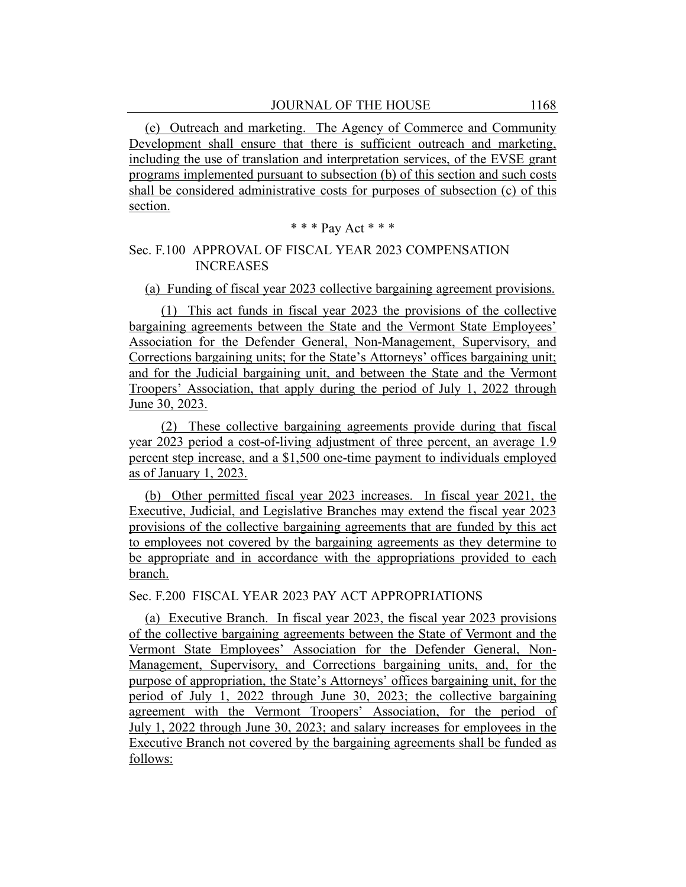(e) Outreach and marketing. The Agency of Commerce and Community Development shall ensure that there is sufficient outreach and marketing, including the use of translation and interpretation services, of the EVSE grant programs implemented pursuant to subsection (b) of this section and such costs shall be considered administrative costs for purposes of subsection (c) of this section.

$$
\ast \ast \ast
$$
 Pay Act  $\ast \ast \ast$ 

#### Sec. F.100 APPROVAL OF FISCAL YEAR 2023 COMPENSATION INCREASES

#### (a) Funding of fiscal year 2023 collective bargaining agreement provisions.

(1) This act funds in fiscal year 2023 the provisions of the collective bargaining agreements between the State and the Vermont State Employees' Association for the Defender General, Non-Management, Supervisory, and Corrections bargaining units; for the State's Attorneys' offices bargaining unit; and for the Judicial bargaining unit, and between the State and the Vermont Troopers' Association, that apply during the period of July 1, 2022 through June 30, 2023.

(2) These collective bargaining agreements provide during that fiscal year 2023 period a cost-of-living adjustment of three percent, an average 1.9 percent step increase, and a \$1,500 one-time payment to individuals employed as of January 1, 2023.

(b) Other permitted fiscal year 2023 increases. In fiscal year 2021, the Executive, Judicial, and Legislative Branches may extend the fiscal year 2023 provisions of the collective bargaining agreements that are funded by this act to employees not covered by the bargaining agreements as they determine to be appropriate and in accordance with the appropriations provided to each branch.

#### Sec. F.200 FISCAL YEAR 2023 PAY ACT APPROPRIATIONS

(a) Executive Branch. In fiscal year 2023, the fiscal year 2023 provisions of the collective bargaining agreements between the State of Vermont and the Vermont State Employees' Association for the Defender General, Non-Management, Supervisory, and Corrections bargaining units, and, for the purpose of appropriation, the State's Attorneys' offices bargaining unit, for the period of July 1, 2022 through June 30, 2023; the collective bargaining agreement with the Vermont Troopers' Association, for the period of July 1, 2022 through June 30, 2023; and salary increases for employees in the Executive Branch not covered by the bargaining agreements shall be funded as follows: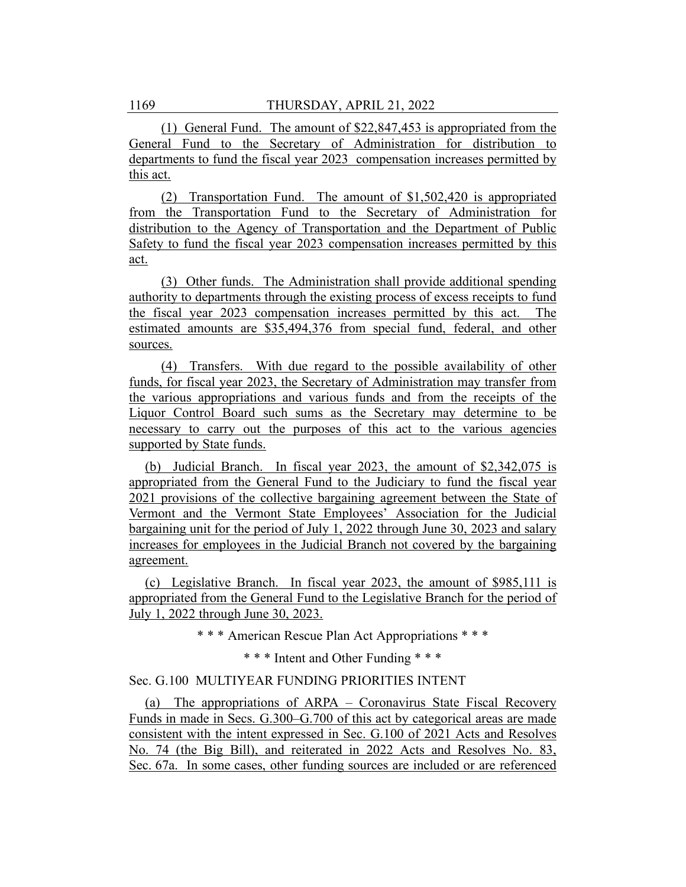(1) General Fund. The amount of \$22,847,453 is appropriated from the General Fund to the Secretary of Administration for distribution to departments to fund the fiscal year 2023 compensation increases permitted by this act.

(2) Transportation Fund. The amount of \$1,502,420 is appropriated from the Transportation Fund to the Secretary of Administration for distribution to the Agency of Transportation and the Department of Public Safety to fund the fiscal year 2023 compensation increases permitted by this act.

(3) Other funds. The Administration shall provide additional spending authority to departments through the existing process of excess receipts to fund the fiscal year 2023 compensation increases permitted by this act. The estimated amounts are \$35,494,376 from special fund, federal, and other sources.

(4) Transfers. With due regard to the possible availability of other funds, for fiscal year 2023, the Secretary of Administration may transfer from the various appropriations and various funds and from the receipts of the Liquor Control Board such sums as the Secretary may determine to be necessary to carry out the purposes of this act to the various agencies supported by State funds.

(b) Judicial Branch. In fiscal year 2023, the amount of \$2,342,075 is appropriated from the General Fund to the Judiciary to fund the fiscal year 2021 provisions of the collective bargaining agreement between the State of Vermont and the Vermont State Employees' Association for the Judicial bargaining unit for the period of July 1, 2022 through June 30, 2023 and salary increases for employees in the Judicial Branch not covered by the bargaining agreement.

(c) Legislative Branch. In fiscal year 2023, the amount of \$985,111 is appropriated from the General Fund to the Legislative Branch for the period of July 1, 2022 through June 30, 2023.

\* \* \* American Rescue Plan Act Appropriations \* \* \*

\* \* \* Intent and Other Funding \* \* \*

#### Sec. G.100 MULTIYEAR FUNDING PRIORITIES INTENT

(a) The appropriations of ARPA – Coronavirus State Fiscal Recovery Funds in made in Secs. G.300–G.700 of this act by categorical areas are made consistent with the intent expressed in Sec. G.100 of 2021 Acts and Resolves No. 74 (the Big Bill), and reiterated in 2022 Acts and Resolves No. 83, Sec. 67a. In some cases, other funding sources are included or are referenced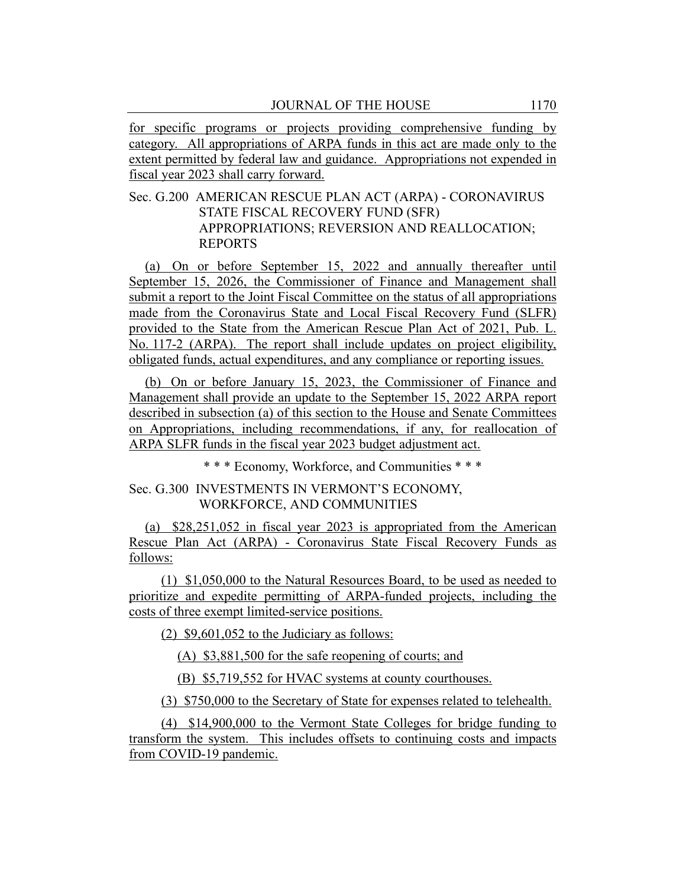for specific programs or projects providing comprehensive funding by category. All appropriations of ARPA funds in this act are made only to the extent permitted by federal law and guidance. Appropriations not expended in fiscal year 2023 shall carry forward.

# Sec. G.200 AMERICAN RESCUE PLAN ACT (ARPA) - CORONAVIRUS STATE FISCAL RECOVERY FUND (SFR) APPROPRIATIONS; REVERSION AND REALLOCATION; REPORTS

(a) On or before September 15, 2022 and annually thereafter until September 15, 2026, the Commissioner of Finance and Management shall submit a report to the Joint Fiscal Committee on the status of all appropriations made from the Coronavirus State and Local Fiscal Recovery Fund (SLFR) provided to the State from the American Rescue Plan Act of 2021, Pub. L. No. 117-2 (ARPA). The report shall include updates on project eligibility, obligated funds, actual expenditures, and any compliance or reporting issues.

(b) On or before January 15, 2023, the Commissioner of Finance and Management shall provide an update to the September 15, 2022 ARPA report described in subsection (a) of this section to the House and Senate Committees on Appropriations, including recommendations, if any, for reallocation of ARPA SLFR funds in the fiscal year 2023 budget adjustment act.

\* \* \* Economy, Workforce, and Communities \* \* \*

# Sec. G.300 INVESTMENTS IN VERMONT'S ECONOMY, WORKFORCE, AND COMMUNITIES

(a) \$28,251,052 in fiscal year 2023 is appropriated from the American Rescue Plan Act (ARPA) - Coronavirus State Fiscal Recovery Funds as follows:

(1) \$1,050,000 to the Natural Resources Board, to be used as needed to prioritize and expedite permitting of ARPA-funded projects, including the costs of three exempt limited-service positions.

 $(2)$  \$9,601,052 to the Judiciary as follows:

(A) \$3,881,500 for the safe reopening of courts; and

(B) \$5,719,552 for HVAC systems at county courthouses.

(3) \$750,000 to the Secretary of State for expenses related to telehealth.

(4) \$14,900,000 to the Vermont State Colleges for bridge funding to transform the system. This includes offsets to continuing costs and impacts from COVID-19 pandemic.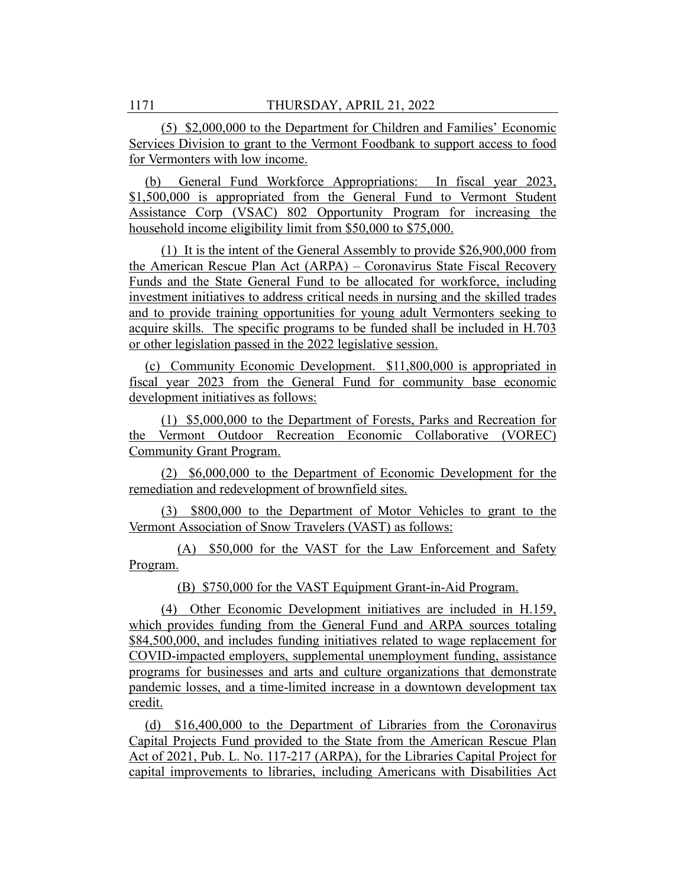(5) \$2,000,000 to the Department for Children and Families' Economic Services Division to grant to the Vermont Foodbank to support access to food for Vermonters with low income.

(b) General Fund Workforce Appropriations: In fiscal year 2023, \$1,500,000 is appropriated from the General Fund to Vermont Student Assistance Corp (VSAC) 802 Opportunity Program for increasing the household income eligibility limit from \$50,000 to \$75,000.

(1) It is the intent of the General Assembly to provide \$26,900,000 from the American Rescue Plan Act (ARPA) – Coronavirus State Fiscal Recovery Funds and the State General Fund to be allocated for workforce, including investment initiatives to address critical needs in nursing and the skilled trades and to provide training opportunities for young adult Vermonters seeking to acquire skills. The specific programs to be funded shall be included in H.703 or other legislation passed in the 2022 legislative session.

(c) Community Economic Development. \$11,800,000 is appropriated in fiscal year 2023 from the General Fund for community base economic development initiatives as follows:

(1) \$5,000,000 to the Department of Forests, Parks and Recreation for the Vermont Outdoor Recreation Economic Collaborative (VOREC) Community Grant Program.

(2) \$6,000,000 to the Department of Economic Development for the remediation and redevelopment of brownfield sites.

(3) \$800,000 to the Department of Motor Vehicles to grant to the Vermont Association of Snow Travelers (VAST) as follows:

(A) \$50,000 for the VAST for the Law Enforcement and Safety Program.

(B) \$750,000 for the VAST Equipment Grant-in-Aid Program.

(4) Other Economic Development initiatives are included in H.159, which provides funding from the General Fund and ARPA sources totaling \$84,500,000, and includes funding initiatives related to wage replacement for COVID-impacted employers, supplemental unemployment funding, assistance programs for businesses and arts and culture organizations that demonstrate pandemic losses, and a time-limited increase in a downtown development tax credit.

(d) \$16,400,000 to the Department of Libraries from the Coronavirus Capital Projects Fund provided to the State from the American Rescue Plan Act of 2021, Pub. L. No. 117-217 (ARPA), for the Libraries Capital Project for capital improvements to libraries, including Americans with Disabilities Act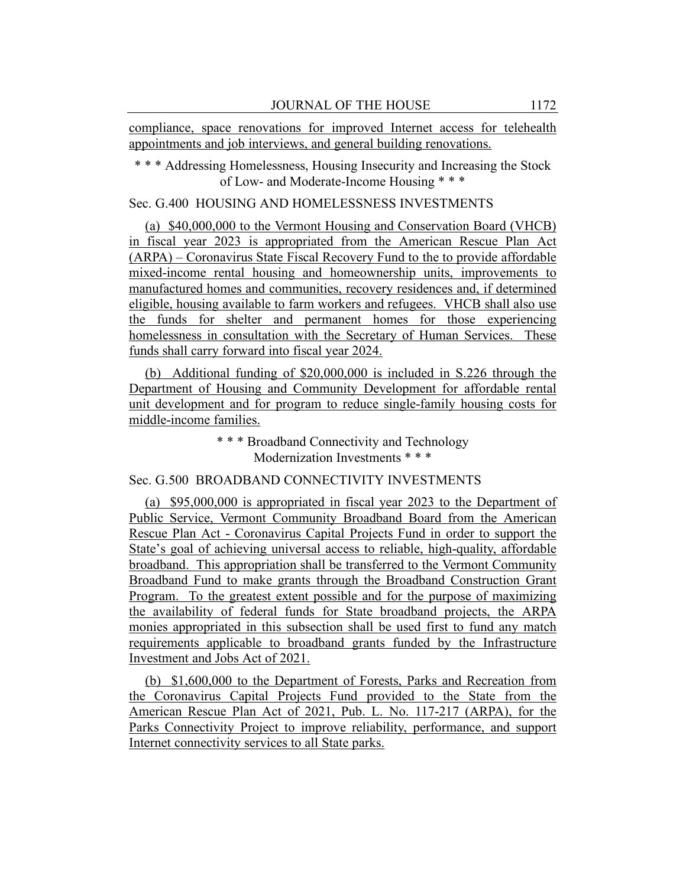compliance, space renovations for improved Internet access for telehealth appointments and job interviews, and general building renovations.

\* \* \* Addressing Homelessness, Housing Insecurity and Increasing the Stock of Low- and Moderate-Income Housing \* \* \*

#### Sec. G.400 HOUSING AND HOMELESSNESS INVESTMENTS

(a) \$40,000,000 to the Vermont Housing and Conservation Board (VHCB) in fiscal year 2023 is appropriated from the American Rescue Plan Act (ARPA) – Coronavirus State Fiscal Recovery Fund to the to provide affordable mixed-income rental housing and homeownership units, improvements to manufactured homes and communities, recovery residences and, if determined eligible, housing available to farm workers and refugees. VHCB shall also use the funds for shelter and permanent homes for those experiencing homelessness in consultation with the Secretary of Human Services. These funds shall carry forward into fiscal year 2024.

(b) Additional funding of \$20,000,000 is included in S.226 through the Department of Housing and Community Development for affordable rental unit development and for program to reduce single-family housing costs for middle-income families.

> \* \* \* Broadband Connectivity and Technology Modernization Investments \* \* \*

## Sec. G.500 BROADBAND CONNECTIVITY INVESTMENTS

(a) \$95,000,000 is appropriated in fiscal year 2023 to the Department of Public Service, Vermont Community Broadband Board from the American Rescue Plan Act - Coronavirus Capital Projects Fund in order to support the State's goal of achieving universal access to reliable, high-quality, affordable broadband. This appropriation shall be transferred to the Vermont Community Broadband Fund to make grants through the Broadband Construction Grant Program. To the greatest extent possible and for the purpose of maximizing the availability of federal funds for State broadband projects, the ARPA monies appropriated in this subsection shall be used first to fund any match requirements applicable to broadband grants funded by the Infrastructure Investment and Jobs Act of 2021.

(b) \$1,600,000 to the Department of Forests, Parks and Recreation from the Coronavirus Capital Projects Fund provided to the State from the American Rescue Plan Act of 2021, Pub. L. No. 117-217 (ARPA), for the Parks Connectivity Project to improve reliability, performance, and support Internet connectivity services to all State parks.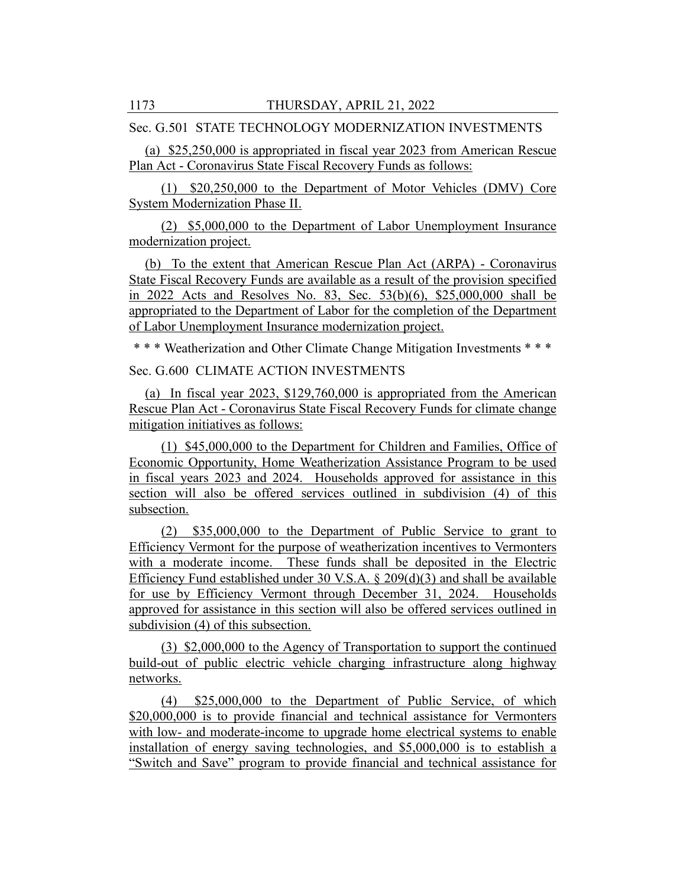Sec. G.501 STATE TECHNOLOGY MODERNIZATION INVESTMENTS

(a) \$25,250,000 is appropriated in fiscal year 2023 from American Rescue Plan Act - Coronavirus State Fiscal Recovery Funds as follows:

(1) \$20,250,000 to the Department of Motor Vehicles (DMV) Core System Modernization Phase II.

(2) \$5,000,000 to the Department of Labor Unemployment Insurance modernization project.

(b) To the extent that American Rescue Plan Act (ARPA) - Coronavirus State Fiscal Recovery Funds are available as a result of the provision specified in 2022 Acts and Resolves No. 83, Sec. 53(b)(6), \$25,000,000 shall be appropriated to the Department of Labor for the completion of the Department of Labor Unemployment Insurance modernization project.

\* \* \* Weatherization and Other Climate Change Mitigation Investments \* \* \*

Sec. G.600 CLIMATE ACTION INVESTMENTS

(a) In fiscal year 2023, \$129,760,000 is appropriated from the American Rescue Plan Act - Coronavirus State Fiscal Recovery Funds for climate change mitigation initiatives as follows:

(1) \$45,000,000 to the Department for Children and Families, Office of Economic Opportunity, Home Weatherization Assistance Program to be used in fiscal years 2023 and 2024. Households approved for assistance in this section will also be offered services outlined in subdivision (4) of this subsection.

(2) \$35,000,000 to the Department of Public Service to grant to Efficiency Vermont for the purpose of weatherization incentives to Vermonters with a moderate income. These funds shall be deposited in the Electric Efficiency Fund established under 30 V.S.A. § 209(d)(3) and shall be available for use by Efficiency Vermont through December 31, 2024. Households approved for assistance in this section will also be offered services outlined in subdivision (4) of this subsection.

(3) \$2,000,000 to the Agency of Transportation to support the continued build-out of public electric vehicle charging infrastructure along highway networks.

(4) \$25,000,000 to the Department of Public Service, of which \$20,000,000 is to provide financial and technical assistance for Vermonters with low- and moderate-income to upgrade home electrical systems to enable installation of energy saving technologies, and \$5,000,000 is to establish a "Switch and Save" program to provide financial and technical assistance for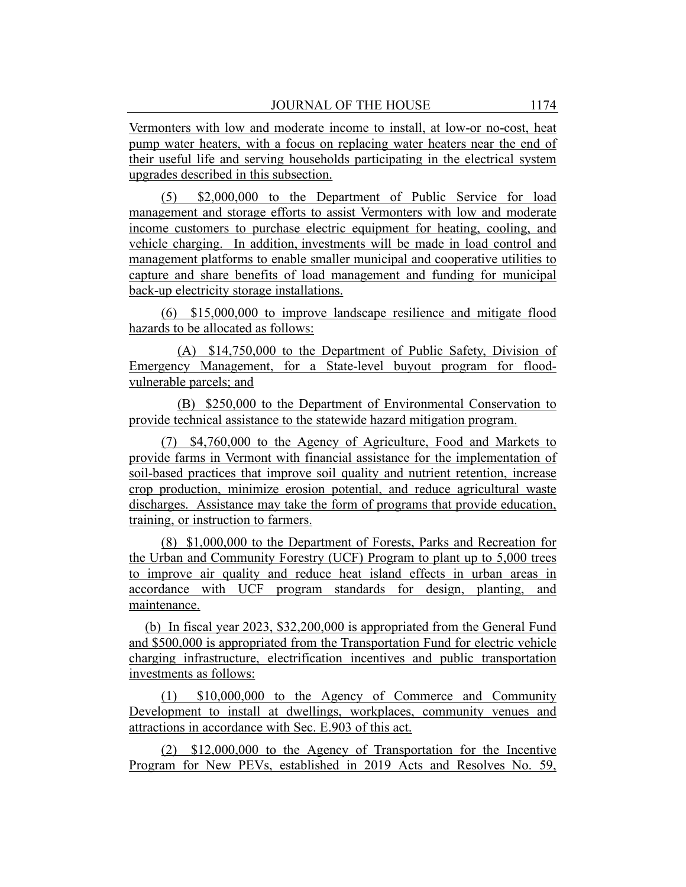Vermonters with low and moderate income to install, at low-or no-cost, heat pump water heaters, with a focus on replacing water heaters near the end of their useful life and serving households participating in the electrical system upgrades described in this subsection.

(5) \$2,000,000 to the Department of Public Service for load management and storage efforts to assist Vermonters with low and moderate income customers to purchase electric equipment for heating, cooling, and vehicle charging. In addition, investments will be made in load control and management platforms to enable smaller municipal and cooperative utilities to capture and share benefits of load management and funding for municipal back-up electricity storage installations.

(6) \$15,000,000 to improve landscape resilience and mitigate flood hazards to be allocated as follows:

(A) \$14,750,000 to the Department of Public Safety, Division of Emergency Management, for a State-level buyout program for floodvulnerable parcels; and

(B) \$250,000 to the Department of Environmental Conservation to provide technical assistance to the statewide hazard mitigation program.

(7) \$4,760,000 to the Agency of Agriculture, Food and Markets to provide farms in Vermont with financial assistance for the implementation of soil-based practices that improve soil quality and nutrient retention, increase crop production, minimize erosion potential, and reduce agricultural waste discharges. Assistance may take the form of programs that provide education, training, or instruction to farmers.

(8) \$1,000,000 to the Department of Forests, Parks and Recreation for the Urban and Community Forestry (UCF) Program to plant up to 5,000 trees to improve air quality and reduce heat island effects in urban areas in accordance with UCF program standards for design, planting, and maintenance.

(b) In fiscal year 2023, \$32,200,000 is appropriated from the General Fund and \$500,000 is appropriated from the Transportation Fund for electric vehicle charging infrastructure, electrification incentives and public transportation investments as follows:

(1) \$10,000,000 to the Agency of Commerce and Community Development to install at dwellings, workplaces, community venues and attractions in accordance with Sec. E.903 of this act.

(2) \$12,000,000 to the Agency of Transportation for the Incentive Program for New PEVs, established in 2019 Acts and Resolves No. 59,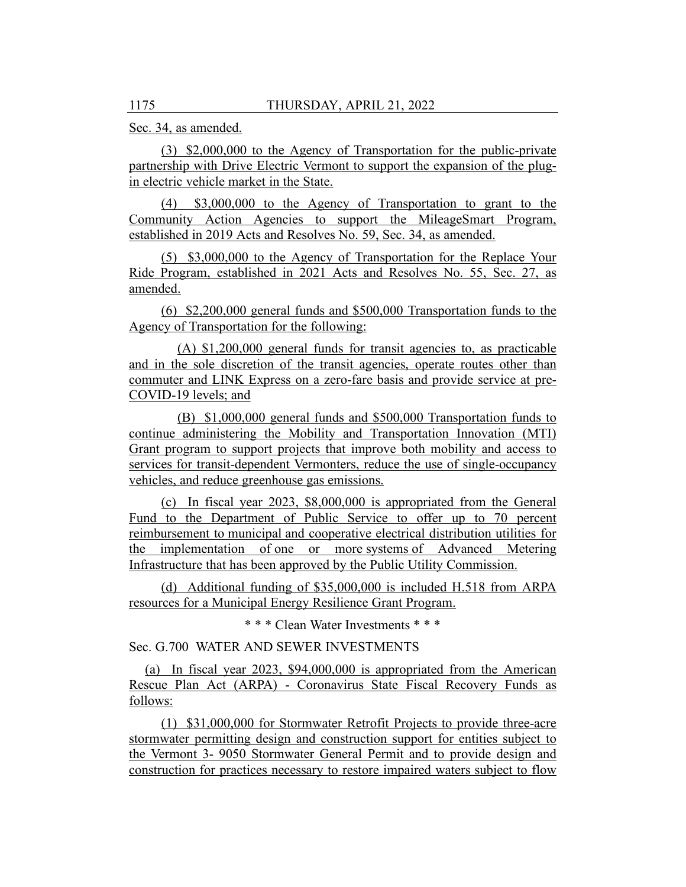Sec. 34, as amended.

(3) \$2,000,000 to the Agency of Transportation for the public-private partnership with Drive Electric Vermont to support the expansion of the plugin electric vehicle market in the State.

(4) \$3,000,000 to the Agency of Transportation to grant to the Community Action Agencies to support the MileageSmart Program, established in 2019 Acts and Resolves No. 59, Sec. 34, as amended.

(5) \$3,000,000 to the Agency of Transportation for the Replace Your Ride Program, established in 2021 Acts and Resolves No. 55, Sec. 27, as amended.

(6) \$2,200,000 general funds and \$500,000 Transportation funds to the Agency of Transportation for the following:

(A) \$1,200,000 general funds for transit agencies to, as practicable and in the sole discretion of the transit agencies, operate routes other than commuter and LINK Express on a zero-fare basis and provide service at pre-COVID-19 levels; and

(B) \$1,000,000 general funds and \$500,000 Transportation funds to continue administering the Mobility and Transportation Innovation (MTI) Grant program to support projects that improve both mobility and access to services for transit-dependent Vermonters, reduce the use of single-occupancy vehicles, and reduce greenhouse gas emissions.

(c) In fiscal year 2023, \$8,000,000 is appropriated from the General Fund to the Department of Public Service to offer up to 70 percent reimbursement to municipal and cooperative electrical distribution utilities for the implementation of one or more systems of Advanced Metering Infrastructure that has been approved by the Public Utility Commission.

(d) Additional funding of \$35,000,000 is included H.518 from ARPA resources for a Municipal Energy Resilience Grant Program.

\* \* \* Clean Water Investments \* \* \*

Sec. G.700 WATER AND SEWER INVESTMENTS

(a) In fiscal year 2023, \$94,000,000 is appropriated from the American Rescue Plan Act (ARPA) - Coronavirus State Fiscal Recovery Funds as follows:

(1) \$31,000,000 for Stormwater Retrofit Projects to provide three-acre stormwater permitting design and construction support for entities subject to the Vermont 3- 9050 Stormwater General Permit and to provide design and construction for practices necessary to restore impaired waters subject to flow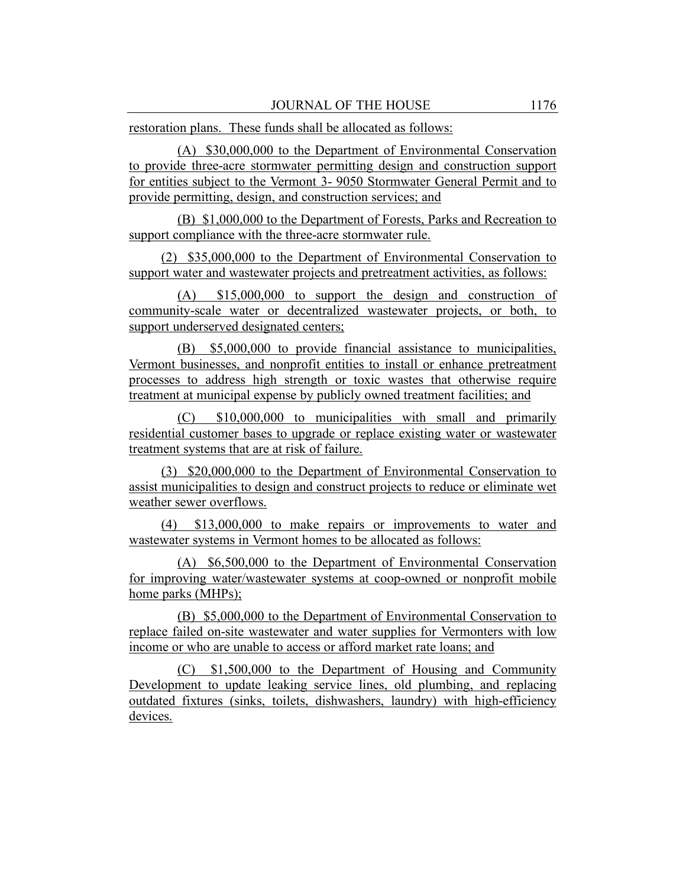restoration plans. These funds shall be allocated as follows:

(A) \$30,000,000 to the Department of Environmental Conservation to provide three-acre stormwater permitting design and construction support for entities subject to the Vermont 3- 9050 Stormwater General Permit and to provide permitting, design, and construction services; and

(B) \$1,000,000 to the Department of Forests, Parks and Recreation to support compliance with the three-acre stormwater rule.

(2) \$35,000,000 to the Department of Environmental Conservation to support water and wastewater projects and pretreatment activities, as follows:

(A) \$15,000,000 to support the design and construction of community-scale water or decentralized wastewater projects, or both, to support underserved designated centers;

(B) \$5,000,000 to provide financial assistance to municipalities, Vermont businesses, and nonprofit entities to install or enhance pretreatment processes to address high strength or toxic wastes that otherwise require treatment at municipal expense by publicly owned treatment facilities; and

(C) \$10,000,000 to municipalities with small and primarily residential customer bases to upgrade or replace existing water or wastewater treatment systems that are at risk of failure.

(3) \$20,000,000 to the Department of Environmental Conservation to assist municipalities to design and construct projects to reduce or eliminate wet weather sewer overflows.

(4) \$13,000,000 to make repairs or improvements to water and wastewater systems in Vermont homes to be allocated as follows:

(A) \$6,500,000 to the Department of Environmental Conservation for improving water/wastewater systems at coop-owned or nonprofit mobile home parks (MHPs);

(B) \$5,000,000 to the Department of Environmental Conservation to replace failed on-site wastewater and water supplies for Vermonters with low income or who are unable to access or afford market rate loans; and

(C) \$1,500,000 to the Department of Housing and Community Development to update leaking service lines, old plumbing, and replacing outdated fixtures (sinks, toilets, dishwashers, laundry) with high-efficiency devices.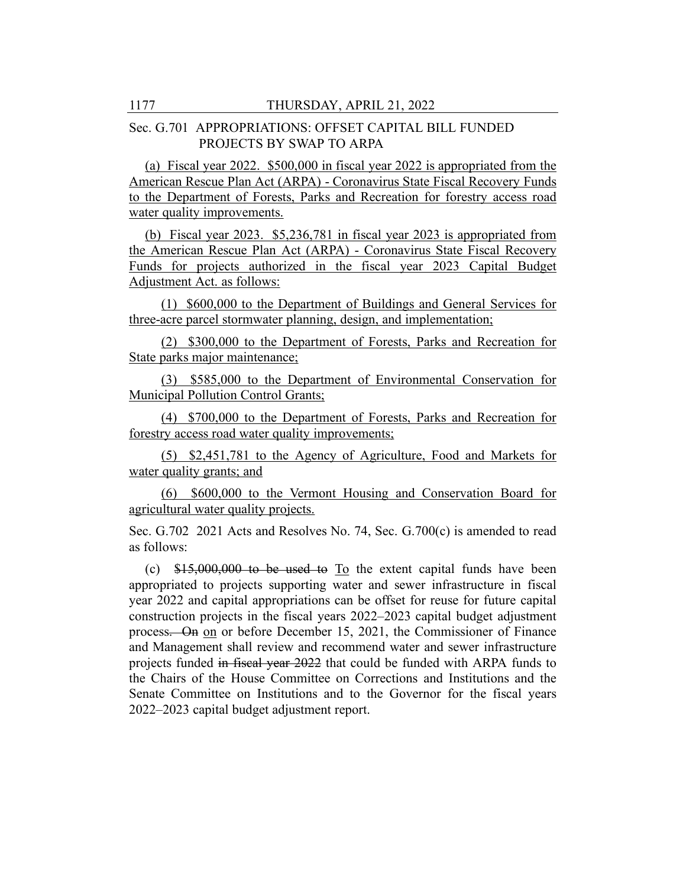#### Sec. G.701 APPROPRIATIONS: OFFSET CAPITAL BILL FUNDED PROJECTS BY SWAP TO ARPA

(a) Fiscal year 2022. \$500,000 in fiscal year 2022 is appropriated from the American Rescue Plan Act (ARPA) - Coronavirus State Fiscal Recovery Funds to the Department of Forests, Parks and Recreation for forestry access road water quality improvements.

(b) Fiscal year 2023. \$5,236,781 in fiscal year 2023 is appropriated from the American Rescue Plan Act (ARPA) - Coronavirus State Fiscal Recovery Funds for projects authorized in the fiscal year 2023 Capital Budget Adjustment Act. as follows:

(1) \$600,000 to the Department of Buildings and General Services for three-acre parcel stormwater planning, design, and implementation;

(2) \$300,000 to the Department of Forests, Parks and Recreation for State parks major maintenance;

(3) \$585,000 to the Department of Environmental Conservation for Municipal Pollution Control Grants;

(4) \$700,000 to the Department of Forests, Parks and Recreation for forestry access road water quality improvements;

(5) \$2,451,781 to the Agency of Agriculture, Food and Markets for water quality grants; and

(6) \$600,000 to the Vermont Housing and Conservation Board for agricultural water quality projects.

Sec. G.702 2021 Acts and Resolves No. 74, Sec. G.700(c) is amended to read as follows:

(c) \$15,000,000 to be used to To the extent capital funds have been appropriated to projects supporting water and sewer infrastructure in fiscal year 2022 and capital appropriations can be offset for reuse for future capital construction projects in the fiscal years 2022–2023 capital budget adjustment process. On on or before December 15, 2021, the Commissioner of Finance and Management shall review and recommend water and sewer infrastructure projects funded in fiscal year 2022 that could be funded with ARPA funds to the Chairs of the House Committee on Corrections and Institutions and the Senate Committee on Institutions and to the Governor for the fiscal years 2022–2023 capital budget adjustment report.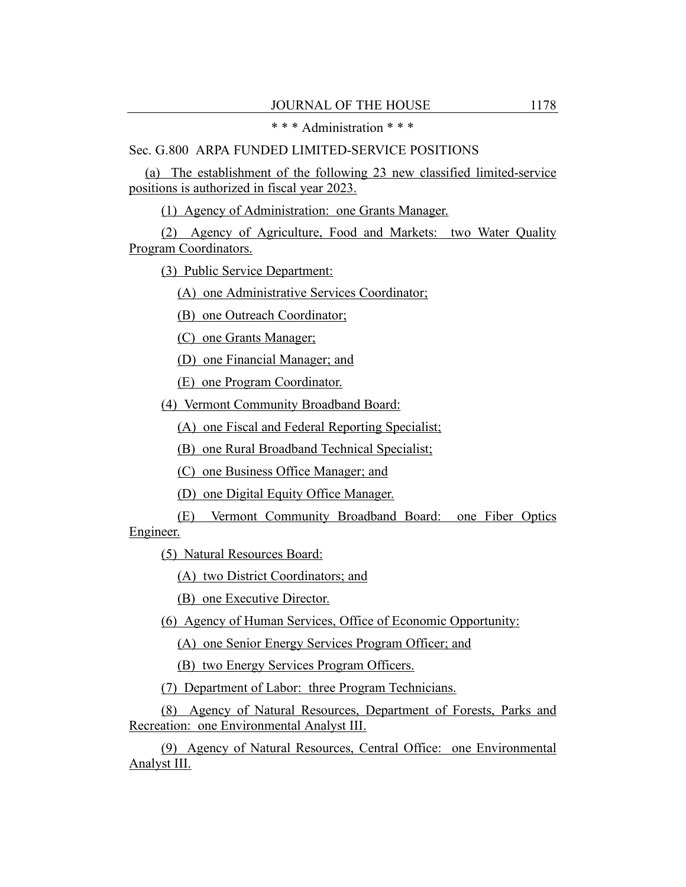\* \* \* Administration \* \* \*

## Sec. G.800 ARPA FUNDED LIMITED-SERVICE POSITIONS

(a) The establishment of the following 23 new classified limited-service positions is authorized in fiscal year 2023.

(1) Agency of Administration: one Grants Manager.

(2) Agency of Agriculture, Food and Markets: two Water Quality Program Coordinators.

(3) Public Service Department:

(A) one Administrative Services Coordinator;

(B) one Outreach Coordinator;

(C) one Grants Manager;

(D) one Financial Manager; and

(E) one Program Coordinator.

(4) Vermont Community Broadband Board:

(A) one Fiscal and Federal Reporting Specialist;

(B) one Rural Broadband Technical Specialist;

(C) one Business Office Manager; and

(D) one Digital Equity Office Manager.

(E) Vermont Community Broadband Board: one Fiber Optics Engineer.

(5) Natural Resources Board:

(A) two District Coordinators; and

(B) one Executive Director.

(6) Agency of Human Services, Office of Economic Opportunity:

(A) one Senior Energy Services Program Officer; and

(B) two Energy Services Program Officers.

(7) Department of Labor: three Program Technicians.

(8) Agency of Natural Resources, Department of Forests, Parks and Recreation: one Environmental Analyst III.

(9) Agency of Natural Resources, Central Office: one Environmental Analyst III.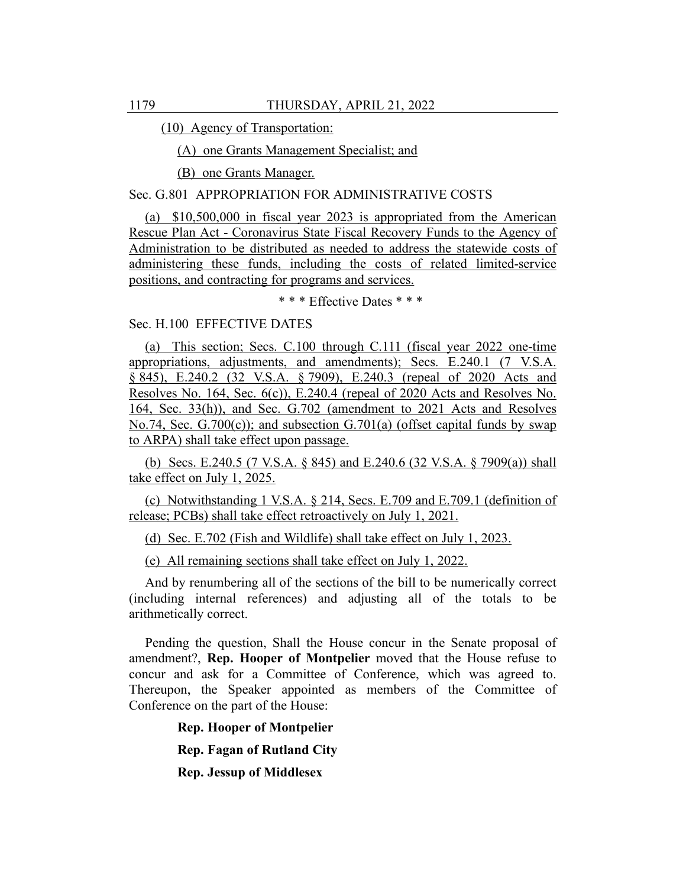(10) Agency of Transportation:

(A) one Grants Management Specialist; and

(B) one Grants Manager.

#### Sec. G.801 APPROPRIATION FOR ADMINISTRATIVE COSTS

(a) \$10,500,000 in fiscal year 2023 is appropriated from the American Rescue Plan Act - Coronavirus State Fiscal Recovery Funds to the Agency of Administration to be distributed as needed to address the statewide costs of administering these funds, including the costs of related limited-service positions, and contracting for programs and services.

\* \* \* Effective Dates \* \* \*

#### Sec. H.100 EFFECTIVE DATES

(a) This section; Secs. C.100 through C.111 (fiscal year 2022 one-time appropriations, adjustments, and amendments); Secs. E.240.1 (7 V.S.A. § 845), E.240.2 (32 V.S.A. § 7909), E.240.3 (repeal of 2020 Acts and Resolves No. 164, Sec. 6(c)), E.240.4 (repeal of 2020 Acts and Resolves No. 164, Sec. 33(h)), and Sec. G.702 (amendment to 2021 Acts and Resolves No.74, Sec. G.700(c)); and subsection G.701(a) (offset capital funds by swap to ARPA) shall take effect upon passage.

(b) Secs. E.240.5 (7 V.S.A. § 845) and E.240.6 (32 V.S.A. § 7909(a)) shall take effect on July 1, 2025.

(c) Notwithstanding 1 V.S.A. § 214, Secs. E.709 and E.709.1 (definition of release; PCBs) shall take effect retroactively on July 1, 2021.

(d) Sec. E.702 (Fish and Wildlife) shall take effect on July 1, 2023.

(e) All remaining sections shall take effect on July 1, 2022.

And by renumbering all of the sections of the bill to be numerically correct (including internal references) and adjusting all of the totals to be arithmetically correct.

Pending the question, Shall the House concur in the Senate proposal of amendment?, **Rep. Hooper of Montpelier** moved that the House refuse to concur and ask for a Committee of Conference, which was agreed to. Thereupon, the Speaker appointed as members of the Committee of Conference on the part of the House:

> **Rep. Hooper of Montpelier Rep. Fagan of Rutland City**

**Rep. Jessup of Middlesex**